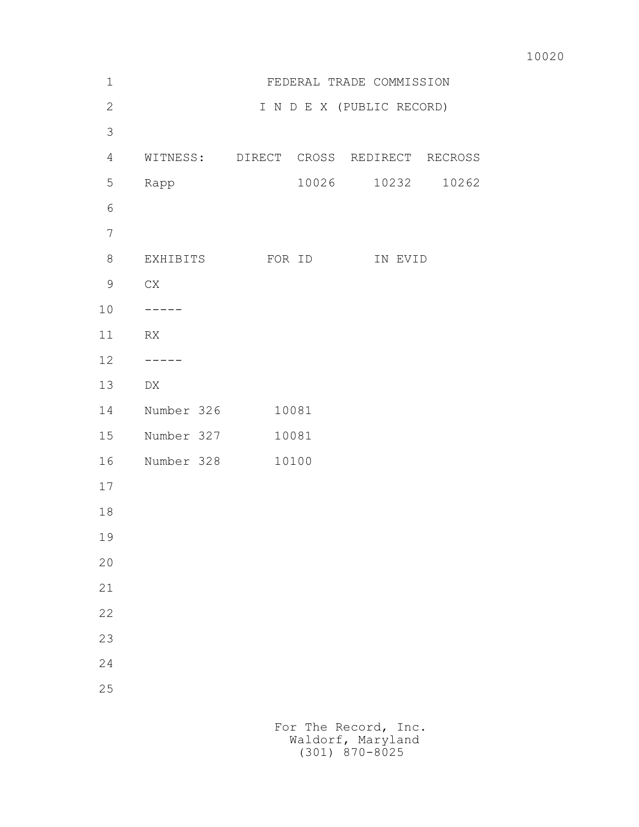| 10020 |
|-------|
|       |

| $1\,$          |                                        |       | FEDERAL TRADE COMMISSION  |                |
|----------------|----------------------------------------|-------|---------------------------|----------------|
| $\mathbf{2}$   |                                        |       | I N D E X (PUBLIC RECORD) |                |
| $\mathcal{S}$  |                                        |       |                           |                |
| $\overline{4}$ | WITNESS: DIRECT CROSS REDIRECT RECROSS |       |                           |                |
| 5              | Rapp                                   | 10026 |                           | 10232<br>10262 |
| 6              |                                        |       |                           |                |
| $\overline{7}$ |                                        |       |                           |                |
| $8\,$          | EXHIBITS FOR ID                        |       |                           | IN EVID        |
| $\mathsf 9$    | ${\rm CX}$                             |       |                           |                |
| 10             |                                        |       |                           |                |
| 11             | RX                                     |       |                           |                |
| 12             |                                        |       |                           |                |
| 13             | DX                                     |       |                           |                |
| 14             | Number 326                             | 10081 |                           |                |
| 15             | Number 327                             | 10081 |                           |                |
| 16             | Number 328                             | 10100 |                           |                |
| 17             |                                        |       |                           |                |
| 18             |                                        |       |                           |                |
| 19             |                                        |       |                           |                |
| 20             |                                        |       |                           |                |
| 21             |                                        |       |                           |                |
| 22             |                                        |       |                           |                |
| 23             |                                        |       |                           |                |
| 24             |                                        |       |                           |                |
| 25             |                                        |       |                           |                |
|                |                                        |       |                           |                |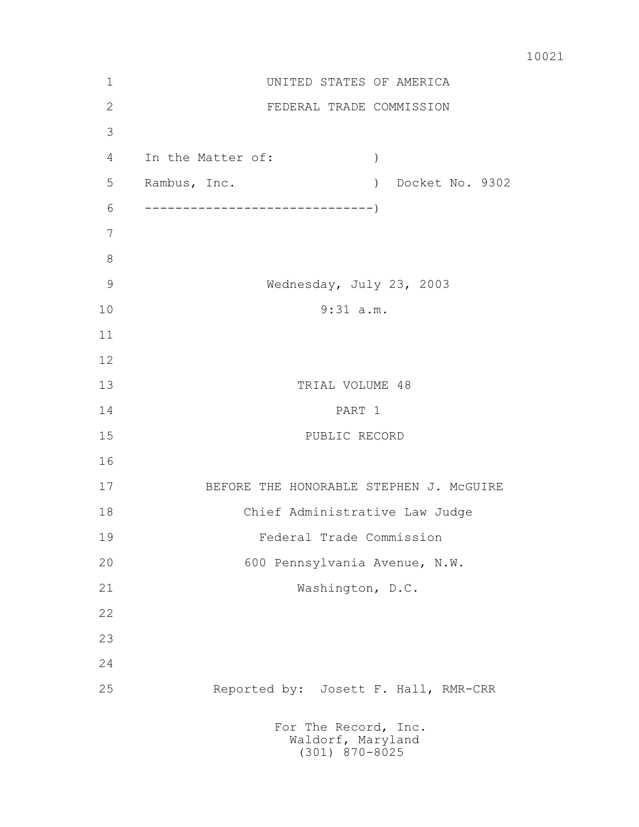|  | 10021 |
|--|-------|
|--|-------|

| $\mathbf 1$  | UNITED STATES OF AMERICA                                                           |  |  |  |  |
|--------------|------------------------------------------------------------------------------------|--|--|--|--|
| $\mathbf{2}$ | FEDERAL TRADE COMMISSION                                                           |  |  |  |  |
| 3            |                                                                                    |  |  |  |  |
| 4            | In the Matter of:<br>$\lambda$                                                     |  |  |  |  |
| 5            | Docket No. 9302<br>Rambus, Inc.<br>$\left( \begin{array}{c} 1 \end{array} \right)$ |  |  |  |  |
| 6            |                                                                                    |  |  |  |  |
| 7            |                                                                                    |  |  |  |  |
| $8\,$        |                                                                                    |  |  |  |  |
| 9            | Wednesday, July 23, 2003                                                           |  |  |  |  |
| 10           | $9:31$ a.m.                                                                        |  |  |  |  |
| 11           |                                                                                    |  |  |  |  |
| 12           |                                                                                    |  |  |  |  |
| 13           | TRIAL VOLUME 48                                                                    |  |  |  |  |
| 14           | PART 1                                                                             |  |  |  |  |
| 15           | PUBLIC RECORD                                                                      |  |  |  |  |
| 16           |                                                                                    |  |  |  |  |
| 17           | BEFORE THE HONORABLE STEPHEN J. MCGUIRE                                            |  |  |  |  |
| 18           | Chief Administrative Law Judge                                                     |  |  |  |  |
| 19           | Federal Trade Commission                                                           |  |  |  |  |
| 20           | 600 Pennsylvania Avenue, N.W.                                                      |  |  |  |  |
| 21           | Washington, D.C.                                                                   |  |  |  |  |
| 22           |                                                                                    |  |  |  |  |
| 23           |                                                                                    |  |  |  |  |
| 24           |                                                                                    |  |  |  |  |
| 25           | Reported by: Josett F. Hall, RMR-CRR                                               |  |  |  |  |
|              | For The Record, Inc.<br>Waldorf, Maryland<br>$(301)$ 870-8025                      |  |  |  |  |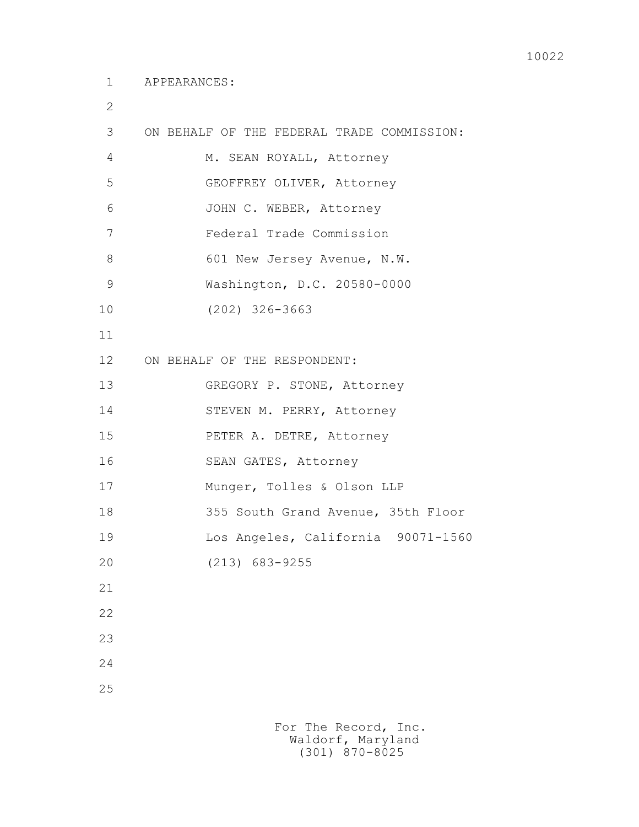2

| 3               | ON BEHALF OF THE FEDERAL TRADE COMMISSION: |
|-----------------|--------------------------------------------|
| 4               | M. SEAN ROYALL, Attorney                   |
| 5               | GEOFFREY OLIVER, Attorney                  |
| 6               | JOHN C. WEBER, Attorney                    |
| 7               | Federal Trade Commission                   |
| 8               | 601 New Jersey Avenue, N.W.                |
| $\mathcal{G}$   | Washington, D.C. 20580-0000                |
| 10              | $(202)$ 326-3663                           |
| 11              |                                            |
| 12 <sup>°</sup> | ON BEHALF OF THE RESPONDENT:               |
| 13              | GREGORY P. STONE, Attorney                 |
| 14              | STEVEN M. PERRY, Attorney                  |
| 15              | PETER A. DETRE, Attorney                   |
| 16              | SEAN GATES, Attorney                       |
| 17              | Munger, Tolles & Olson LLP                 |
| 18              | 355 South Grand Avenue, 35th Floor         |
| 19              | Los Angeles, California 90071-1560         |
| 20              | $(213)$ 683-9255                           |
| 21              |                                            |
| 22              |                                            |
| 23              |                                            |
| 24              |                                            |
| 25              |                                            |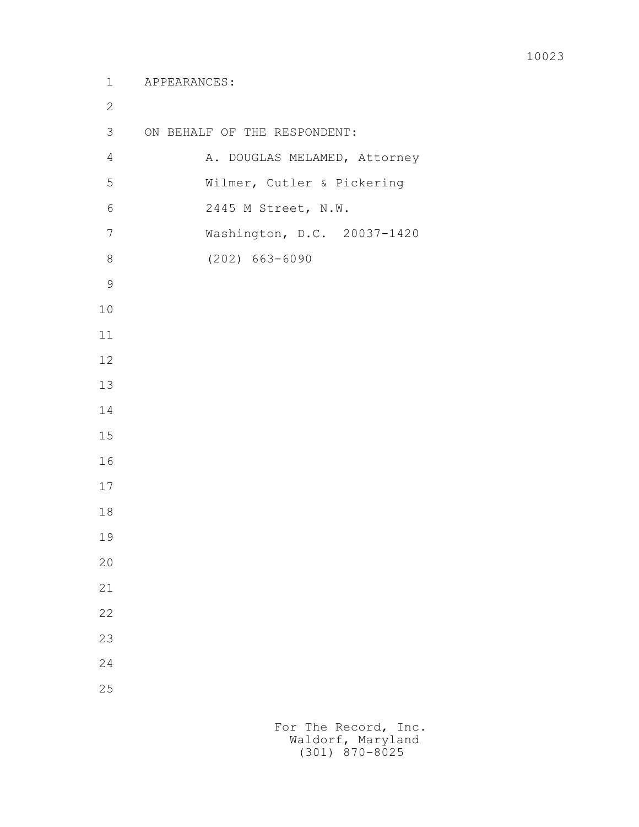## 1 APPEARANCES:

 3 ON BEHALF OF THE RESPONDENT: 4 A. DOUGLAS MELAMED, Attorney 5 Wilmer, Cutler & Pickering 6 2445 M Street, N.W. 7 Washington, D.C. 20037-1420 8 (202) 663-6090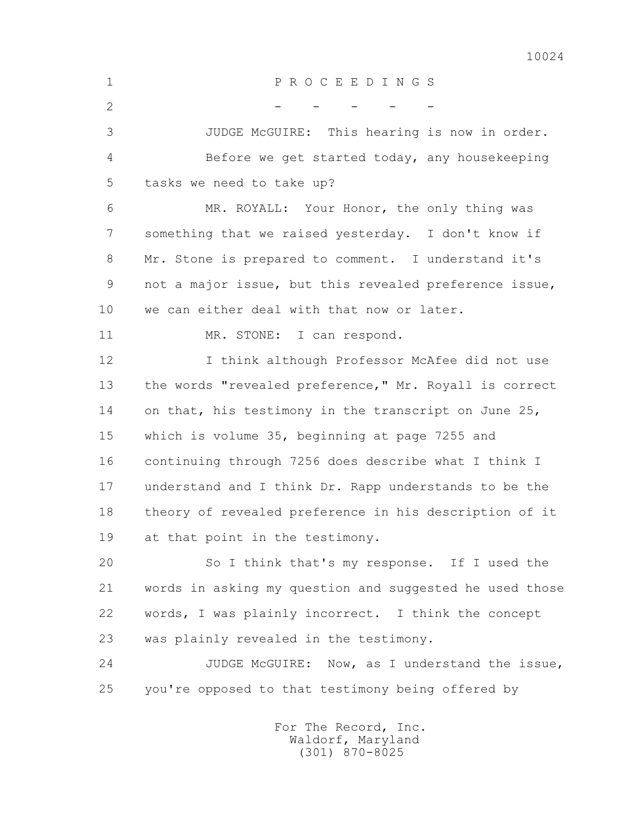1 P R O C E E D I N G S  $2$  - - - - - 3 JUDGE McGUIRE: This hearing is now in order. 4 Before we get started today, any housekeeping 5 tasks we need to take up? 6 MR. ROYALL: Your Honor, the only thing was 7 something that we raised yesterday. I don't know if 8 Mr. Stone is prepared to comment. I understand it's 9 not a major issue, but this revealed preference issue, 10 we can either deal with that now or later. 11 MR. STONE: I can respond. 12 I think although Professor McAfee did not use 13 the words "revealed preference," Mr. Royall is correct 14 on that, his testimony in the transcript on June 25, 15 which is volume 35, beginning at page 7255 and 16 continuing through 7256 does describe what I think I 17 understand and I think Dr. Rapp understands to be the 18 theory of revealed preference in his description of it 19 at that point in the testimony. 20 So I think that's my response. If I used the 21 words in asking my question and suggested he used those 22 words, I was plainly incorrect. I think the concept 23 was plainly revealed in the testimony. 24 JUDGE McGUIRE: Now, as I understand the issue, 25 you're opposed to that testimony being offered by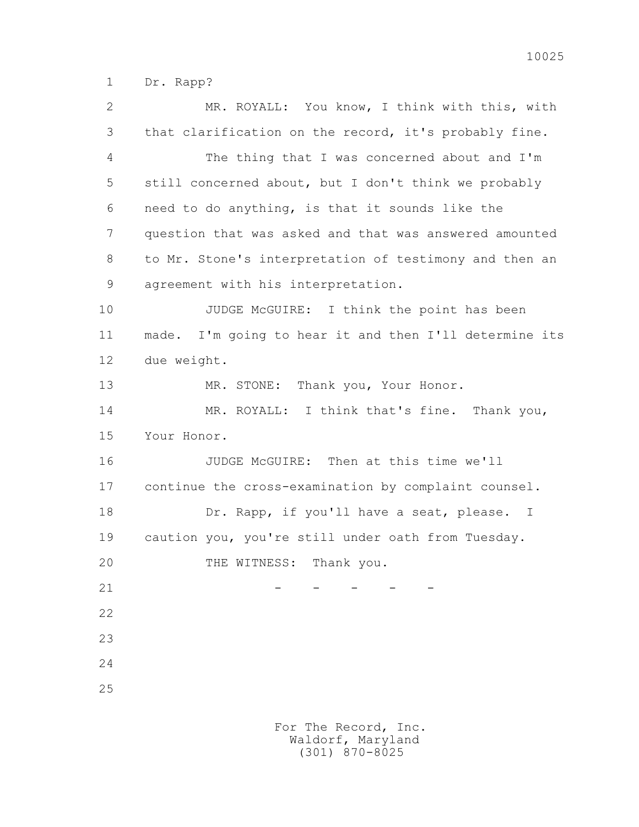1 Dr. Rapp?

 2 MR. ROYALL: You know, I think with this, with 3 that clarification on the record, it's probably fine. 4 The thing that I was concerned about and I'm 5 still concerned about, but I don't think we probably 6 need to do anything, is that it sounds like the 7 question that was asked and that was answered amounted 8 to Mr. Stone's interpretation of testimony and then an 9 agreement with his interpretation. 10 JUDGE McGUIRE: I think the point has been 11 made. I'm going to hear it and then I'll determine its 12 due weight. 13 MR. STONE: Thank you, Your Honor. 14 MR. ROYALL: I think that's fine. Thank you, 15 Your Honor. 16 JUDGE McGUIRE: Then at this time we'll 17 continue the cross-examination by complaint counsel. 18 Dr. Rapp, if you'll have a seat, please. I 19 caution you, you're still under oath from Tuesday. 20 THE WITNESS: Thank you.  $21$  - - - - - 22 23 24 25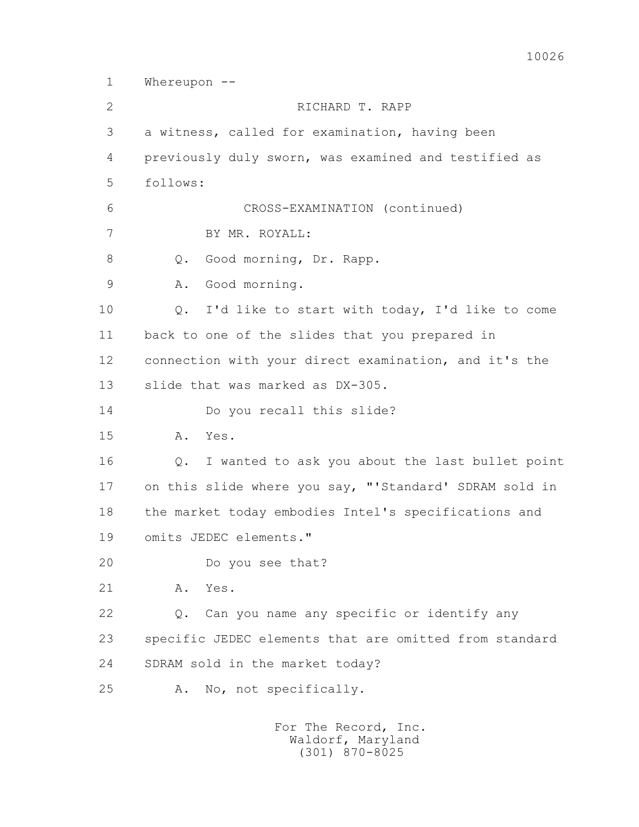1 Whereupon -- 2 RICHARD T. RAPP 3 a witness, called for examination, having been 4 previously duly sworn, was examined and testified as 5 follows: 6 CROSS-EXAMINATION (continued) 7 BY MR. ROYALL: 8 Q. Good morning, Dr. Rapp. 9 A. Good morning. 10 Q. I'd like to start with today, I'd like to come 11 back to one of the slides that you prepared in 12 connection with your direct examination, and it's the 13 slide that was marked as DX-305. 14 Do you recall this slide? 15 A. Yes. 16 Q. I wanted to ask you about the last bullet point 17 on this slide where you say, "'Standard' SDRAM sold in 18 the market today embodies Intel's specifications and 19 omits JEDEC elements." 20 Do you see that? 21 A. Yes. 22 Q. Can you name any specific or identify any 23 specific JEDEC elements that are omitted from standard 24 SDRAM sold in the market today? 25 A. No, not specifically.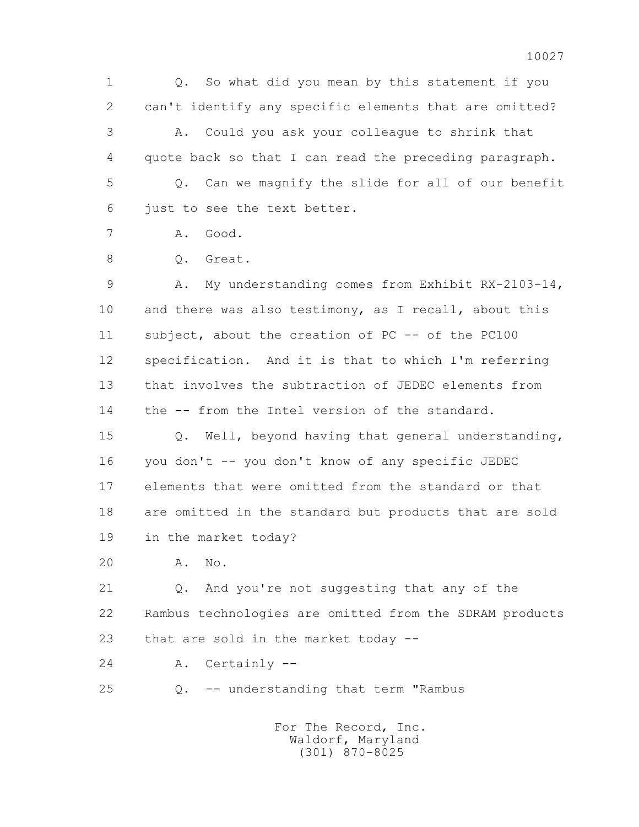1 Q. So what did you mean by this statement if you 2 can't identify any specific elements that are omitted? 3 A. Could you ask your colleague to shrink that 4 quote back so that I can read the preceding paragraph. 5 Q. Can we magnify the slide for all of our benefit 6 just to see the text better.

7 A. Good.

8 O. Great.

 9 A. My understanding comes from Exhibit RX-2103-14, 10 and there was also testimony, as I recall, about this 11 subject, about the creation of PC -- of the PC100 12 specification. And it is that to which I'm referring 13 that involves the subtraction of JEDEC elements from 14 the -- from the Intel version of the standard.

 15 Q. Well, beyond having that general understanding, 16 you don't -- you don't know of any specific JEDEC 17 elements that were omitted from the standard or that 18 are omitted in the standard but products that are sold 19 in the market today?

20 A. No.

 21 Q. And you're not suggesting that any of the 22 Rambus technologies are omitted from the SDRAM products 23 that are sold in the market today --

24 A. Certainly --

25 Q. -- understanding that term "Rambus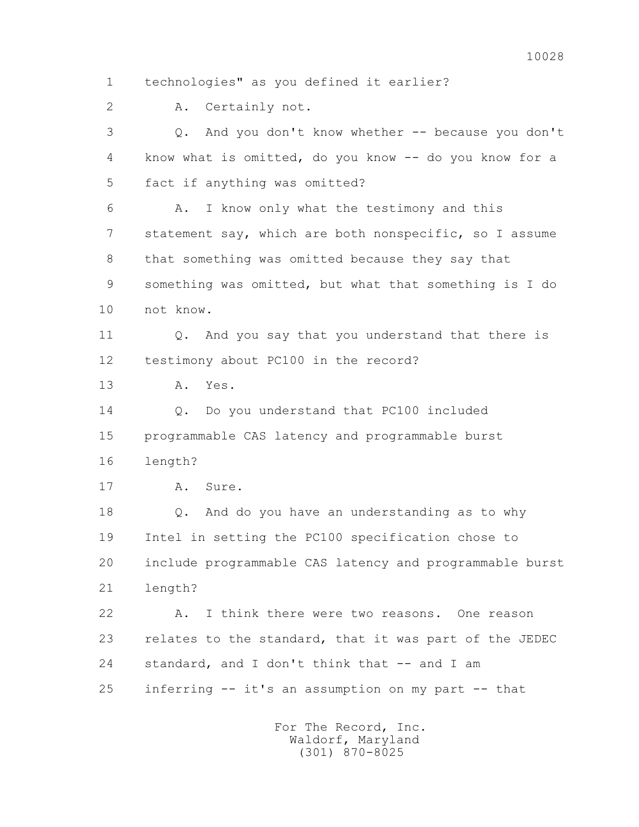4 know what is omitted, do you know -- do you know for a 5 fact if anything was omitted? 6 A. I know only what the testimony and this 7 statement say, which are both nonspecific, so I assume 8 that something was omitted because they say that 9 something was omitted, but what that something is I do 10 not know. 11 0. And you say that you understand that there is 12 testimony about PC100 in the record? 13 A. Yes. 14 0. Do you understand that PC100 included 15 programmable CAS latency and programmable burst 16 length? 17 A. Sure. 18 Q. And do you have an understanding as to why 19 Intel in setting the PC100 specification chose to 20 include programmable CAS latency and programmable burst 21 length? 22 A. I think there were two reasons. One reason 23 relates to the standard, that it was part of the JEDEC 24 standard, and I don't think that -- and I am 25 inferring -- it's an assumption on my part -- that For The Record, Inc. Waldorf, Maryland (301) 870-8025

1 technologies" as you defined it earlier?

3 Q. And you don't know whether -- because you don't

2 A. Certainly not.

10028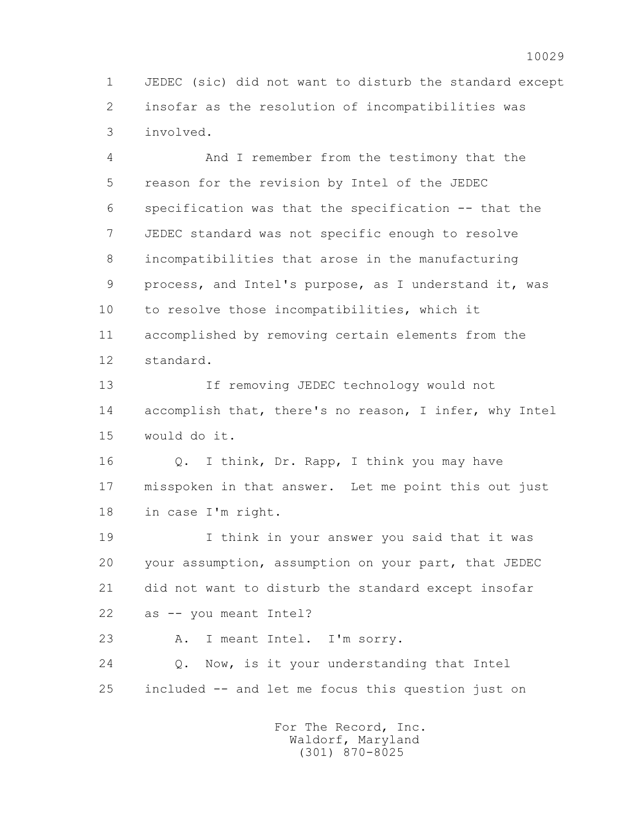1 JEDEC (sic) did not want to disturb the standard except 2 insofar as the resolution of incompatibilities was 3 involved.

 4 And I remember from the testimony that the 5 reason for the revision by Intel of the JEDEC 6 specification was that the specification -- that the 7 JEDEC standard was not specific enough to resolve 8 incompatibilities that arose in the manufacturing 9 process, and Intel's purpose, as I understand it, was 10 to resolve those incompatibilities, which it 11 accomplished by removing certain elements from the 12 standard.

 13 If removing JEDEC technology would not 14 accomplish that, there's no reason, I infer, why Intel 15 would do it.

 16 Q. I think, Dr. Rapp, I think you may have 17 misspoken in that answer. Let me point this out just 18 in case I'm right.

 19 I think in your answer you said that it was 20 your assumption, assumption on your part, that JEDEC 21 did not want to disturb the standard except insofar 22 as -- you meant Intel?

23 A. I meant Intel. I'm sorry.

 24 Q. Now, is it your understanding that Intel 25 included -- and let me focus this question just on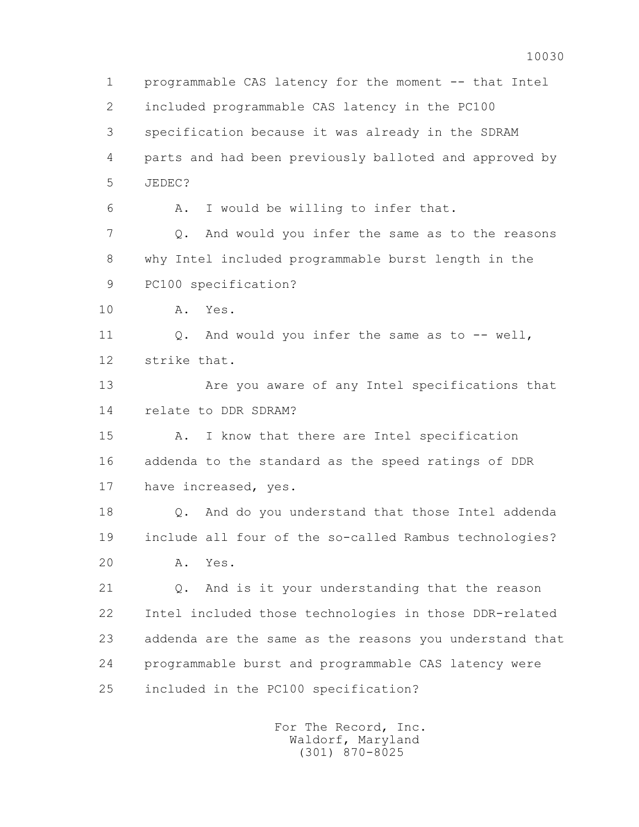1 programmable CAS latency for the moment -- that Intel 2 included programmable CAS latency in the PC100 3 specification because it was already in the SDRAM 4 parts and had been previously balloted and approved by 5 JEDEC? 6 A. I would be willing to infer that. 7 Q. And would you infer the same as to the reasons 8 why Intel included programmable burst length in the 9 PC100 specification? 10 A. Yes. 11 O. And would you infer the same as to -- well, 12 strike that. 13 Are you aware of any Intel specifications that 14 relate to DDR SDRAM? 15 A. I know that there are Intel specification 16 addenda to the standard as the speed ratings of DDR 17 have increased, yes. 18 Q. And do you understand that those Intel addenda 19 include all four of the so-called Rambus technologies? 20 A. Yes. 21 Q. And is it your understanding that the reason 22 Intel included those technologies in those DDR-related 23 addenda are the same as the reasons you understand that 24 programmable burst and programmable CAS latency were 25 included in the PC100 specification?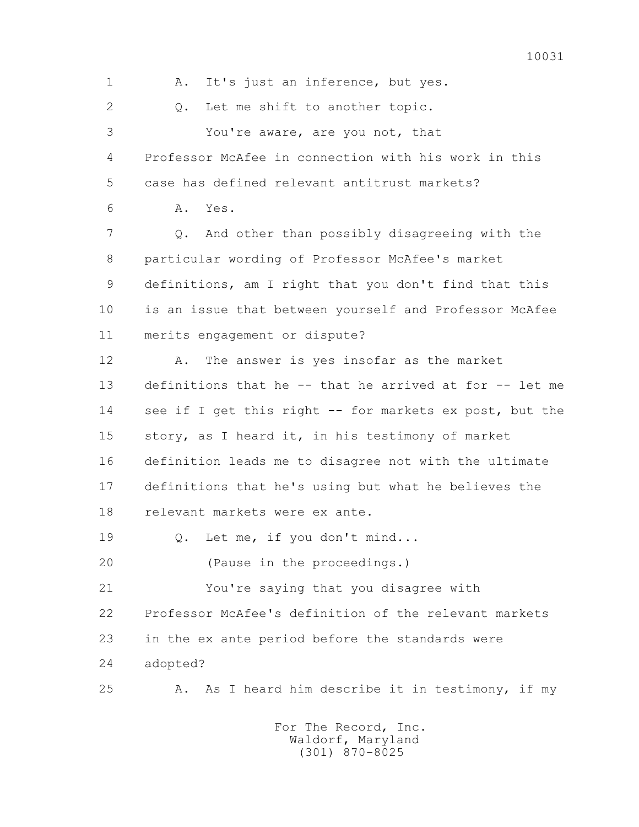1 A. It's just an inference, but yes. 2 0. Let me shift to another topic. 3 You're aware, are you not, that 4 Professor McAfee in connection with his work in this 5 case has defined relevant antitrust markets? 6 A. Yes. 7 Q. And other than possibly disagreeing with the 8 particular wording of Professor McAfee's market 9 definitions, am I right that you don't find that this 10 is an issue that between yourself and Professor McAfee 11 merits engagement or dispute? 12 A. The answer is yes insofar as the market 13 definitions that he -- that he arrived at for -- let me 14 see if I get this right -- for markets ex post, but the 15 story, as I heard it, in his testimony of market 16 definition leads me to disagree not with the ultimate 17 definitions that he's using but what he believes the 18 relevant markets were ex ante. 19 Q. Let me, if you don't mind... 20 (Pause in the proceedings.) 21 You're saying that you disagree with 22 Professor McAfee's definition of the relevant markets 23 in the ex ante period before the standards were 24 adopted? 25 A. As I heard him describe it in testimony, if my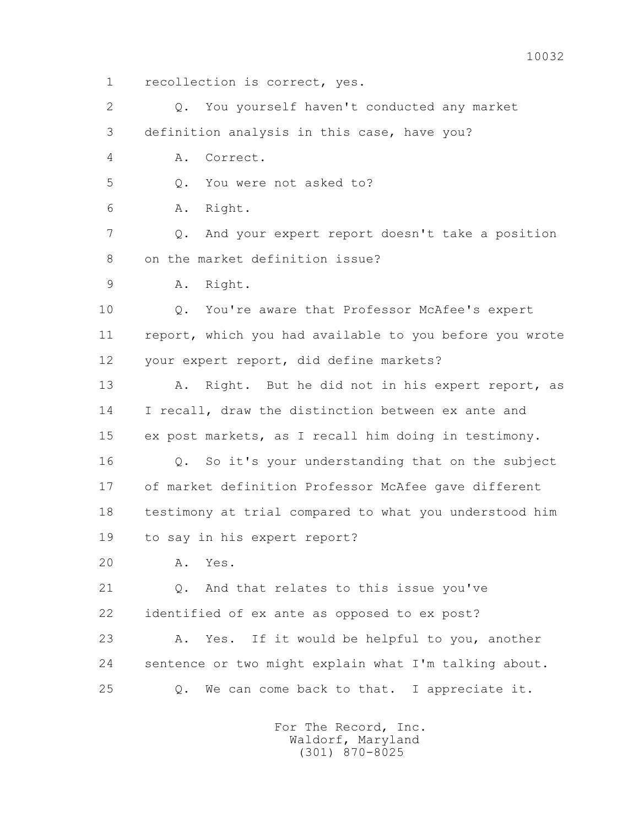1 recollection is correct, yes.

 2 Q. You yourself haven't conducted any market 3 definition analysis in this case, have you?

4 A. Correct.

5 0. You were not asked to?

6 A. Right.

 7 Q. And your expert report doesn't take a position 8 on the market definition issue?

9 A. Right.

 10 Q. You're aware that Professor McAfee's expert 11 report, which you had available to you before you wrote 12 your expert report, did define markets?

13 A. Right. But he did not in his expert report, as 14 I recall, draw the distinction between ex ante and 15 ex post markets, as I recall him doing in testimony.

 16 Q. So it's your understanding that on the subject 17 of market definition Professor McAfee gave different 18 testimony at trial compared to what you understood him 19 to say in his expert report?

20 A. Yes.

 21 Q. And that relates to this issue you've 22 identified of ex ante as opposed to ex post?

 23 A. Yes. If it would be helpful to you, another 24 sentence or two might explain what I'm talking about. 25 Q. We can come back to that. I appreciate it.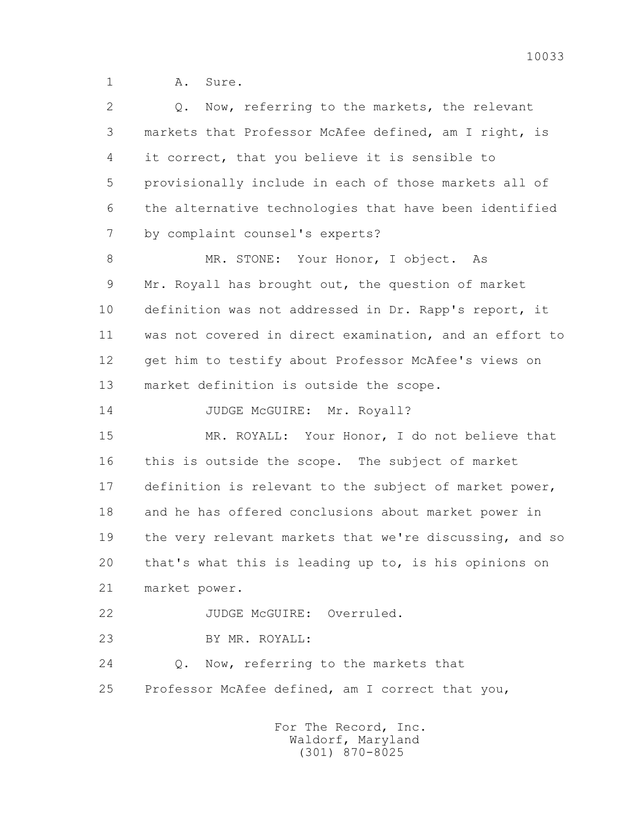1 A. Sure.

| $\overline{2}$ | Now, referring to the markets, the relevant<br>Q.       |
|----------------|---------------------------------------------------------|
| 3              | markets that Professor McAfee defined, am I right, is   |
| 4              | it correct, that you believe it is sensible to          |
| 5              | provisionally include in each of those markets all of   |
| 6              | the alternative technologies that have been identified  |
| 7              | by complaint counsel's experts?                         |
| 8              | MR. STONE: Your Honor, I object.<br>As                  |
| 9              | Mr. Royall has brought out, the question of market      |
| 10             | definition was not addressed in Dr. Rapp's report, it   |
| 11             | was not covered in direct examination, and an effort to |
| 12             | get him to testify about Professor McAfee's views on    |
| 13             | market definition is outside the scope.                 |
| 14             | JUDGE McGUIRE: Mr. Royall?                              |
| 15             | MR. ROYALL: Your Honor, I do not believe that           |
| 16             | this is outside the scope. The subject of market        |
| 17             | definition is relevant to the subject of market power,  |
| 18             | and he has offered conclusions about market power in    |
| 19             | the very relevant markets that we're discussing, and so |
| 20             | that's what this is leading up to, is his opinions on   |
| 21             | market power.                                           |
| 22             | JUDGE McGUIRE: Overruled.                               |
| 23             | BY MR. ROYALL:                                          |
| 24             | Now, referring to the markets that<br>$Q$ .             |
| 25             | Professor McAfee defined, am I correct that you,        |
|                |                                                         |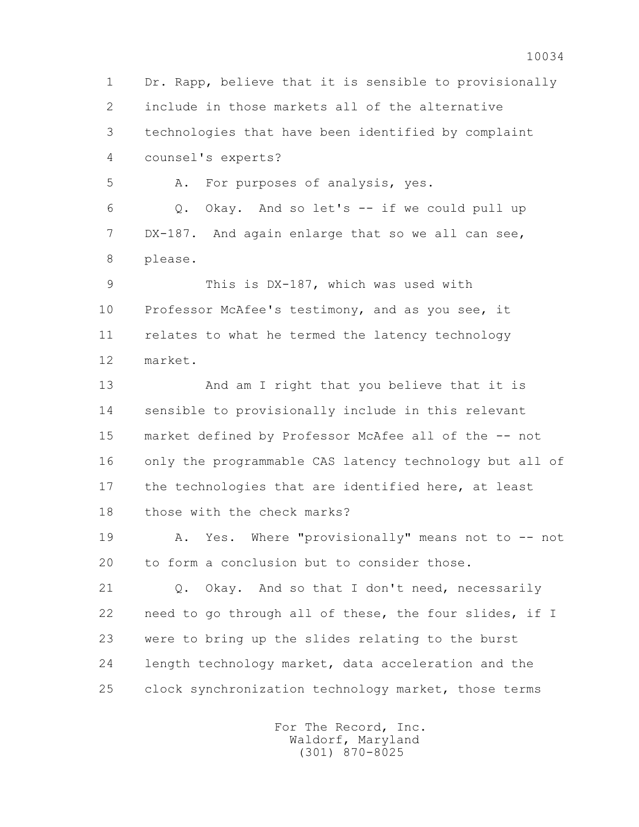1 Dr. Rapp, believe that it is sensible to provisionally 2 include in those markets all of the alternative 3 technologies that have been identified by complaint 4 counsel's experts?

5 A. For purposes of analysis, yes.

 6 Q. Okay. And so let's -- if we could pull up 7 DX-187. And again enlarge that so we all can see, 8 please.

 9 This is DX-187, which was used with 10 Professor McAfee's testimony, and as you see, it 11 relates to what he termed the latency technology 12 market.

 13 And am I right that you believe that it is 14 sensible to provisionally include in this relevant 15 market defined by Professor McAfee all of the -- not 16 only the programmable CAS latency technology but all of 17 the technologies that are identified here, at least 18 those with the check marks?

19 A. Yes. Where "provisionally" means not to -- not 20 to form a conclusion but to consider those.

 21 Q. Okay. And so that I don't need, necessarily 22 need to go through all of these, the four slides, if I 23 were to bring up the slides relating to the burst 24 length technology market, data acceleration and the 25 clock synchronization technology market, those terms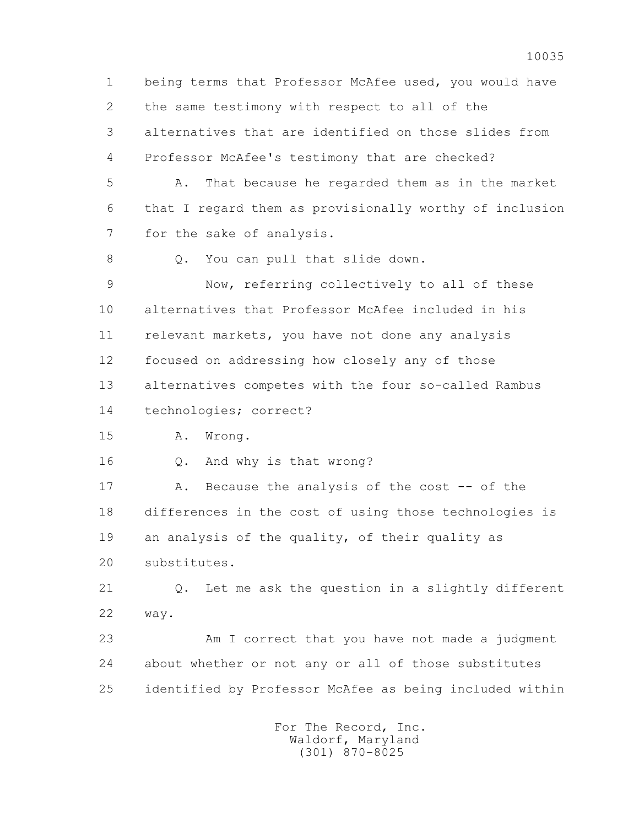1 being terms that Professor McAfee used, you would have 2 the same testimony with respect to all of the 3 alternatives that are identified on those slides from 4 Professor McAfee's testimony that are checked? 5 A. That because he regarded them as in the market 6 that I regard them as provisionally worthy of inclusion 7 for the sake of analysis. 8 Q. You can pull that slide down.

 9 Now, referring collectively to all of these 10 alternatives that Professor McAfee included in his 11 relevant markets, you have not done any analysis 12 focused on addressing how closely any of those 13 alternatives competes with the four so-called Rambus 14 technologies; correct?

15 A. Wrong.

16 Q. And why is that wrong?

17 A. Because the analysis of the cost -- of the 18 differences in the cost of using those technologies is 19 an analysis of the quality, of their quality as 20 substitutes.

 21 Q. Let me ask the question in a slightly different 22 way.

 23 Am I correct that you have not made a judgment 24 about whether or not any or all of those substitutes 25 identified by Professor McAfee as being included within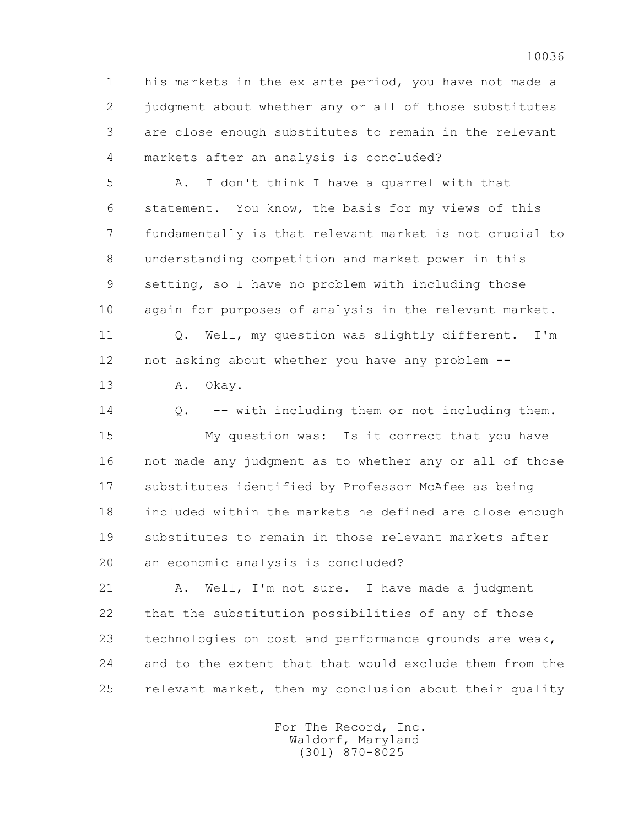1 his markets in the ex ante period, you have not made a 2 judgment about whether any or all of those substitutes 3 are close enough substitutes to remain in the relevant 4 markets after an analysis is concluded?

 5 A. I don't think I have a quarrel with that 6 statement. You know, the basis for my views of this 7 fundamentally is that relevant market is not crucial to 8 understanding competition and market power in this 9 setting, so I have no problem with including those 10 again for purposes of analysis in the relevant market. 11 Q. Well, my question was slightly different. I'm 12 not asking about whether you have any problem --

13 A. Okay.

 14 Q. -- with including them or not including them. 15 My question was: Is it correct that you have 16 not made any judgment as to whether any or all of those 17 substitutes identified by Professor McAfee as being 18 included within the markets he defined are close enough 19 substitutes to remain in those relevant markets after 20 an economic analysis is concluded?

21 A. Well, I'm not sure. I have made a judgment 22 that the substitution possibilities of any of those 23 technologies on cost and performance grounds are weak, 24 and to the extent that that would exclude them from the 25 relevant market, then my conclusion about their quality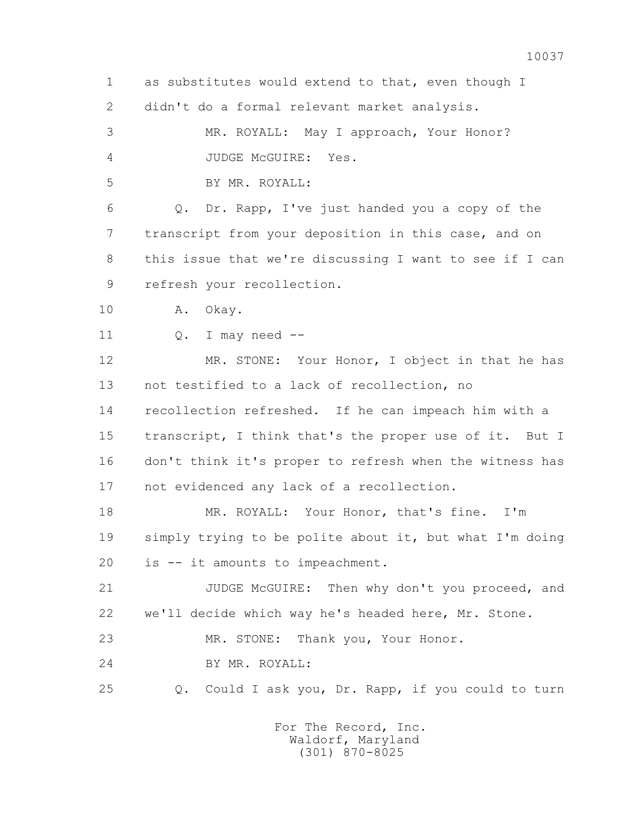1 as substitutes would extend to that, even though I 2 didn't do a formal relevant market analysis. 3 MR. ROYALL: May I approach, Your Honor? 4 JUDGE McGUIRE: Yes. 5 BY MR. ROYALL: 6 Q. Dr. Rapp, I've just handed you a copy of the 7 transcript from your deposition in this case, and on 8 this issue that we're discussing I want to see if I can 9 refresh your recollection. 10 A. Okay.  $11$  O. I may need  $-$  12 MR. STONE: Your Honor, I object in that he has 13 not testified to a lack of recollection, no 14 recollection refreshed. If he can impeach him with a 15 transcript, I think that's the proper use of it. But I 16 don't think it's proper to refresh when the witness has 17 not evidenced any lack of a recollection. 18 MR. ROYALL: Your Honor, that's fine. I'm 19 simply trying to be polite about it, but what I'm doing 20 is -- it amounts to impeachment. 21 JUDGE McGUIRE: Then why don't you proceed, and 22 we'll decide which way he's headed here, Mr. Stone. 23 MR. STONE: Thank you, Your Honor. 24 BY MR. ROYALL: 25 Q. Could I ask you, Dr. Rapp, if you could to turn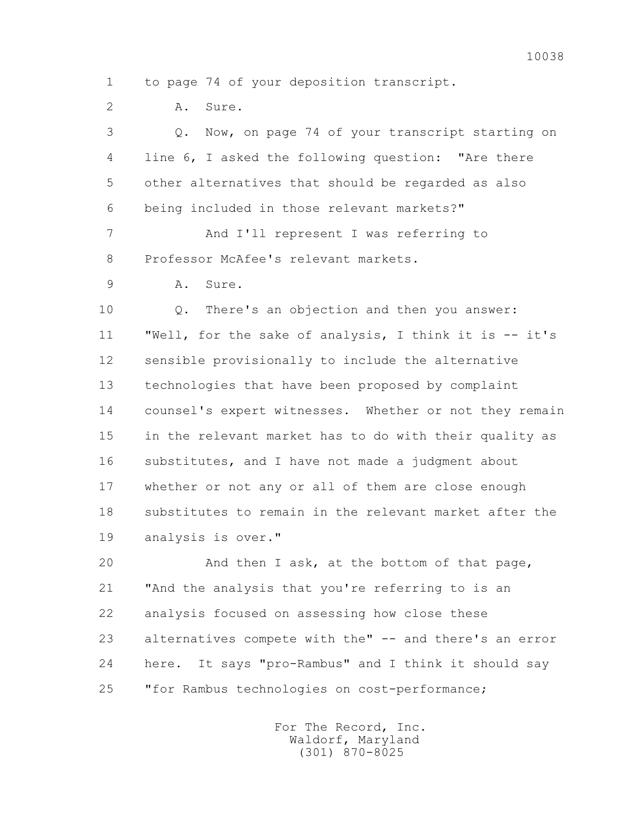2 A. Sure.

 3 Q. Now, on page 74 of your transcript starting on 4 line 6, I asked the following question: "Are there 5 other alternatives that should be regarded as also 6 being included in those relevant markets?"

 7 And I'll represent I was referring to 8 Professor McAfee's relevant markets.

9 A. Sure.

 10 Q. There's an objection and then you answer: 11 "Well, for the sake of analysis, I think it is -- it's 12 sensible provisionally to include the alternative 13 technologies that have been proposed by complaint 14 counsel's expert witnesses. Whether or not they remain 15 in the relevant market has to do with their quality as 16 substitutes, and I have not made a judgment about 17 whether or not any or all of them are close enough 18 substitutes to remain in the relevant market after the 19 analysis is over."

 20 And then I ask, at the bottom of that page, 21 "And the analysis that you're referring to is an 22 analysis focused on assessing how close these 23 alternatives compete with the" -- and there's an error 24 here. It says "pro-Rambus" and I think it should say 25 "for Rambus technologies on cost-performance;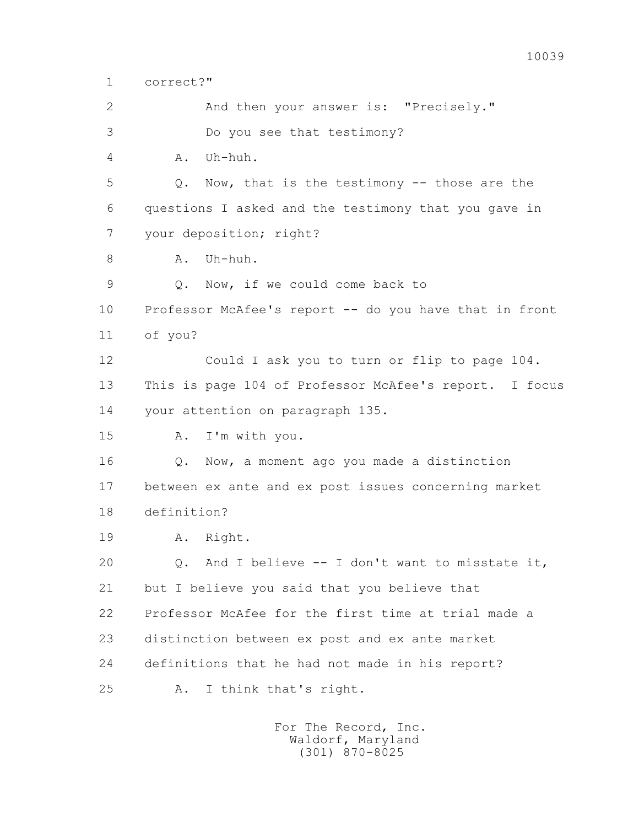2 And then your answer is: "Precisely." 3 Do you see that testimony? 4 A. Uh-huh. 5 Q. Now, that is the testimony -- those are the 6 questions I asked and the testimony that you gave in 7 your deposition; right? 8 A. Uh-huh. 9 Q. Now, if we could come back to 10 Professor McAfee's report -- do you have that in front 11 of you? 12 Could I ask you to turn or flip to page 104. 13 This is page 104 of Professor McAfee's report. I focus 14 your attention on paragraph 135. 15 A. I'm with you. 16 Q. Now, a moment ago you made a distinction 17 between ex ante and ex post issues concerning market 18 definition? 19 A. Right. 20 Q. And I believe -- I don't want to misstate it, 21 but I believe you said that you believe that 22 Professor McAfee for the first time at trial made a 23 distinction between ex post and ex ante market 24 definitions that he had not made in his report? 25 A. I think that's right.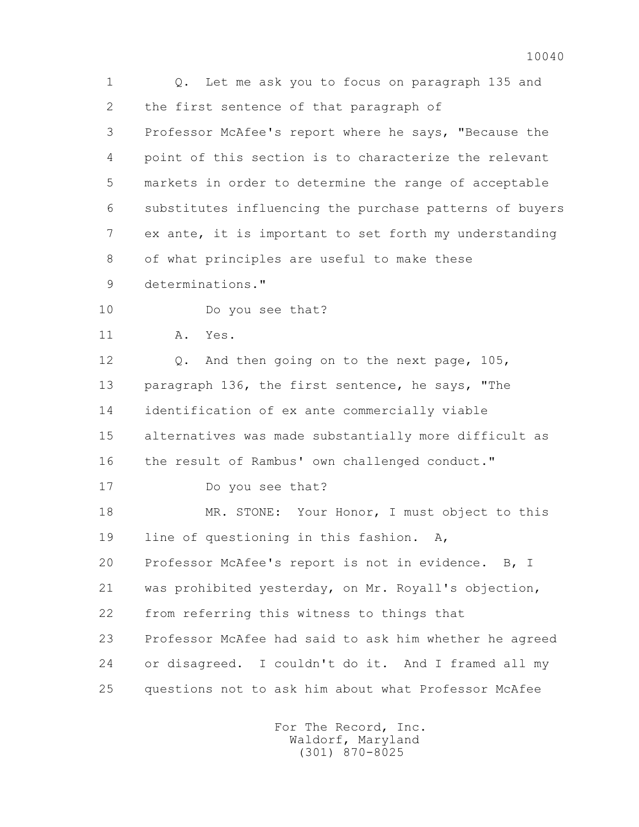1 Q. Let me ask you to focus on paragraph 135 and 2 the first sentence of that paragraph of 3 Professor McAfee's report where he says, "Because the 4 point of this section is to characterize the relevant 5 markets in order to determine the range of acceptable 6 substitutes influencing the purchase patterns of buyers 7 ex ante, it is important to set forth my understanding 8 of what principles are useful to make these 9 determinations." 10 Do you see that? 11 A. Yes. 12 Q. And then going on to the next page, 105, 13 paragraph 136, the first sentence, he says, "The 14 identification of ex ante commercially viable 15 alternatives was made substantially more difficult as 16 the result of Rambus' own challenged conduct." 17 Do you see that? 18 MR. STONE: Your Honor, I must object to this 19 line of questioning in this fashion. A, 20 Professor McAfee's report is not in evidence. B, I 21 was prohibited yesterday, on Mr. Royall's objection, 22 from referring this witness to things that 23 Professor McAfee had said to ask him whether he agreed 24 or disagreed. I couldn't do it. And I framed all my 25 questions not to ask him about what Professor McAfee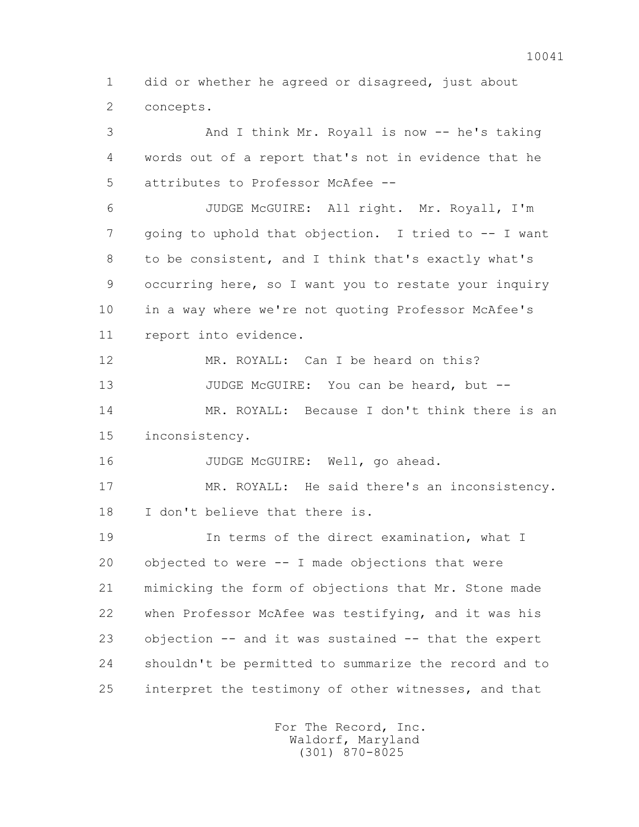1 did or whether he agreed or disagreed, just about 2 concepts.

 3 And I think Mr. Royall is now -- he's taking 4 words out of a report that's not in evidence that he 5 attributes to Professor McAfee -- 6 JUDGE McGUIRE: All right. Mr. Royall, I'm 7 going to uphold that objection. I tried to -- I want 8 to be consistent, and I think that's exactly what's 9 occurring here, so I want you to restate your inquiry 10 in a way where we're not quoting Professor McAfee's 11 report into evidence. 12 MR. ROYALL: Can I be heard on this? 13 JUDGE McGUIRE: You can be heard, but -- 14 MR. ROYALL: Because I don't think there is an 15 inconsistency. 16 JUDGE McGUIRE: Well, go ahead. 17 MR. ROYALL: He said there's an inconsistency. 18 I don't believe that there is. 19 In terms of the direct examination, what I 20 objected to were -- I made objections that were 21 mimicking the form of objections that Mr. Stone made 22 when Professor McAfee was testifying, and it was his 23 objection -- and it was sustained -- that the expert 24 shouldn't be permitted to summarize the record and to 25 interpret the testimony of other witnesses, and that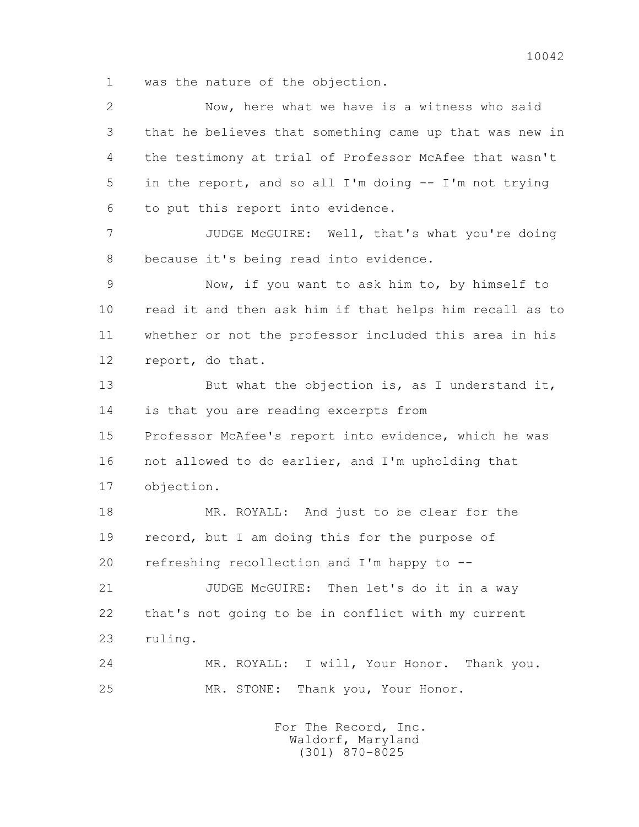1 was the nature of the objection.

 2 Now, here what we have is a witness who said 3 that he believes that something came up that was new in 4 the testimony at trial of Professor McAfee that wasn't 5 in the report, and so all I'm doing -- I'm not trying 6 to put this report into evidence. 7 JUDGE McGUIRE: Well, that's what you're doing 8 because it's being read into evidence. 9 Now, if you want to ask him to, by himself to 10 read it and then ask him if that helps him recall as to 11 whether or not the professor included this area in his 12 report, do that. 13 But what the objection is, as I understand it, 14 is that you are reading excerpts from 15 Professor McAfee's report into evidence, which he was 16 not allowed to do earlier, and I'm upholding that 17 objection. 18 MR. ROYALL: And just to be clear for the 19 record, but I am doing this for the purpose of 20 refreshing recollection and I'm happy to -- 21 JUDGE McGUIRE: Then let's do it in a way 22 that's not going to be in conflict with my current 23 ruling. 24 MR. ROYALL: I will, Your Honor. Thank you. 25 MR. STONE: Thank you, Your Honor.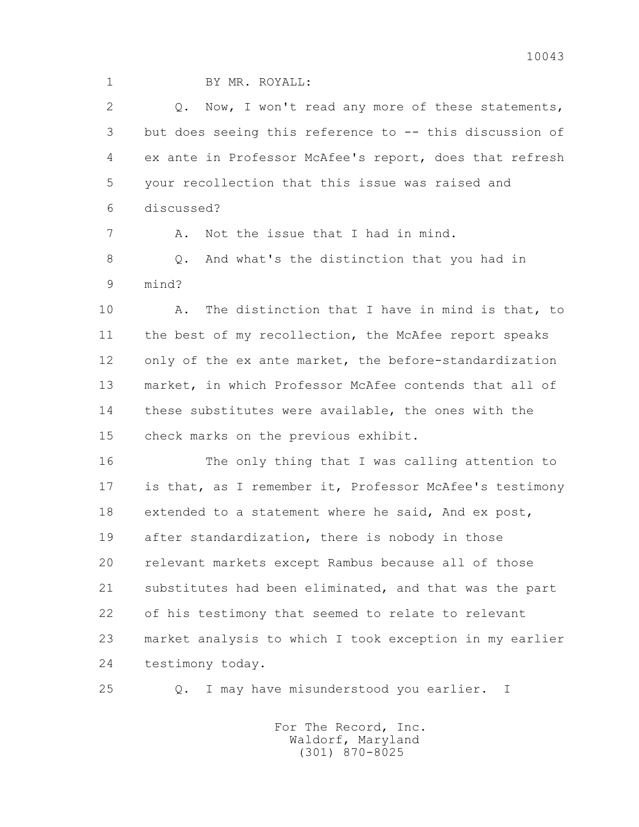1 BY MR. ROYALL:

2 0. Now, I won't read any more of these statements, 3 but does seeing this reference to -- this discussion of 4 ex ante in Professor McAfee's report, does that refresh 5 your recollection that this issue was raised and 6 discussed?

7 A. Not the issue that I had in mind.

8 0. And what's the distinction that you had in 9 mind?

 10 A. The distinction that I have in mind is that, to 11 the best of my recollection, the McAfee report speaks 12 only of the ex ante market, the before-standardization 13 market, in which Professor McAfee contends that all of 14 these substitutes were available, the ones with the 15 check marks on the previous exhibit.

 16 The only thing that I was calling attention to 17 is that, as I remember it, Professor McAfee's testimony 18 extended to a statement where he said, And ex post, 19 after standardization, there is nobody in those 20 relevant markets except Rambus because all of those 21 substitutes had been eliminated, and that was the part 22 of his testimony that seemed to relate to relevant 23 market analysis to which I took exception in my earlier 24 testimony today.

25 Q. I may have misunderstood you earlier. I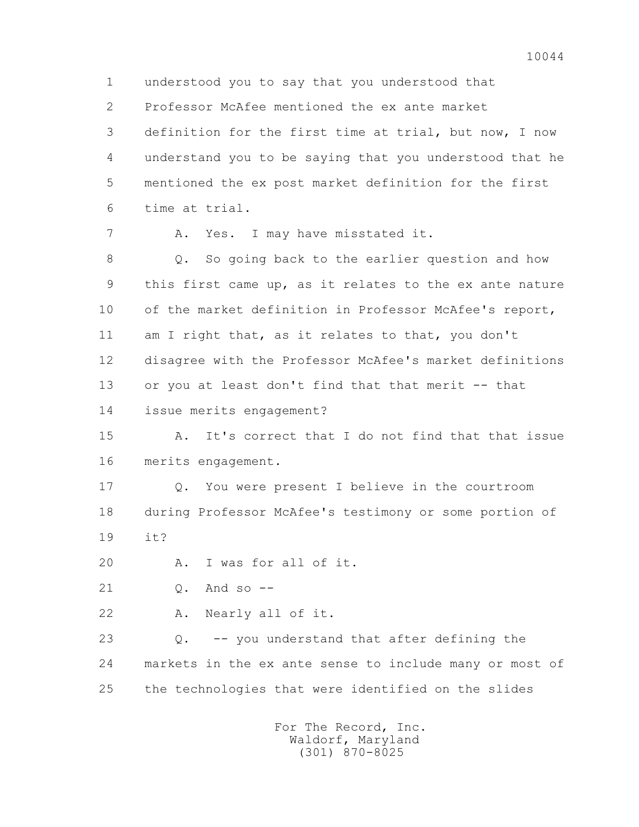1 understood you to say that you understood that 2 Professor McAfee mentioned the ex ante market 3 definition for the first time at trial, but now, I now 4 understand you to be saying that you understood that he 5 mentioned the ex post market definition for the first 6 time at trial. 7 A. Yes. I may have misstated it. 8 Q. So going back to the earlier question and how 9 this first came up, as it relates to the ex ante nature 10 of the market definition in Professor McAfee's report, 11 am I right that, as it relates to that, you don't 12 disagree with the Professor McAfee's market definitions 13 or you at least don't find that that merit -- that 14 issue merits engagement? 15 A. It's correct that I do not find that that issue 16 merits engagement. 17 Q. You were present I believe in the courtroom 18 during Professor McAfee's testimony or some portion of 19 it? 20 A. I was for all of it. 21 Q. And so -- 22 A. Nearly all of it. 23 Q. -- you understand that after defining the 24 markets in the ex ante sense to include many or most of 25 the technologies that were identified on the slides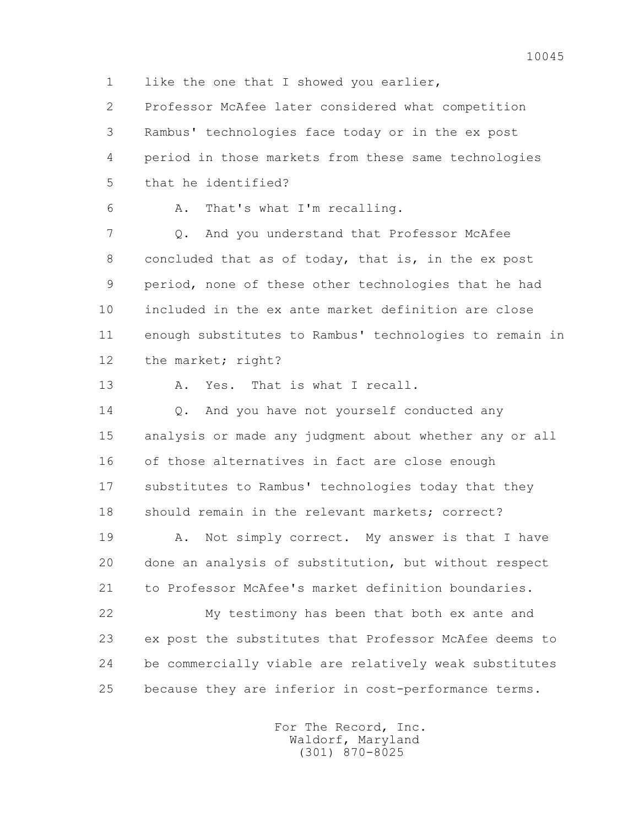1 like the one that I showed you earlier,

 2 Professor McAfee later considered what competition 3 Rambus' technologies face today or in the ex post 4 period in those markets from these same technologies 5 that he identified?

| a sa |  |
|------|--|
|      |  |

A. That's what I'm recalling.

 7 Q. And you understand that Professor McAfee 8 concluded that as of today, that is, in the ex post 9 period, none of these other technologies that he had 10 included in the ex ante market definition are close 11 enough substitutes to Rambus' technologies to remain in 12 the market; right?

13 A. Yes. That is what I recall.

14 0. And you have not yourself conducted any 15 analysis or made any judgment about whether any or all 16 of those alternatives in fact are close enough 17 substitutes to Rambus' technologies today that they 18 should remain in the relevant markets; correct?

19 A. Not simply correct. My answer is that I have 20 done an analysis of substitution, but without respect 21 to Professor McAfee's market definition boundaries.

 22 My testimony has been that both ex ante and 23 ex post the substitutes that Professor McAfee deems to 24 be commercially viable are relatively weak substitutes 25 because they are inferior in cost-performance terms.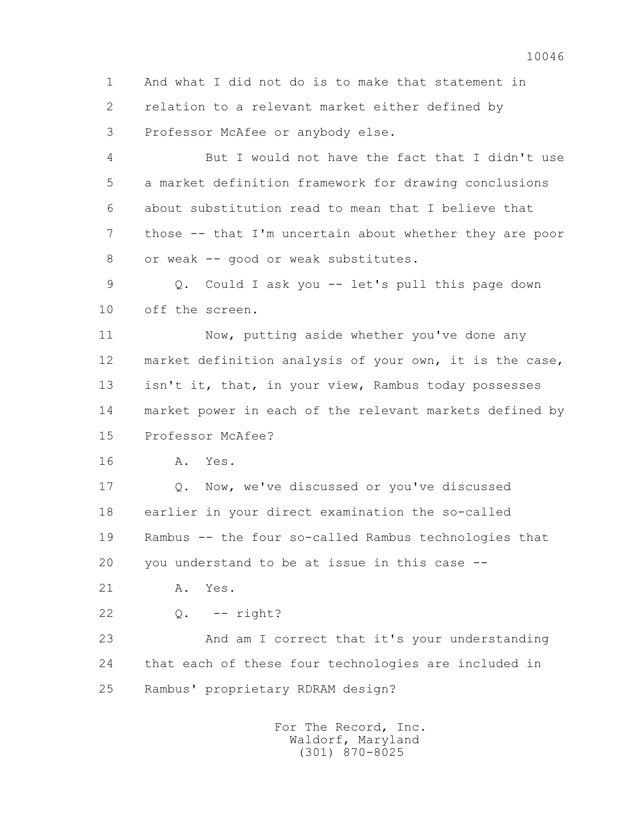1 And what I did not do is to make that statement in 2 relation to a relevant market either defined by 3 Professor McAfee or anybody else.

 4 But I would not have the fact that I didn't use 5 a market definition framework for drawing conclusions 6 about substitution read to mean that I believe that 7 those -- that I'm uncertain about whether they are poor 8 or weak -- good or weak substitutes.

 9 Q. Could I ask you -- let's pull this page down 10 off the screen.

11 Now, putting aside whether you've done any 12 market definition analysis of your own, it is the case, 13 isn't it, that, in your view, Rambus today possesses 14 market power in each of the relevant markets defined by 15 Professor McAfee?

16 A. Yes.

 17 Q. Now, we've discussed or you've discussed 18 earlier in your direct examination the so-called 19 Rambus -- the four so-called Rambus technologies that 20 you understand to be at issue in this case --

21 A. Yes.

22 Q. -- right?

 23 And am I correct that it's your understanding 24 that each of these four technologies are included in 25 Rambus' proprietary RDRAM design?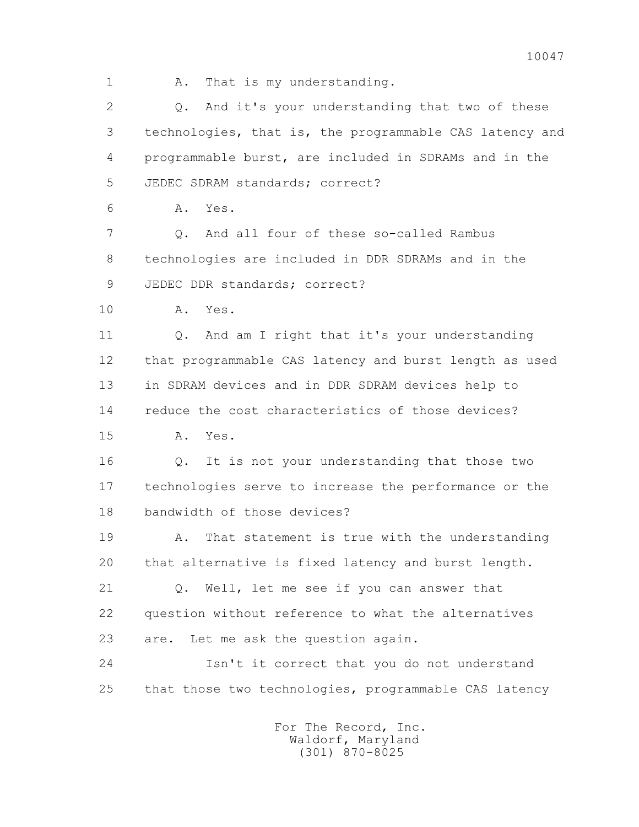1 A. That is my understanding.

 2 Q. And it's your understanding that two of these 3 technologies, that is, the programmable CAS latency and 4 programmable burst, are included in SDRAMs and in the 5 JEDEC SDRAM standards; correct?

6 A. Yes.

7 0. And all four of these so-called Rambus 8 technologies are included in DDR SDRAMs and in the 9 JEDEC DDR standards; correct?

10 A. Yes.

 11 Q. And am I right that it's your understanding 12 that programmable CAS latency and burst length as used 13 in SDRAM devices and in DDR SDRAM devices help to 14 reduce the cost characteristics of those devices?

15 A. Yes.

 16 Q. It is not your understanding that those two 17 technologies serve to increase the performance or the 18 bandwidth of those devices?

 19 A. That statement is true with the understanding 20 that alternative is fixed latency and burst length.

 21 Q. Well, let me see if you can answer that 22 question without reference to what the alternatives 23 are. Let me ask the question again.

 24 Isn't it correct that you do not understand 25 that those two technologies, programmable CAS latency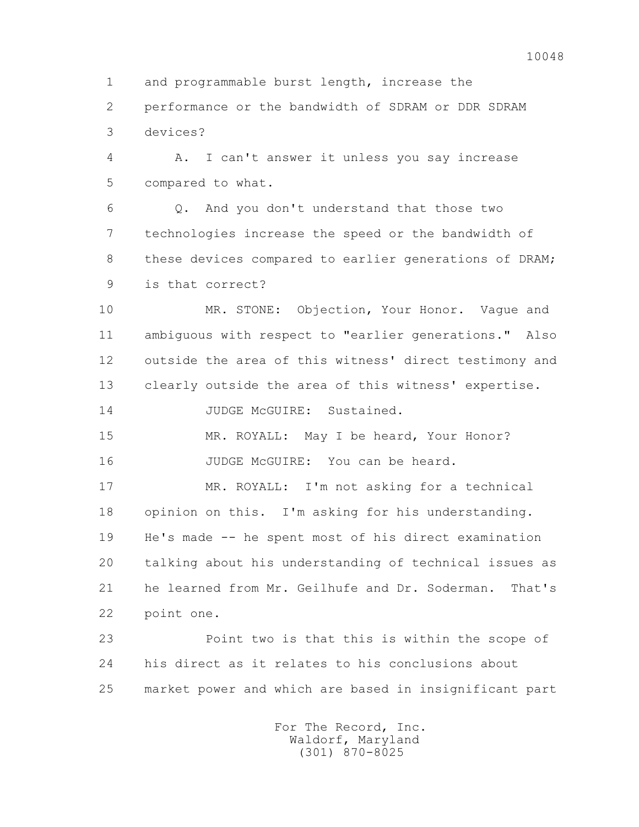10048

 1 and programmable burst length, increase the 2 performance or the bandwidth of SDRAM or DDR SDRAM 3 devices?

 4 A. I can't answer it unless you say increase 5 compared to what.

 6 Q. And you don't understand that those two 7 technologies increase the speed or the bandwidth of 8 these devices compared to earlier generations of DRAM; 9 is that correct?

 10 MR. STONE: Objection, Your Honor. Vague and 11 ambiguous with respect to "earlier generations." Also 12 outside the area of this witness' direct testimony and 13 clearly outside the area of this witness' expertise.

14 JUDGE McGUIRE: Sustained.

15 MR. ROYALL: May I be heard, Your Honor? 16 JUDGE McGUIRE: You can be heard.

 17 MR. ROYALL: I'm not asking for a technical 18 opinion on this. I'm asking for his understanding. 19 He's made -- he spent most of his direct examination 20 talking about his understanding of technical issues as 21 he learned from Mr. Geilhufe and Dr. Soderman. That's 22 point one.

 23 Point two is that this is within the scope of 24 his direct as it relates to his conclusions about 25 market power and which are based in insignificant part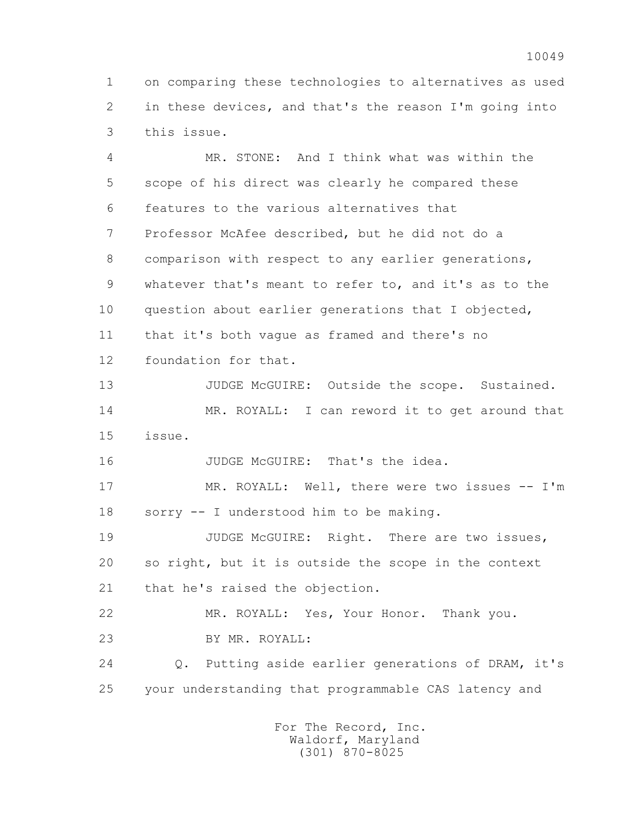1 on comparing these technologies to alternatives as used 2 in these devices, and that's the reason I'm going into 3 this issue.

 4 MR. STONE: And I think what was within the 5 scope of his direct was clearly he compared these 6 features to the various alternatives that 7 Professor McAfee described, but he did not do a 8 comparison with respect to any earlier generations, 9 whatever that's meant to refer to, and it's as to the 10 question about earlier generations that I objected, 11 that it's both vague as framed and there's no 12 foundation for that.

13 JUDGE McGUIRE: Outside the scope. Sustained. 14 MR. ROYALL: I can reword it to get around that 15 issue.

16 JUDGE McGUIRE: That's the idea.

 17 MR. ROYALL: Well, there were two issues -- I'm 18 sorry -- I understood him to be making.

19 JUDGE McGUIRE: Right. There are two issues, 20 so right, but it is outside the scope in the context 21 that he's raised the objection.

 22 MR. ROYALL: Yes, Your Honor. Thank you. 23 BY MR. ROYALL:

 24 Q. Putting aside earlier generations of DRAM, it's 25 your understanding that programmable CAS latency and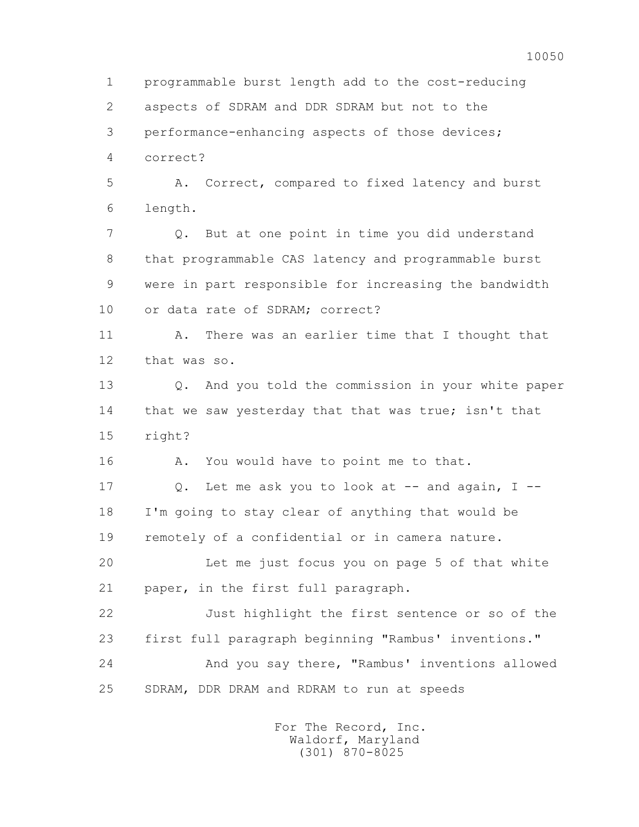1 programmable burst length add to the cost-reducing 2 aspects of SDRAM and DDR SDRAM but not to the 3 performance-enhancing aspects of those devices; 4 correct? 5 A. Correct, compared to fixed latency and burst 6 length. 7 Q. But at one point in time you did understand 8 that programmable CAS latency and programmable burst 9 were in part responsible for increasing the bandwidth 10 or data rate of SDRAM; correct? 11 A. There was an earlier time that I thought that 12 that was so. 13 Q. And you told the commission in your white paper 14 that we saw yesterday that that was true; isn't that 15 right? 16 A. You would have to point me to that. 17 Q. Let me ask you to look at -- and again, I -- 18 I'm going to stay clear of anything that would be 19 remotely of a confidential or in camera nature. 20 Let me just focus you on page 5 of that white 21 paper, in the first full paragraph. 22 Just highlight the first sentence or so of the 23 first full paragraph beginning "Rambus' inventions." 24 And you say there, "Rambus' inventions allowed 25 SDRAM, DDR DRAM and RDRAM to run at speeds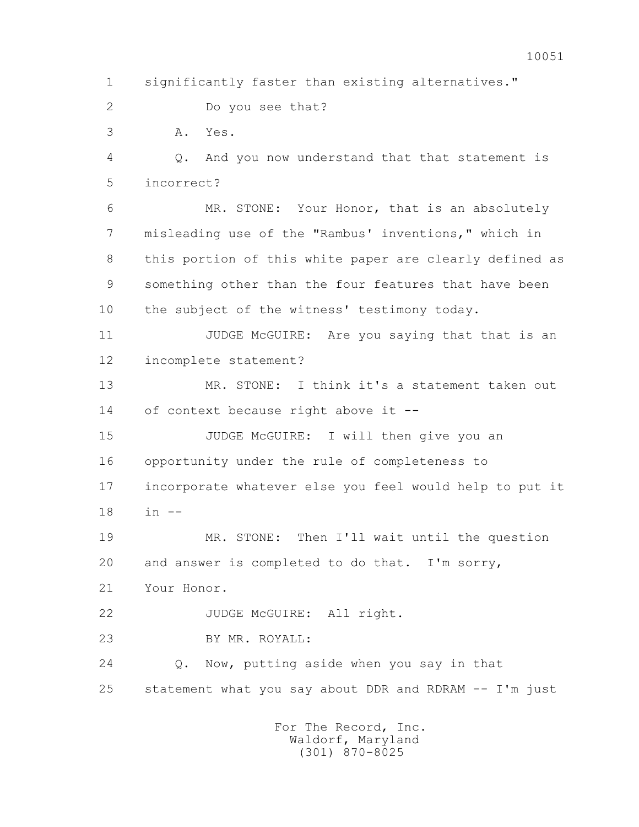1 significantly faster than existing alternatives."

2 Do you see that?

3 A. Yes.

 4 Q. And you now understand that that statement is 5 incorrect?

 6 MR. STONE: Your Honor, that is an absolutely 7 misleading use of the "Rambus' inventions," which in 8 this portion of this white paper are clearly defined as 9 something other than the four features that have been 10 the subject of the witness' testimony today.

11 JUDGE McGUIRE: Are you saying that that is an 12 incomplete statement?

13 MR. STONE: I think it's a statement taken out 14 of context because right above it --

 15 JUDGE McGUIRE: I will then give you an 16 opportunity under the rule of completeness to 17 incorporate whatever else you feel would help to put it 18 in --

 19 MR. STONE: Then I'll wait until the question 20 and answer is completed to do that. I'm sorry,

21 Your Honor.

22 JUDGE McGUIRE: All right.

23 BY MR. ROYALL:

 24 Q. Now, putting aside when you say in that 25 statement what you say about DDR and RDRAM -- I'm just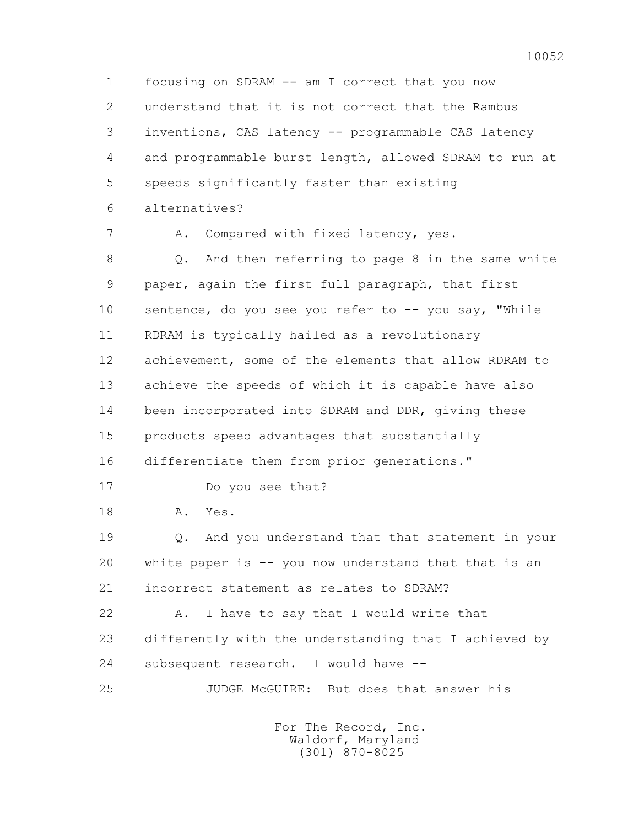1 focusing on SDRAM -- am I correct that you now 2 understand that it is not correct that the Rambus 3 inventions, CAS latency -- programmable CAS latency 4 and programmable burst length, allowed SDRAM to run at 5 speeds significantly faster than existing 6 alternatives?

7 A. Compared with fixed latency, yes.

 8 Q. And then referring to page 8 in the same white 9 paper, again the first full paragraph, that first 10 sentence, do you see you refer to -- you say, "While 11 RDRAM is typically hailed as a revolutionary 12 achievement, some of the elements that allow RDRAM to 13 achieve the speeds of which it is capable have also 14 been incorporated into SDRAM and DDR, giving these 15 products speed advantages that substantially 16 differentiate them from prior generations."

17 Do you see that?

18 A. Yes.

 19 Q. And you understand that that statement in your 20 white paper is -- you now understand that that is an 21 incorrect statement as relates to SDRAM?

22 A. I have to say that I would write that 23 differently with the understanding that I achieved by 24 subsequent research. I would have --

25 JUDGE McGUIRE: But does that answer his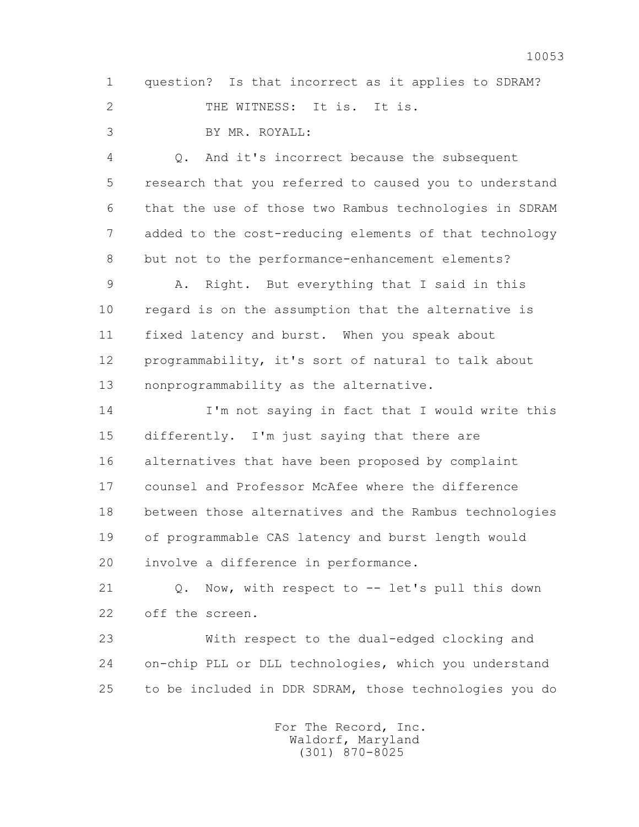1 question? Is that incorrect as it applies to SDRAM? 2 THE WITNESS: It is. It is.

3 BY MR. ROYALL:

 4 Q. And it's incorrect because the subsequent 5 research that you referred to caused you to understand 6 that the use of those two Rambus technologies in SDRAM 7 added to the cost-reducing elements of that technology 8 but not to the performance-enhancement elements?

 9 A. Right. But everything that I said in this 10 regard is on the assumption that the alternative is 11 fixed latency and burst. When you speak about 12 programmability, it's sort of natural to talk about 13 nonprogrammability as the alternative.

 14 I'm not saying in fact that I would write this 15 differently. I'm just saying that there are 16 alternatives that have been proposed by complaint 17 counsel and Professor McAfee where the difference 18 between those alternatives and the Rambus technologies 19 of programmable CAS latency and burst length would 20 involve a difference in performance.

21 Q. Now, with respect to -- let's pull this down 22 off the screen.

 23 With respect to the dual-edged clocking and 24 on-chip PLL or DLL technologies, which you understand 25 to be included in DDR SDRAM, those technologies you do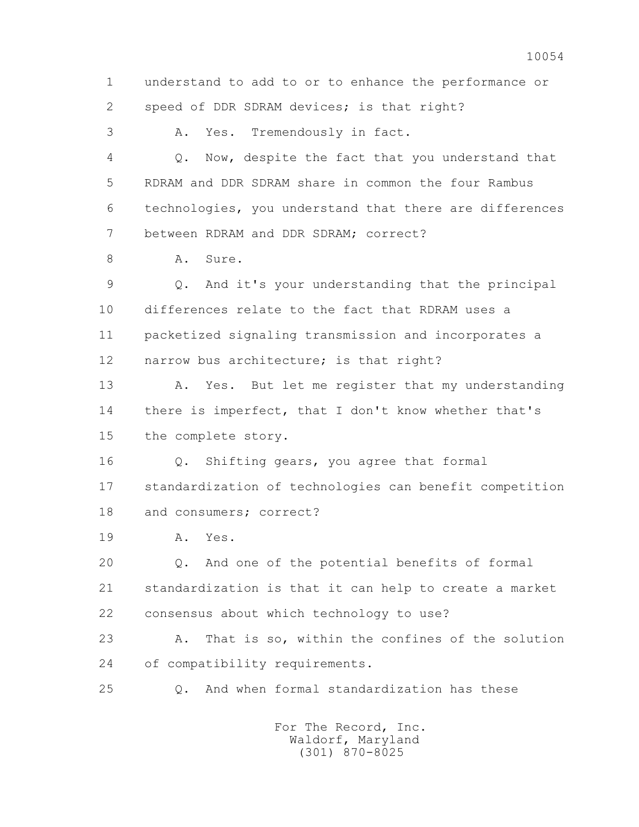1 understand to add to or to enhance the performance or 2 speed of DDR SDRAM devices; is that right? 3 A. Yes. Tremendously in fact. 4 Q. Now, despite the fact that you understand that 5 RDRAM and DDR SDRAM share in common the four Rambus 6 technologies, you understand that there are differences 7 between RDRAM and DDR SDRAM; correct? 8 A. Sure. 9 Q. And it's your understanding that the principal 10 differences relate to the fact that RDRAM uses a 11 packetized signaling transmission and incorporates a 12 narrow bus architecture; is that right? 13 A. Yes. But let me register that my understanding 14 there is imperfect, that I don't know whether that's 15 the complete story. 16 Q. Shifting gears, you agree that formal 17 standardization of technologies can benefit competition 18 and consumers; correct? 19 A. Yes. 20 Q. And one of the potential benefits of formal 21 standardization is that it can help to create a market 22 consensus about which technology to use? 23 A. That is so, within the confines of the solution 24 of compatibility requirements. 25 Q. And when formal standardization has these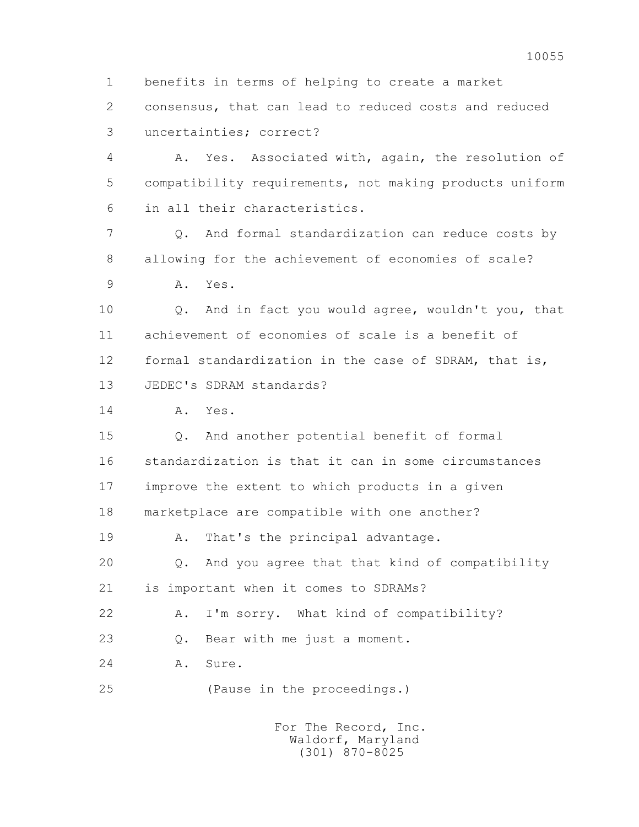2 consensus, that can lead to reduced costs and reduced 3 uncertainties; correct? 4 A. Yes. Associated with, again, the resolution of 5 compatibility requirements, not making products uniform 6 in all their characteristics. 7 Q. And formal standardization can reduce costs by 8 allowing for the achievement of economies of scale? 9 A. Yes. 10 Q. And in fact you would agree, wouldn't you, that 11 achievement of economies of scale is a benefit of 12 formal standardization in the case of SDRAM, that is, 13 JEDEC's SDRAM standards? 14 A. Yes. 15 Q. And another potential benefit of formal 16 standardization is that it can in some circumstances 17 improve the extent to which products in a given 18 marketplace are compatible with one another? 19 A. That's the principal advantage. 20 Q. And you agree that that kind of compatibility 21 is important when it comes to SDRAMs? 22 A. I'm sorry. What kind of compatibility? 23 Q. Bear with me just a moment. 24 A. Sure. 25 (Pause in the proceedings.) For The Record, Inc. Waldorf, Maryland

1 benefits in terms of helping to create a market

(301) 870-8025

10055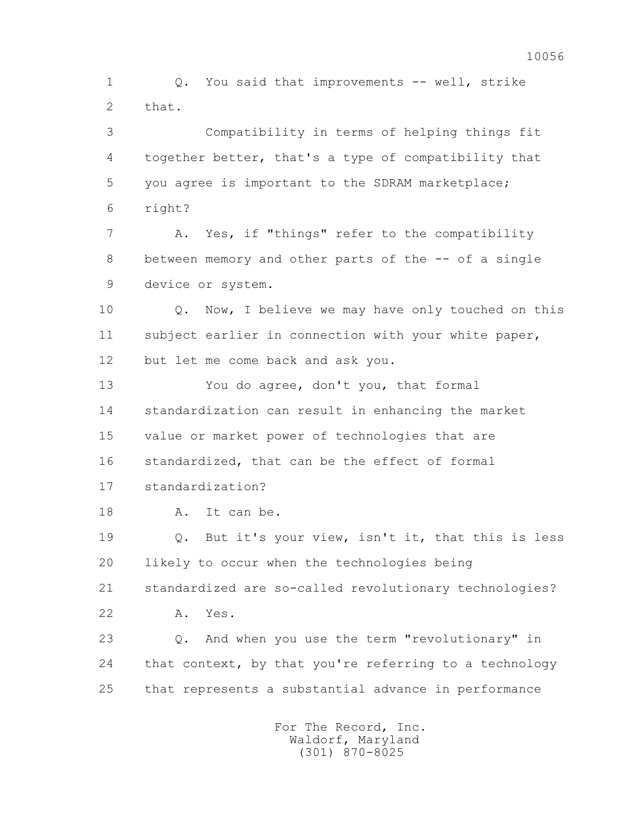1 Q. You said that improvements -- well, strike 2 that.

 3 Compatibility in terms of helping things fit 4 together better, that's a type of compatibility that 5 you agree is important to the SDRAM marketplace; 6 right?

 7 A. Yes, if "things" refer to the compatibility 8 between memory and other parts of the -- of a single 9 device or system.

 10 Q. Now, I believe we may have only touched on this 11 subject earlier in connection with your white paper, 12 but let me come back and ask you.

 13 You do agree, don't you, that formal 14 standardization can result in enhancing the market 15 value or market power of technologies that are 16 standardized, that can be the effect of formal 17 standardization?

18 A. It can be.

 19 Q. But it's your view, isn't it, that this is less 20 likely to occur when the technologies being 21 standardized are so-called revolutionary technologies?

22 A. Yes.

 23 Q. And when you use the term "revolutionary" in 24 that context, by that you're referring to a technology 25 that represents a substantial advance in performance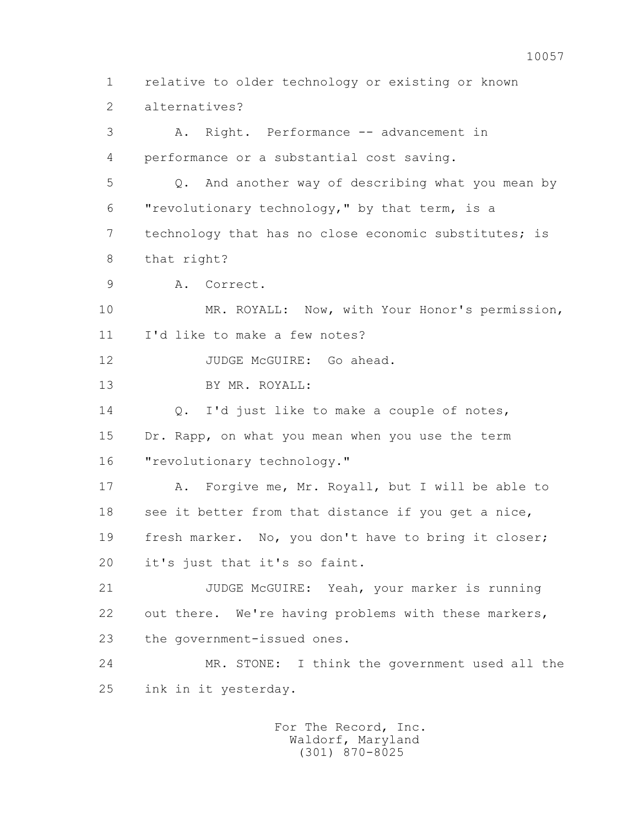1 relative to older technology or existing or known 2 alternatives? 3 A. Right. Performance -- advancement in 4 performance or a substantial cost saving. 5 Q. And another way of describing what you mean by 6 "revolutionary technology," by that term, is a 7 technology that has no close economic substitutes; is 8 that right? 9 A. Correct. 10 MR. ROYALL: Now, with Your Honor's permission, 11 I'd like to make a few notes? 12 JUDGE McGUIRE: Go ahead. 13 BY MR. ROYALL: 14 Q. I'd just like to make a couple of notes, 15 Dr. Rapp, on what you mean when you use the term 16 "revolutionary technology." 17 A. Forgive me, Mr. Royall, but I will be able to 18 see it better from that distance if you get a nice, 19 fresh marker. No, you don't have to bring it closer; 20 it's just that it's so faint. 21 JUDGE McGUIRE: Yeah, your marker is running 22 out there. We're having problems with these markers, 23 the government-issued ones. 24 MR. STONE: I think the government used all the 25 ink in it yesterday.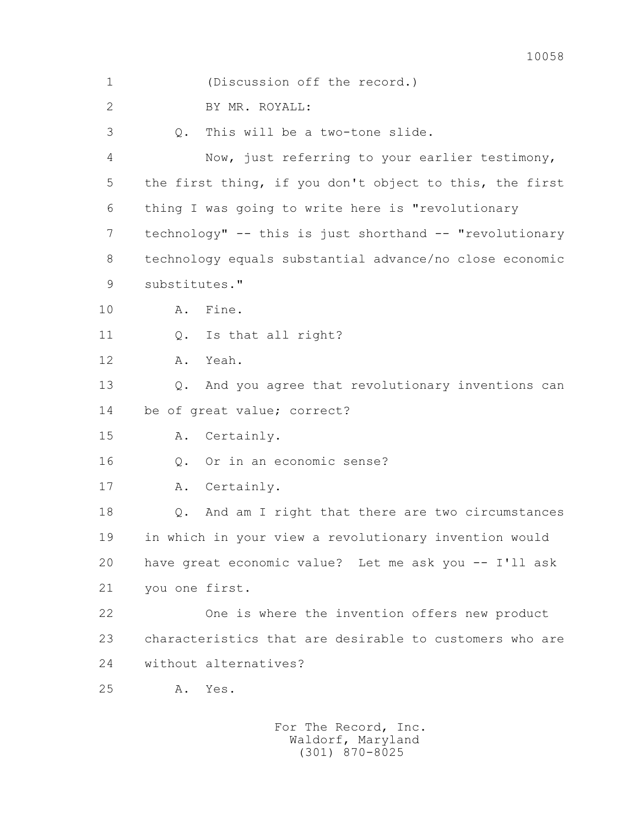| $\mathbf 1$    | (Discussion off the record.)                             |
|----------------|----------------------------------------------------------|
| $\overline{2}$ | BY MR. ROYALL:                                           |
| 3              | This will be a two-tone slide.<br>$Q$ .                  |
| 4              | Now, just referring to your earlier testimony,           |
| 5              | the first thing, if you don't object to this, the first  |
| 6              | thing I was going to write here is "revolutionary        |
| 7              | technology" -- this is just shorthand -- "revolutionary  |
| 8              | technology equals substantial advance/no close economic  |
| 9              | substitutes."                                            |
| 10             | Fine.<br>Α.                                              |
| 11             | Is that all right?<br>$Q$ .                              |
| 12             | Yeah.<br>Α.                                              |
| 13             | And you agree that revolutionary inventions can<br>$Q$ . |
| 14             | be of great value; correct?                              |
| 15             | Certainly.<br>Α.                                         |
| 16             | Or in an economic sense?<br>$Q$ .                        |
| 17             | Certainly.<br>Α.                                         |
| 18             | And am I right that there are two circumstances<br>Q.    |
| 19             | in which in your view a revolutionary invention would    |
| 20             | have great economic value? Let me ask you -- I'll ask    |
| 21             | you one first.                                           |
| 22             | One is where the invention offers new product            |
| 23             | characteristics that are desirable to customers who are  |
| 24             | without alternatives?                                    |
| 25             | Yes.<br>Α.                                               |
|                |                                                          |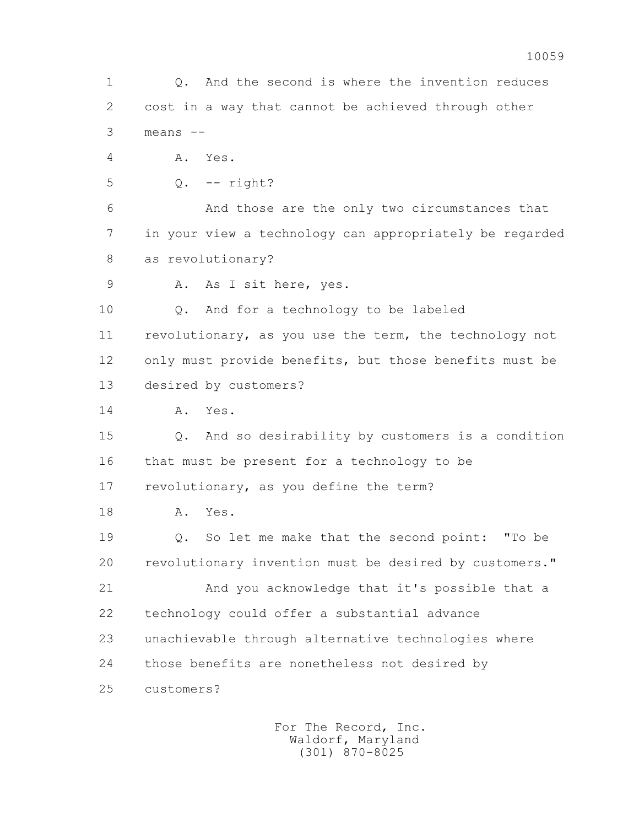1 Q. And the second is where the invention reduces 2 cost in a way that cannot be achieved through other 3 means -- 4 A. Yes. 5 Q. -- right? 6 And those are the only two circumstances that 7 in your view a technology can appropriately be regarded 8 as revolutionary? 9 A. As I sit here, yes. 10 Q. And for a technology to be labeled 11 revolutionary, as you use the term, the technology not 12 only must provide benefits, but those benefits must be 13 desired by customers? 14 A. Yes. 15 Q. And so desirability by customers is a condition 16 that must be present for a technology to be 17 revolutionary, as you define the term? 18 A. Yes. 19 Q. So let me make that the second point: "To be 20 revolutionary invention must be desired by customers." 21 And you acknowledge that it's possible that a 22 technology could offer a substantial advance 23 unachievable through alternative technologies where 24 those benefits are nonetheless not desired by 25 customers? For The Record, Inc.

 Waldorf, Maryland (301) 870-8025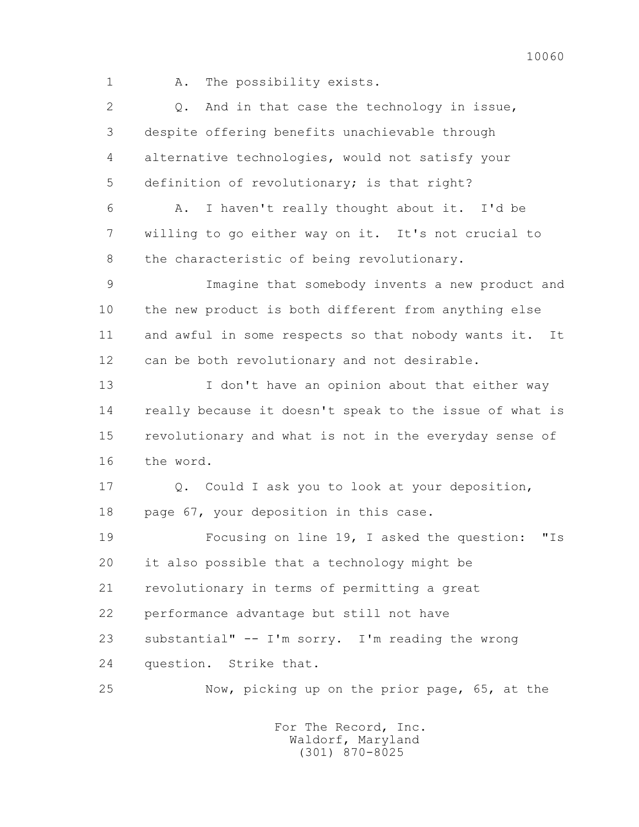1 A. The possibility exists.

 2 Q. And in that case the technology in issue, 3 despite offering benefits unachievable through 4 alternative technologies, would not satisfy your 5 definition of revolutionary; is that right?

 6 A. I haven't really thought about it. I'd be 7 willing to go either way on it. It's not crucial to 8 the characteristic of being revolutionary.

 9 Imagine that somebody invents a new product and 10 the new product is both different from anything else 11 and awful in some respects so that nobody wants it. It 12 can be both revolutionary and not desirable.

 13 I don't have an opinion about that either way 14 really because it doesn't speak to the issue of what is 15 revolutionary and what is not in the everyday sense of 16 the word.

 17 Q. Could I ask you to look at your deposition, 18 page 67, your deposition in this case.

 19 Focusing on line 19, I asked the question: "Is 20 it also possible that a technology might be 21 revolutionary in terms of permitting a great 22 performance advantage but still not have 23 substantial" -- I'm sorry. I'm reading the wrong 24 question. Strike that.

25 Now, picking up on the prior page, 65, at the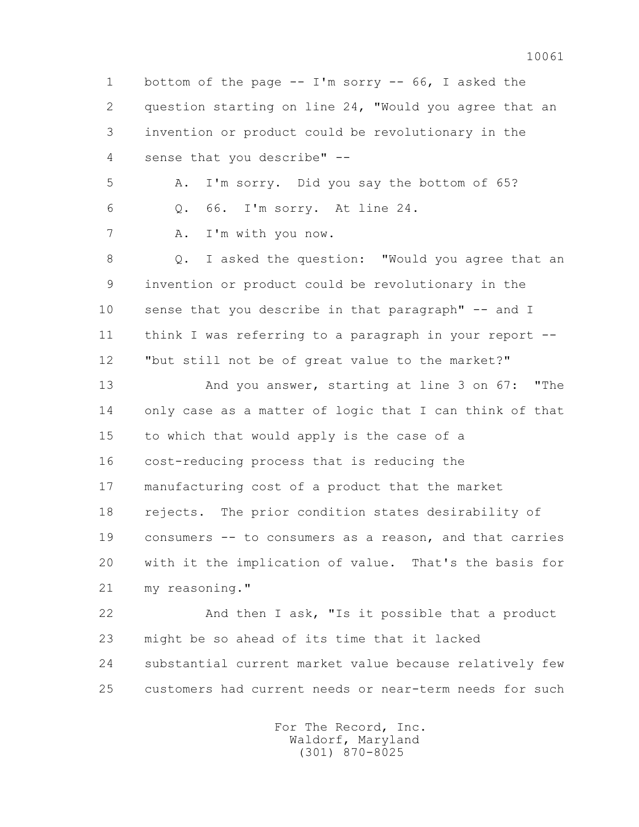1 bottom of the page -- I'm sorry -- 66, I asked the 2 question starting on line 24, "Would you agree that an 3 invention or product could be revolutionary in the 4 sense that you describe" -- 5 A. I'm sorry. Did you say the bottom of 65? 6 Q. 66. I'm sorry. At line 24. 7 A. I'm with you now. 8 Q. I asked the question: "Would you agree that an 9 invention or product could be revolutionary in the 10 sense that you describe in that paragraph" -- and I 11 think I was referring to a paragraph in your report -- 12 "but still not be of great value to the market?" 13 And you answer, starting at line 3 on 67: "The 14 only case as a matter of logic that I can think of that 15 to which that would apply is the case of a 16 cost-reducing process that is reducing the 17 manufacturing cost of a product that the market 18 rejects. The prior condition states desirability of 19 consumers -- to consumers as a reason, and that carries 20 with it the implication of value. That's the basis for 21 my reasoning." 22 And then I ask, "Is it possible that a product 23 might be so ahead of its time that it lacked 24 substantial current market value because relatively few 25 customers had current needs or near-term needs for such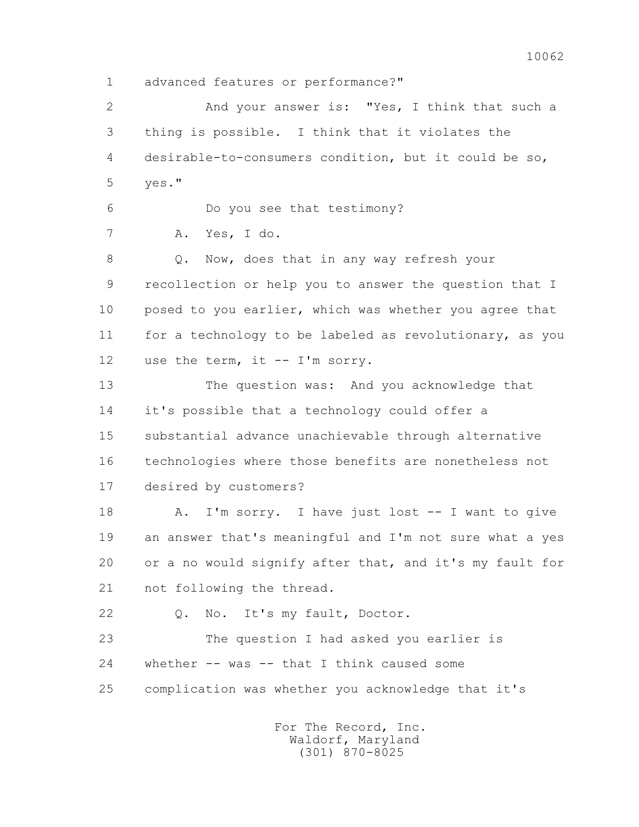1 advanced features or performance?"

 2 And your answer is: "Yes, I think that such a 3 thing is possible. I think that it violates the 4 desirable-to-consumers condition, but it could be so, 5 yes." 6 Do you see that testimony? 7 A. Yes, I do. 8 Q. Now, does that in any way refresh your 9 recollection or help you to answer the question that I 10 posed to you earlier, which was whether you agree that 11 for a technology to be labeled as revolutionary, as you 12 use the term, it -- I'm sorry. 13 The question was: And you acknowledge that 14 it's possible that a technology could offer a 15 substantial advance unachievable through alternative 16 technologies where those benefits are nonetheless not 17 desired by customers? 18 A. I'm sorry. I have just lost -- I want to give 19 an answer that's meaningful and I'm not sure what a yes 20 or a no would signify after that, and it's my fault for 21 not following the thread. 22 Q. No. It's my fault, Doctor. 23 The question I had asked you earlier is 24 whether -- was -- that I think caused some 25 complication was whether you acknowledge that it's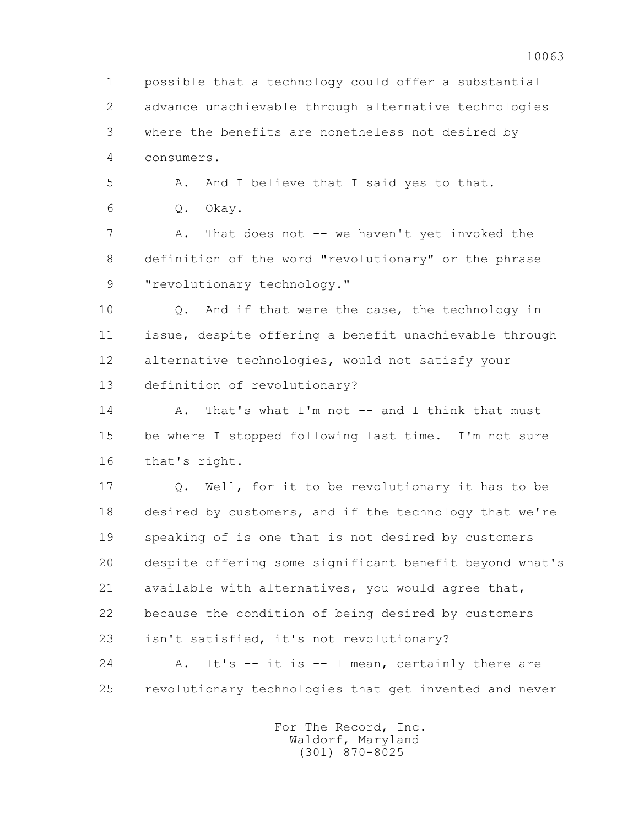1 possible that a technology could offer a substantial 2 advance unachievable through alternative technologies 3 where the benefits are nonetheless not desired by 4 consumers.

5 A. And I believe that I said yes to that.

6 Q. Okay.

7 A. That does not -- we haven't yet invoked the 8 definition of the word "revolutionary" or the phrase 9 "revolutionary technology."

 10 Q. And if that were the case, the technology in 11 issue, despite offering a benefit unachievable through 12 alternative technologies, would not satisfy your 13 definition of revolutionary?

14 A. That's what I'm not -- and I think that must 15 be where I stopped following last time. I'm not sure 16 that's right.

 17 Q. Well, for it to be revolutionary it has to be 18 desired by customers, and if the technology that we're 19 speaking of is one that is not desired by customers 20 despite offering some significant benefit beyond what's 21 available with alternatives, you would agree that, 22 because the condition of being desired by customers 23 isn't satisfied, it's not revolutionary?

 24 A. It's -- it is -- I mean, certainly there are 25 revolutionary technologies that get invented and never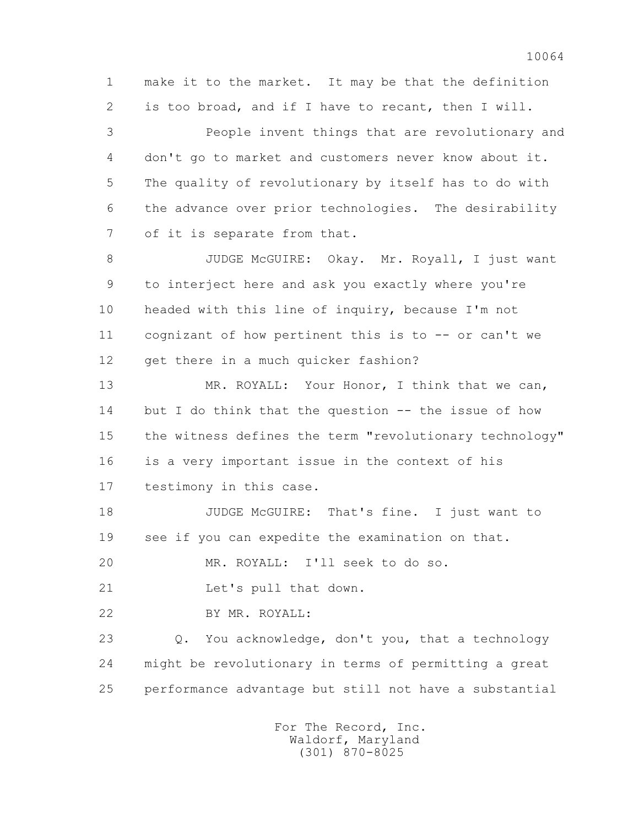1 make it to the market. It may be that the definition 2 is too broad, and if I have to recant, then I will.

 3 People invent things that are revolutionary and 4 don't go to market and customers never know about it. 5 The quality of revolutionary by itself has to do with 6 the advance over prior technologies. The desirability 7 of it is separate from that.

8 JUDGE McGUIRE: Okay. Mr. Royall, I just want 9 to interject here and ask you exactly where you're 10 headed with this line of inquiry, because I'm not 11 cognizant of how pertinent this is to -- or can't we 12 get there in a much quicker fashion?

 13 MR. ROYALL: Your Honor, I think that we can, 14 but I do think that the question -- the issue of how 15 the witness defines the term "revolutionary technology" 16 is a very important issue in the context of his 17 testimony in this case.

18 JUDGE McGUIRE: That's fine. I just want to 19 see if you can expedite the examination on that.

20 MR. ROYALL: I'll seek to do so.

21 Let's pull that down.

22 BY MR. ROYALL:

 23 Q. You acknowledge, don't you, that a technology 24 might be revolutionary in terms of permitting a great 25 performance advantage but still not have a substantial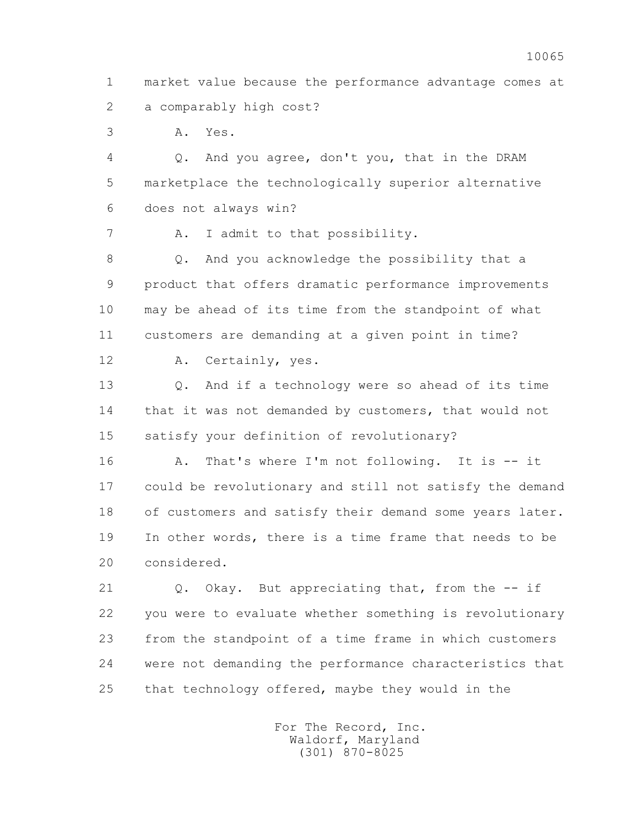1 market value because the performance advantage comes at 2 a comparably high cost?

3 A. Yes.

 4 Q. And you agree, don't you, that in the DRAM 5 marketplace the technologically superior alternative 6 does not always win?

7 A. I admit to that possibility.

 8 Q. And you acknowledge the possibility that a 9 product that offers dramatic performance improvements 10 may be ahead of its time from the standpoint of what 11 customers are demanding at a given point in time?

12 A. Certainly, yes.

 13 Q. And if a technology were so ahead of its time 14 that it was not demanded by customers, that would not 15 satisfy your definition of revolutionary?

16 A. That's where I'm not following. It is -- it 17 could be revolutionary and still not satisfy the demand 18 of customers and satisfy their demand some years later. 19 In other words, there is a time frame that needs to be 20 considered.

 21 Q. Okay. But appreciating that, from the -- if 22 you were to evaluate whether something is revolutionary 23 from the standpoint of a time frame in which customers 24 were not demanding the performance characteristics that 25 that technology offered, maybe they would in the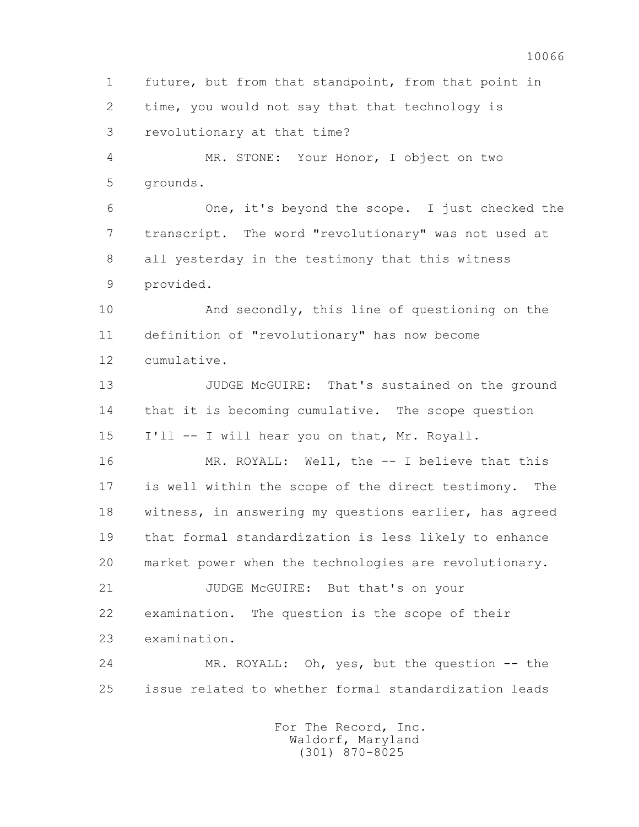1 future, but from that standpoint, from that point in 2 time, you would not say that that technology is 3 revolutionary at that time? 4 MR. STONE: Your Honor, I object on two 5 grounds. 6 One, it's beyond the scope. I just checked the 7 transcript. The word "revolutionary" was not used at 8 all yesterday in the testimony that this witness 9 provided. 10 And secondly, this line of questioning on the 11 definition of "revolutionary" has now become 12 cumulative. 13 JUDGE McGUIRE: That's sustained on the ground 14 that it is becoming cumulative. The scope question 15 I'll -- I will hear you on that, Mr. Royall. 16 MR. ROYALL: Well, the -- I believe that this 17 is well within the scope of the direct testimony. The 18 witness, in answering my questions earlier, has agreed 19 that formal standardization is less likely to enhance 20 market power when the technologies are revolutionary. 21 JUDGE McGUIRE: But that's on your 22 examination. The question is the scope of their 23 examination. 24 MR. ROYALL: Oh, yes, but the question -- the 25 issue related to whether formal standardization leads For The Record, Inc. Waldorf, Maryland

(301) 870-8025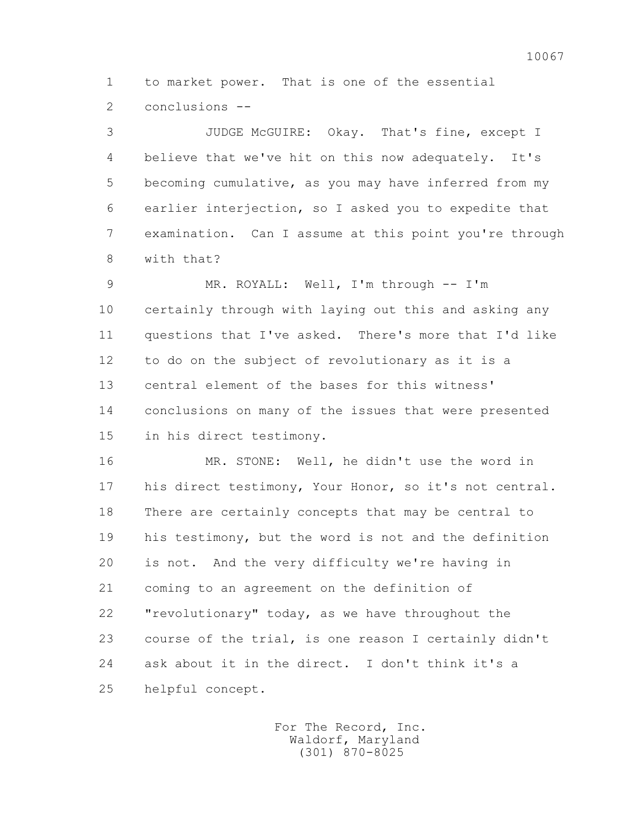1 to market power. That is one of the essential 2 conclusions --

 3 JUDGE McGUIRE: Okay. That's fine, except I 4 believe that we've hit on this now adequately. It's 5 becoming cumulative, as you may have inferred from my 6 earlier interjection, so I asked you to expedite that 7 examination. Can I assume at this point you're through 8 with that?

 9 MR. ROYALL: Well, I'm through -- I'm 10 certainly through with laying out this and asking any 11 questions that I've asked. There's more that I'd like 12 to do on the subject of revolutionary as it is a 13 central element of the bases for this witness' 14 conclusions on many of the issues that were presented 15 in his direct testimony.

 16 MR. STONE: Well, he didn't use the word in 17 his direct testimony, Your Honor, so it's not central. 18 There are certainly concepts that may be central to 19 his testimony, but the word is not and the definition 20 is not. And the very difficulty we're having in 21 coming to an agreement on the definition of 22 "revolutionary" today, as we have throughout the 23 course of the trial, is one reason I certainly didn't 24 ask about it in the direct. I don't think it's a 25 helpful concept.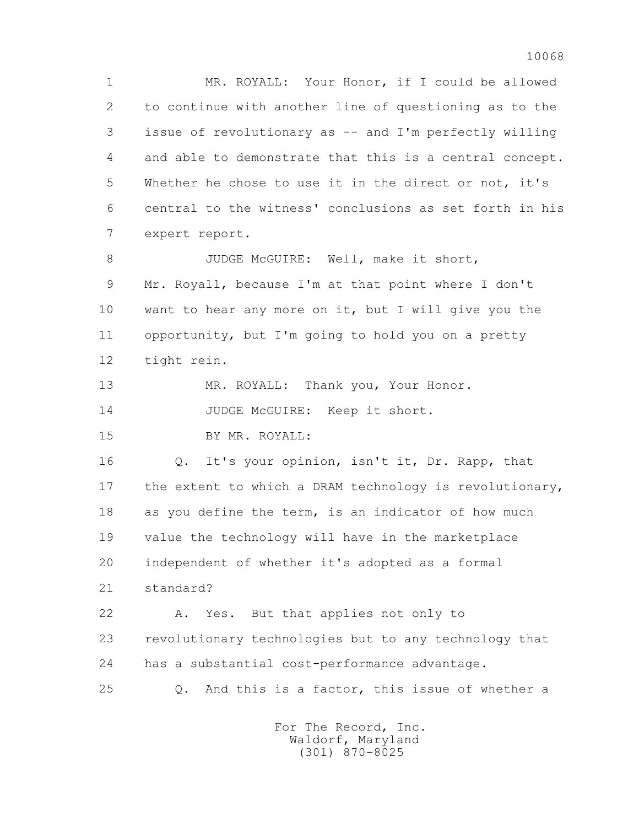1 MR. ROYALL: Your Honor, if I could be allowed 2 to continue with another line of questioning as to the 3 issue of revolutionary as -- and I'm perfectly willing 4 and able to demonstrate that this is a central concept. 5 Whether he chose to use it in the direct or not, it's 6 central to the witness' conclusions as set forth in his 7 expert report.

8 JUDGE McGUIRE: Well, make it short, 9 Mr. Royall, because I'm at that point where I don't 10 want to hear any more on it, but I will give you the 11 opportunity, but I'm going to hold you on a pretty 12 tight rein.

13 MR. ROYALL: Thank you, Your Honor.

14 JUDGE McGUIRE: Keep it short.

15 BY MR. ROYALL:

 16 Q. It's your opinion, isn't it, Dr. Rapp, that 17 the extent to which a DRAM technology is revolutionary, 18 as you define the term, is an indicator of how much 19 value the technology will have in the marketplace 20 independent of whether it's adopted as a formal 21 standard? 22 A. Yes. But that applies not only to

 23 revolutionary technologies but to any technology that 24 has a substantial cost-performance advantage.

25 Q. And this is a factor, this issue of whether a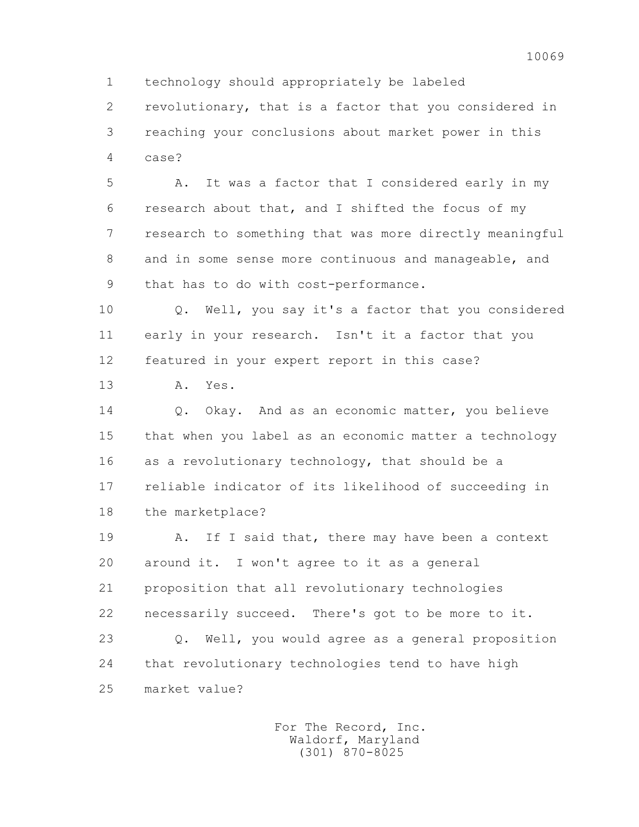2 revolutionary, that is a factor that you considered in 3 reaching your conclusions about market power in this 4 case?

 5 A. It was a factor that I considered early in my 6 research about that, and I shifted the focus of my 7 research to something that was more directly meaningful 8 and in some sense more continuous and manageable, and 9 that has to do with cost-performance.

 10 Q. Well, you say it's a factor that you considered 11 early in your research. Isn't it a factor that you 12 featured in your expert report in this case?

13 A. Yes.

14 0. Okay. And as an economic matter, you believe 15 that when you label as an economic matter a technology 16 as a revolutionary technology, that should be a 17 reliable indicator of its likelihood of succeeding in 18 the marketplace?

19 A. If I said that, there may have been a context 20 around it. I won't agree to it as a general 21 proposition that all revolutionary technologies 22 necessarily succeed. There's got to be more to it.

 23 Q. Well, you would agree as a general proposition 24 that revolutionary technologies tend to have high 25 market value?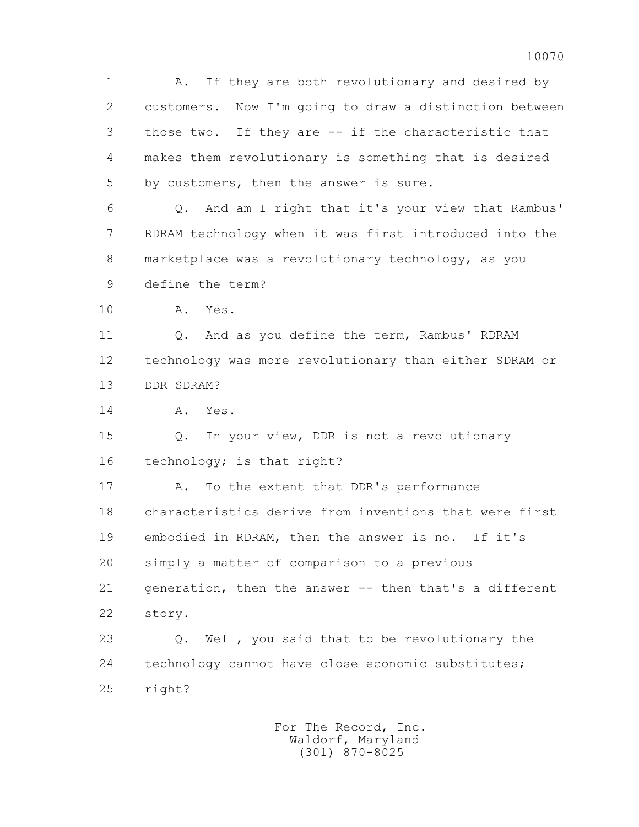1 A. If they are both revolutionary and desired by 2 customers. Now I'm going to draw a distinction between 3 those two. If they are -- if the characteristic that 4 makes them revolutionary is something that is desired 5 by customers, then the answer is sure.

 6 Q. And am I right that it's your view that Rambus' 7 RDRAM technology when it was first introduced into the 8 marketplace was a revolutionary technology, as you 9 define the term?

10 A. Yes.

11 0. And as you define the term, Rambus' RDRAM 12 technology was more revolutionary than either SDRAM or 13 DDR SDRAM?

14 A. Yes.

 15 Q. In your view, DDR is not a revolutionary 16 technology; is that right?

 17 A. To the extent that DDR's performance 18 characteristics derive from inventions that were first 19 embodied in RDRAM, then the answer is no. If it's 20 simply a matter of comparison to a previous 21 generation, then the answer -- then that's a different 22 story.

 23 Q. Well, you said that to be revolutionary the 24 technology cannot have close economic substitutes; 25 right?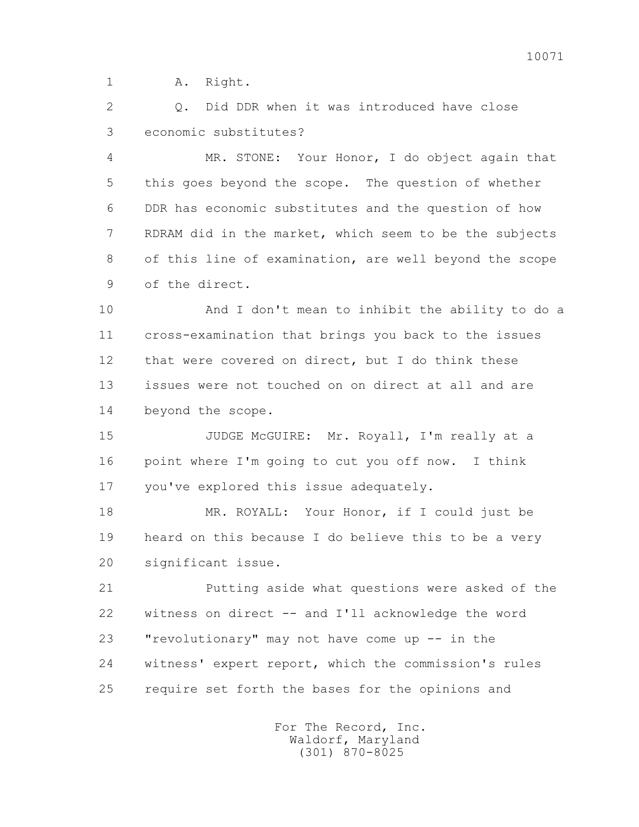1 A. Right.

 2 Q. Did DDR when it was introduced have close 3 economic substitutes?

 4 MR. STONE: Your Honor, I do object again that 5 this goes beyond the scope. The question of whether 6 DDR has economic substitutes and the question of how 7 RDRAM did in the market, which seem to be the subjects 8 of this line of examination, are well beyond the scope 9 of the direct.

 10 And I don't mean to inhibit the ability to do a 11 cross-examination that brings you back to the issues 12 that were covered on direct, but I do think these 13 issues were not touched on on direct at all and are 14 beyond the scope.

15 JUDGE McGUIRE: Mr. Royall, I'm really at a 16 point where I'm going to cut you off now. I think 17 you've explored this issue adequately.

 18 MR. ROYALL: Your Honor, if I could just be 19 heard on this because I do believe this to be a very 20 significant issue.

 21 Putting aside what questions were asked of the 22 witness on direct -- and I'll acknowledge the word 23 "revolutionary" may not have come up -- in the 24 witness' expert report, which the commission's rules 25 require set forth the bases for the opinions and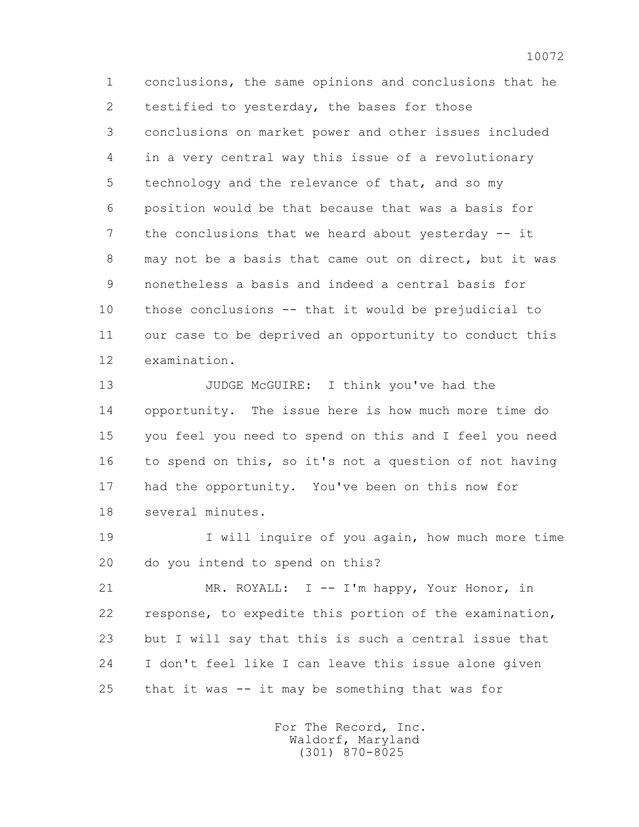1 conclusions, the same opinions and conclusions that he 2 testified to vesterday, the bases for those 3 conclusions on market power and other issues included 4 in a very central way this issue of a revolutionary 5 technology and the relevance of that, and so my 6 position would be that because that was a basis for 7 the conclusions that we heard about yesterday -- it 8 may not be a basis that came out on direct, but it was 9 nonetheless a basis and indeed a central basis for 10 those conclusions -- that it would be prejudicial to 11 our case to be deprived an opportunity to conduct this 12 examination.

13 JUDGE McGUIRE: I think you've had the 14 opportunity. The issue here is how much more time do 15 you feel you need to spend on this and I feel you need 16 to spend on this, so it's not a question of not having 17 had the opportunity. You've been on this now for 18 several minutes.

 19 I will inquire of you again, how much more time 20 do you intend to spend on this?

 21 MR. ROYALL: I -- I'm happy, Your Honor, in 22 response, to expedite this portion of the examination, 23 but I will say that this is such a central issue that 24 I don't feel like I can leave this issue alone given 25 that it was -- it may be something that was for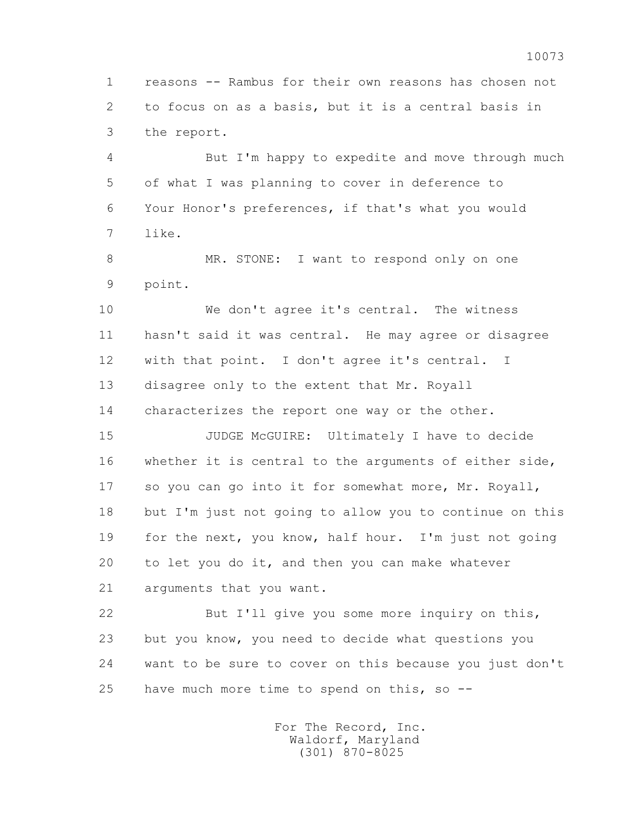1 reasons -- Rambus for their own reasons has chosen not 2 to focus on as a basis, but it is a central basis in 3 the report.

 4 But I'm happy to expedite and move through much 5 of what I was planning to cover in deference to 6 Your Honor's preferences, if that's what you would 7 like.

8 MR. STONE: I want to respond only on one 9 point.

10 We don't agree it's central. The witness 11 hasn't said it was central. He may agree or disagree 12 with that point. I don't agree it's central. I 13 disagree only to the extent that Mr. Royall 14 characterizes the report one way or the other.

 15 JUDGE McGUIRE: Ultimately I have to decide 16 whether it is central to the arguments of either side, 17 so you can go into it for somewhat more, Mr. Royall, 18 but I'm just not going to allow you to continue on this 19 for the next, you know, half hour. I'm just not going 20 to let you do it, and then you can make whatever 21 arguments that you want.

 22 But I'll give you some more inquiry on this, 23 but you know, you need to decide what questions you 24 want to be sure to cover on this because you just don't 25 have much more time to spend on this, so --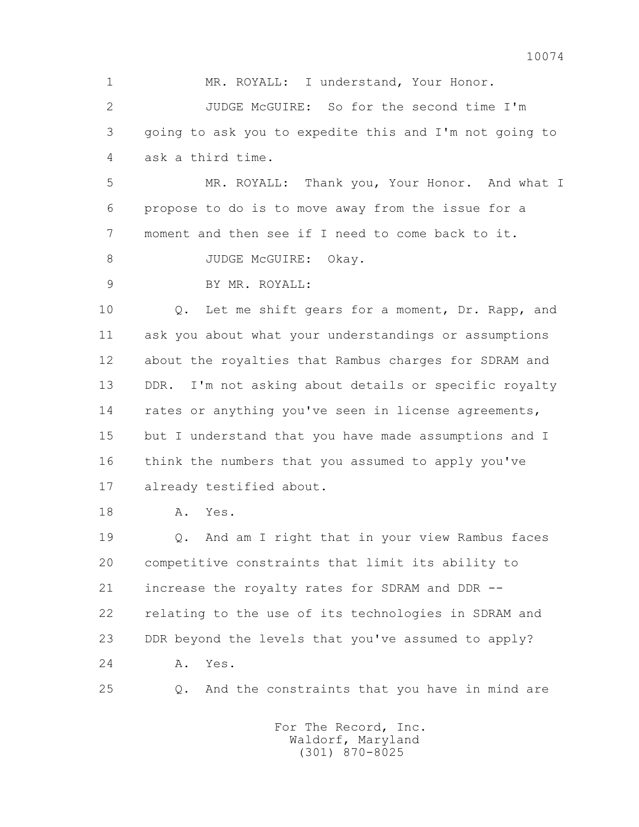1 MR. ROYALL: I understand, Your Honor. 2 JUDGE McGUIRE: So for the second time I'm 3 going to ask you to expedite this and I'm not going to 4 ask a third time. 5 MR. ROYALL: Thank you, Your Honor. And what I 6 propose to do is to move away from the issue for a 7 moment and then see if I need to come back to it. 8 JUDGE McGUIRE: Okay. 9 BY MR. ROYALL: 10 Q. Let me shift gears for a moment, Dr. Rapp, and 11 ask you about what your understandings or assumptions 12 about the royalties that Rambus charges for SDRAM and 13 DDR. I'm not asking about details or specific royalty 14 rates or anything you've seen in license agreements, 15 but I understand that you have made assumptions and I 16 think the numbers that you assumed to apply you've 17 already testified about.

18 A. Yes.

 19 Q. And am I right that in your view Rambus faces 20 competitive constraints that limit its ability to 21 increase the royalty rates for SDRAM and DDR -- 22 relating to the use of its technologies in SDRAM and 23 DDR beyond the levels that you've assumed to apply? 24 A. Yes.

25 Q. And the constraints that you have in mind are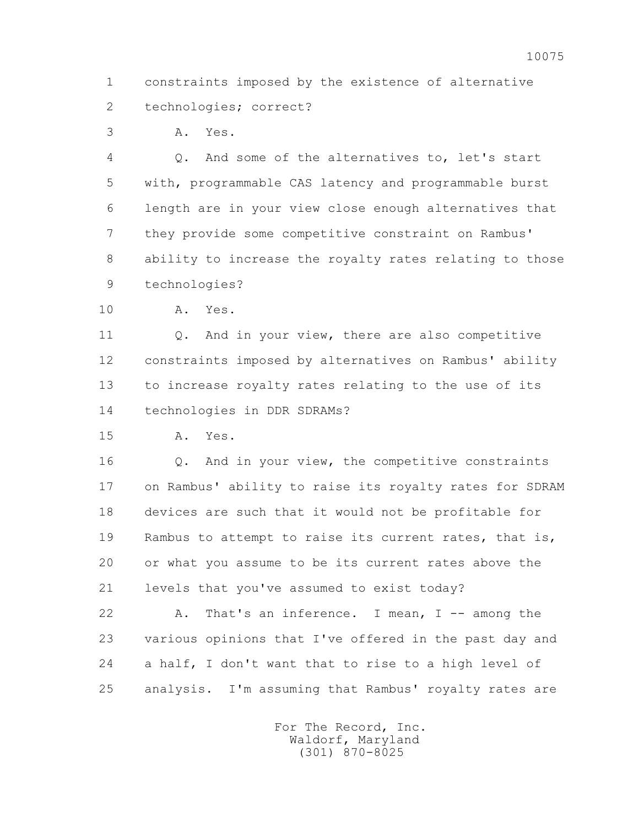1 constraints imposed by the existence of alternative 2 technologies; correct?

3 A. Yes.

 4 Q. And some of the alternatives to, let's start 5 with, programmable CAS latency and programmable burst 6 length are in your view close enough alternatives that 7 they provide some competitive constraint on Rambus' 8 ability to increase the royalty rates relating to those 9 technologies?

10 A. Yes.

 11 Q. And in your view, there are also competitive 12 constraints imposed by alternatives on Rambus' ability 13 to increase royalty rates relating to the use of its 14 technologies in DDR SDRAMs?

15 A. Yes.

 16 Q. And in your view, the competitive constraints 17 on Rambus' ability to raise its royalty rates for SDRAM 18 devices are such that it would not be profitable for 19 Rambus to attempt to raise its current rates, that is, 20 or what you assume to be its current rates above the 21 levels that you've assumed to exist today?

 22 A. That's an inference. I mean, I -- among the 23 various opinions that I've offered in the past day and 24 a half, I don't want that to rise to a high level of 25 analysis. I'm assuming that Rambus' royalty rates are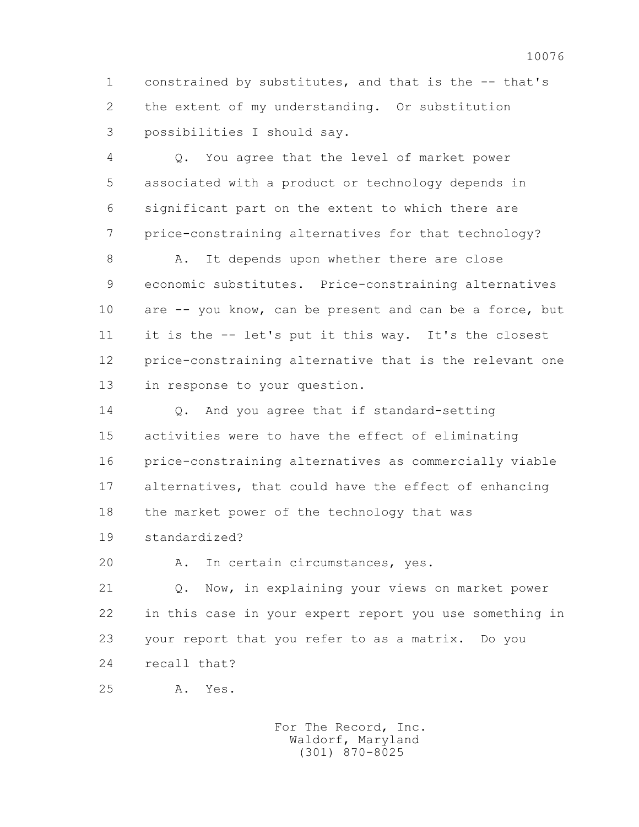1 constrained by substitutes, and that is the -- that's 2 the extent of my understanding. Or substitution 3 possibilities I should say.

 4 Q. You agree that the level of market power 5 associated with a product or technology depends in 6 significant part on the extent to which there are 7 price-constraining alternatives for that technology?

8 A. It depends upon whether there are close 9 economic substitutes. Price-constraining alternatives 10 are -- you know, can be present and can be a force, but 11 it is the -- let's put it this way. It's the closest 12 price-constraining alternative that is the relevant one 13 in response to your question.

14 0. And you agree that if standard-setting 15 activities were to have the effect of eliminating 16 price-constraining alternatives as commercially viable 17 alternatives, that could have the effect of enhancing 18 the market power of the technology that was 19 standardized?

20 A. In certain circumstances, yes.

 21 Q. Now, in explaining your views on market power 22 in this case in your expert report you use something in 23 your report that you refer to as a matrix. Do you 24 recall that?

25 A. Yes.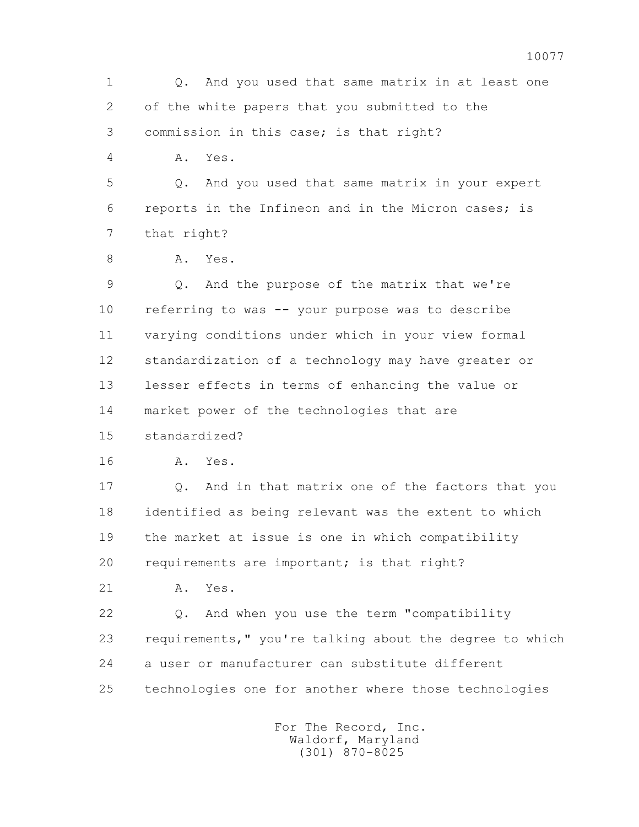1 Q. And you used that same matrix in at least one 2 of the white papers that you submitted to the 3 commission in this case; is that right? 4 A. Yes. 5 Q. And you used that same matrix in your expert 6 reports in the Infineon and in the Micron cases; is 7 that right? 8 A. Yes. 9 Q. And the purpose of the matrix that we're 10 referring to was -- your purpose was to describe 11 varying conditions under which in your view formal 12 standardization of a technology may have greater or 13 lesser effects in terms of enhancing the value or 14 market power of the technologies that are 15 standardized? 16 A. Yes. 17 Q. And in that matrix one of the factors that you 18 identified as being relevant was the extent to which 19 the market at issue is one in which compatibility 20 requirements are important; is that right? 21 A. Yes. 22 Q. And when you use the term "compatibility 23 requirements," you're talking about the degree to which 24 a user or manufacturer can substitute different 25 technologies one for another where those technologies For The Record, Inc. Waldorf, Maryland

(301) 870-8025

## 10077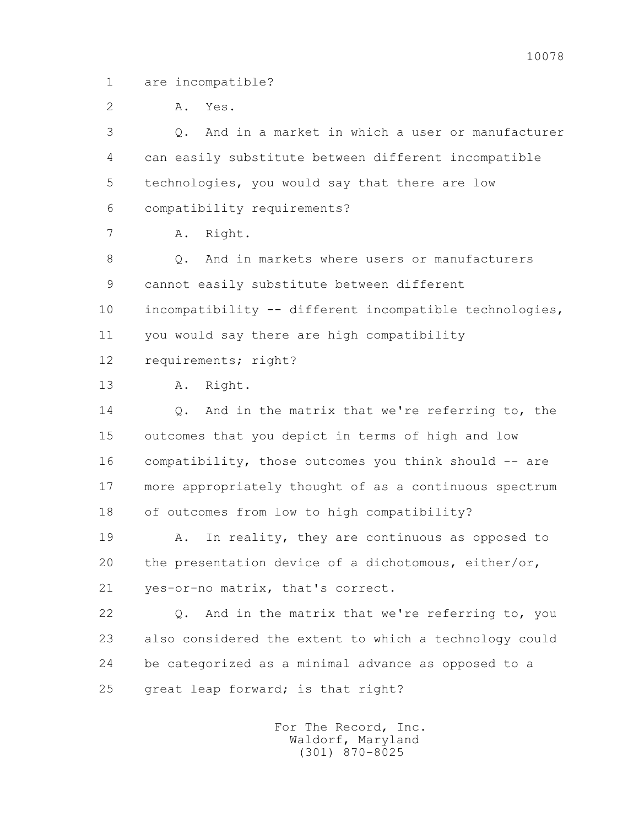1 are incompatible?

 2 A. Yes. 3 Q. And in a market in which a user or manufacturer 4 can easily substitute between different incompatible 5 technologies, you would say that there are low 6 compatibility requirements? 7 A. Right. 8 0. And in markets where users or manufacturers 9 cannot easily substitute between different 10 incompatibility -- different incompatible technologies, 11 you would say there are high compatibility 12 requirements; right? 13 A. Right. 14 0. And in the matrix that we're referring to, the 15 outcomes that you depict in terms of high and low 16 compatibility, those outcomes you think should -- are 17 more appropriately thought of as a continuous spectrum 18 of outcomes from low to high compatibility? 19 A. In reality, they are continuous as opposed to 20 the presentation device of a dichotomous, either/or, 21 yes-or-no matrix, that's correct. 22 Q. And in the matrix that we're referring to, you 23 also considered the extent to which a technology could 24 be categorized as a minimal advance as opposed to a 25 great leap forward; is that right? For The Record, Inc. Waldorf, Maryland (301) 870-8025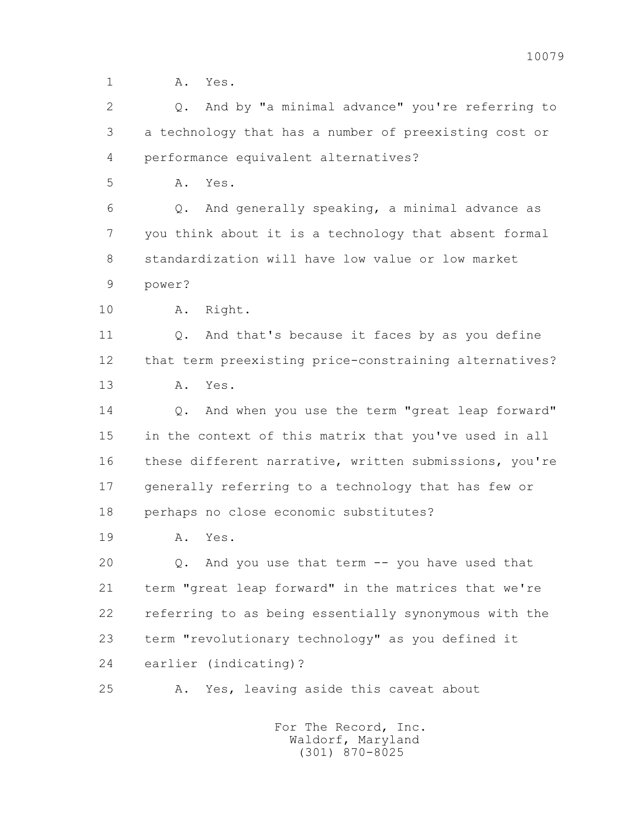1 **A.** Yes.

 2 Q. And by "a minimal advance" you're referring to 3 a technology that has a number of preexisting cost or 4 performance equivalent alternatives?

5 A. Yes.

 6 Q. And generally speaking, a minimal advance as 7 you think about it is a technology that absent formal 8 standardization will have low value or low market

9 power?

10 A. Right.

 11 Q. And that's because it faces by as you define 12 that term preexisting price-constraining alternatives? 13 A. Yes.

14 0. And when you use the term "great leap forward" 15 in the context of this matrix that you've used in all 16 these different narrative, written submissions, you're 17 generally referring to a technology that has few or 18 perhaps no close economic substitutes?

19 A. Yes.

 20 Q. And you use that term -- you have used that 21 term "great leap forward" in the matrices that we're 22 referring to as being essentially synonymous with the 23 term "revolutionary technology" as you defined it 24 earlier (indicating)?

25 A. Yes, leaving aside this caveat about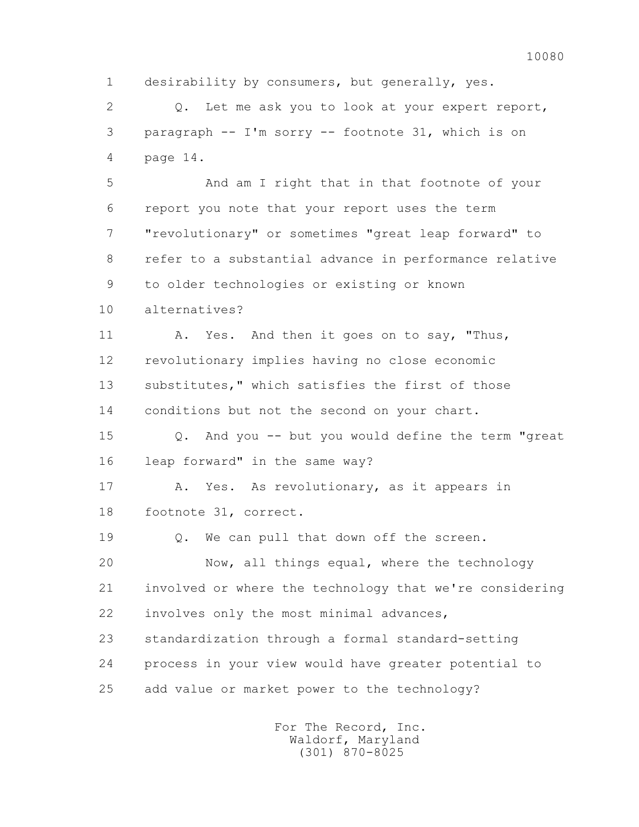1 desirability by consumers, but generally, yes.

 2 Q. Let me ask you to look at your expert report, 3 paragraph -- I'm sorry -- footnote 31, which is on 4 page 14.

 5 And am I right that in that footnote of your 6 report you note that your report uses the term 7 "revolutionary" or sometimes "great leap forward" to 8 refer to a substantial advance in performance relative 9 to older technologies or existing or known 10 alternatives?

 11 A. Yes. And then it goes on to say, "Thus, 12 revolutionary implies having no close economic 13 substitutes," which satisfies the first of those 14 conditions but not the second on your chart.

 15 Q. And you -- but you would define the term "great 16 leap forward" in the same way?

 17 A. Yes. As revolutionary, as it appears in 18 footnote 31, correct.

19 Q. We can pull that down off the screen.

 20 Now, all things equal, where the technology 21 involved or where the technology that we're considering 22 involves only the most minimal advances,

 23 standardization through a formal standard-setting 24 process in your view would have greater potential to 25 add value or market power to the technology?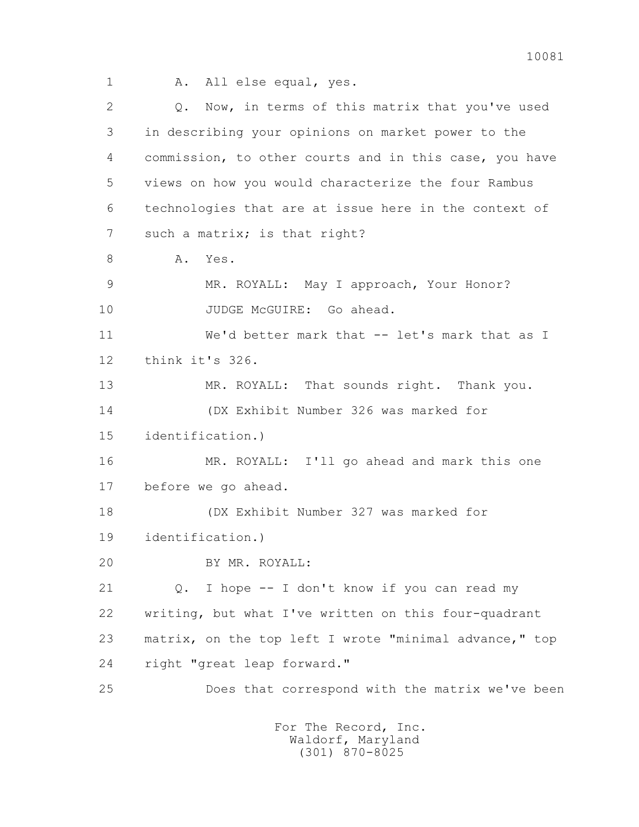1 A. All else equal, yes.

 2 Q. Now, in terms of this matrix that you've used 3 in describing your opinions on market power to the 4 commission, to other courts and in this case, you have 5 views on how you would characterize the four Rambus 6 technologies that are at issue here in the context of 7 such a matrix; is that right? 8 A. Yes. 9 MR. ROYALL: May I approach, Your Honor? 10 JUDGE McGUIRE: Go ahead. 11 We'd better mark that -- let's mark that as I 12 think it's 326. 13 MR. ROYALL: That sounds right. Thank you. 14 (DX Exhibit Number 326 was marked for 15 identification.) 16 MR. ROYALL: I'll go ahead and mark this one 17 before we go ahead. 18 (DX Exhibit Number 327 was marked for 19 identification.) 20 BY MR. ROYALL: 21 Q. I hope -- I don't know if you can read my 22 writing, but what I've written on this four-quadrant 23 matrix, on the top left I wrote "minimal advance," top 24 right "great leap forward." 25 Does that correspond with the matrix we've been For The Record, Inc. Waldorf, Maryland

(301) 870-8025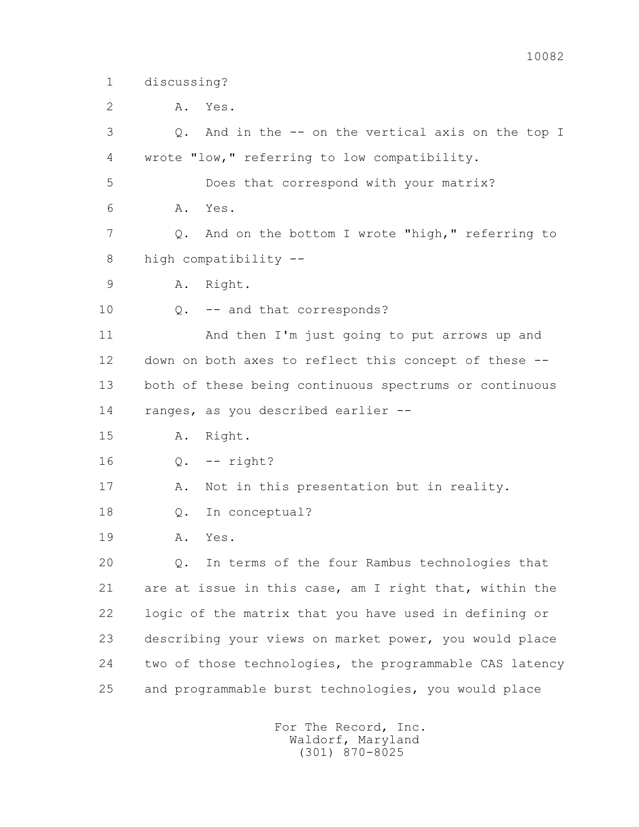1 discussing?

2 A. Yes.

 3 Q. And in the -- on the vertical axis on the top I 4 wrote "low," referring to low compatibility.

5 Does that correspond with your matrix?

6 A. Yes.

 7 Q. And on the bottom I wrote "high," referring to 8 high compatibility --

9 A. Right.

10 Q. -- and that corresponds?

 11 And then I'm just going to put arrows up and 12 down on both axes to reflect this concept of these -- 13 both of these being continuous spectrums or continuous 14 ranges, as you described earlier --

- 15 A. Right.
- 16 Q. -- right?
- 17 A. Not in this presentation but in reality.
- 18 Q. In conceptual?
- 19 A. Yes.

 20 Q. In terms of the four Rambus technologies that 21 are at issue in this case, am I right that, within the 22 logic of the matrix that you have used in defining or 23 describing your views on market power, you would place 24 two of those technologies, the programmable CAS latency 25 and programmable burst technologies, you would place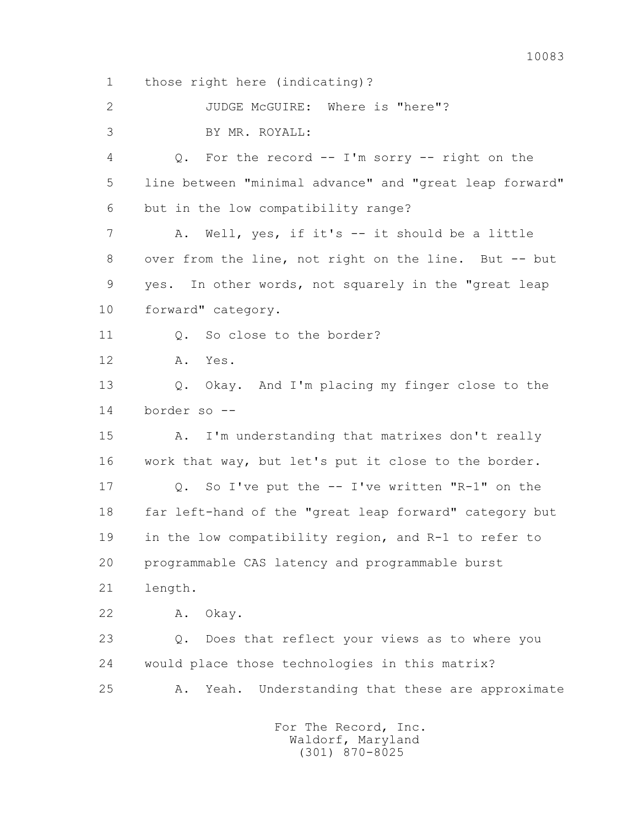1 those right here (indicating)?

 2 JUDGE McGUIRE: Where is "here"? 3 BY MR. ROYALL: 4 Q. For the record -- I'm sorry -- right on the 5 line between "minimal advance" and "great leap forward" 6 but in the low compatibility range? 7 A. Well, yes, if it's -- it should be a little 8 over from the line, not right on the line. But -- but 9 yes. In other words, not squarely in the "great leap 10 forward" category. 11 0. So close to the border? 12 A. Yes. 13 Q. Okay. And I'm placing my finger close to the 14 border so -- 15 A. I'm understanding that matrixes don't really 16 work that way, but let's put it close to the border. 17 Q. So I've put the -- I've written "R-1" on the 18 far left-hand of the "great leap forward" category but 19 in the low compatibility region, and R-1 to refer to 20 programmable CAS latency and programmable burst 21 length. 22 A. Okay. 23 Q. Does that reflect your views as to where you 24 would place those technologies in this matrix? 25 A. Yeah. Understanding that these are approximate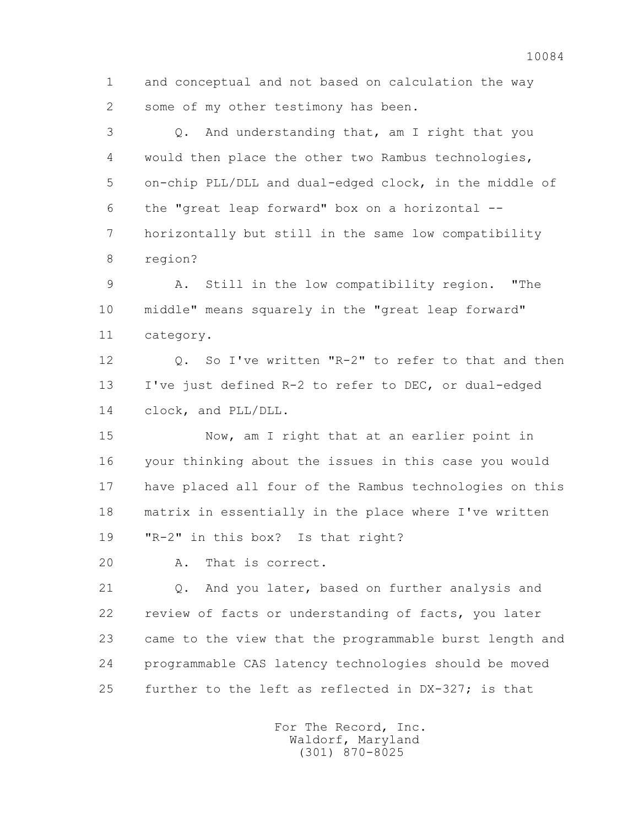1 and conceptual and not based on calculation the way 2 some of my other testimony has been.

 3 Q. And understanding that, am I right that you 4 would then place the other two Rambus technologies, 5 on-chip PLL/DLL and dual-edged clock, in the middle of 6 the "great leap forward" box on a horizontal -- 7 horizontally but still in the same low compatibility 8 region?

 9 A. Still in the low compatibility region. "The 10 middle" means squarely in the "great leap forward" 11 category.

 12 Q. So I've written "R-2" to refer to that and then 13 I've just defined R-2 to refer to DEC, or dual-edged 14 clock, and PLL/DLL.

 15 Now, am I right that at an earlier point in 16 your thinking about the issues in this case you would 17 have placed all four of the Rambus technologies on this 18 matrix in essentially in the place where I've written 19 "R-2" in this box? Is that right?

20 A. That is correct.

 21 Q. And you later, based on further analysis and 22 review of facts or understanding of facts, you later 23 came to the view that the programmable burst length and 24 programmable CAS latency technologies should be moved 25 further to the left as reflected in DX-327; is that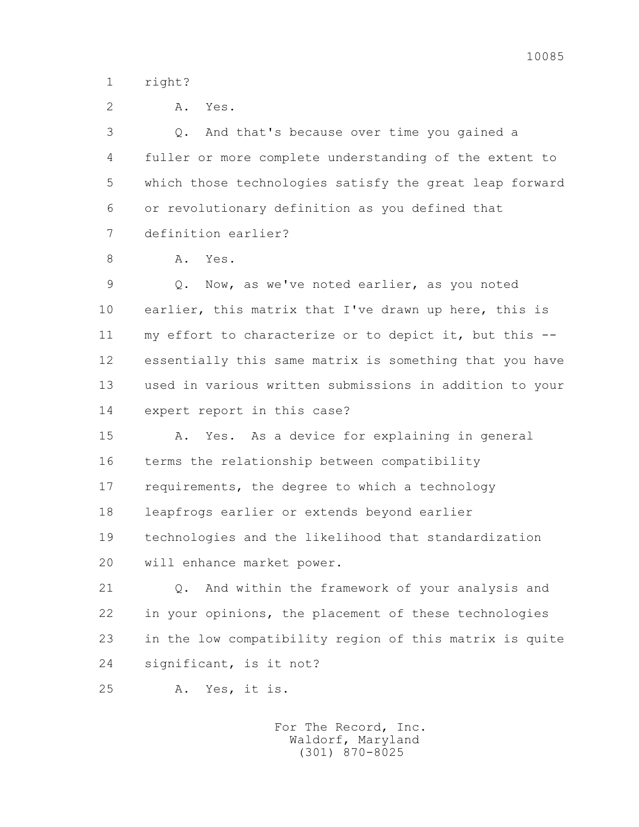10085

1 right?

| Α. | Yes<br>$\bullet$ |
|----|------------------|
|    |                  |

 3 Q. And that's because over time you gained a 4 fuller or more complete understanding of the extent to 5 which those technologies satisfy the great leap forward 6 or revolutionary definition as you defined that 7 definition earlier?

8 A. Yes.

 9 Q. Now, as we've noted earlier, as you noted 10 earlier, this matrix that I've drawn up here, this is 11 my effort to characterize or to depict it, but this -- 12 essentially this same matrix is something that you have 13 used in various written submissions in addition to your 14 expert report in this case?

 15 A. Yes. As a device for explaining in general 16 terms the relationship between compatibility 17 requirements, the degree to which a technology 18 leapfrogs earlier or extends beyond earlier 19 technologies and the likelihood that standardization 20 will enhance market power.

 21 Q. And within the framework of your analysis and 22 in your opinions, the placement of these technologies 23 in the low compatibility region of this matrix is quite 24 significant, is it not?

25 A. Yes, it is.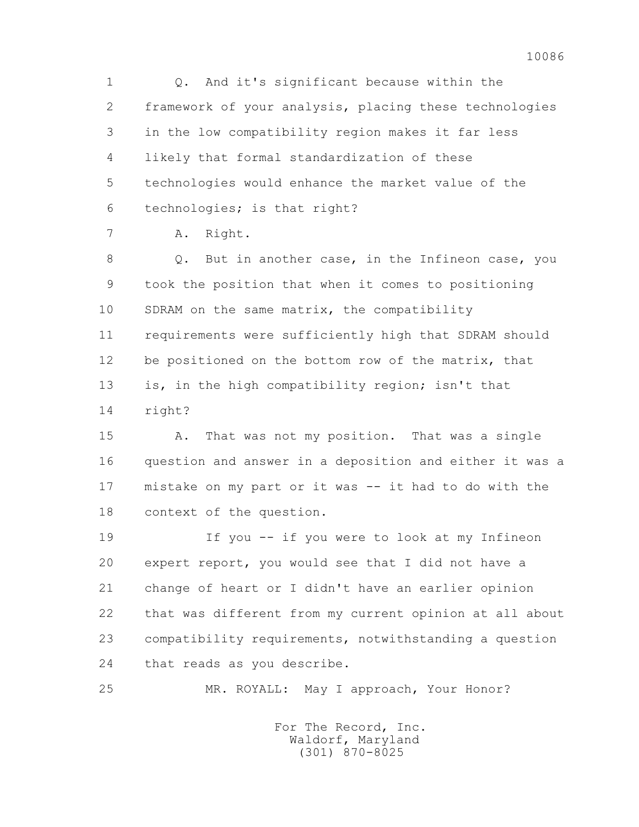1 Q. And it's significant because within the 2 framework of your analysis, placing these technologies 3 in the low compatibility region makes it far less 4 likely that formal standardization of these 5 technologies would enhance the market value of the 6 technologies; is that right?

7 A. Right.

 8 Q. But in another case, in the Infineon case, you 9 took the position that when it comes to positioning 10 SDRAM on the same matrix, the compatibility 11 requirements were sufficiently high that SDRAM should 12 be positioned on the bottom row of the matrix, that 13 is, in the high compatibility region; isn't that 14 right?

 15 A. That was not my position. That was a single 16 question and answer in a deposition and either it was a 17 mistake on my part or it was -- it had to do with the 18 context of the question.

 19 If you -- if you were to look at my Infineon 20 expert report, you would see that I did not have a 21 change of heart or I didn't have an earlier opinion 22 that was different from my current opinion at all about 23 compatibility requirements, notwithstanding a question 24 that reads as you describe.

25 MR. ROYALL: May I approach, Your Honor?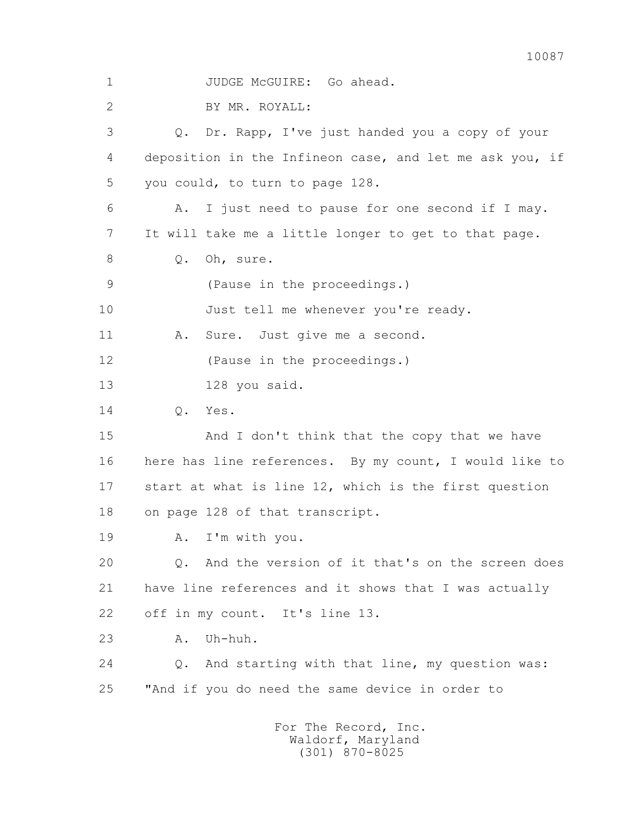1 JUDGE McGUIRE: Go ahead. 2 BY MR. ROYALL: 3 Q. Dr. Rapp, I've just handed you a copy of your 4 deposition in the Infineon case, and let me ask you, if 5 you could, to turn to page 128. 6 A. I just need to pause for one second if I may. 7 It will take me a little longer to get to that page. 8 O. Oh, sure. 9 (Pause in the proceedings.) 10 Just tell me whenever you're ready. 11 A. Sure. Just give me a second. 12 (Pause in the proceedings.) 13 128 you said. 14 Q. Yes. 15 And I don't think that the copy that we have 16 here has line references. By my count, I would like to 17 start at what is line 12, which is the first question 18 on page 128 of that transcript. 19 A. I'm with you. 20 Q. And the version of it that's on the screen does 21 have line references and it shows that I was actually 22 off in my count. It's line 13. 23 A. Uh-huh. 24 Q. And starting with that line, my question was: 25 "And if you do need the same device in order to For The Record, Inc.

 Waldorf, Maryland (301) 870-8025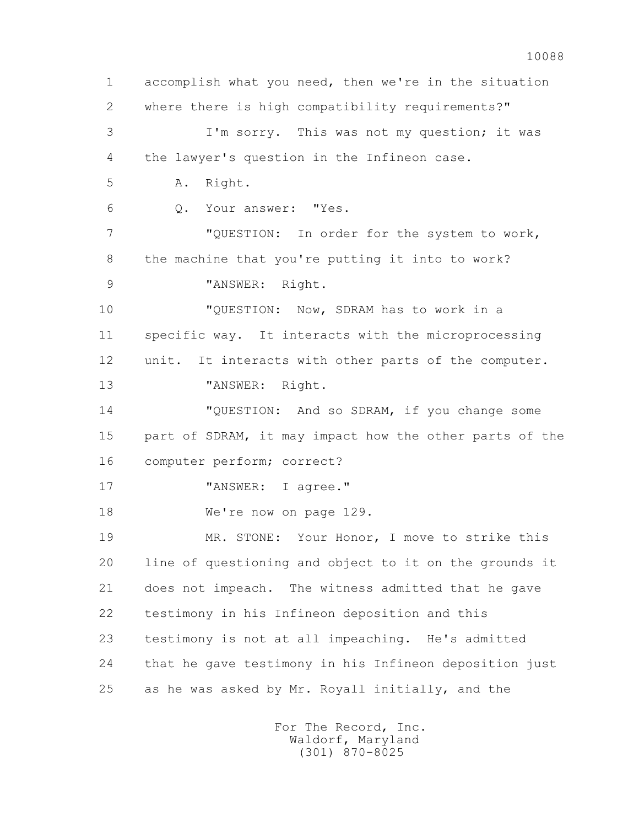1 accomplish what you need, then we're in the situation 2 where there is high compatibility requirements?" 3 I'm sorry. This was not my question; it was 4 the lawyer's question in the Infineon case. 5 A. Right. 6 Q. Your answer: "Yes. 7 "QUESTION: In order for the system to work, 8 the machine that you're putting it into to work? 9 "ANSWER: Right. 10 "QUESTION: Now, SDRAM has to work in a 11 specific way. It interacts with the microprocessing 12 unit. It interacts with other parts of the computer. 13 "ANSWER: Right. 14 "QUESTION: And so SDRAM, if you change some 15 part of SDRAM, it may impact how the other parts of the 16 computer perform; correct? 17 "ANSWER: I agree." 18 We're now on page 129. 19 MR. STONE: Your Honor, I move to strike this 20 line of questioning and object to it on the grounds it 21 does not impeach. The witness admitted that he gave 22 testimony in his Infineon deposition and this 23 testimony is not at all impeaching. He's admitted 24 that he gave testimony in his Infineon deposition just 25 as he was asked by Mr. Royall initially, and the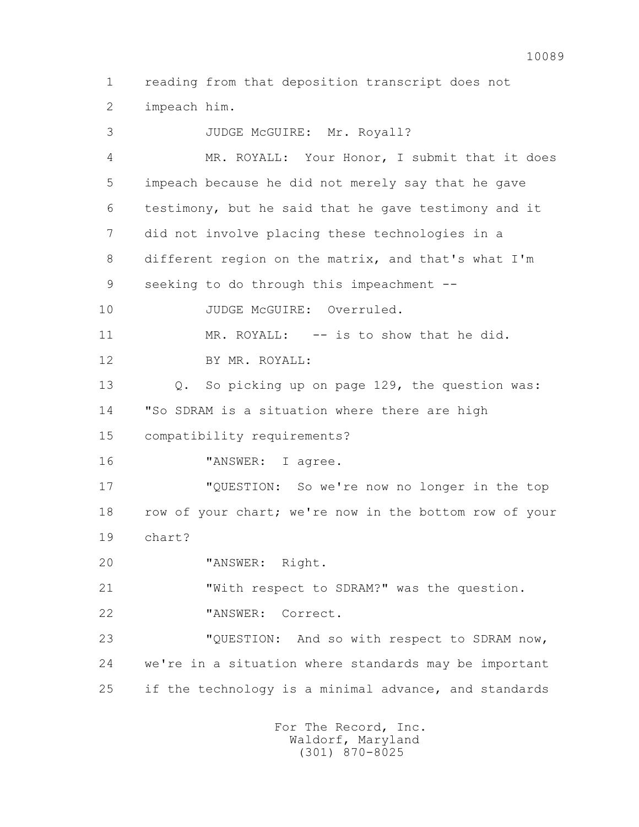1 reading from that deposition transcript does not 2 impeach him.

 3 JUDGE McGUIRE: Mr. Royall? 4 MR. ROYALL: Your Honor, I submit that it does 5 impeach because he did not merely say that he gave 6 testimony, but he said that he gave testimony and it 7 did not involve placing these technologies in a 8 different region on the matrix, and that's what I'm 9 seeking to do through this impeachment -- 10 JUDGE McGUIRE: Overruled. 11 MR. ROYALL: -- is to show that he did. 12 BY MR. ROYALL: 13 Q. So picking up on page 129, the question was: 14 "So SDRAM is a situation where there are high 15 compatibility requirements? 16 "ANSWER: I agree. 17 "QUESTION: So we're now no longer in the top 18 row of your chart; we're now in the bottom row of your 19 chart? 20 "ANSWER: Right. 21 "With respect to SDRAM?" was the question. 22 "ANSWER: Correct. 23 "QUESTION: And so with respect to SDRAM now, 24 we're in a situation where standards may be important 25 if the technology is a minimal advance, and standards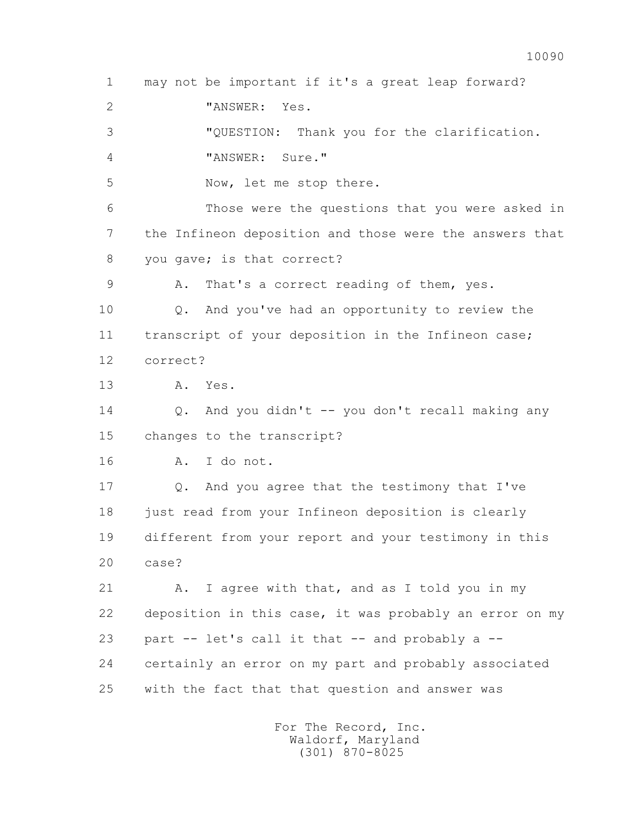1 may not be important if it's a great leap forward? 2 "ANSWER: Yes. 3 "QUESTION: Thank you for the clarification. 4 "ANSWER: Sure." 5 Now, let me stop there. 6 Those were the questions that you were asked in 7 the Infineon deposition and those were the answers that 8 you gave; is that correct? 9 A. That's a correct reading of them, yes. 10 Q. And you've had an opportunity to review the 11 transcript of your deposition in the Infineon case; 12 correct? 13 A. Yes. 14 Q. And you didn't -- you don't recall making any 15 changes to the transcript? 16 A. I do not. 17 Q. And you agree that the testimony that I've 18 just read from your Infineon deposition is clearly 19 different from your report and your testimony in this 20 case? 21 A. I agree with that, and as I told you in my 22 deposition in this case, it was probably an error on my 23 part -- let's call it that -- and probably a -- 24 certainly an error on my part and probably associated 25 with the fact that that question and answer was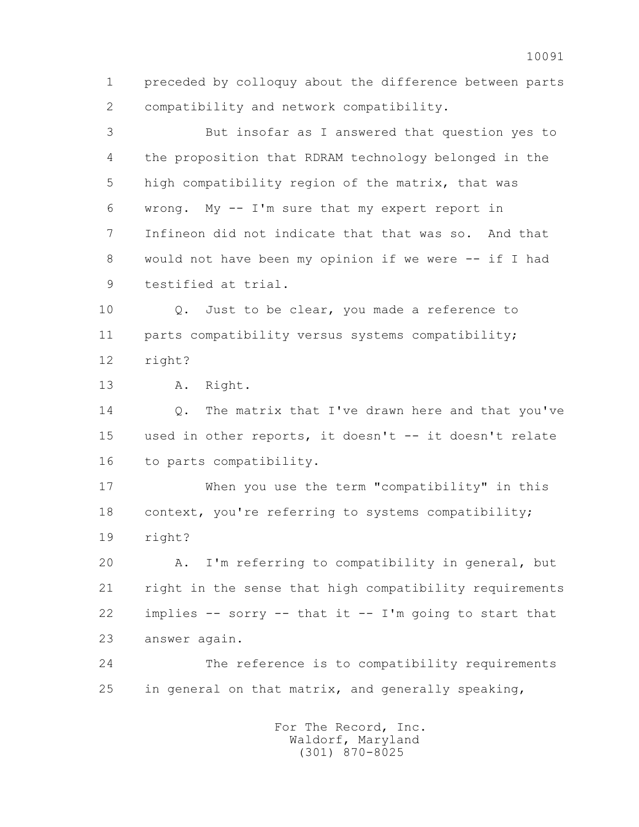1 preceded by colloquy about the difference between parts 2 compatibility and network compatibility.

 3 But insofar as I answered that question yes to 4 the proposition that RDRAM technology belonged in the 5 high compatibility region of the matrix, that was 6 wrong. My -- I'm sure that my expert report in 7 Infineon did not indicate that that was so. And that 8 would not have been my opinion if we were -- if I had 9 testified at trial.

 10 Q. Just to be clear, you made a reference to 11 parts compatibility versus systems compatibility; 12 right?

13 A. Right.

14 0. The matrix that I've drawn here and that you've 15 used in other reports, it doesn't -- it doesn't relate 16 to parts compatibility.

 17 When you use the term "compatibility" in this 18 context, you're referring to systems compatibility; 19 right?

 20 A. I'm referring to compatibility in general, but 21 right in the sense that high compatibility requirements 22 implies -- sorry -- that it -- I'm going to start that 23 answer again.

 24 The reference is to compatibility requirements 25 in general on that matrix, and generally speaking,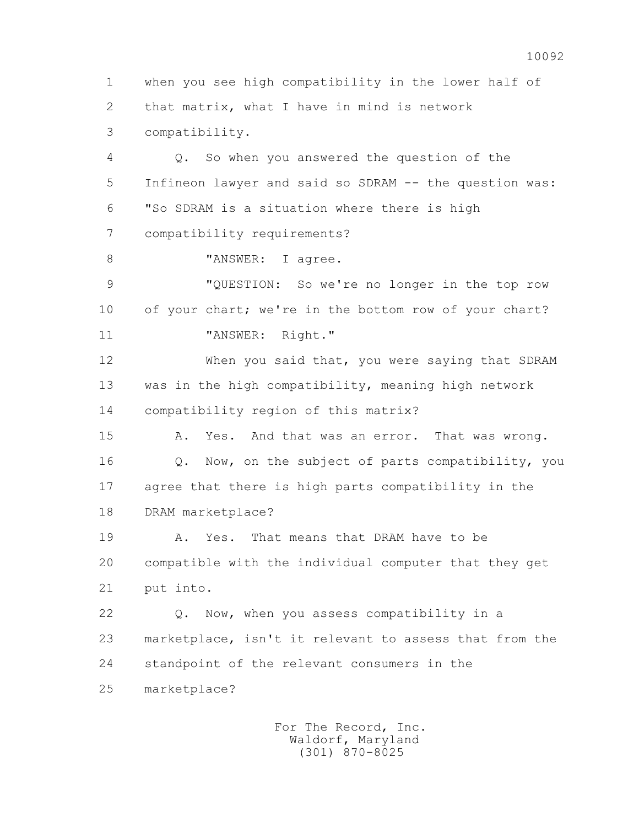1 when you see high compatibility in the lower half of 2 that matrix, what I have in mind is network 3 compatibility. 4 Q. So when you answered the question of the 5 Infineon lawyer and said so SDRAM -- the question was: 6 "So SDRAM is a situation where there is high 7 compatibility requirements? 8 "ANSWER: I agree. 9 "QUESTION: So we're no longer in the top row 10 of your chart; we're in the bottom row of your chart? 11 "ANSWER: Right." 12 When you said that, you were saying that SDRAM 13 was in the high compatibility, meaning high network 14 compatibility region of this matrix? 15 A. Yes. And that was an error. That was wrong. 16 Q. Now, on the subject of parts compatibility, you 17 agree that there is high parts compatibility in the 18 DRAM marketplace? 19 A. Yes. That means that DRAM have to be 20 compatible with the individual computer that they get 21 put into. 22 Q. Now, when you assess compatibility in a 23 marketplace, isn't it relevant to assess that from the 24 standpoint of the relevant consumers in the 25 marketplace?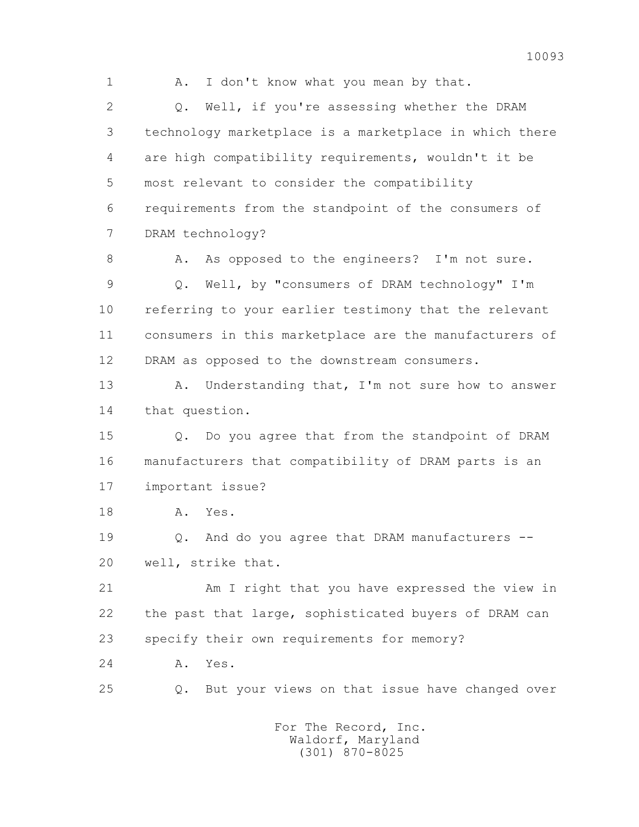1 A. I don't know what you mean by that.

 2 Q. Well, if you're assessing whether the DRAM 3 technology marketplace is a marketplace in which there 4 are high compatibility requirements, wouldn't it be 5 most relevant to consider the compatibility 6 requirements from the standpoint of the consumers of 7 DRAM technology?

8 A. As opposed to the engineers? I'm not sure. 9 Q. Well, by "consumers of DRAM technology" I'm 10 referring to your earlier testimony that the relevant 11 consumers in this marketplace are the manufacturers of 12 DRAM as opposed to the downstream consumers.

13 A. Understanding that, I'm not sure how to answer 14 that question.

 15 Q. Do you agree that from the standpoint of DRAM 16 manufacturers that compatibility of DRAM parts is an 17 important issue?

18 A. Yes.

 19 Q. And do you agree that DRAM manufacturers -- 20 well, strike that.

 21 Am I right that you have expressed the view in 22 the past that large, sophisticated buyers of DRAM can 23 specify their own requirements for memory?

24 A. Yes.

25 Q. But your views on that issue have changed over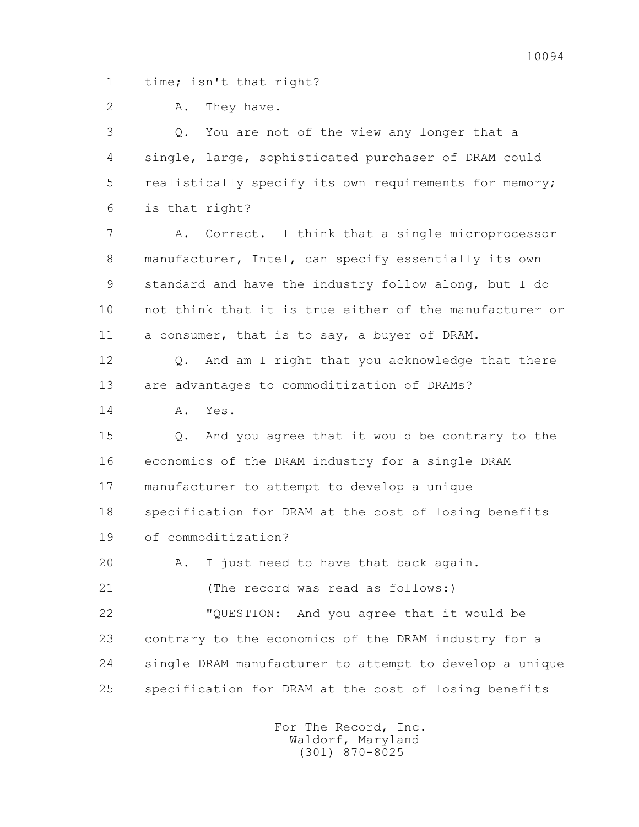1 time; isn't that right?

2 A. They have.

 3 Q. You are not of the view any longer that a 4 single, large, sophisticated purchaser of DRAM could 5 realistically specify its own requirements for memory; 6 is that right?

 7 A. Correct. I think that a single microprocessor 8 manufacturer, Intel, can specify essentially its own 9 standard and have the industry follow along, but I do 10 not think that it is true either of the manufacturer or 11 a consumer, that is to say, a buyer of DRAM.

 12 Q. And am I right that you acknowledge that there 13 are advantages to commoditization of DRAMs?

14 A. Yes.

 15 Q. And you agree that it would be contrary to the 16 economics of the DRAM industry for a single DRAM 17 manufacturer to attempt to develop a unique 18 specification for DRAM at the cost of losing benefits 19 of commoditization?

20 A. I just need to have that back again.

21 (The record was read as follows:)

 22 "QUESTION: And you agree that it would be 23 contrary to the economics of the DRAM industry for a 24 single DRAM manufacturer to attempt to develop a unique 25 specification for DRAM at the cost of losing benefits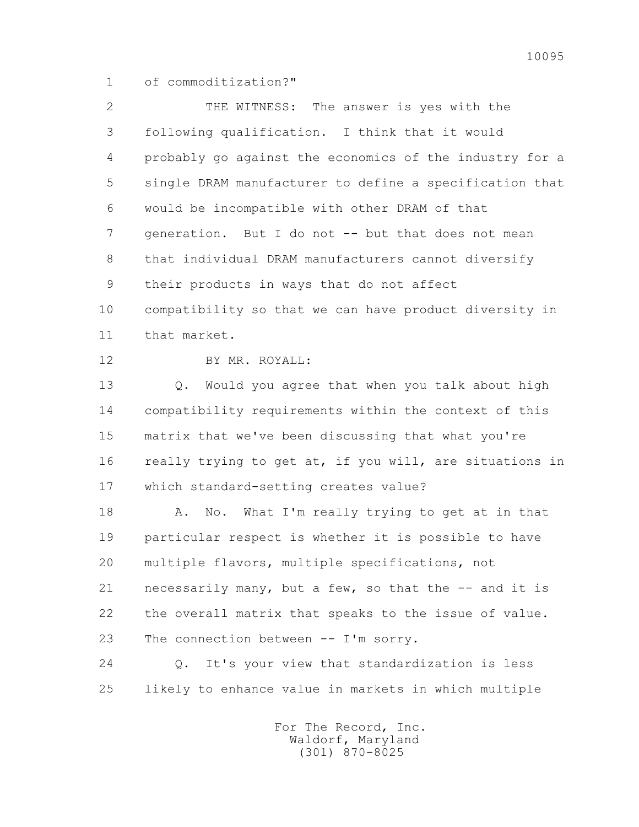1 of commoditization?"

 2 THE WITNESS: The answer is yes with the 3 following qualification. I think that it would 4 probably go against the economics of the industry for a 5 single DRAM manufacturer to define a specification that 6 would be incompatible with other DRAM of that 7 generation. But I do not -- but that does not mean 8 that individual DRAM manufacturers cannot diversify 9 their products in ways that do not affect 10 compatibility so that we can have product diversity in 11 that market. 12 BY MR. ROYALL: 13 Q. Would you agree that when you talk about high 14 compatibility requirements within the context of this 15 matrix that we've been discussing that what you're 16 really trying to get at, if you will, are situations in 17 which standard-setting creates value? 18 A. No. What I'm really trying to get at in that 19 particular respect is whether it is possible to have 20 multiple flavors, multiple specifications, not 21 necessarily many, but a few, so that the -- and it is 22 the overall matrix that speaks to the issue of value. 23 The connection between -- I'm sorry. 24 Q. It's your view that standardization is less 25 likely to enhance value in markets in which multiple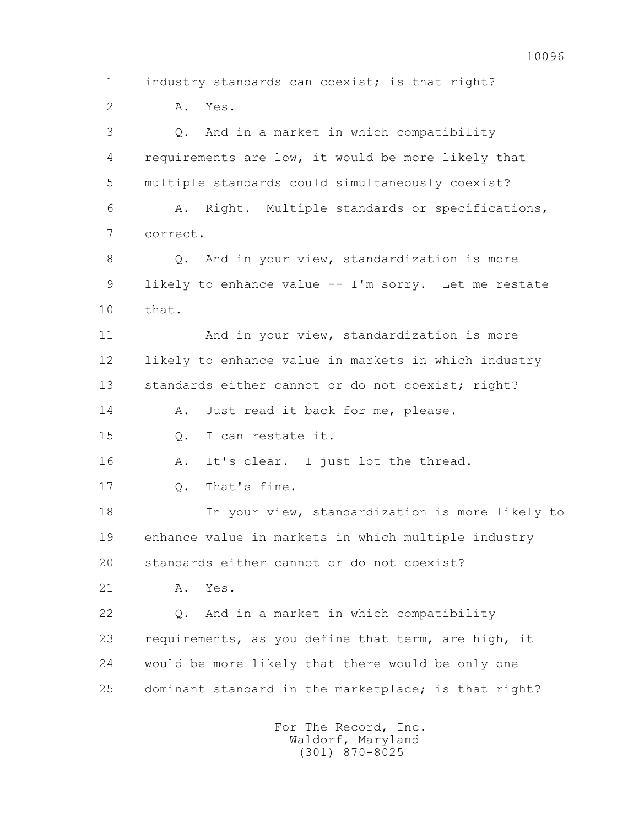1 industry standards can coexist; is that right? 2 A. Yes. 3 Q. And in a market in which compatibility 4 requirements are low, it would be more likely that 5 multiple standards could simultaneously coexist? 6 A. Right. Multiple standards or specifications, 7 correct. 8 Q. And in your view, standardization is more 9 likely to enhance value -- I'm sorry. Let me restate 10 that. 11 And in your view, standardization is more 12 likely to enhance value in markets in which industry 13 standards either cannot or do not coexist; right? 14 A. Just read it back for me, please. 15 Q. I can restate it. 16 A. It's clear. I just lot the thread. 17 Q. That's fine. 18 In your view, standardization is more likely to 19 enhance value in markets in which multiple industry 20 standards either cannot or do not coexist? 21 A. Yes. 22 Q. And in a market in which compatibility 23 requirements, as you define that term, are high, it 24 would be more likely that there would be only one 25 dominant standard in the marketplace; is that right? For The Record, Inc. Waldorf, Maryland

10096

(301) 870-8025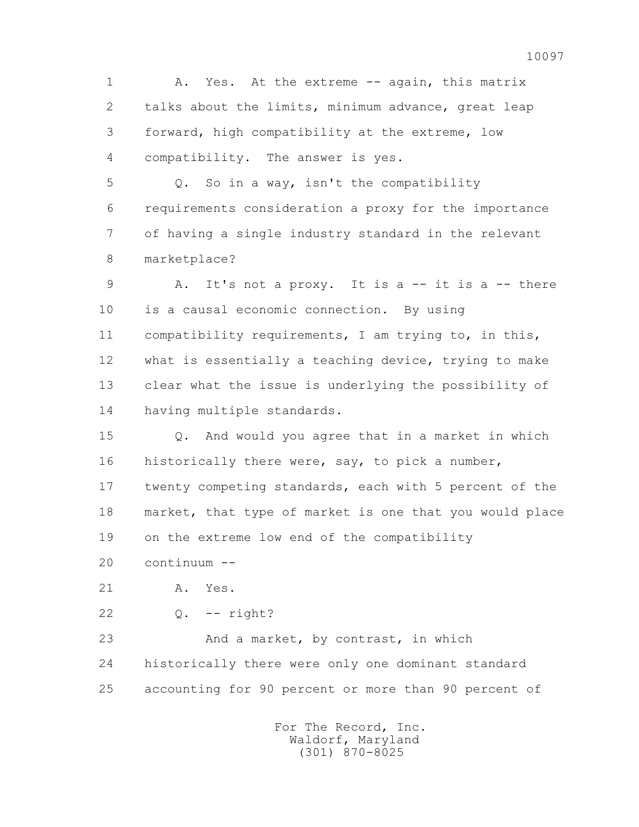1 A. Yes. At the extreme -- again, this matrix 2 talks about the limits, minimum advance, great leap 3 forward, high compatibility at the extreme, low 4 compatibility. The answer is yes.

 5 Q. So in a way, isn't the compatibility 6 requirements consideration a proxy for the importance 7 of having a single industry standard in the relevant 8 marketplace?

 9 A. It's not a proxy. It is a -- it is a -- there 10 is a causal economic connection. By using 11 compatibility requirements, I am trying to, in this, 12 what is essentially a teaching device, trying to make 13 clear what the issue is underlying the possibility of 14 having multiple standards.

 15 Q. And would you agree that in a market in which 16 historically there were, say, to pick a number, 17 twenty competing standards, each with 5 percent of the 18 market, that type of market is one that you would place 19 on the extreme low end of the compatibility

20 continuum --

21 A. Yes.

22 Q. -- right?

23 And a market, by contrast, in which 24 historically there were only one dominant standard 25 accounting for 90 percent or more than 90 percent of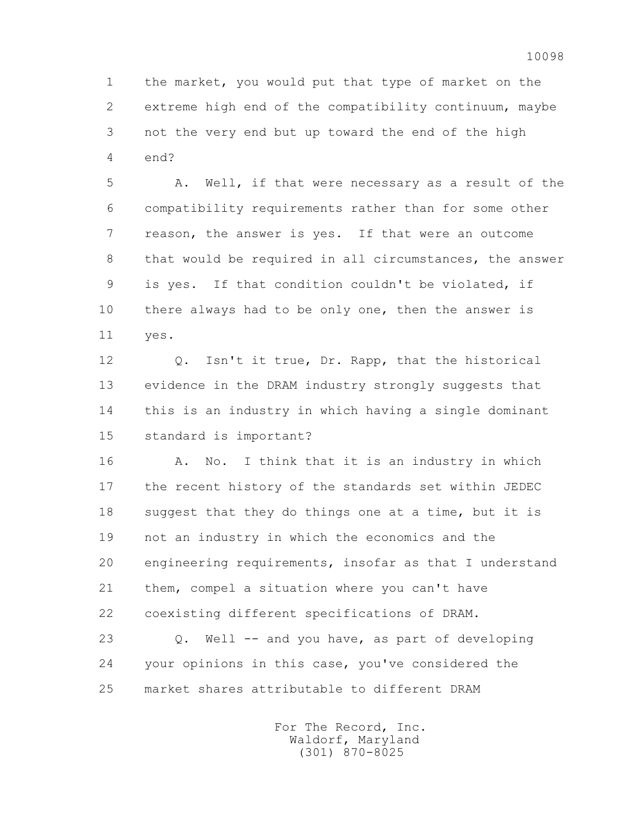1 the market, you would put that type of market on the 2 extreme high end of the compatibility continuum, maybe 3 not the very end but up toward the end of the high 4 end?

 5 A. Well, if that were necessary as a result of the 6 compatibility requirements rather than for some other 7 reason, the answer is yes. If that were an outcome 8 that would be required in all circumstances, the answer 9 is yes. If that condition couldn't be violated, if 10 there always had to be only one, then the answer is 11 yes.

 12 Q. Isn't it true, Dr. Rapp, that the historical 13 evidence in the DRAM industry strongly suggests that 14 this is an industry in which having a single dominant 15 standard is important?

 16 A. No. I think that it is an industry in which 17 the recent history of the standards set within JEDEC 18 suggest that they do things one at a time, but it is 19 not an industry in which the economics and the 20 engineering requirements, insofar as that I understand 21 them, compel a situation where you can't have 22 coexisting different specifications of DRAM.

 23 Q. Well -- and you have, as part of developing 24 your opinions in this case, you've considered the 25 market shares attributable to different DRAM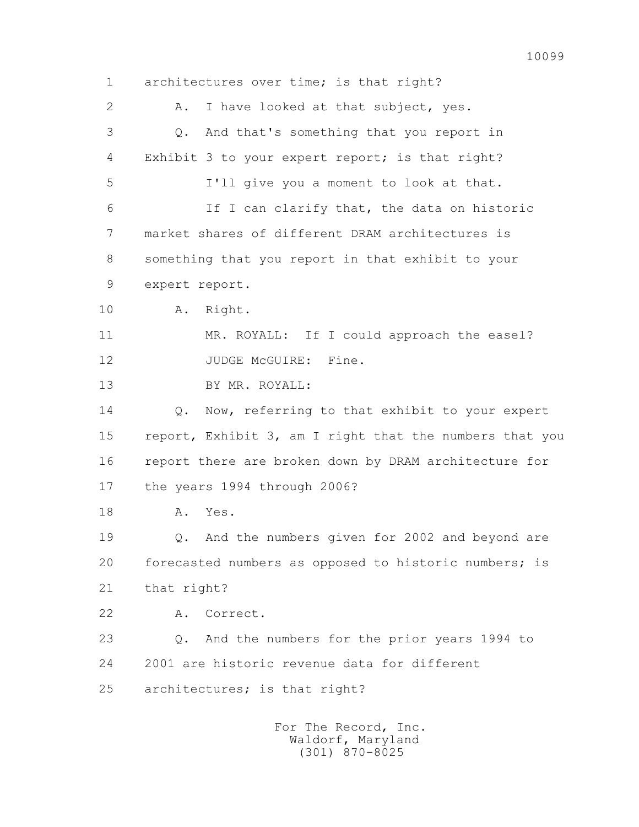1 architectures over time; is that right? 2 A. I have looked at that subject, yes. 3 Q. And that's something that you report in 4 Exhibit 3 to your expert report; is that right? 5 I'll give you a moment to look at that. 6 If I can clarify that, the data on historic 7 market shares of different DRAM architectures is 8 something that you report in that exhibit to your 9 expert report. 10 A. Right. 11 MR. ROYALL: If I could approach the easel? 12 JUDGE McGUIRE: Fine. 13 BY MR. ROYALL: 14 Q. Now, referring to that exhibit to your expert 15 report, Exhibit 3, am I right that the numbers that you 16 report there are broken down by DRAM architecture for 17 the years 1994 through 2006? 18 A. Yes. 19 Q. And the numbers given for 2002 and beyond are 20 forecasted numbers as opposed to historic numbers; is 21 that right? 22 A. Correct. 23 Q. And the numbers for the prior years 1994 to 24 2001 are historic revenue data for different 25 architectures; is that right? For The Record, Inc.

 Waldorf, Maryland (301) 870-8025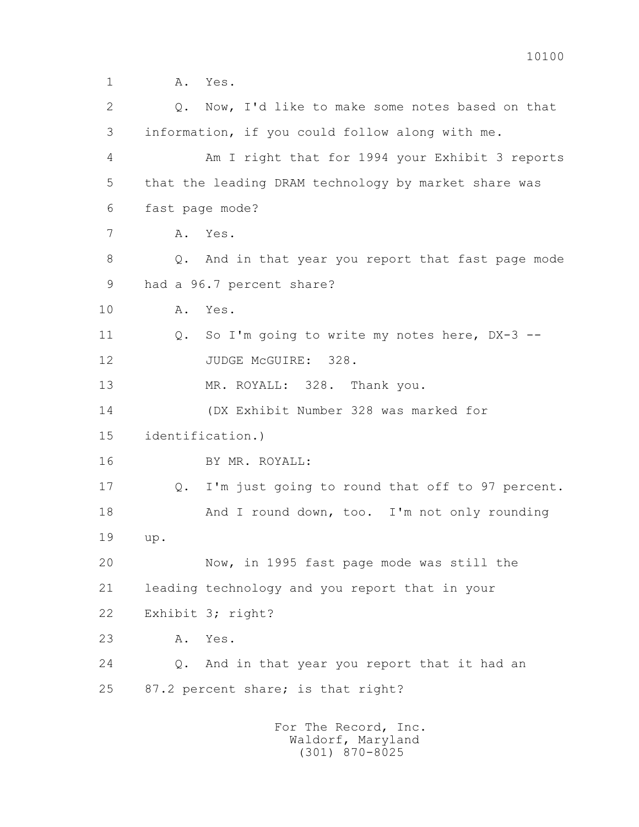1 **A.** Yes. 2 Q. Now, I'd like to make some notes based on that 3 information, if you could follow along with me. 4 Am I right that for 1994 your Exhibit 3 reports 5 that the leading DRAM technology by market share was 6 fast page mode? 7 A. Yes. 8 Q. And in that year you report that fast page mode 9 had a 96.7 percent share? 10 A. Yes. 11 Q. So I'm going to write my notes here, DX-3 -- 12 JUDGE McGUIRE: 328. 13 MR. ROYALL: 328. Thank you. 14 (DX Exhibit Number 328 was marked for 15 identification.) 16 BY MR. ROYALL: 17 Q. I'm just going to round that off to 97 percent. 18 And I round down, too. I'm not only rounding 19 up. 20 Now, in 1995 fast page mode was still the 21 leading technology and you report that in your 22 Exhibit 3; right? 23 A. Yes. 24 Q. And in that year you report that it had an 25 87.2 percent share; is that right? For The Record, Inc.

 Waldorf, Maryland (301) 870-8025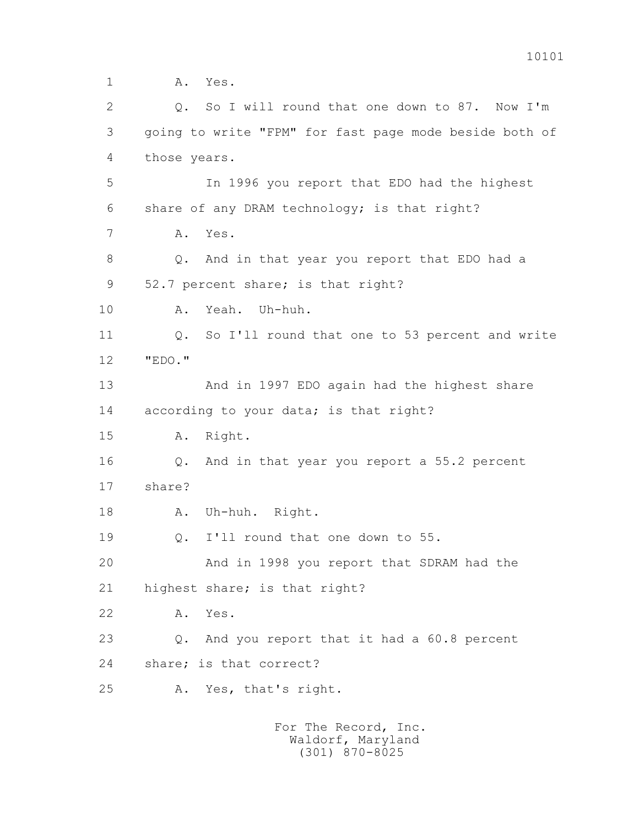1 **A.** Yes. 2 Q. So I will round that one down to 87. Now I'm 3 going to write "FPM" for fast page mode beside both of 4 those years. 5 In 1996 you report that EDO had the highest 6 share of any DRAM technology; is that right? 7 A. Yes. 8 Q. And in that year you report that EDO had a 9 52.7 percent share; is that right? 10 A. Yeah. Uh-huh. 11 Q. So I'll round that one to 53 percent and write 12 "EDO." 13 And in 1997 EDO again had the highest share 14 according to your data; is that right? 15 A. Right. 16 Q. And in that year you report a 55.2 percent 17 share? 18 A. Uh-huh. Right. 19 0. I'll round that one down to 55. 20 And in 1998 you report that SDRAM had the 21 highest share; is that right? 22 A. Yes. 23 Q. And you report that it had a 60.8 percent 24 share; is that correct? 25 A. Yes, that's right.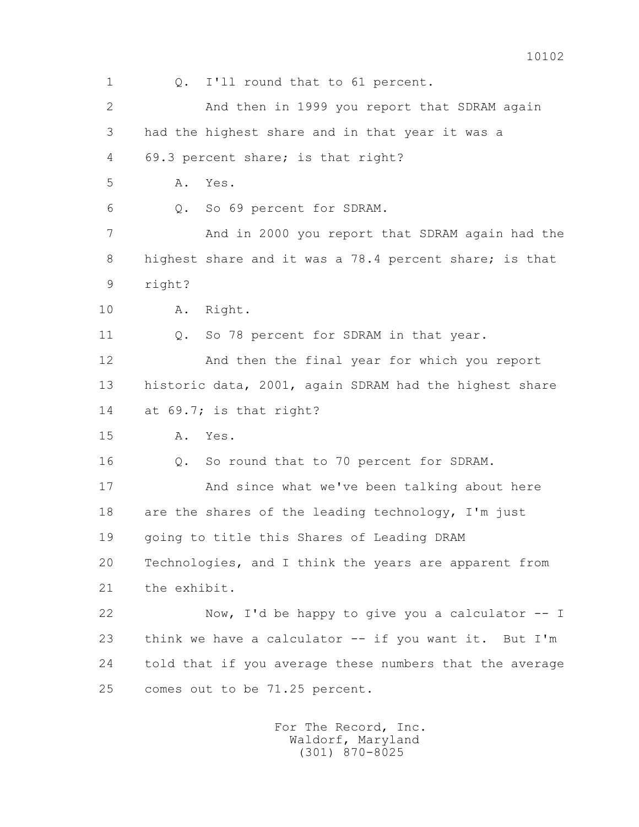1 Q. I'll round that to 61 percent. 2 And then in 1999 you report that SDRAM again 3 had the highest share and in that year it was a 4 69.3 percent share; is that right? 5 A. Yes. 6 Q. So 69 percent for SDRAM. 7 And in 2000 you report that SDRAM again had the 8 highest share and it was a 78.4 percent share; is that 9 right? 10 A. Right. 11 Q. So 78 percent for SDRAM in that year. 12 And then the final year for which you report 13 historic data, 2001, again SDRAM had the highest share 14 at 69.7; is that right? 15 A. Yes. 16 Q. So round that to 70 percent for SDRAM. 17 And since what we've been talking about here 18 are the shares of the leading technology, I'm just 19 going to title this Shares of Leading DRAM 20 Technologies, and I think the years are apparent from 21 the exhibit. 22 Now, I'd be happy to give you a calculator -- I 23 think we have a calculator -- if you want it. But I'm 24 told that if you average these numbers that the average 25 comes out to be 71.25 percent.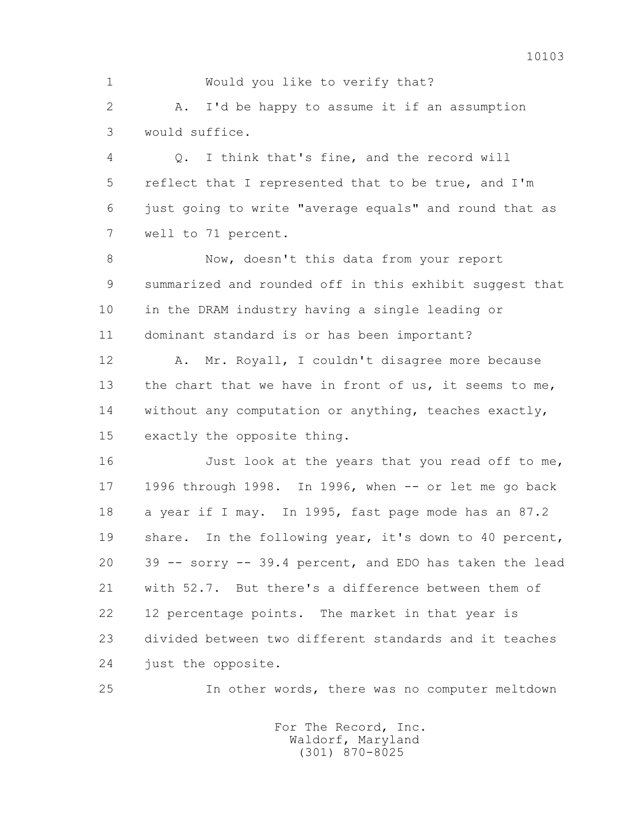1 Would you like to verify that? 2 A. I'd be happy to assume it if an assumption 3 would suffice. 4 Q. I think that's fine, and the record will 5 reflect that I represented that to be true, and I'm 6 just going to write "average equals" and round that as 7 well to 71 percent. 8 Now, doesn't this data from your report 9 summarized and rounded off in this exhibit suggest that 10 in the DRAM industry having a single leading or 11 dominant standard is or has been important? 12 A. Mr. Royall, I couldn't disagree more because 13 the chart that we have in front of us, it seems to me, 14 without any computation or anything, teaches exactly, 15 exactly the opposite thing. 16 Just look at the years that you read off to me, 17 1996 through 1998. In 1996, when -- or let me go back 18 a year if I may. In 1995, fast page mode has an 87.2 19 share. In the following year, it's down to 40 percent,

 20 39 -- sorry -- 39.4 percent, and EDO has taken the lead 21 with 52.7. But there's a difference between them of 22 12 percentage points. The market in that year is 23 divided between two different standards and it teaches 24 just the opposite.

25 In other words, there was no computer meltdown

 For The Record, Inc. Waldorf, Maryland (301) 870-8025

10103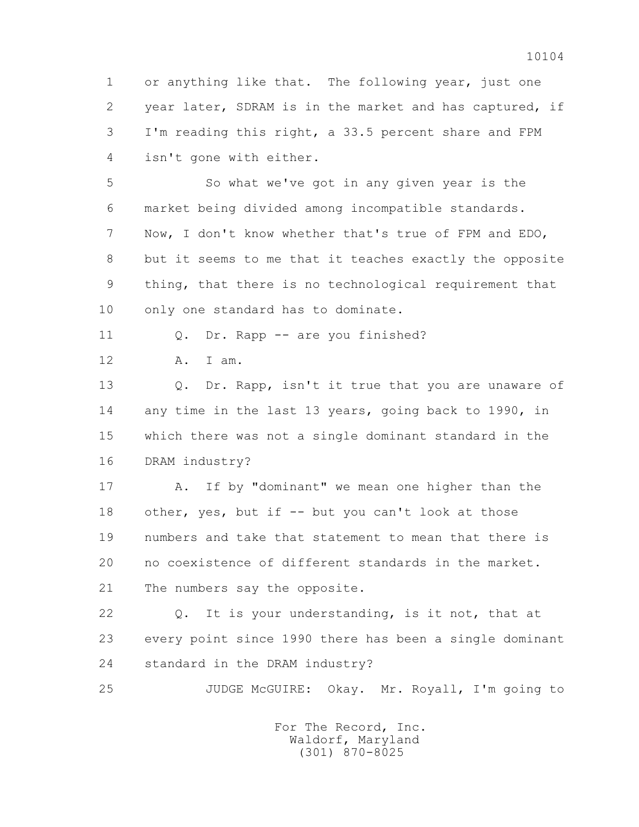1 or anything like that. The following year, just one 2 year later, SDRAM is in the market and has captured, if 3 I'm reading this right, a 33.5 percent share and FPM 4 isn't gone with either.

 5 So what we've got in any given year is the 6 market being divided among incompatible standards. 7 Now, I don't know whether that's true of FPM and EDO, 8 but it seems to me that it teaches exactly the opposite 9 thing, that there is no technological requirement that 10 only one standard has to dominate.

11 0. Dr. Rapp -- are you finished?

12 A. I am.

13 0. Dr. Rapp, isn't it true that you are unaware of 14 any time in the last 13 years, going back to 1990, in 15 which there was not a single dominant standard in the 16 DRAM industry?

 17 A. If by "dominant" we mean one higher than the 18 other, yes, but if -- but you can't look at those 19 numbers and take that statement to mean that there is 20 no coexistence of different standards in the market. 21 The numbers say the opposite.

 22 Q. It is your understanding, is it not, that at 23 every point since 1990 there has been a single dominant 24 standard in the DRAM industry?

25 JUDGE McGUIRE: Okay. Mr. Royall, I'm going to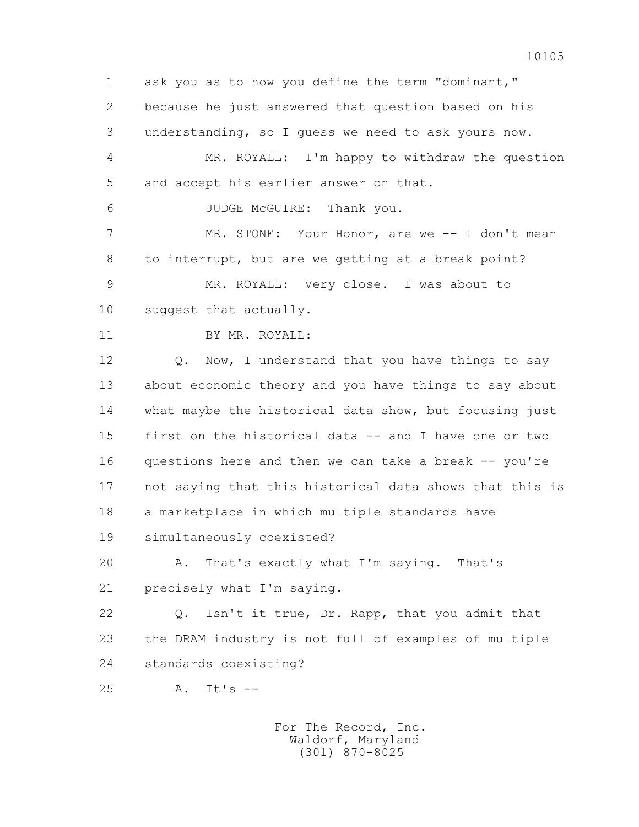1 ask you as to how you define the term "dominant," 2 because he just answered that question based on his 3 understanding, so I guess we need to ask yours now. 4 MR. ROYALL: I'm happy to withdraw the question 5 and accept his earlier answer on that. 6 JUDGE McGUIRE: Thank you. 7 MR. STONE: Your Honor, are we -- I don't mean 8 to interrupt, but are we getting at a break point? 9 MR. ROYALL: Very close. I was about to 10 suggest that actually. 11 BY MR. ROYALL: 12 Q. Now, I understand that you have things to say 13 about economic theory and you have things to say about 14 what maybe the historical data show, but focusing just 15 first on the historical data -- and I have one or two 16 questions here and then we can take a break -- you're 17 not saying that this historical data shows that this is 18 a marketplace in which multiple standards have 19 simultaneously coexisted? 20 A. That's exactly what I'm saying. That's 21 precisely what I'm saying. 22 Q. Isn't it true, Dr. Rapp, that you admit that 23 the DRAM industry is not full of examples of multiple 24 standards coexisting? 25 A. It's --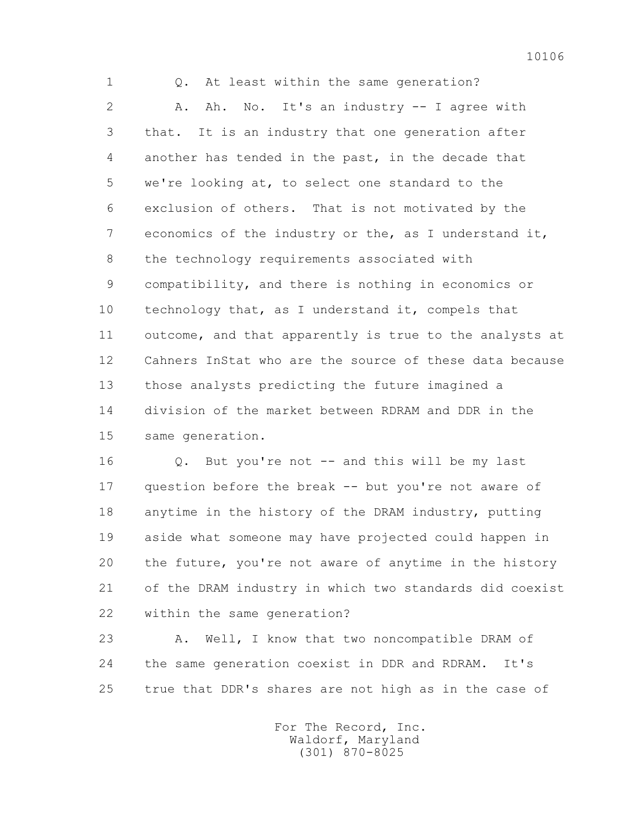1 Q. At least within the same generation? 2 A. Ah. No. It's an industry -- I agree with 3 that. It is an industry that one generation after 4 another has tended in the past, in the decade that 5 we're looking at, to select one standard to the 6 exclusion of others. That is not motivated by the 7 economics of the industry or the, as I understand it, 8 the technology requirements associated with 9 compatibility, and there is nothing in economics or 10 technology that, as I understand it, compels that 11 outcome, and that apparently is true to the analysts at 12 Cahners InStat who are the source of these data because 13 those analysts predicting the future imagined a 14 division of the market between RDRAM and DDR in the 15 same generation.

16 0. But you're not -- and this will be my last 17 question before the break -- but you're not aware of 18 anytime in the history of the DRAM industry, putting 19 aside what someone may have projected could happen in 20 the future, you're not aware of anytime in the history 21 of the DRAM industry in which two standards did coexist 22 within the same generation?

23 A. Well, I know that two noncompatible DRAM of 24 the same generation coexist in DDR and RDRAM. It's 25 true that DDR's shares are not high as in the case of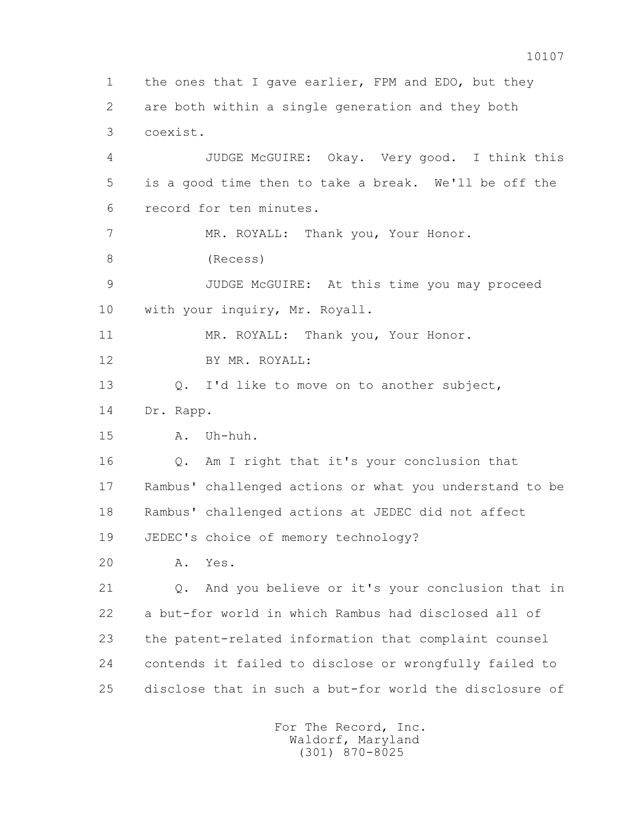1 the ones that I gave earlier, FPM and EDO, but they 2 are both within a single generation and they both 3 coexist. 4 JUDGE McGUIRE: Okay. Very good. I think this 5 is a good time then to take a break. We'll be off the 6 record for ten minutes. 7 MR. ROYALL: Thank you, Your Honor. 8 (Recess) 9 JUDGE McGUIRE: At this time you may proceed 10 with your inquiry, Mr. Royall. 11 MR. ROYALL: Thank you, Your Honor. 12 BY MR. ROYALL: 13 O. I'd like to move on to another subject, 14 Dr. Rapp. 15 A. Uh-huh. 16 Q. Am I right that it's your conclusion that 17 Rambus' challenged actions or what you understand to be 18 Rambus' challenged actions at JEDEC did not affect 19 JEDEC's choice of memory technology? 20 A. Yes. 21 Q. And you believe or it's your conclusion that in 22 a but-for world in which Rambus had disclosed all of 23 the patent-related information that complaint counsel 24 contends it failed to disclose or wrongfully failed to 25 disclose that in such a but-for world the disclosure of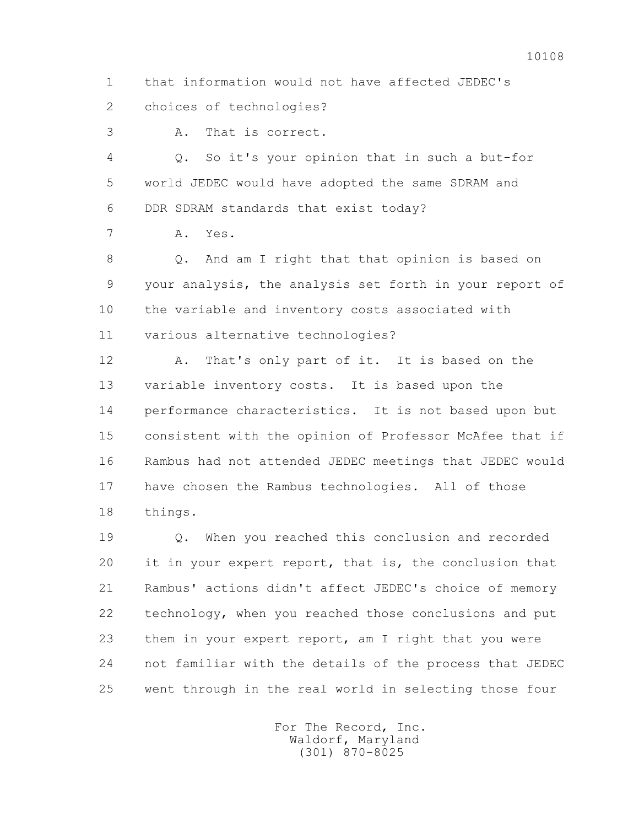1 that information would not have affected JEDEC's 2 choices of technologies?

3 A. That is correct.

 4 Q. So it's your opinion that in such a but-for 5 world JEDEC would have adopted the same SDRAM and 6 DDR SDRAM standards that exist today?

7 A. Yes.

 8 Q. And am I right that that opinion is based on 9 your analysis, the analysis set forth in your report of 10 the variable and inventory costs associated with 11 various alternative technologies?

 12 A. That's only part of it. It is based on the 13 variable inventory costs. It is based upon the 14 performance characteristics. It is not based upon but 15 consistent with the opinion of Professor McAfee that if 16 Rambus had not attended JEDEC meetings that JEDEC would 17 have chosen the Rambus technologies. All of those 18 things.

 19 Q. When you reached this conclusion and recorded 20 it in your expert report, that is, the conclusion that 21 Rambus' actions didn't affect JEDEC's choice of memory 22 technology, when you reached those conclusions and put 23 them in your expert report, am I right that you were 24 not familiar with the details of the process that JEDEC 25 went through in the real world in selecting those four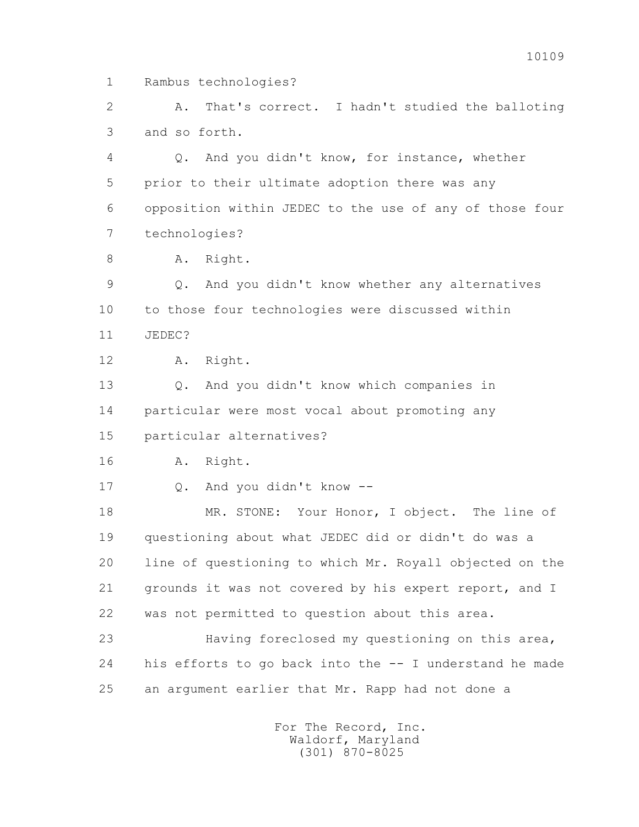1 Rambus technologies?

 2 A. That's correct. I hadn't studied the balloting 3 and so forth.

 4 Q. And you didn't know, for instance, whether 5 prior to their ultimate adoption there was any 6 opposition within JEDEC to the use of any of those four 7 technologies?

8 A. Right.

 9 Q. And you didn't know whether any alternatives 10 to those four technologies were discussed within 11 JEDEC?

12 A. Right.

 13 Q. And you didn't know which companies in 14 particular were most vocal about promoting any 15 particular alternatives?

16 A. Right.

17 Q. And you didn't know --

 18 MR. STONE: Your Honor, I object. The line of 19 questioning about what JEDEC did or didn't do was a 20 line of questioning to which Mr. Royall objected on the 21 grounds it was not covered by his expert report, and I 22 was not permitted to question about this area.

 23 Having foreclosed my questioning on this area, 24 his efforts to go back into the -- I understand he made 25 an argument earlier that Mr. Rapp had not done a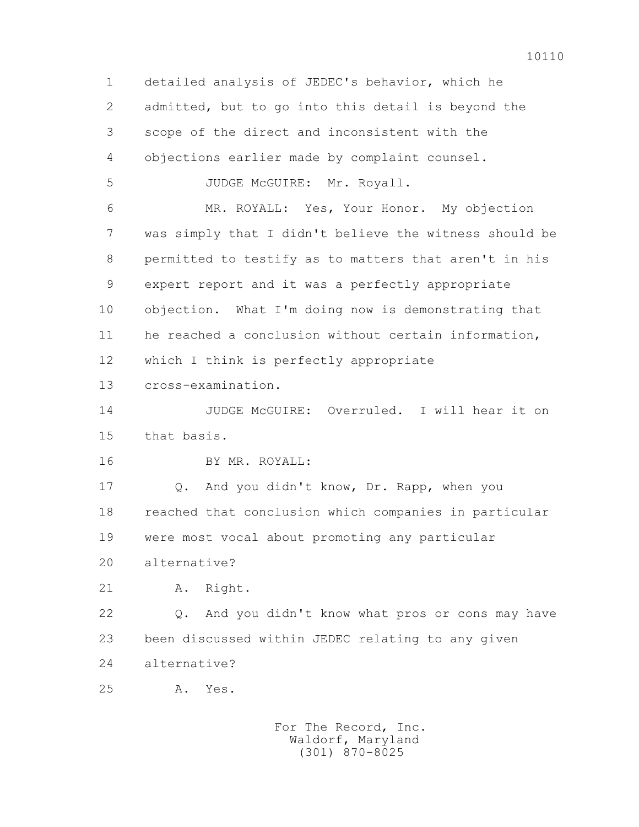1 detailed analysis of JEDEC's behavior, which he 2 admitted, but to go into this detail is beyond the 3 scope of the direct and inconsistent with the 4 objections earlier made by complaint counsel. 5 JUDGE McGUIRE: Mr. Royall. 6 MR. ROYALL: Yes, Your Honor. My objection 7 was simply that I didn't believe the witness should be 8 permitted to testify as to matters that aren't in his 9 expert report and it was a perfectly appropriate 10 objection. What I'm doing now is demonstrating that 11 he reached a conclusion without certain information, 12 which I think is perfectly appropriate 13 cross-examination. 14 JUDGE McGUIRE: Overruled. I will hear it on 15 that basis. 16 BY MR. ROYALL: 17 Q. And you didn't know, Dr. Rapp, when you 18 reached that conclusion which companies in particular 19 were most vocal about promoting any particular 20 alternative? 21 A. Right. 22 Q. And you didn't know what pros or cons may have 23 been discussed within JEDEC relating to any given 24 alternative? 25 A. Yes.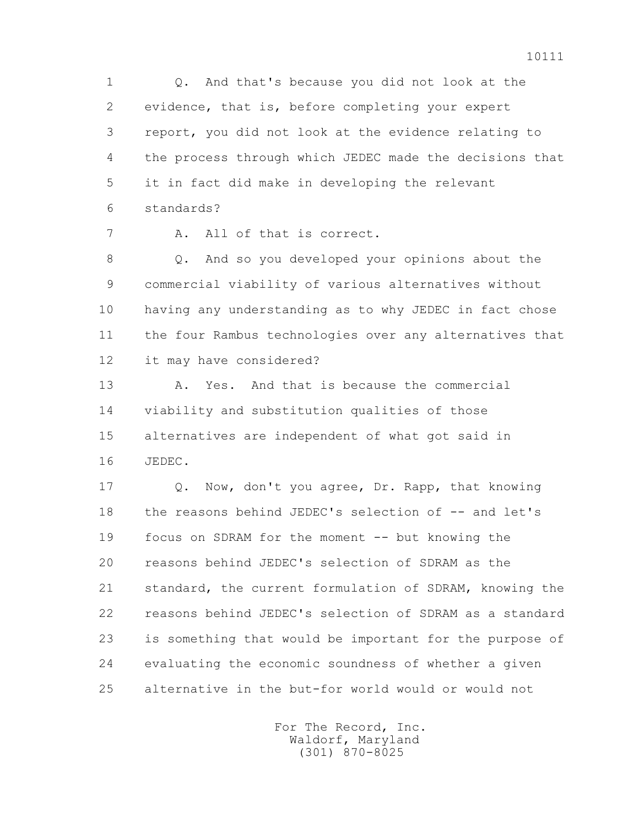1 Q. And that's because you did not look at the 2 evidence, that is, before completing your expert 3 report, you did not look at the evidence relating to 4 the process through which JEDEC made the decisions that 5 it in fact did make in developing the relevant 6 standards?

7 A. All of that is correct.

 8 Q. And so you developed your opinions about the 9 commercial viability of various alternatives without 10 having any understanding as to why JEDEC in fact chose 11 the four Rambus technologies over any alternatives that 12 it may have considered?

 13 A. Yes. And that is because the commercial 14 viability and substitution qualities of those 15 alternatives are independent of what got said in 16 JEDEC.

 17 Q. Now, don't you agree, Dr. Rapp, that knowing 18 the reasons behind JEDEC's selection of -- and let's 19 focus on SDRAM for the moment -- but knowing the 20 reasons behind JEDEC's selection of SDRAM as the 21 standard, the current formulation of SDRAM, knowing the 22 reasons behind JEDEC's selection of SDRAM as a standard 23 is something that would be important for the purpose of 24 evaluating the economic soundness of whether a given 25 alternative in the but-for world would or would not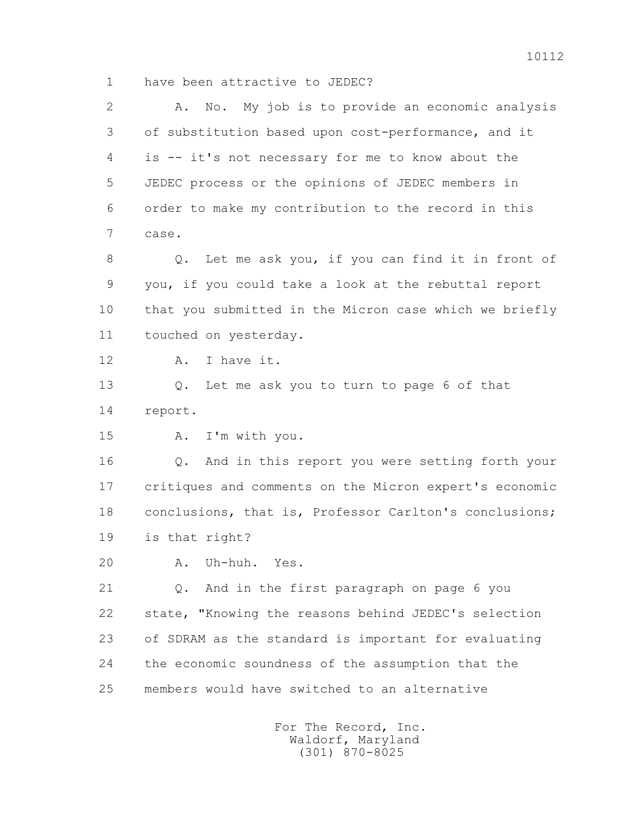1 have been attractive to JEDEC?

 2 A. No. My job is to provide an economic analysis 3 of substitution based upon cost-performance, and it 4 is -- it's not necessary for me to know about the 5 JEDEC process or the opinions of JEDEC members in 6 order to make my contribution to the record in this 7 case. 8 Q. Let me ask you, if you can find it in front of 9 you, if you could take a look at the rebuttal report 10 that you submitted in the Micron case which we briefly 11 touched on yesterday. 12 A. I have it. 13 Q. Let me ask you to turn to page 6 of that 14 report. 15 A. I'm with you. 16 Q. And in this report you were setting forth your 17 critiques and comments on the Micron expert's economic 18 conclusions, that is, Professor Carlton's conclusions; 19 is that right? 20 A. Uh-huh. Yes. 21 Q. And in the first paragraph on page 6 you 22 state, "Knowing the reasons behind JEDEC's selection 23 of SDRAM as the standard is important for evaluating 24 the economic soundness of the assumption that the 25 members would have switched to an alternative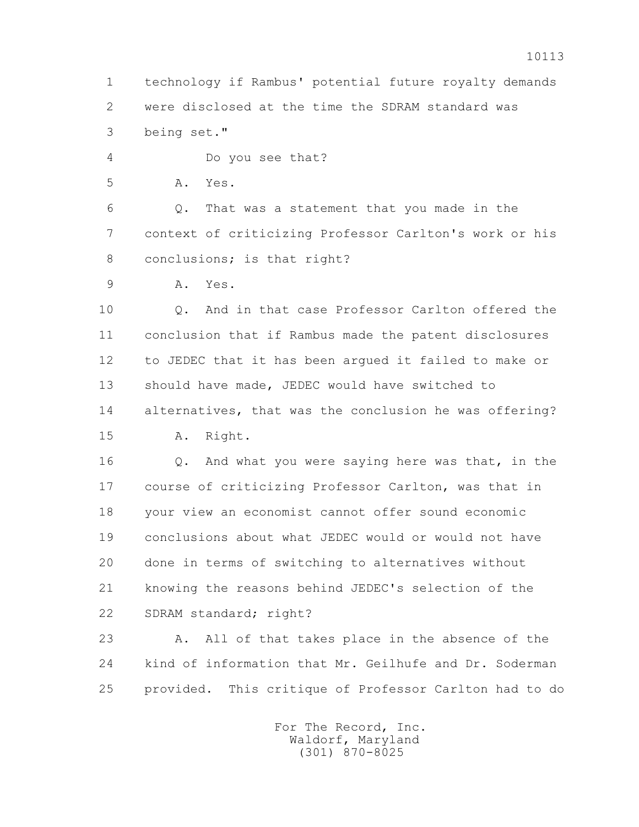1 technology if Rambus' potential future royalty demands 2 were disclosed at the time the SDRAM standard was 3 being set."

4 Do you see that?

5 A. Yes.

 6 Q. That was a statement that you made in the 7 context of criticizing Professor Carlton's work or his 8 conclusions; is that right?

9 A. Yes.

 10 Q. And in that case Professor Carlton offered the 11 conclusion that if Rambus made the patent disclosures 12 to JEDEC that it has been argued it failed to make or 13 should have made, JEDEC would have switched to 14 alternatives, that was the conclusion he was offering? 15 A. Right.

 16 Q. And what you were saying here was that, in the 17 course of criticizing Professor Carlton, was that in 18 your view an economist cannot offer sound economic 19 conclusions about what JEDEC would or would not have 20 done in terms of switching to alternatives without 21 knowing the reasons behind JEDEC's selection of the 22 SDRAM standard; right?

 23 A. All of that takes place in the absence of the 24 kind of information that Mr. Geilhufe and Dr. Soderman 25 provided. This critique of Professor Carlton had to do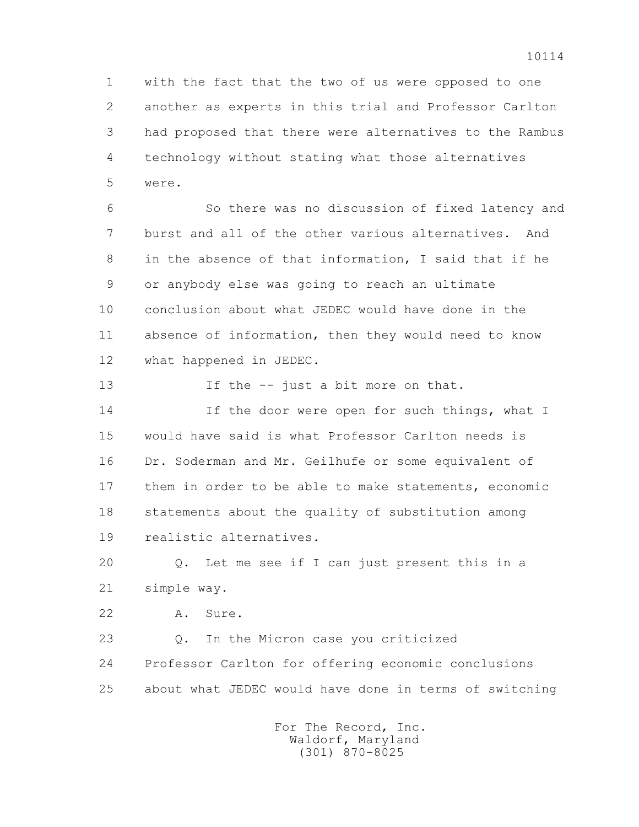1 with the fact that the two of us were opposed to one 2 another as experts in this trial and Professor Carlton 3 had proposed that there were alternatives to the Rambus 4 technology without stating what those alternatives 5 were.

 6 So there was no discussion of fixed latency and 7 burst and all of the other various alternatives. And 8 in the absence of that information, I said that if he 9 or anybody else was going to reach an ultimate 10 conclusion about what JEDEC would have done in the 11 absence of information, then they would need to know 12 what happened in JEDEC.

13 If the -- just a bit more on that. 14 If the door were open for such things, what I 15 would have said is what Professor Carlton needs is 16 Dr. Soderman and Mr. Geilhufe or some equivalent of 17 them in order to be able to make statements, economic 18 statements about the quality of substitution among 19 realistic alternatives.

 20 Q. Let me see if I can just present this in a 21 simple way.

22 A. Sure.

 23 Q. In the Micron case you criticized 24 Professor Carlton for offering economic conclusions 25 about what JEDEC would have done in terms of switching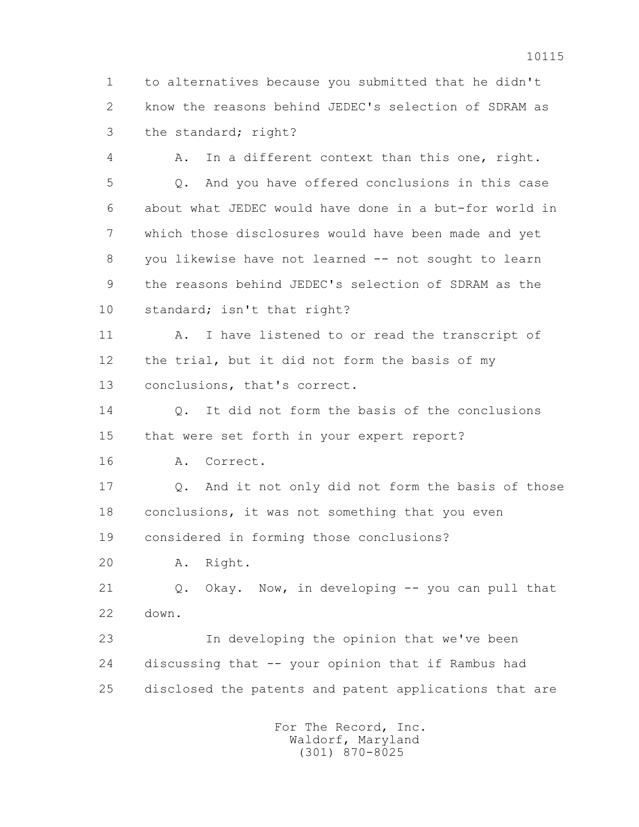1 to alternatives because you submitted that he didn't 2 know the reasons behind JEDEC's selection of SDRAM as 3 the standard; right?

 4 A. In a different context than this one, right. 5 Q. And you have offered conclusions in this case 6 about what JEDEC would have done in a but-for world in 7 which those disclosures would have been made and yet 8 you likewise have not learned -- not sought to learn 9 the reasons behind JEDEC's selection of SDRAM as the 10 standard; isn't that right?

 11 A. I have listened to or read the transcript of 12 the trial, but it did not form the basis of my 13 conclusions, that's correct.

 14 Q. It did not form the basis of the conclusions 15 that were set forth in your expert report?

16 A. Correct.

 17 Q. And it not only did not form the basis of those 18 conclusions, it was not something that you even 19 considered in forming those conclusions?

20 A. Right.

21 Q. Okay. Now, in developing -- you can pull that 22 down.

 23 In developing the opinion that we've been 24 discussing that -- your opinion that if Rambus had 25 disclosed the patents and patent applications that are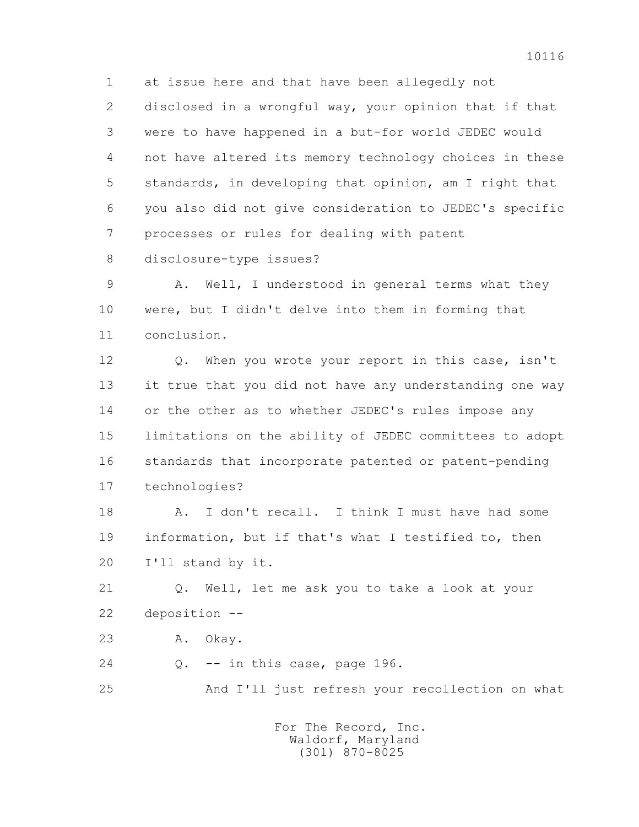1 at issue here and that have been allegedly not 2 disclosed in a wrongful way, your opinion that if that 3 were to have happened in a but-for world JEDEC would 4 not have altered its memory technology choices in these 5 standards, in developing that opinion, am I right that 6 you also did not give consideration to JEDEC's specific 7 processes or rules for dealing with patent

8 disclosure-type issues?

 9 A. Well, I understood in general terms what they 10 were, but I didn't delve into them in forming that 11 conclusion.

 12 Q. When you wrote your report in this case, isn't 13 it true that you did not have any understanding one way 14 or the other as to whether JEDEC's rules impose any 15 limitations on the ability of JEDEC committees to adopt 16 standards that incorporate patented or patent-pending 17 technologies?

18 A. I don't recall. I think I must have had some 19 information, but if that's what I testified to, then 20 I'll stand by it.

 21 Q. Well, let me ask you to take a look at your 22 deposition --

23 A. Okay.

 $24$  0.  $-$  in this case, page 196.

25 And I'll just refresh your recollection on what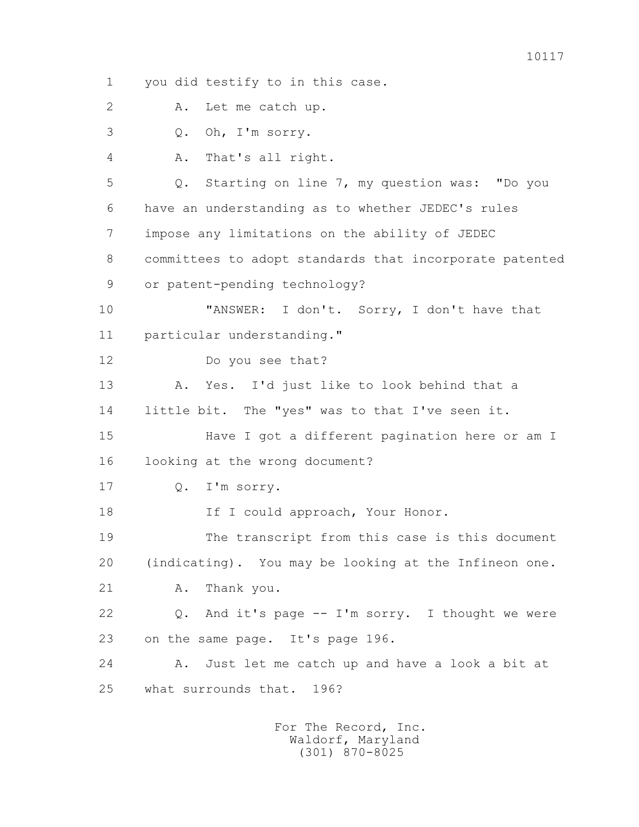1 you did testify to in this case. 2 A. Let me catch up. 3 Q. Oh, I'm sorry. 4 A. That's all right. 5 Q. Starting on line 7, my question was: "Do you 6 have an understanding as to whether JEDEC's rules 7 impose any limitations on the ability of JEDEC 8 committees to adopt standards that incorporate patented 9 or patent-pending technology? 10 "ANSWER: I don't. Sorry, I don't have that 11 particular understanding." 12 Do you see that? 13 A. Yes. I'd just like to look behind that a 14 little bit. The "yes" was to that I've seen it. 15 Have I got a different pagination here or am I 16 looking at the wrong document? 17 Q. I'm sorry. 18 If I could approach, Your Honor. 19 The transcript from this case is this document 20 (indicating). You may be looking at the Infineon one. 21 A. Thank you. 22 Q. And it's page -- I'm sorry. I thought we were 23 on the same page. It's page 196. 24 A. Just let me catch up and have a look a bit at 25 what surrounds that. 196?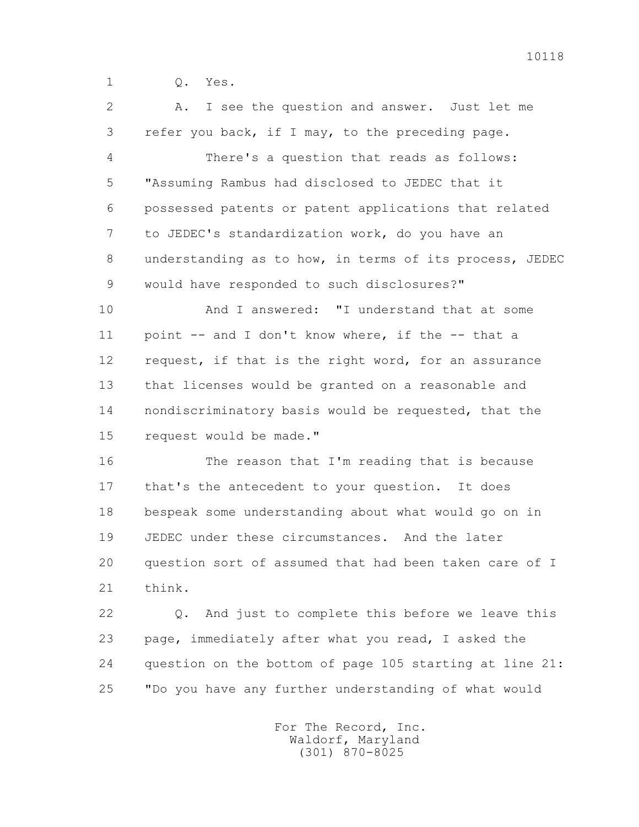1 Q. Yes.

 2 A. I see the question and answer. Just let me 3 refer you back, if I may, to the preceding page. 4 There's a question that reads as follows: 5 "Assuming Rambus had disclosed to JEDEC that it 6 possessed patents or patent applications that related 7 to JEDEC's standardization work, do you have an 8 understanding as to how, in terms of its process, JEDEC 9 would have responded to such disclosures?" 10 And I answered: "I understand that at some 11 point -- and I don't know where, if the -- that a 12 request, if that is the right word, for an assurance 13 that licenses would be granted on a reasonable and 14 nondiscriminatory basis would be requested, that the 15 request would be made." 16 The reason that I'm reading that is because 17 that's the antecedent to your question. It does 18 bespeak some understanding about what would go on in 19 JEDEC under these circumstances. And the later 20 question sort of assumed that had been taken care of I 21 think.

 22 Q. And just to complete this before we leave this 23 page, immediately after what you read, I asked the 24 question on the bottom of page 105 starting at line 21: 25 "Do you have any further understanding of what would

> For The Record, Inc. Waldorf, Maryland (301) 870-8025

10118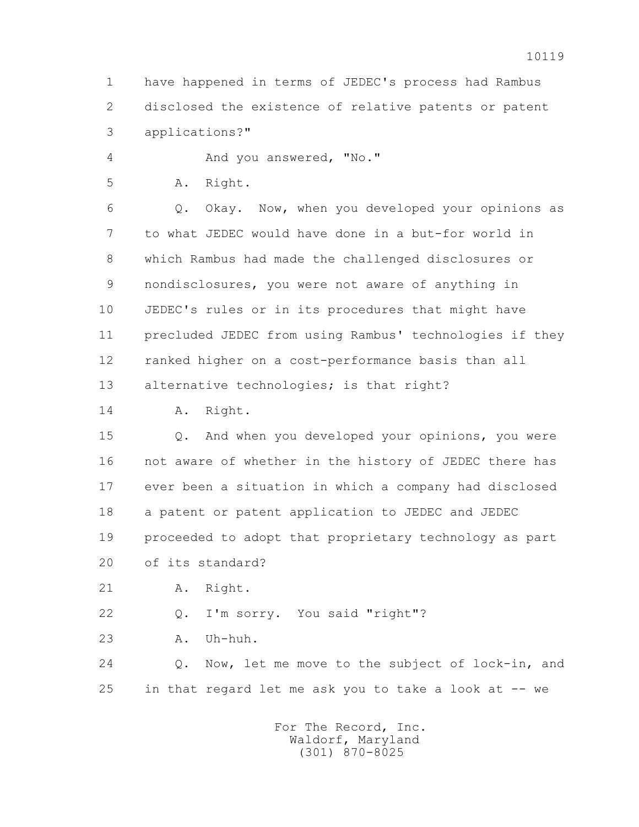1 have happened in terms of JEDEC's process had Rambus 2 disclosed the existence of relative patents or patent 3 applications?"

4 And you answered, "No."

5 A. Right.

 6 Q. Okay. Now, when you developed your opinions as 7 to what JEDEC would have done in a but-for world in 8 which Rambus had made the challenged disclosures or 9 nondisclosures, you were not aware of anything in 10 JEDEC's rules or in its procedures that might have 11 precluded JEDEC from using Rambus' technologies if they 12 ranked higher on a cost-performance basis than all 13 alternative technologies; is that right?

14 A. Right.

 15 Q. And when you developed your opinions, you were 16 not aware of whether in the history of JEDEC there has 17 ever been a situation in which a company had disclosed 18 a patent or patent application to JEDEC and JEDEC 19 proceeded to adopt that proprietary technology as part 20 of its standard?

21 A. Right.

22 Q. I'm sorry. You said "right"?

23 A. Uh-huh.

 24 Q. Now, let me move to the subject of lock-in, and 25 in that regard let me ask you to take a look at -- we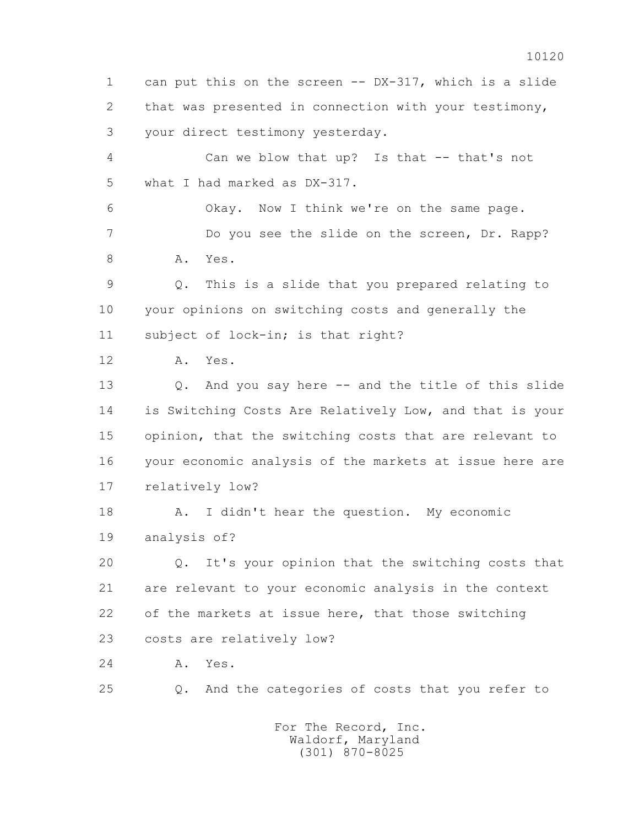1 can put this on the screen -- DX-317, which is a slide 2 that was presented in connection with your testimony, 3 your direct testimony yesterday. 4 Can we blow that up? Is that -- that's not 5 what I had marked as DX-317. 6 Okay. Now I think we're on the same page. 7 Do you see the slide on the screen, Dr. Rapp? 8 A. Yes. 9 Q. This is a slide that you prepared relating to 10 your opinions on switching costs and generally the 11 subject of lock-in; is that right? 12 A. Yes. 13 Q. And you say here -- and the title of this slide 14 is Switching Costs Are Relatively Low, and that is your 15 opinion, that the switching costs that are relevant to 16 your economic analysis of the markets at issue here are 17 relatively low? 18 A. I didn't hear the question. My economic 19 analysis of? 20 Q. It's your opinion that the switching costs that 21 are relevant to your economic analysis in the context 22 of the markets at issue here, that those switching 23 costs are relatively low? 24 A. Yes. 25 Q. And the categories of costs that you refer to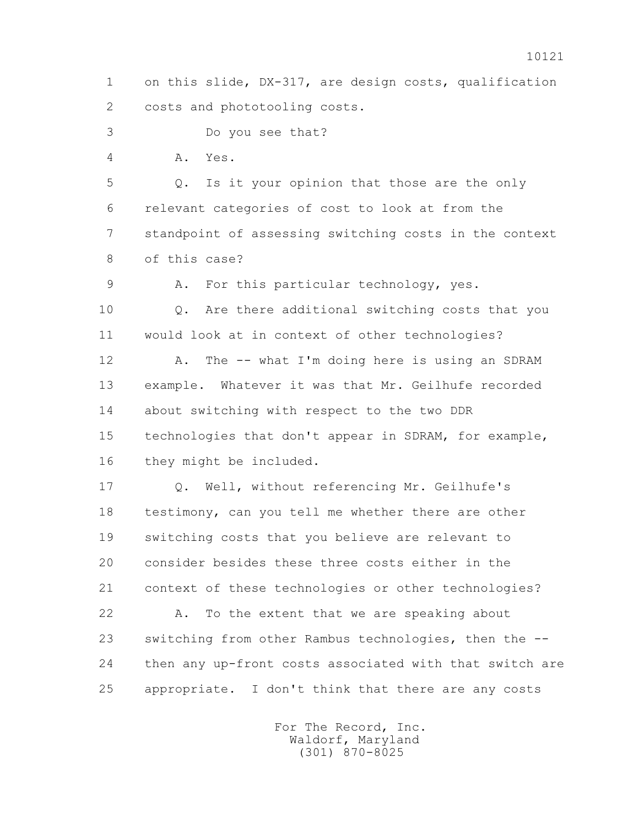1 on this slide, DX-317, are design costs, qualification 2 costs and phototooling costs.

3 Do you see that?

4 A. Yes.

 5 Q. Is it your opinion that those are the only 6 relevant categories of cost to look at from the 7 standpoint of assessing switching costs in the context 8 of this case?

9 A. For this particular technology, yes.

 10 Q. Are there additional switching costs that you 11 would look at in context of other technologies?

12 A. The -- what I'm doing here is using an SDRAM 13 example. Whatever it was that Mr. Geilhufe recorded 14 about switching with respect to the two DDR 15 technologies that don't appear in SDRAM, for example, 16 they might be included.

 17 Q. Well, without referencing Mr. Geilhufe's 18 testimony, can you tell me whether there are other 19 switching costs that you believe are relevant to 20 consider besides these three costs either in the 21 context of these technologies or other technologies?

 22 A. To the extent that we are speaking about 23 switching from other Rambus technologies, then the -- 24 then any up-front costs associated with that switch are 25 appropriate. I don't think that there are any costs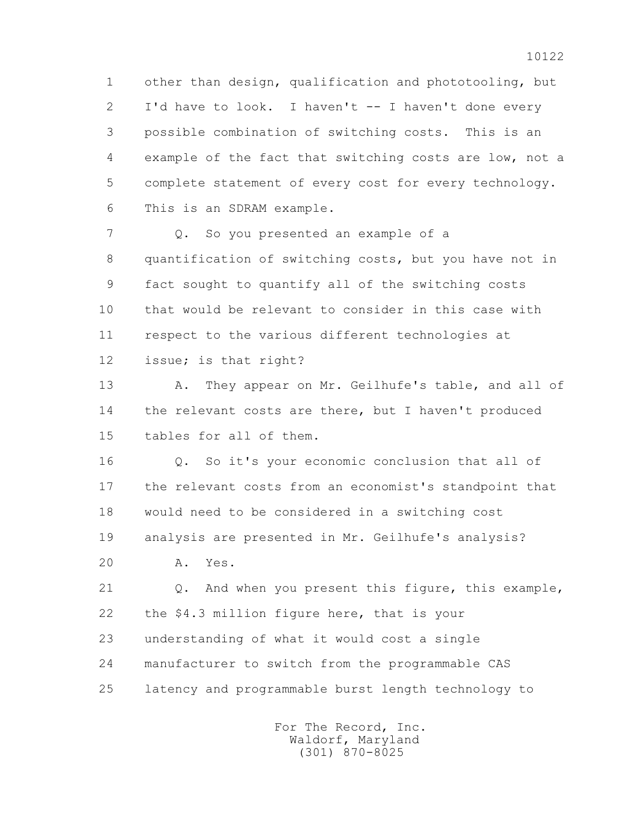1 other than design, qualification and phototooling, but 2 I'd have to look. I haven't -- I haven't done every 3 possible combination of switching costs. This is an 4 example of the fact that switching costs are low, not a 5 complete statement of every cost for every technology. 6 This is an SDRAM example.

7 and Q. So you presented an example of a 8 quantification of switching costs, but you have not in 9 fact sought to quantify all of the switching costs 10 that would be relevant to consider in this case with 11 respect to the various different technologies at 12 issue; is that right?

 13 A. They appear on Mr. Geilhufe's table, and all of 14 the relevant costs are there, but I haven't produced 15 tables for all of them.

 16 Q. So it's your economic conclusion that all of 17 the relevant costs from an economist's standpoint that 18 would need to be considered in a switching cost 19 analysis are presented in Mr. Geilhufe's analysis?

20 A. Yes.

 21 Q. And when you present this figure, this example, 22 the \$4.3 million figure here, that is your 23 understanding of what it would cost a single 24 manufacturer to switch from the programmable CAS 25 latency and programmable burst length technology to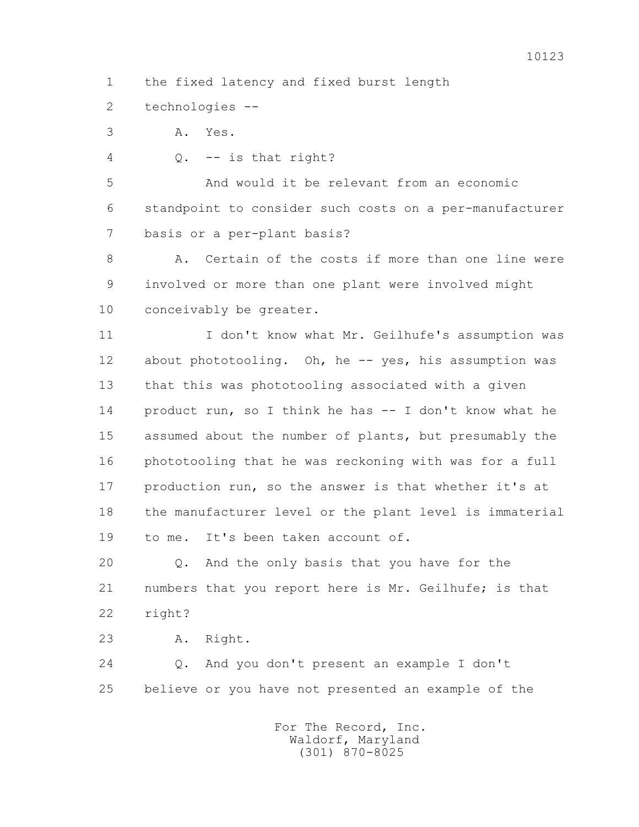- 1 the fixed latency and fixed burst length
- 2 technologies --
- 3 A. Yes.
- 4 Q. -- is that right?

 5 And would it be relevant from an economic 6 standpoint to consider such costs on a per-manufacturer 7 basis or a per-plant basis?

8 A. Certain of the costs if more than one line were 9 involved or more than one plant were involved might 10 conceivably be greater.

 11 I don't know what Mr. Geilhufe's assumption was 12 about phototooling. Oh, he -- yes, his assumption was 13 that this was phototooling associated with a given 14 product run, so I think he has -- I don't know what he 15 assumed about the number of plants, but presumably the 16 phototooling that he was reckoning with was for a full 17 production run, so the answer is that whether it's at 18 the manufacturer level or the plant level is immaterial 19 to me. It's been taken account of.

 20 Q. And the only basis that you have for the 21 numbers that you report here is Mr. Geilhufe; is that 22 right?

23 A. Right.

 24 Q. And you don't present an example I don't 25 believe or you have not presented an example of the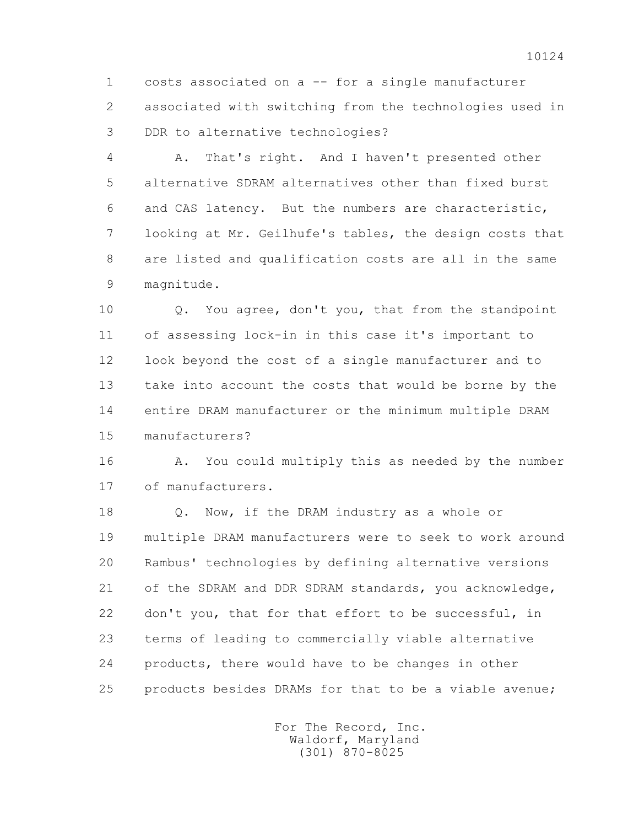1 costs associated on a -- for a single manufacturer 2 associated with switching from the technologies used in 3 DDR to alternative technologies?

 4 A. That's right. And I haven't presented other 5 alternative SDRAM alternatives other than fixed burst 6 and CAS latency. But the numbers are characteristic, 7 looking at Mr. Geilhufe's tables, the design costs that 8 are listed and qualification costs are all in the same 9 magnitude.

 10 Q. You agree, don't you, that from the standpoint 11 of assessing lock-in in this case it's important to 12 look beyond the cost of a single manufacturer and to 13 take into account the costs that would be borne by the 14 entire DRAM manufacturer or the minimum multiple DRAM 15 manufacturers?

 16 A. You could multiply this as needed by the number 17 of manufacturers.

 18 Q. Now, if the DRAM industry as a whole or 19 multiple DRAM manufacturers were to seek to work around 20 Rambus' technologies by defining alternative versions 21 of the SDRAM and DDR SDRAM standards, you acknowledge, 22 don't you, that for that effort to be successful, in 23 terms of leading to commercially viable alternative 24 products, there would have to be changes in other 25 products besides DRAMs for that to be a viable avenue;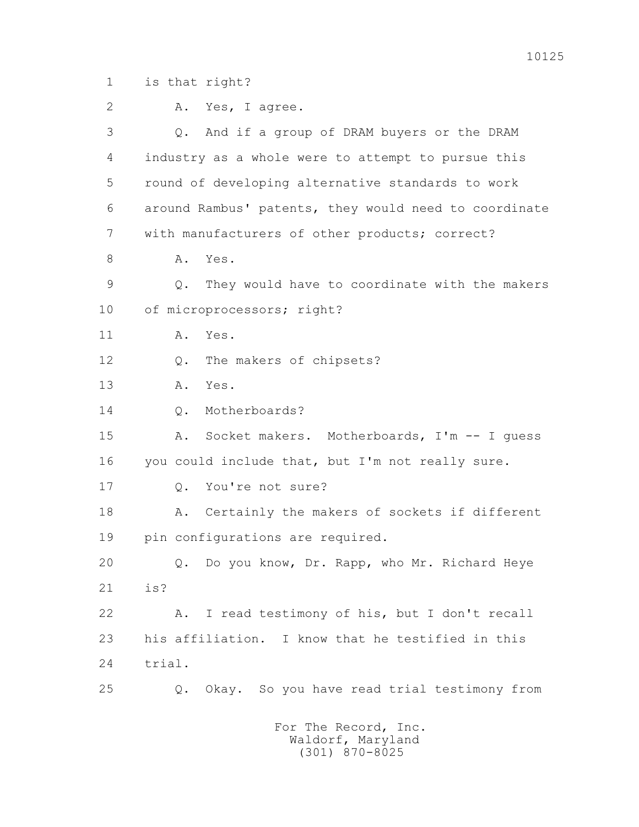1 is that right?

| $\overline{2}$ | Yes, I agree.<br>Α.                                   |
|----------------|-------------------------------------------------------|
| 3              | Q. And if a group of DRAM buyers or the DRAM          |
| 4              | industry as a whole were to attempt to pursue this    |
| 5              | round of developing alternative standards to work     |
| 6              | around Rambus' patents, they would need to coordinate |
| $7\phantom{.}$ | with manufacturers of other products; correct?        |
| 8              | Yes.<br>Α.                                            |
| $\mathcal{G}$  | They would have to coordinate with the makers<br>Q.   |
| 10             | of microprocessors; right?                            |
| 11             | Yes.<br>Α.                                            |
| 12             | The makers of chipsets?<br>Q.                         |
| 13             | Yes.<br>Α.                                            |
| 14             | Motherboards?<br>Q.                                   |
| 15             | Socket makers. Motherboards, I'm -- I quess<br>Α.     |
| 16             | you could include that, but I'm not really sure.      |
| 17             | You're not sure?<br>$Q_{\bullet}$                     |
| 18             | Certainly the makers of sockets if different<br>Α.    |
| 19             | pin configurations are required.                      |
| 20             | Q. Do you know, Dr. Rapp, who Mr. Richard Heye        |
| 21             | is?                                                   |
| 22             | I read testimony of his, but I don't recall<br>Α.     |
| 23             | his affiliation. I know that he testified in this     |
| 24             | trial.                                                |
| 25             | Okay. So you have read trial testimony from<br>Q.     |
|                |                                                       |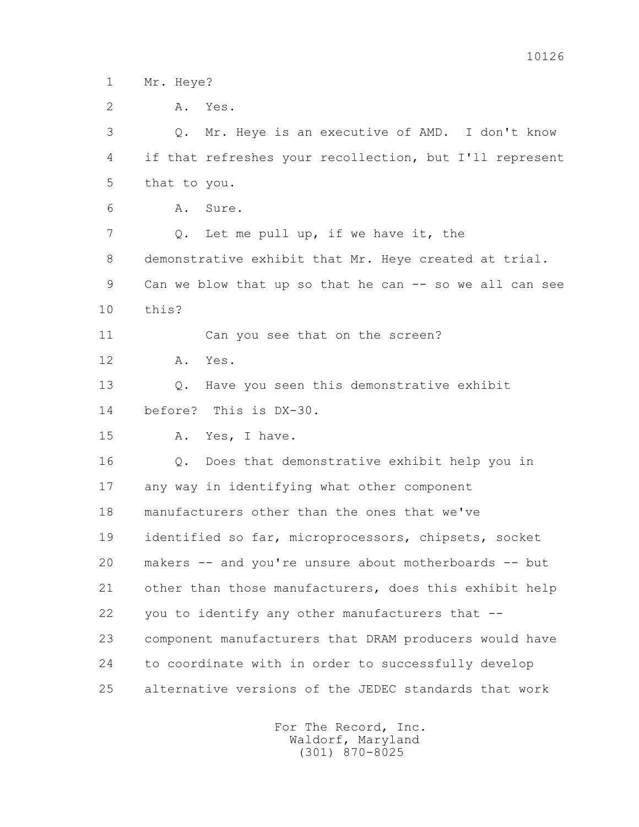1 Mr. Heye?

 3 Q. Mr. Heye is an executive of AMD. I don't know 4 if that refreshes your recollection, but I'll represent 5 that to you.

6 A. Sure.

 7 Q. Let me pull up, if we have it, the 8 demonstrative exhibit that Mr. Heye created at trial. 9 Can we blow that up so that he can -- so we all can see 10 this?

11 Can you see that on the screen?

12 A. Yes.

 13 Q. Have you seen this demonstrative exhibit 14 before? This is DX-30.

15 A. Yes, I have.

 16 Q. Does that demonstrative exhibit help you in 17 any way in identifying what other component 18 manufacturers other than the ones that we've 19 identified so far, microprocessors, chipsets, socket 20 makers -- and you're unsure about motherboards -- but 21 other than those manufacturers, does this exhibit help 22 you to identify any other manufacturers that -- 23 component manufacturers that DRAM producers would have 24 to coordinate with in order to successfully develop 25 alternative versions of the JEDEC standards that work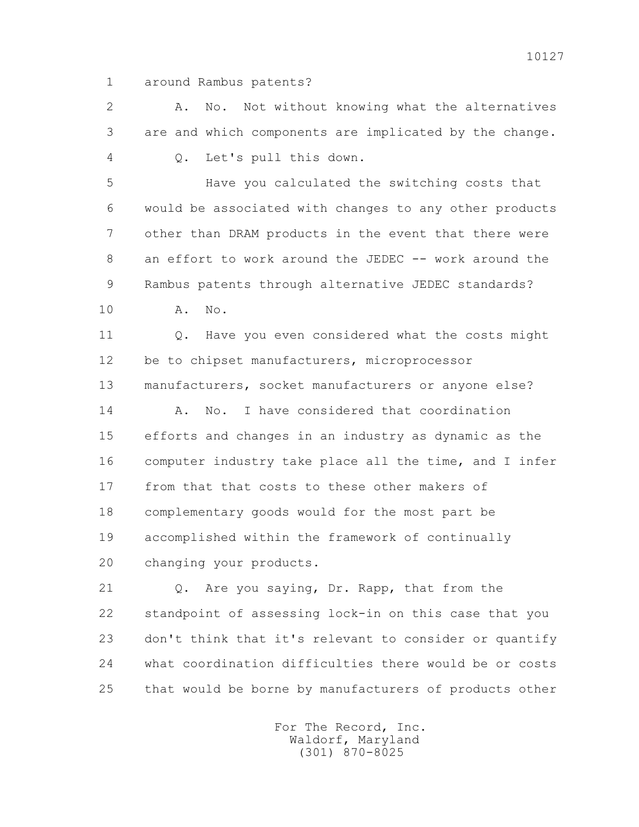1 around Rambus patents?

 2 A. No. Not without knowing what the alternatives 3 are and which components are implicated by the change.

4 Q. Let's pull this down.

 5 Have you calculated the switching costs that 6 would be associated with changes to any other products 7 other than DRAM products in the event that there were 8 an effort to work around the JEDEC -- work around the 9 Rambus patents through alternative JEDEC standards?

10 A. No.

 11 Q. Have you even considered what the costs might 12 be to chipset manufacturers, microprocessor 13 manufacturers, socket manufacturers or anyone else? 14 A. No. I have considered that coordination 15 efforts and changes in an industry as dynamic as the

 16 computer industry take place all the time, and I infer 17 from that that costs to these other makers of 18 complementary goods would for the most part be 19 accomplished within the framework of continually 20 changing your products.

 21 Q. Are you saying, Dr. Rapp, that from the 22 standpoint of assessing lock-in on this case that you 23 don't think that it's relevant to consider or quantify 24 what coordination difficulties there would be or costs 25 that would be borne by manufacturers of products other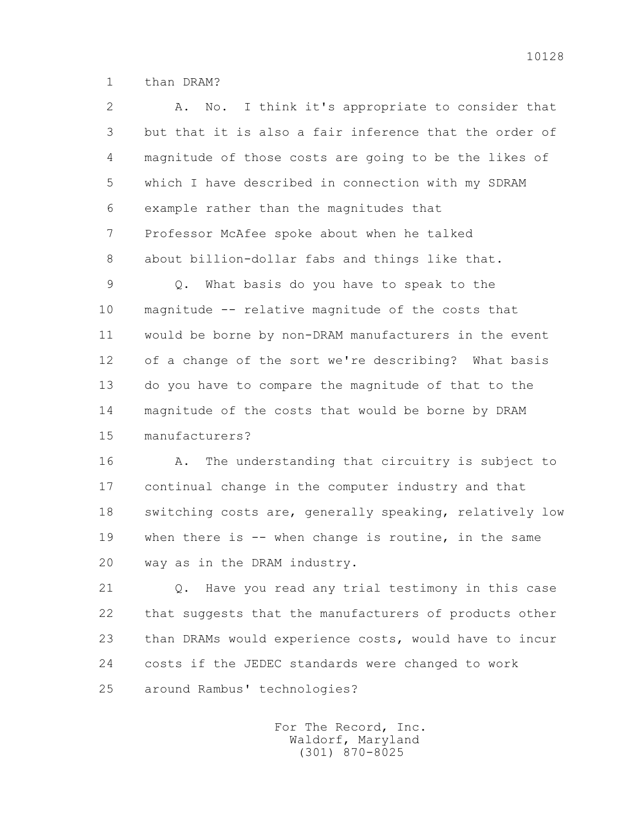1 than DRAM?

 2 A. No. I think it's appropriate to consider that 3 but that it is also a fair inference that the order of 4 magnitude of those costs are going to be the likes of 5 which I have described in connection with my SDRAM 6 example rather than the magnitudes that 7 Professor McAfee spoke about when he talked 8 about billion-dollar fabs and things like that. 9 Q. What basis do you have to speak to the 10 magnitude -- relative magnitude of the costs that 11 would be borne by non-DRAM manufacturers in the event 12 of a change of the sort we're describing? What basis 13 do you have to compare the magnitude of that to the 14 magnitude of the costs that would be borne by DRAM 15 manufacturers?

 16 A. The understanding that circuitry is subject to 17 continual change in the computer industry and that 18 switching costs are, generally speaking, relatively low 19 when there is -- when change is routine, in the same 20 way as in the DRAM industry.

 21 Q. Have you read any trial testimony in this case 22 that suggests that the manufacturers of products other 23 than DRAMs would experience costs, would have to incur 24 costs if the JEDEC standards were changed to work 25 around Rambus' technologies?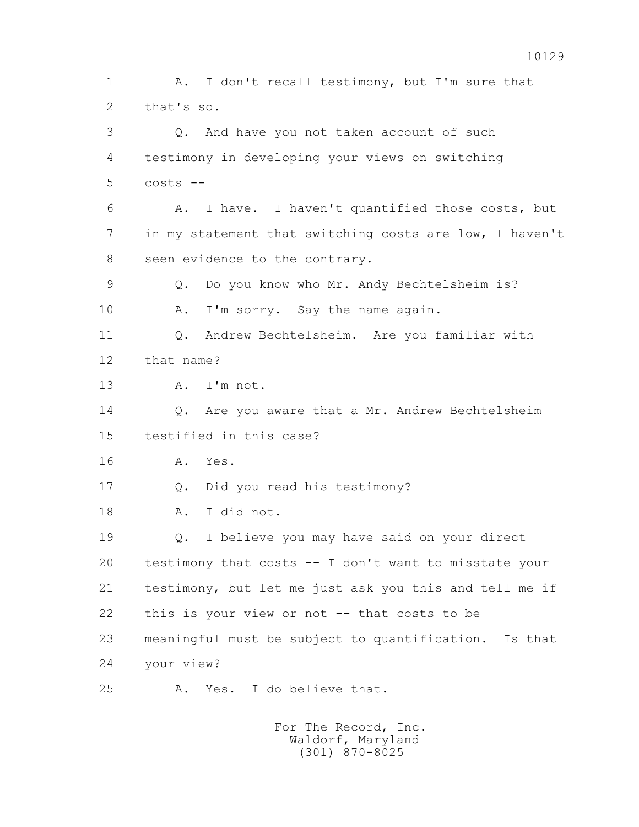1 A. I don't recall testimony, but I'm sure that 2 that's so. 3 Q. And have you not taken account of such 4 testimony in developing your views on switching  $5$  costs  $-$  6 A. I have. I haven't quantified those costs, but 7 in my statement that switching costs are low, I haven't 8 seen evidence to the contrary. 9 Q. Do you know who Mr. Andy Bechtelsheim is? 10 A. I'm sorry. Say the name again. 11 Q. Andrew Bechtelsheim. Are you familiar with 12 that name? 13 A. I'm not. 14 O. Are you aware that a Mr. Andrew Bechtelsheim 15 testified in this case? 16 A. Yes. 17 Q. Did you read his testimony? 18 A. I did not. 19 Q. I believe you may have said on your direct 20 testimony that costs -- I don't want to misstate your 21 testimony, but let me just ask you this and tell me if 22 this is your view or not -- that costs to be 23 meaningful must be subject to quantification. Is that 24 your view? 25 A. Yes. I do believe that.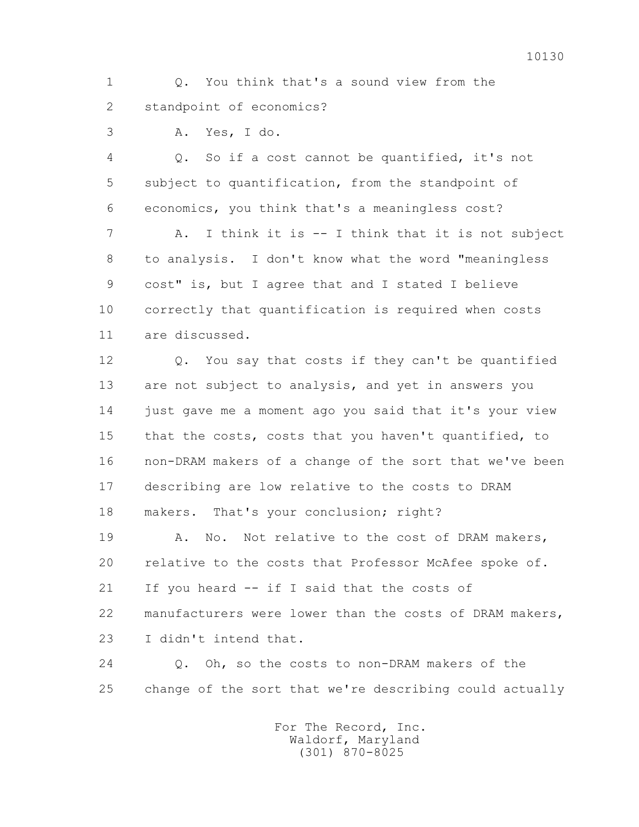1 Q. You think that's a sound view from the 2 standpoint of economics?

3 A. Yes, I do.

 4 Q. So if a cost cannot be quantified, it's not 5 subject to quantification, from the standpoint of 6 economics, you think that's a meaningless cost? 7 A. I think it is -- I think that it is not subject 8 to analysis. I don't know what the word "meaningless 9 cost" is, but I agree that and I stated I believe 10 correctly that quantification is required when costs 11 are discussed.

 12 Q. You say that costs if they can't be quantified 13 are not subject to analysis, and yet in answers you 14 just gave me a moment ago you said that it's your view 15 that the costs, costs that you haven't quantified, to 16 non-DRAM makers of a change of the sort that we've been 17 describing are low relative to the costs to DRAM 18 makers. That's your conclusion; right?

19 A. No. Not relative to the cost of DRAM makers, 20 relative to the costs that Professor McAfee spoke of. 21 If you heard -- if I said that the costs of 22 manufacturers were lower than the costs of DRAM makers, 23 I didn't intend that.

 24 Q. Oh, so the costs to non-DRAM makers of the 25 change of the sort that we're describing could actually

> For The Record, Inc. Waldorf, Maryland (301) 870-8025

10130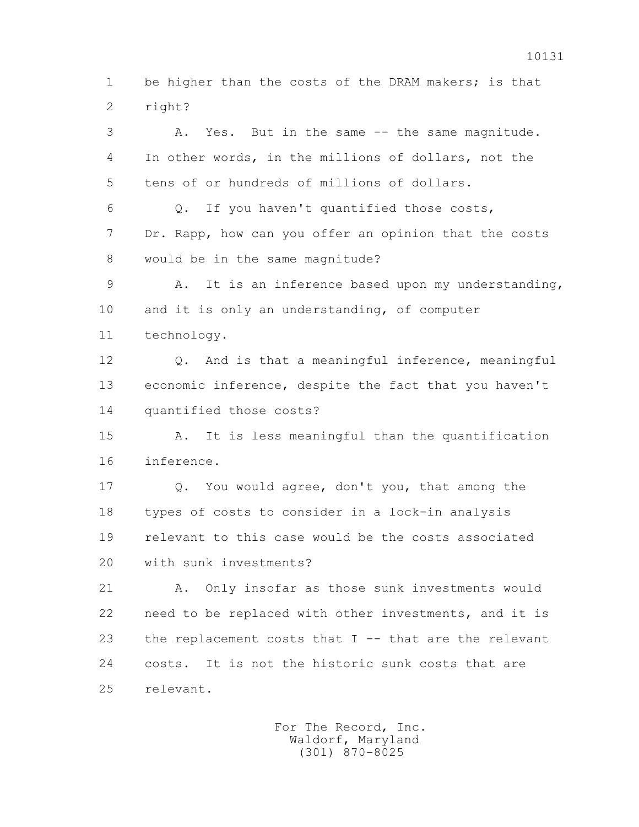1 be higher than the costs of the DRAM makers; is that 2 right?

 3 A. Yes. But in the same -- the same magnitude. 4 In other words, in the millions of dollars, not the 5 tens of or hundreds of millions of dollars. 6 Q. If you haven't quantified those costs, 7 Dr. Rapp, how can you offer an opinion that the costs 8 would be in the same magnitude? 9 A. It is an inference based upon my understanding, 10 and it is only an understanding, of computer 11 technology. 12 Q. And is that a meaningful inference, meaningful 13 economic inference, despite the fact that you haven't 14 quantified those costs? 15 A. It is less meaningful than the quantification 16 inference. 17 Q. You would agree, don't you, that among the 18 types of costs to consider in a lock-in analysis 19 relevant to this case would be the costs associated 20 with sunk investments? 21 A. Only insofar as those sunk investments would 22 need to be replaced with other investments, and it is 23 the replacement costs that I -- that are the relevant

 24 costs. It is not the historic sunk costs that are 25 relevant.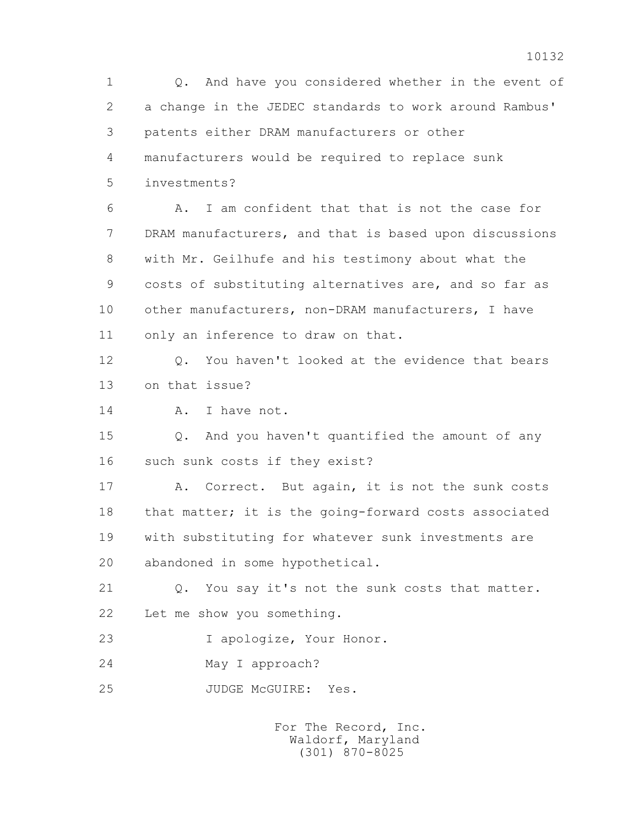1 Q. And have you considered whether in the event of 2 a change in the JEDEC standards to work around Rambus' 3 patents either DRAM manufacturers or other 4 manufacturers would be required to replace sunk 5 investments? 6 A. I am confident that that is not the case for 7 DRAM manufacturers, and that is based upon discussions 8 with Mr. Geilhufe and his testimony about what the 9 costs of substituting alternatives are, and so far as 10 other manufacturers, non-DRAM manufacturers, I have 11 only an inference to draw on that. 12 0. You haven't looked at the evidence that bears 13 on that issue? 14 A. I have not. 15 Q. And you haven't quantified the amount of any 16 such sunk costs if they exist? 17 A. Correct. But again, it is not the sunk costs 18 that matter; it is the going-forward costs associated 19 with substituting for whatever sunk investments are 20 abandoned in some hypothetical. 21 Q. You say it's not the sunk costs that matter. 22 Let me show you something. 23 I apologize, Your Honor. 24 May I approach? 25 JUDGE McGUIRE: Yes. For The Record, Inc.

 Waldorf, Maryland (301) 870-8025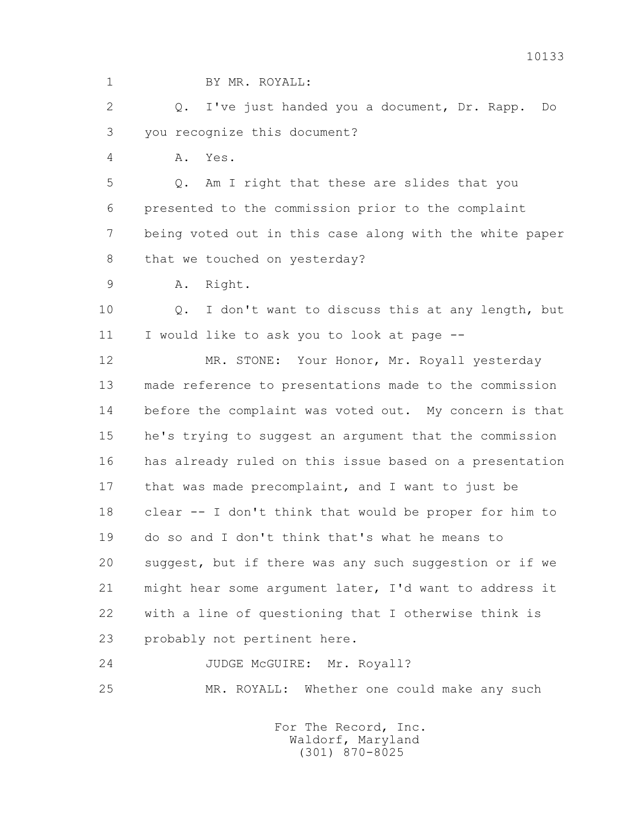1 BY MR. ROYALL:

 2 Q. I've just handed you a document, Dr. Rapp. Do 3 you recognize this document?

4 A. Yes.

 5 Q. Am I right that these are slides that you 6 presented to the commission prior to the complaint 7 being voted out in this case along with the white paper 8 that we touched on yesterday?

9 A. Right.

 10 Q. I don't want to discuss this at any length, but 11 I would like to ask you to look at page --

 12 MR. STONE: Your Honor, Mr. Royall yesterday 13 made reference to presentations made to the commission 14 before the complaint was voted out. My concern is that 15 he's trying to suggest an argument that the commission 16 has already ruled on this issue based on a presentation 17 that was made precomplaint, and I want to just be 18 clear -- I don't think that would be proper for him to 19 do so and I don't think that's what he means to 20 suggest, but if there was any such suggestion or if we 21 might hear some argument later, I'd want to address it 22 with a line of questioning that I otherwise think is 23 probably not pertinent here.

24 JUDGE McGUIRE: Mr. Royall? 25 MR. ROYALL: Whether one could make any such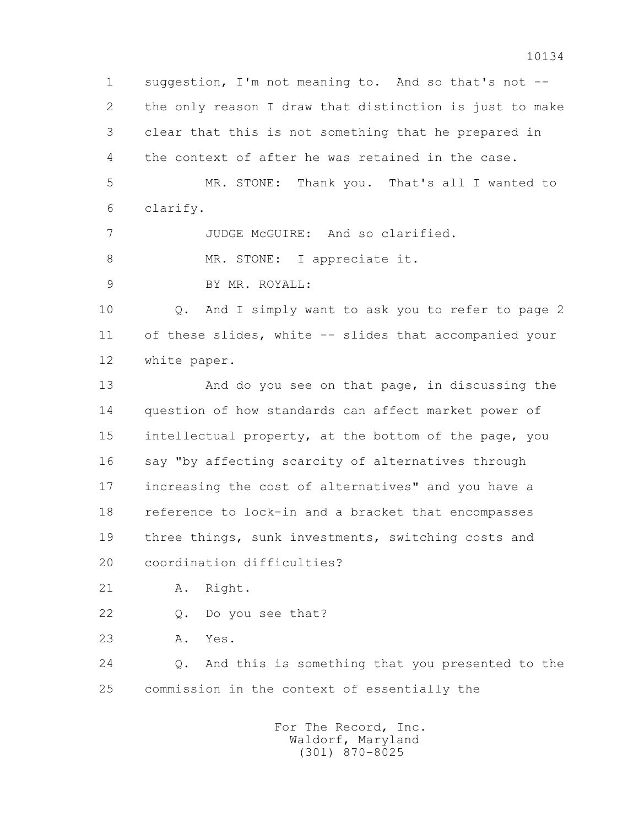1 suggestion, I'm not meaning to. And so that's not -- 2 the only reason I draw that distinction is just to make 3 clear that this is not something that he prepared in 4 the context of after he was retained in the case. 5 MR. STONE: Thank you. That's all I wanted to 6 clarify. 7 JUDGE McGUIRE: And so clarified. 8 MR. STONE: I appreciate it. 9 BY MR. ROYALL: 10 Q. And I simply want to ask you to refer to page 2 11 of these slides, white -- slides that accompanied your 12 white paper. 13 And do you see on that page, in discussing the 14 question of how standards can affect market power of 15 intellectual property, at the bottom of the page, you 16 say "by affecting scarcity of alternatives through 17 increasing the cost of alternatives" and you have a 18 reference to lock-in and a bracket that encompasses 19 three things, sunk investments, switching costs and 20 coordination difficulties? 21 A. Right. 22 Q. Do you see that? 23 A. Yes. 24 Q. And this is something that you presented to the 25 commission in the context of essentially the For The Record, Inc. Waldorf, Maryland

(301) 870-8025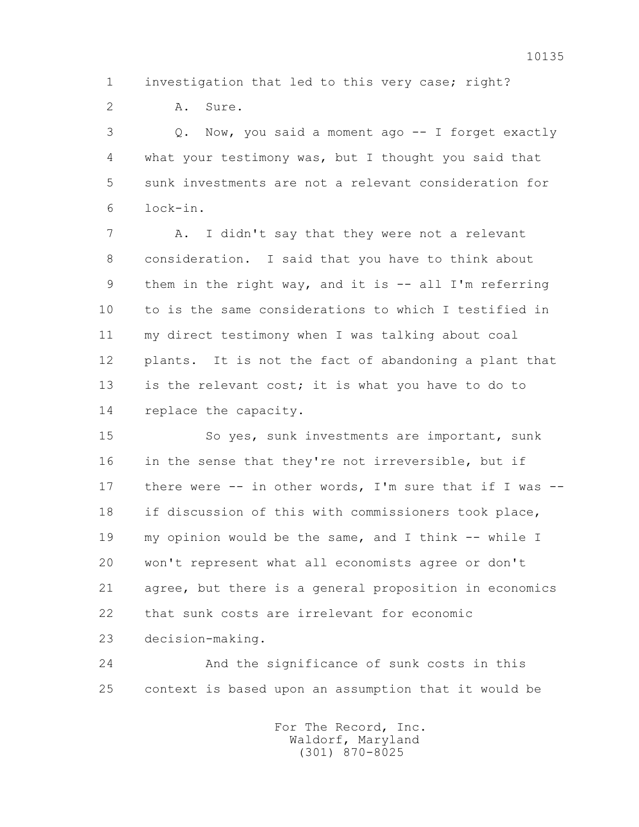1 investigation that led to this very case; right?

2 A. Sure.

 3 Q. Now, you said a moment ago -- I forget exactly 4 what your testimony was, but I thought you said that 5 sunk investments are not a relevant consideration for 6 lock-in.

 7 A. I didn't say that they were not a relevant 8 consideration. I said that you have to think about 9 them in the right way, and it is -- all I'm referring 10 to is the same considerations to which I testified in 11 my direct testimony when I was talking about coal 12 plants. It is not the fact of abandoning a plant that 13 is the relevant cost; it is what you have to do to 14 replace the capacity.

 15 So yes, sunk investments are important, sunk 16 in the sense that they're not irreversible, but if 17 there were -- in other words, I'm sure that if I was -- 18 if discussion of this with commissioners took place, 19 my opinion would be the same, and I think -- while I 20 won't represent what all economists agree or don't 21 agree, but there is a general proposition in economics 22 that sunk costs are irrelevant for economic 23 decision-making.

 24 And the significance of sunk costs in this 25 context is based upon an assumption that it would be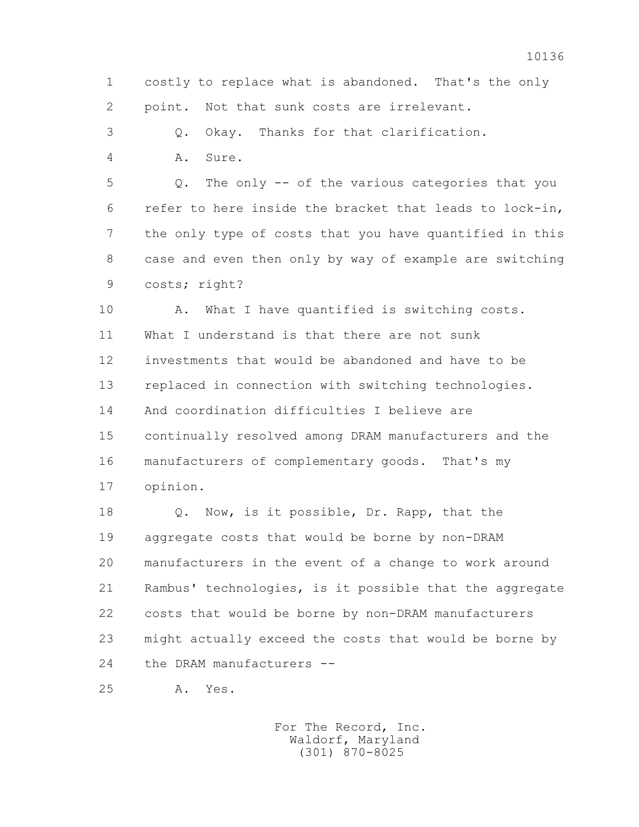1 costly to replace what is abandoned. That's the only 2 point. Not that sunk costs are irrelevant.

3 Q. Okay. Thanks for that clarification.

4 A. Sure.

 5 Q. The only -- of the various categories that you 6 refer to here inside the bracket that leads to lock-in, 7 the only type of costs that you have quantified in this 8 case and even then only by way of example are switching 9 costs; right?

 10 A. What I have quantified is switching costs. 11 What I understand is that there are not sunk 12 investments that would be abandoned and have to be 13 replaced in connection with switching technologies. 14 And coordination difficulties I believe are 15 continually resolved among DRAM manufacturers and the 16 manufacturers of complementary goods. That's my 17 opinion.

 18 Q. Now, is it possible, Dr. Rapp, that the 19 aggregate costs that would be borne by non-DRAM 20 manufacturers in the event of a change to work around 21 Rambus' technologies, is it possible that the aggregate 22 costs that would be borne by non-DRAM manufacturers 23 might actually exceed the costs that would be borne by 24 the DRAM manufacturers --

25 A. Yes.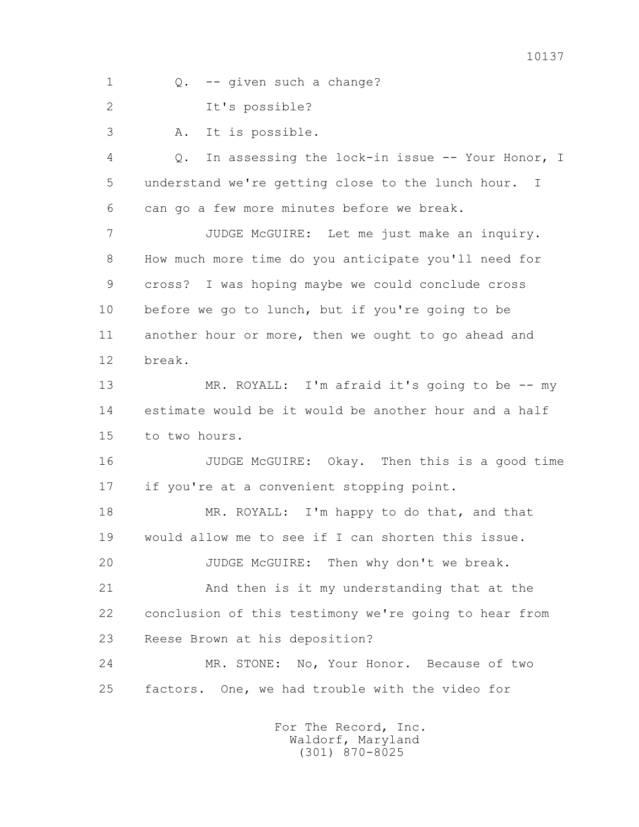1 Q. -- given such a change?

2 It's possible?

3 A. It is possible.

 4 Q. In assessing the lock-in issue -- Your Honor, I 5 understand we're getting close to the lunch hour. I 6 can go a few more minutes before we break.

 7 JUDGE McGUIRE: Let me just make an inquiry. 8 How much more time do you anticipate you'll need for 9 cross? I was hoping maybe we could conclude cross 10 before we go to lunch, but if you're going to be 11 another hour or more, then we ought to go ahead and 12 break.

 13 MR. ROYALL: I'm afraid it's going to be -- my 14 estimate would be it would be another hour and a half 15 to two hours.

 16 JUDGE McGUIRE: Okay. Then this is a good time 17 if you're at a convenient stopping point.

18 MR. ROYALL: I'm happy to do that, and that 19 would allow me to see if I can shorten this issue.

20 JUDGE McGUIRE: Then why don't we break.

 21 And then is it my understanding that at the 22 conclusion of this testimony we're going to hear from 23 Reese Brown at his deposition?

 24 MR. STONE: No, Your Honor. Because of two 25 factors. One, we had trouble with the video for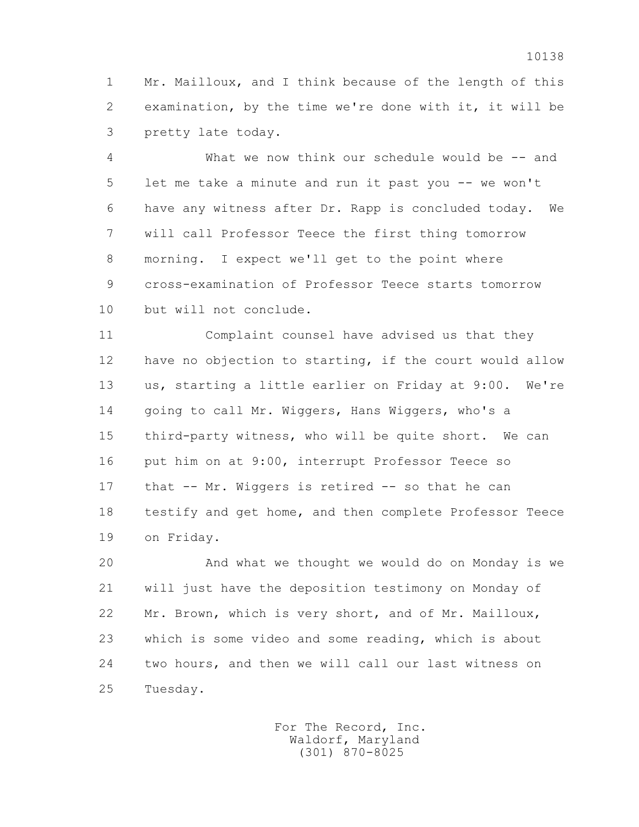1 Mr. Mailloux, and I think because of the length of this 2 examination, by the time we're done with it, it will be 3 pretty late today.

 4 What we now think our schedule would be -- and 5 let me take a minute and run it past you -- we won't 6 have any witness after Dr. Rapp is concluded today. We 7 will call Professor Teece the first thing tomorrow 8 morning. I expect we'll get to the point where 9 cross-examination of Professor Teece starts tomorrow 10 but will not conclude.

 11 Complaint counsel have advised us that they 12 have no objection to starting, if the court would allow 13 us, starting a little earlier on Friday at 9:00. We're 14 going to call Mr. Wiggers, Hans Wiggers, who's a 15 third-party witness, who will be quite short. We can 16 put him on at 9:00, interrupt Professor Teece so 17 that -- Mr. Wiggers is retired -- so that he can 18 testify and get home, and then complete Professor Teece 19 on Friday.

 20 And what we thought we would do on Monday is we 21 will just have the deposition testimony on Monday of 22 Mr. Brown, which is very short, and of Mr. Mailloux, 23 which is some video and some reading, which is about 24 two hours, and then we will call our last witness on 25 Tuesday.

> For The Record, Inc. Waldorf, Maryland (301) 870-8025

10138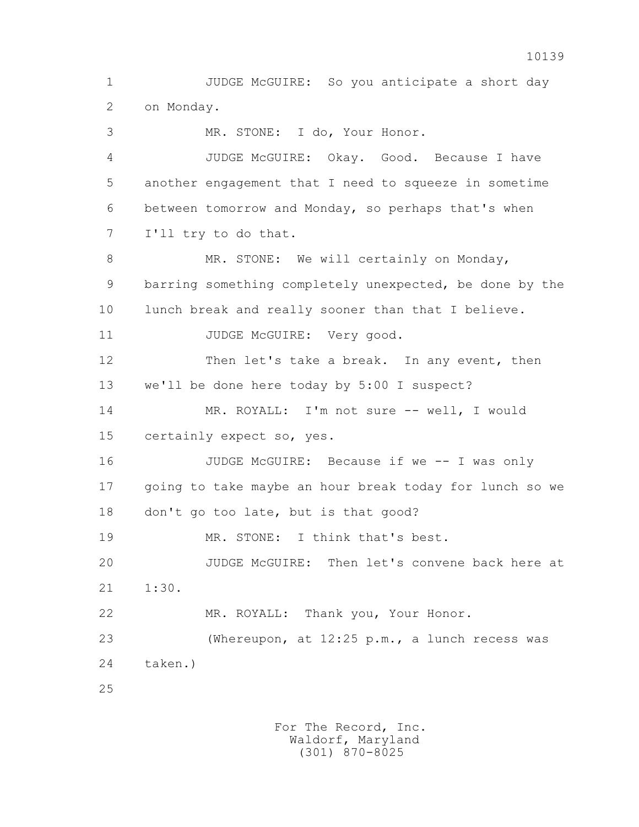1 JUDGE McGUIRE: So you anticipate a short day 2 on Monday. 3 MR. STONE: I do, Your Honor. 4 JUDGE McGUIRE: Okay. Good. Because I have 5 another engagement that I need to squeeze in sometime 6 between tomorrow and Monday, so perhaps that's when 7 I'll try to do that. 8 MR. STONE: We will certainly on Monday, 9 barring something completely unexpected, be done by the 10 lunch break and really sooner than that I believe. 11 JUDGE McGUIRE: Very good. 12 Then let's take a break. In any event, then 13 we'll be done here today by 5:00 I suspect? 14 MR. ROYALL: I'm not sure -- well, I would 15 certainly expect so, yes. 16 JUDGE McGUIRE: Because if we -- I was only 17 going to take maybe an hour break today for lunch so we 18 don't go too late, but is that good? 19 MR. STONE: I think that's best. 20 JUDGE McGUIRE: Then let's convene back here at 21 1:30. 22 MR. ROYALL: Thank you, Your Honor. 23 (Whereupon, at 12:25 p.m., a lunch recess was 24 taken.) 25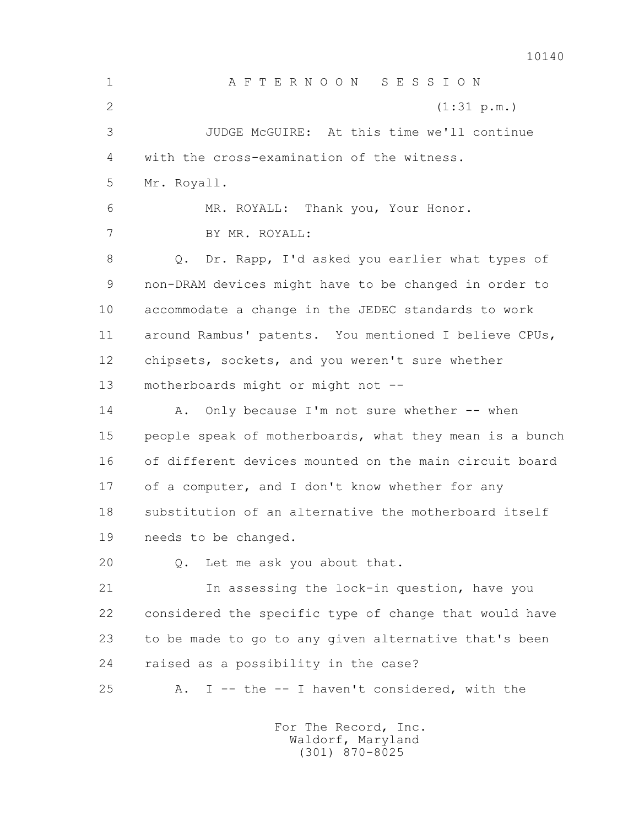10140 1 A F T E R N O O N S E S S I O N 2 (1:31 p.m.) 3 JUDGE McGUIRE: At this time we'll continue 4 with the cross-examination of the witness. 5 Mr. Royall. 6 MR. ROYALL: Thank you, Your Honor. 7 BY MR. ROYALL: 8 Q. Dr. Rapp, I'd asked you earlier what types of 9 non-DRAM devices might have to be changed in order to 10 accommodate a change in the JEDEC standards to work 11 around Rambus' patents. You mentioned I believe CPUs, 12 chipsets, sockets, and you weren't sure whether 13 motherboards might or might not -- 14 A. Only because I'm not sure whether -- when 15 people speak of motherboards, what they mean is a bunch 16 of different devices mounted on the main circuit board 17 of a computer, and I don't know whether for any 18 substitution of an alternative the motherboard itself 19 needs to be changed. 20 Q. Let me ask you about that. 21 In assessing the lock-in question, have you 22 considered the specific type of change that would have 23 to be made to go to any given alternative that's been

24 raised as a possibility in the case?

25 A. I -- the -- I haven't considered, with the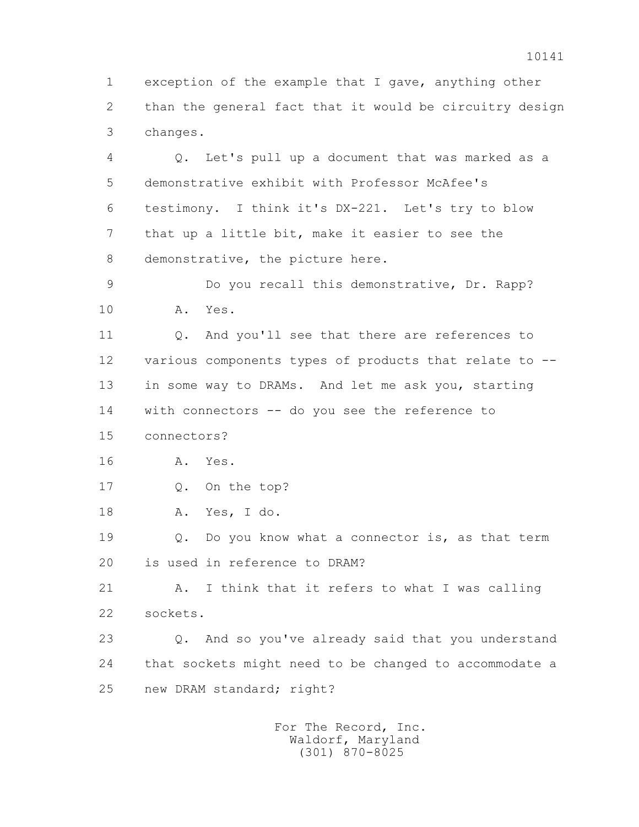1 exception of the example that I gave, anything other 2 than the general fact that it would be circuitry design 3 changes.

 4 Q. Let's pull up a document that was marked as a 5 demonstrative exhibit with Professor McAfee's 6 testimony. I think it's DX-221. Let's try to blow 7 that up a little bit, make it easier to see the 8 demonstrative, the picture here.

 9 Do you recall this demonstrative, Dr. Rapp? 10 A. Yes.

 11 Q. And you'll see that there are references to 12 various components types of products that relate to -- 13 in some way to DRAMs. And let me ask you, starting 14 with connectors -- do you see the reference to

15 connectors?

16 A. Yes.

17 Q. On the top?

18 A. Yes, I do.

 19 Q. Do you know what a connector is, as that term 20 is used in reference to DRAM?

 21 A. I think that it refers to what I was calling 22 sockets.

 23 Q. And so you've already said that you understand 24 that sockets might need to be changed to accommodate a 25 new DRAM standard; right?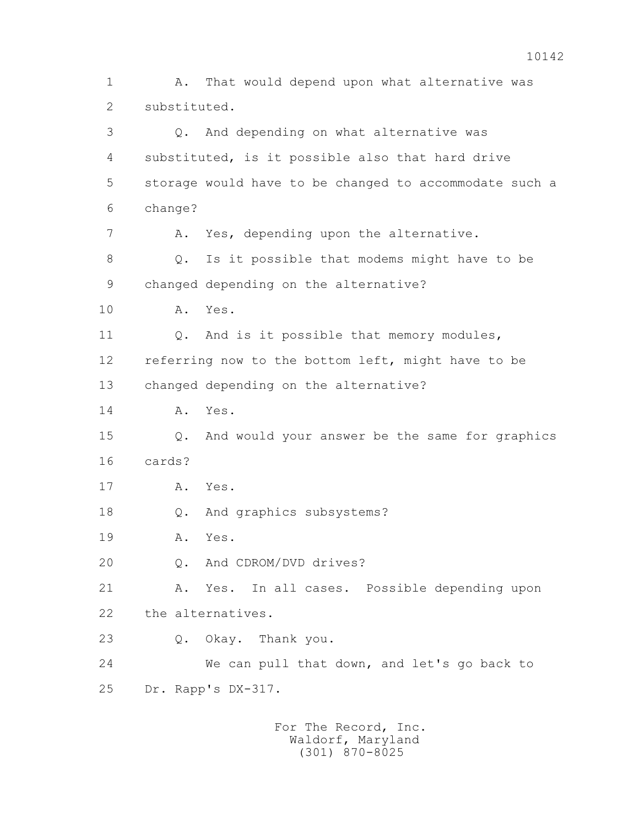1 A. That would depend upon what alternative was 2 substituted. 3 Q. And depending on what alternative was 4 substituted, is it possible also that hard drive 5 storage would have to be changed to accommodate such a 6 change? 7 A. Yes, depending upon the alternative. 8 Q. Is it possible that modems might have to be 9 changed depending on the alternative? 10 A. Yes. 11 Q. And is it possible that memory modules, 12 referring now to the bottom left, might have to be 13 changed depending on the alternative? 14 A. Yes. 15 Q. And would your answer be the same for graphics 16 cards? 17 A. Yes. 18 Q. And graphics subsystems? 19 A. Yes. 20 Q. And CDROM/DVD drives? 21 A. Yes. In all cases. Possible depending upon 22 the alternatives. 23 Q. Okay. Thank you. 24 We can pull that down, and let's go back to 25 Dr. Rapp's DX-317.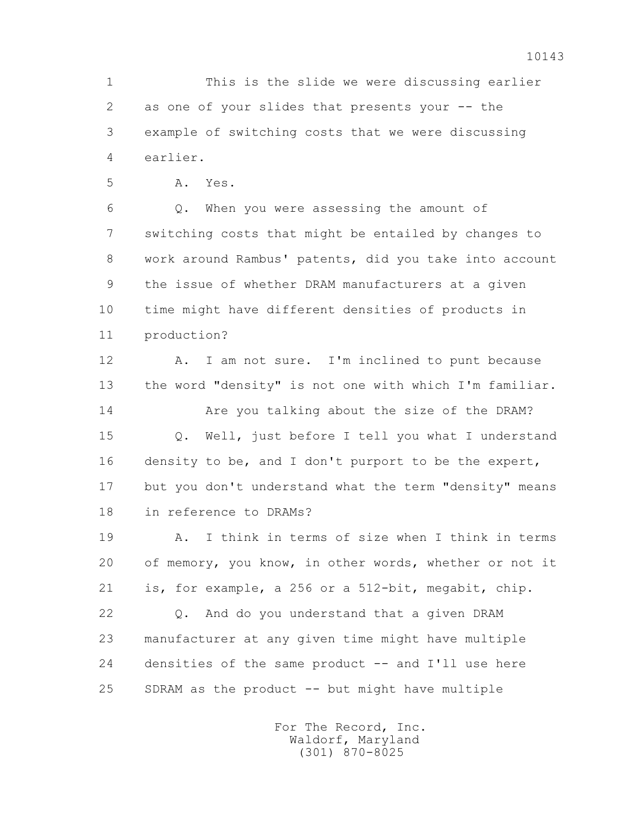1 This is the slide we were discussing earlier 2 as one of your slides that presents your -- the 3 example of switching costs that we were discussing 4 earlier.

5 A. Yes.

 6 Q. When you were assessing the amount of 7 switching costs that might be entailed by changes to 8 work around Rambus' patents, did you take into account 9 the issue of whether DRAM manufacturers at a given 10 time might have different densities of products in 11 production?

 12 A. I am not sure. I'm inclined to punt because 13 the word "density" is not one with which I'm familiar.

14 **Are you talking about the size of the DRAM?**  15 Q. Well, just before I tell you what I understand 16 density to be, and I don't purport to be the expert, 17 but you don't understand what the term "density" means 18 in reference to DRAMs?

 19 A. I think in terms of size when I think in terms 20 of memory, you know, in other words, whether or not it 21 is, for example, a 256 or a 512-bit, megabit, chip.

 22 Q. And do you understand that a given DRAM 23 manufacturer at any given time might have multiple 24 densities of the same product -- and I'll use here 25 SDRAM as the product -- but might have multiple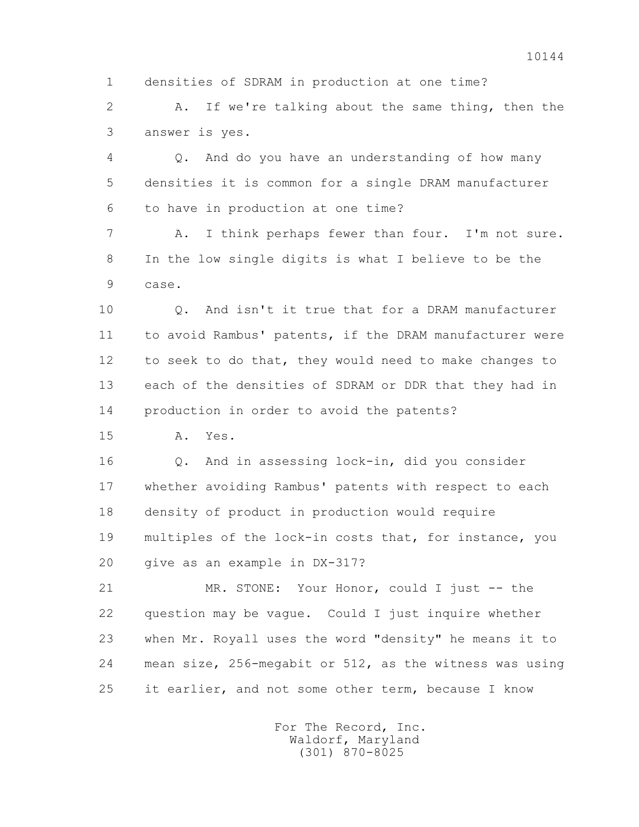1 densities of SDRAM in production at one time?

 2 A. If we're talking about the same thing, then the 3 answer is yes.

 4 Q. And do you have an understanding of how many 5 densities it is common for a single DRAM manufacturer 6 to have in production at one time?

 7 A. I think perhaps fewer than four. I'm not sure. 8 In the low single digits is what I believe to be the 9 case.

 10 Q. And isn't it true that for a DRAM manufacturer 11 to avoid Rambus' patents, if the DRAM manufacturer were 12 to seek to do that, they would need to make changes to 13 each of the densities of SDRAM or DDR that they had in 14 production in order to avoid the patents?

15 A. Yes.

 16 Q. And in assessing lock-in, did you consider 17 whether avoiding Rambus' patents with respect to each 18 density of product in production would require 19 multiples of the lock-in costs that, for instance, you 20 give as an example in DX-317?

 21 MR. STONE: Your Honor, could I just -- the 22 question may be vague. Could I just inquire whether 23 when Mr. Royall uses the word "density" he means it to 24 mean size, 256-megabit or 512, as the witness was using 25 it earlier, and not some other term, because I know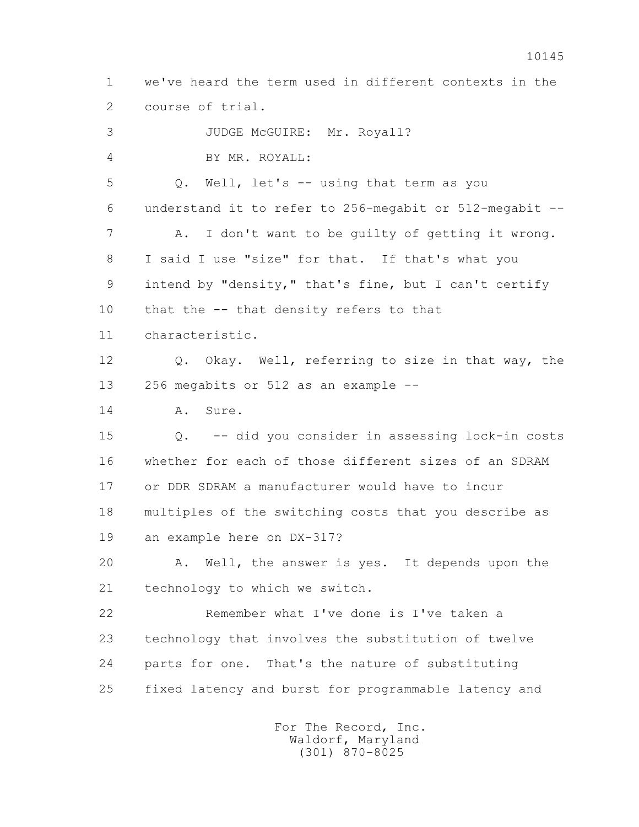1 we've heard the term used in different contexts in the 2 course of trial. 3 JUDGE McGUIRE: Mr. Royall?

 4 BY MR. ROYALL: 5 Q. Well, let's -- using that term as you 6 understand it to refer to 256-megabit or 512-megabit -- 7 A. I don't want to be guilty of getting it wrong. 8 I said I use "size" for that. If that's what you 9 intend by "density," that's fine, but I can't certify 10 that the -- that density refers to that 11 characteristic. 12 Q. Okay. Well, referring to size in that way, the 13 256 megabits or 512 as an example -- 14 A. Sure. 15 Q. -- did you consider in assessing lock-in costs 16 whether for each of those different sizes of an SDRAM 17 or DDR SDRAM a manufacturer would have to incur 18 multiples of the switching costs that you describe as 19 an example here on DX-317? 20 A. Well, the answer is yes. It depends upon the 21 technology to which we switch. 22 Remember what I've done is I've taken a 23 technology that involves the substitution of twelve 24 parts for one. That's the nature of substituting 25 fixed latency and burst for programmable latency and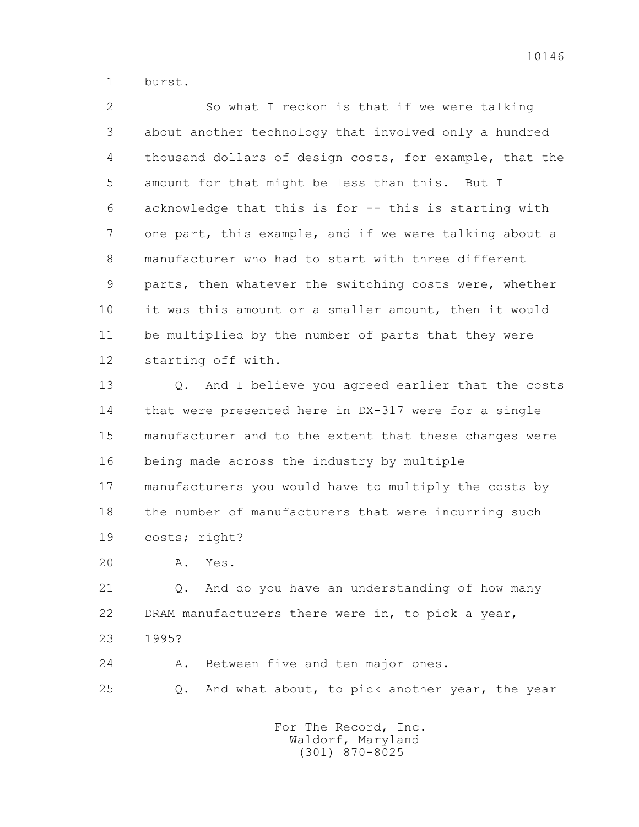1 burst.

 2 So what I reckon is that if we were talking 3 about another technology that involved only a hundred 4 thousand dollars of design costs, for example, that the 5 amount for that might be less than this. But I 6 acknowledge that this is for -- this is starting with 7 one part, this example, and if we were talking about a 8 manufacturer who had to start with three different 9 parts, then whatever the switching costs were, whether 10 it was this amount or a smaller amount, then it would 11 be multiplied by the number of parts that they were 12 starting off with.

 13 Q. And I believe you agreed earlier that the costs 14 that were presented here in DX-317 were for a single 15 manufacturer and to the extent that these changes were 16 being made across the industry by multiple 17 manufacturers you would have to multiply the costs by 18 the number of manufacturers that were incurring such 19 costs; right?

20 A. Yes.

 21 Q. And do you have an understanding of how many 22 DRAM manufacturers there were in, to pick a year, 23 1995?

 24 A. Between five and ten major ones. 25 Q. And what about, to pick another year, the year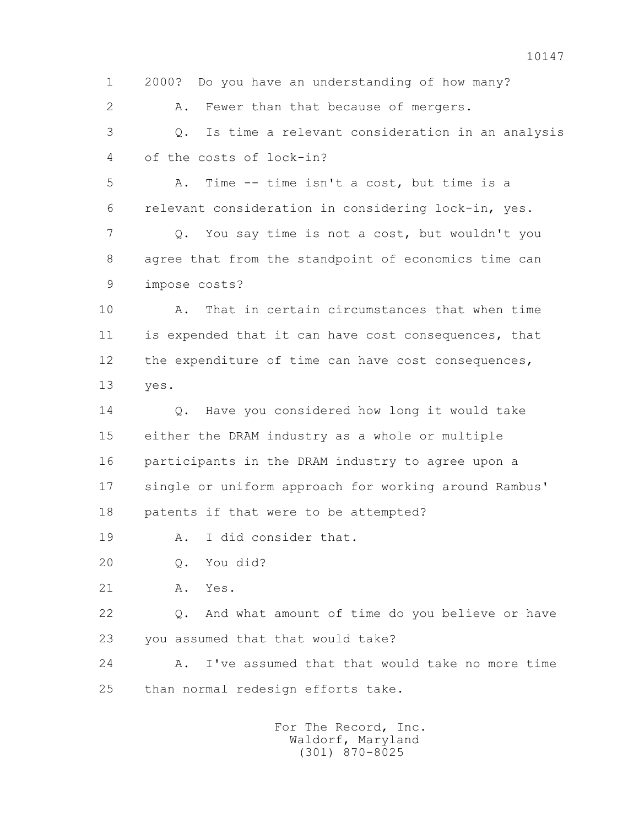1 2000? Do you have an understanding of how many? 2 A. Fewer than that because of mergers. 3 Q. Is time a relevant consideration in an analysis 4 of the costs of lock-in? 5 A. Time -- time isn't a cost, but time is a 6 relevant consideration in considering lock-in, yes. 7 Q. You say time is not a cost, but wouldn't you 8 agree that from the standpoint of economics time can 9 impose costs? 10 A. That in certain circumstances that when time 11 is expended that it can have cost consequences, that 12 the expenditure of time can have cost consequences, 13 yes. 14 O. Have you considered how long it would take 15 either the DRAM industry as a whole or multiple 16 participants in the DRAM industry to agree upon a 17 single or uniform approach for working around Rambus' 18 patents if that were to be attempted? 19 A. I did consider that. 20 Q. You did? 21 A. Yes. 22 Q. And what amount of time do you believe or have 23 you assumed that that would take? 24 A. I've assumed that that would take no more time 25 than normal redesign efforts take.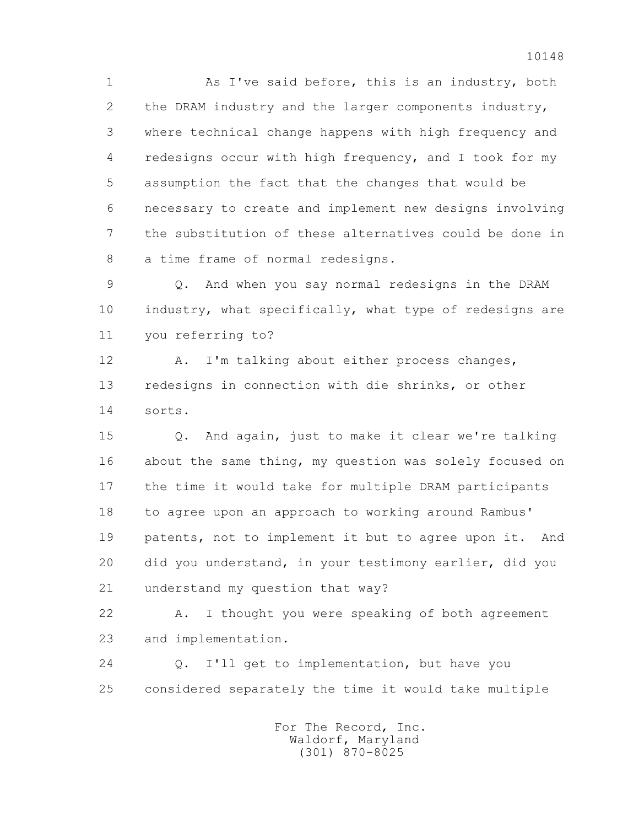1 As I've said before, this is an industry, both 2 the DRAM industry and the larger components industry, 3 where technical change happens with high frequency and 4 redesigns occur with high frequency, and I took for my 5 assumption the fact that the changes that would be 6 necessary to create and implement new designs involving 7 the substitution of these alternatives could be done in 8 a time frame of normal redesigns.

 9 Q. And when you say normal redesigns in the DRAM 10 industry, what specifically, what type of redesigns are 11 you referring to?

 12 A. I'm talking about either process changes, 13 redesigns in connection with die shrinks, or other 14 sorts.

 15 Q. And again, just to make it clear we're talking 16 about the same thing, my question was solely focused on 17 the time it would take for multiple DRAM participants 18 to agree upon an approach to working around Rambus' 19 patents, not to implement it but to agree upon it. And 20 did you understand, in your testimony earlier, did you 21 understand my question that way?

 22 A. I thought you were speaking of both agreement 23 and implementation.

 24 Q. I'll get to implementation, but have you 25 considered separately the time it would take multiple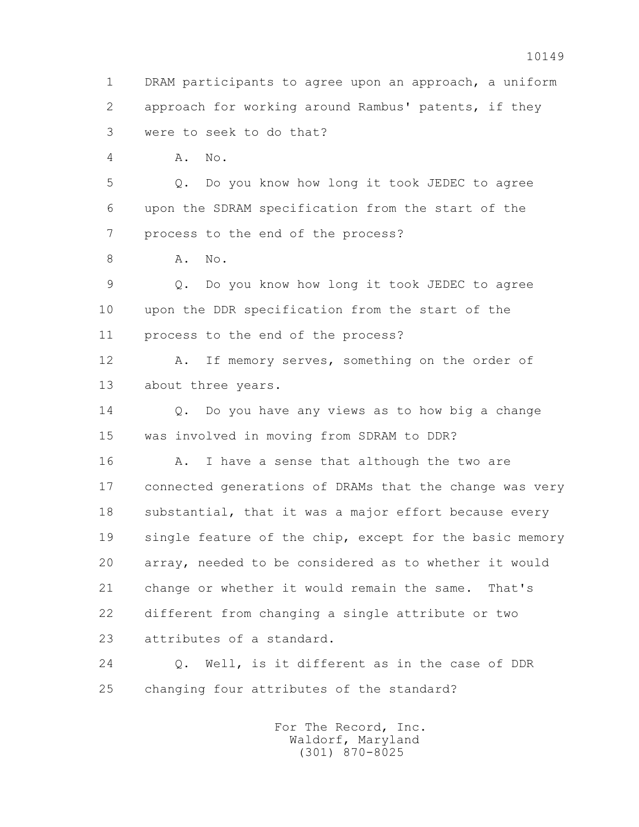1 DRAM participants to agree upon an approach, a uniform 2 approach for working around Rambus' patents, if they 3 were to seek to do that? 4 A. No. 5 Q. Do you know how long it took JEDEC to agree 6 upon the SDRAM specification from the start of the 7 process to the end of the process? 8 **A.** No. 9 Q. Do you know how long it took JEDEC to agree 10 upon the DDR specification from the start of the 11 process to the end of the process? 12 A. If memory serves, something on the order of 13 about three years. 14 Q. Do you have any views as to how big a change 15 was involved in moving from SDRAM to DDR? 16 A. I have a sense that although the two are 17 connected generations of DRAMs that the change was very 18 substantial, that it was a major effort because every 19 single feature of the chip, except for the basic memory 20 array, needed to be considered as to whether it would 21 change or whether it would remain the same. That's 22 different from changing a single attribute or two 23 attributes of a standard. 24 Q. Well, is it different as in the case of DDR 25 changing four attributes of the standard? For The Record, Inc. Waldorf, Maryland

(301) 870-8025

10149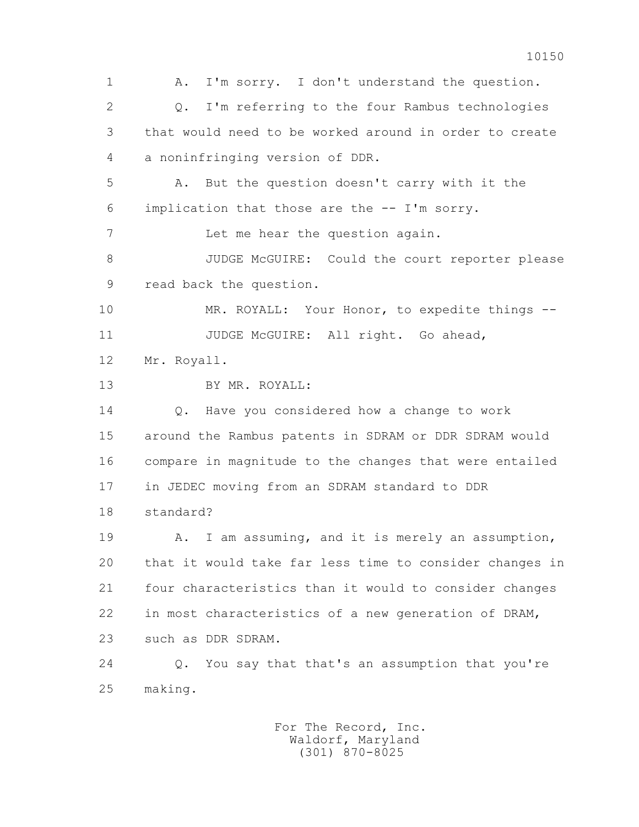1 A. I'm sorry. I don't understand the question. 2 Q. I'm referring to the four Rambus technologies 3 that would need to be worked around in order to create 4 a noninfringing version of DDR. 5 A. But the question doesn't carry with it the 6 implication that those are the -- I'm sorry. 7 Let me hear the question again. 8 JUDGE McGUIRE: Could the court reporter please 9 read back the question. 10 MR. ROYALL: Your Honor, to expedite things -- 11 JUDGE McGUIRE: All right. Go ahead, 12 Mr. Royall. 13 BY MR. ROYALL: 14 Q. Have you considered how a change to work 15 around the Rambus patents in SDRAM or DDR SDRAM would 16 compare in magnitude to the changes that were entailed 17 in JEDEC moving from an SDRAM standard to DDR 18 standard? 19 A. I am assuming, and it is merely an assumption, 20 that it would take far less time to consider changes in 21 four characteristics than it would to consider changes 22 in most characteristics of a new generation of DRAM, 23 such as DDR SDRAM. 24 Q. You say that that's an assumption that you're 25 making.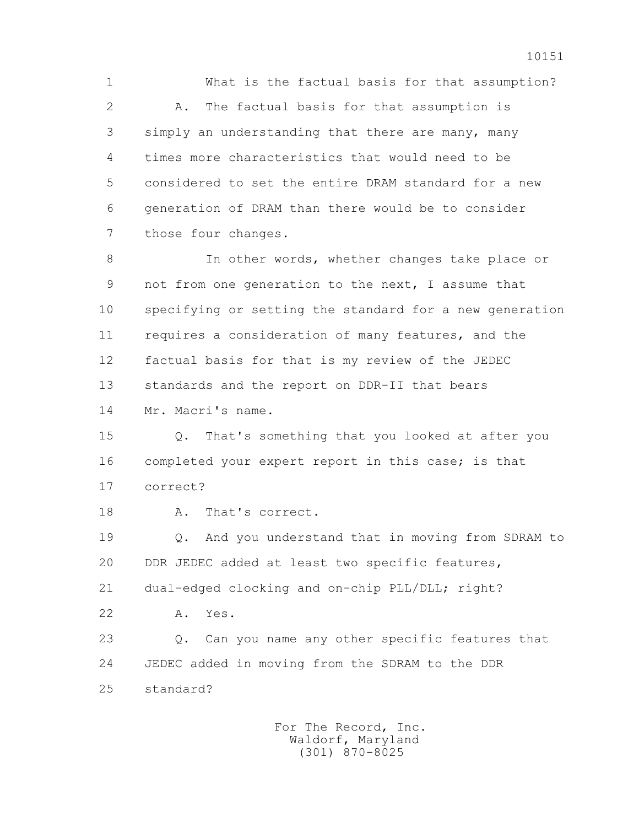1 What is the factual basis for that assumption? 2 A. The factual basis for that assumption is 3 simply an understanding that there are many, many 4 times more characteristics that would need to be 5 considered to set the entire DRAM standard for a new 6 generation of DRAM than there would be to consider 7 those four changes. 8 In other words, whether changes take place or 9 not from one generation to the next, I assume that 10 specifying or setting the standard for a new generation 11 requires a consideration of many features, and the 12 factual basis for that is my review of the JEDEC 13 standards and the report on DDR-II that bears 14 Mr. Macri's name. 15 Q. That's something that you looked at after you

 16 completed your expert report in this case; is that 17 correct?

18 A. That's correct.

 19 Q. And you understand that in moving from SDRAM to 20 DDR JEDEC added at least two specific features, 21 dual-edged clocking and on-chip PLL/DLL; right?

22 A. Yes.

 23 Q. Can you name any other specific features that 24 JEDEC added in moving from the SDRAM to the DDR 25 standard?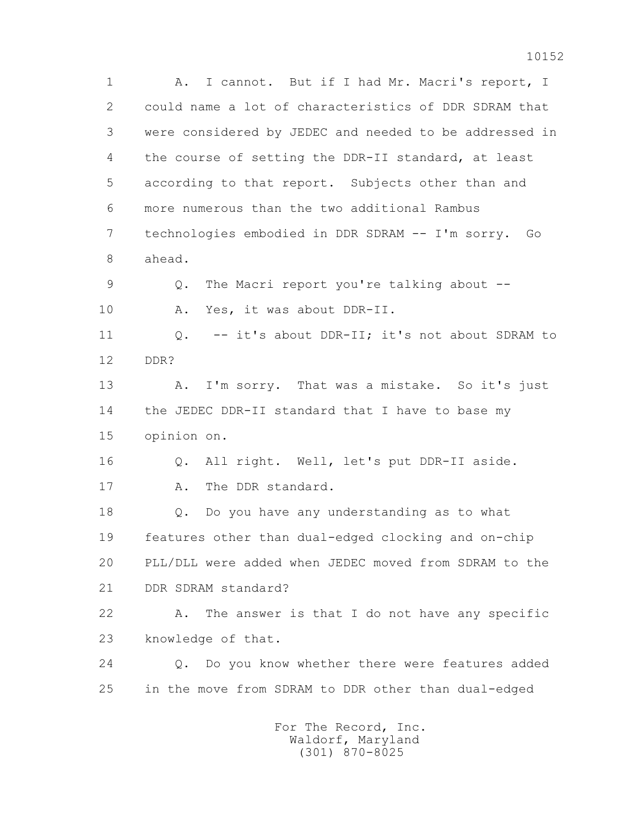1 A. I cannot. But if I had Mr. Macri's report, I 2 could name a lot of characteristics of DDR SDRAM that 3 were considered by JEDEC and needed to be addressed in 4 the course of setting the DDR-II standard, at least 5 according to that report. Subjects other than and 6 more numerous than the two additional Rambus 7 technologies embodied in DDR SDRAM -- I'm sorry. Go 8 ahead. 9 Q. The Macri report you're talking about -- 10 A. Yes, it was about DDR-II. 11 0. -- it's about DDR-II; it's not about SDRAM to 12 DDR? 13 A. I'm sorry. That was a mistake. So it's just 14 the JEDEC DDR-II standard that I have to base my 15 opinion on. 16 Q. All right. Well, let's put DDR-II aside. 17 A. The DDR standard. 18 Q. Do you have any understanding as to what 19 features other than dual-edged clocking and on-chip 20 PLL/DLL were added when JEDEC moved from SDRAM to the 21 DDR SDRAM standard? 22 A. The answer is that I do not have any specific 23 knowledge of that. 24 Q. Do you know whether there were features added 25 in the move from SDRAM to DDR other than dual-edged For The Record, Inc.

 Waldorf, Maryland (301) 870-8025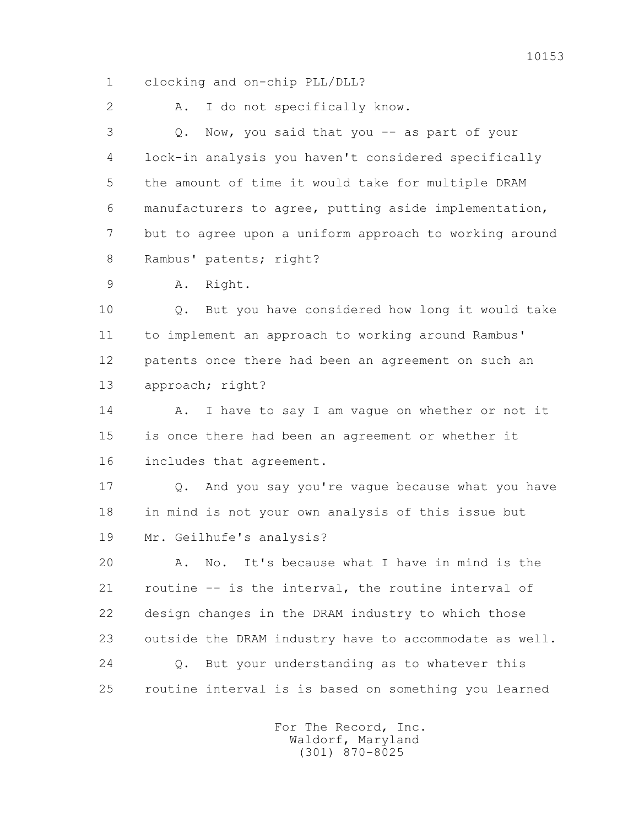1 clocking and on-chip PLL/DLL?

2 A. I do not specifically know.

 3 Q. Now, you said that you -- as part of your 4 lock-in analysis you haven't considered specifically 5 the amount of time it would take for multiple DRAM 6 manufacturers to agree, putting aside implementation, 7 but to agree upon a uniform approach to working around 8 Rambus' patents; right?

9 A. Right.

 10 Q. But you have considered how long it would take 11 to implement an approach to working around Rambus' 12 patents once there had been an agreement on such an 13 approach; right?

14 A. I have to say I am vague on whether or not it 15 is once there had been an agreement or whether it 16 includes that agreement.

 17 Q. And you say you're vague because what you have 18 in mind is not your own analysis of this issue but 19 Mr. Geilhufe's analysis?

 20 A. No. It's because what I have in mind is the 21 routine -- is the interval, the routine interval of 22 design changes in the DRAM industry to which those 23 outside the DRAM industry have to accommodate as well. 24 Q. But your understanding as to whatever this 25 routine interval is is based on something you learned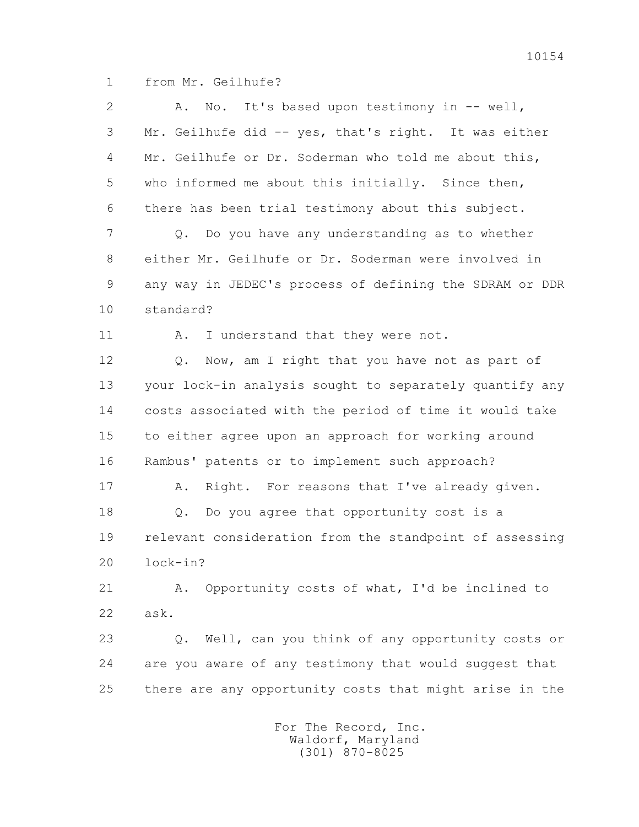1 from Mr. Geilhufe?

| $\overline{2}$ | No. It's based upon testimony in -- well,<br>Α.         |
|----------------|---------------------------------------------------------|
| 3              | Mr. Geilhufe did -- yes, that's right. It was either    |
| 4              | Mr. Geilhufe or Dr. Soderman who told me about this,    |
| 5              | who informed me about this initially. Since then,       |
| 6              | there has been trial testimony about this subject.      |
| 7              | Do you have any understanding as to whether<br>Q.       |
| 8              | either Mr. Geilhufe or Dr. Soderman were involved in    |
| 9              | any way in JEDEC's process of defining the SDRAM or DDR |
| 10             | standard?                                               |
| 11             | I understand that they were not.<br>Α.                  |
| 12             | Now, am I right that you have not as part of<br>Q.      |
| 13             | your lock-in analysis sought to separately quantify any |
| 14             | costs associated with the period of time it would take  |
| 15             | to either agree upon an approach for working around     |
| 16             | Rambus' patents or to implement such approach?          |
| 17             | Right. For reasons that I've already given.<br>Α.       |
| 18             | Do you agree that opportunity cost is a<br>Q.           |
| 19             | relevant consideration from the standpoint of assessing |
| 20             | lock-in?                                                |
| 21             | Opportunity costs of what, I'd be inclined to<br>Α.     |
| 22             | ask.                                                    |
| 23             | Well, can you think of any opportunity costs or<br>Q.   |
| 24             | are you aware of any testimony that would suggest that  |
| 25             | there are any opportunity costs that might arise in the |
|                | For The Record, Inc.                                    |

Waldorf, Maryland (301) 870-8025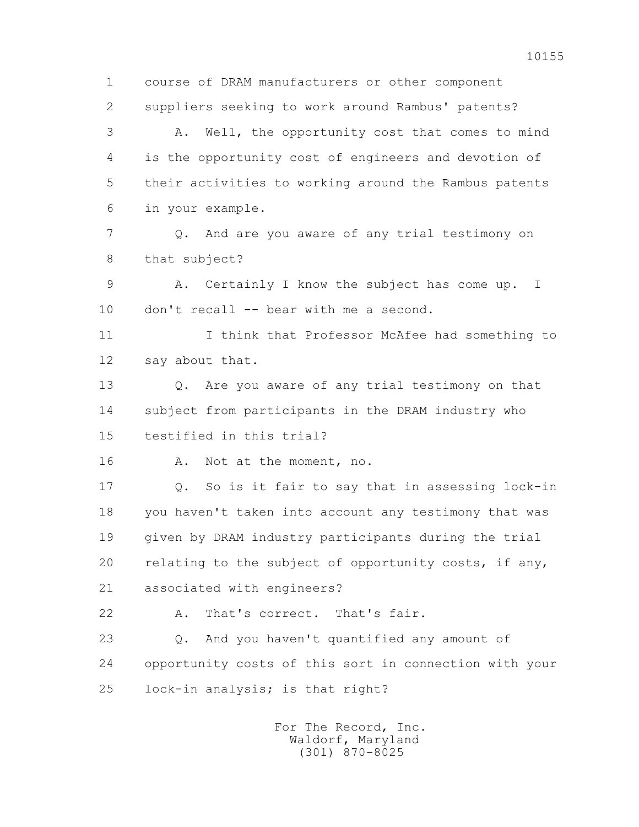1 course of DRAM manufacturers or other component 2 suppliers seeking to work around Rambus' patents? 3 A. Well, the opportunity cost that comes to mind 4 is the opportunity cost of engineers and devotion of 5 their activities to working around the Rambus patents 6 in your example. 7 Q. And are you aware of any trial testimony on 8 that subject? 9 A. Certainly I know the subject has come up. I 10 don't recall -- bear with me a second. 11 I think that Professor McAfee had something to 12 say about that. 13 Q. Are you aware of any trial testimony on that 14 subject from participants in the DRAM industry who 15 testified in this trial? 16 A. Not at the moment, no. 17 Q. So is it fair to say that in assessing lock-in 18 you haven't taken into account any testimony that was 19 given by DRAM industry participants during the trial 20 relating to the subject of opportunity costs, if any, 21 associated with engineers? 22 A. That's correct. That's fair. 23 Q. And you haven't quantified any amount of 24 opportunity costs of this sort in connection with your 25 lock-in analysis; is that right? For The Record, Inc.

 Waldorf, Maryland (301) 870-8025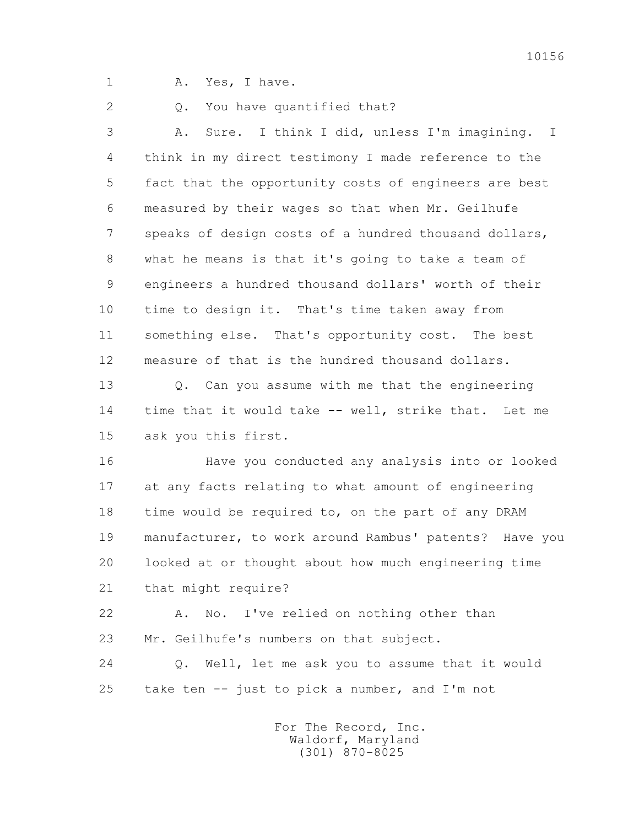1 A. Yes, I have.

2 0. You have quantified that?

 3 A. Sure. I think I did, unless I'm imagining. I 4 think in my direct testimony I made reference to the 5 fact that the opportunity costs of engineers are best 6 measured by their wages so that when Mr. Geilhufe 7 speaks of design costs of a hundred thousand dollars, 8 what he means is that it's going to take a team of 9 engineers a hundred thousand dollars' worth of their 10 time to design it. That's time taken away from 11 something else. That's opportunity cost. The best 12 measure of that is the hundred thousand dollars.

 13 Q. Can you assume with me that the engineering 14 time that it would take -- well, strike that. Let me 15 ask you this first.

 16 Have you conducted any analysis into or looked 17 at any facts relating to what amount of engineering 18 time would be required to, on the part of any DRAM 19 manufacturer, to work around Rambus' patents? Have you 20 looked at or thought about how much engineering time 21 that might require?

 22 A. No. I've relied on nothing other than 23 Mr. Geilhufe's numbers on that subject.

 24 Q. Well, let me ask you to assume that it would 25 take ten  $-$  just to pick a number, and I'm not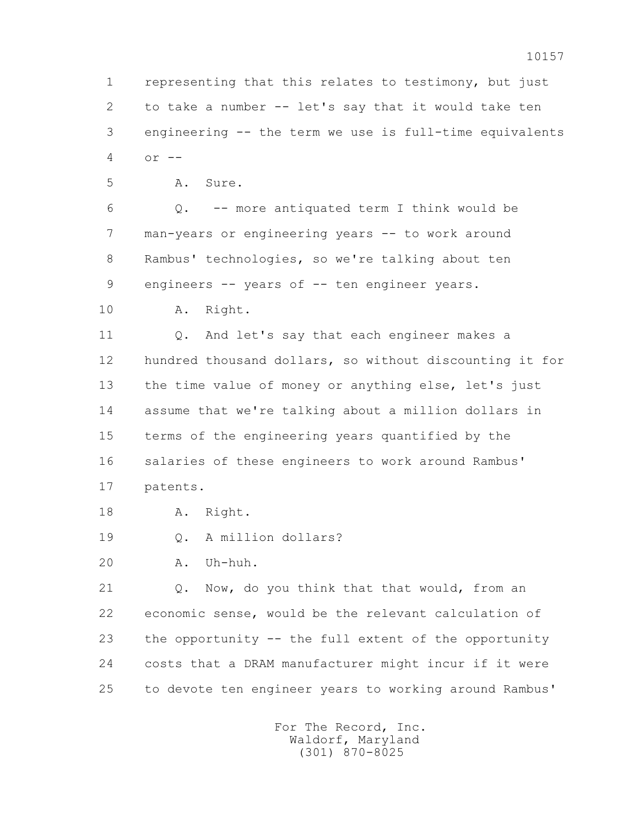1 representing that this relates to testimony, but just 2 to take a number -- let's say that it would take ten 3 engineering -- the term we use is full-time equivalents 4 or --

5 A. Sure.

 6 Q. -- more antiquated term I think would be 7 man-years or engineering years -- to work around 8 Rambus' technologies, so we're talking about ten 9 engineers -- years of -- ten engineer years.

10 A. Right.

11 O. And let's say that each engineer makes a 12 hundred thousand dollars, so without discounting it for 13 the time value of money or anything else, let's just 14 assume that we're talking about a million dollars in 15 terms of the engineering years quantified by the 16 salaries of these engineers to work around Rambus' 17 patents.

- 18 A. Right.
- 19 0. A million dollars?
- 20 A. Uh-huh.

 21 Q. Now, do you think that that would, from an 22 economic sense, would be the relevant calculation of 23 the opportunity -- the full extent of the opportunity 24 costs that a DRAM manufacturer might incur if it were 25 to devote ten engineer years to working around Rambus'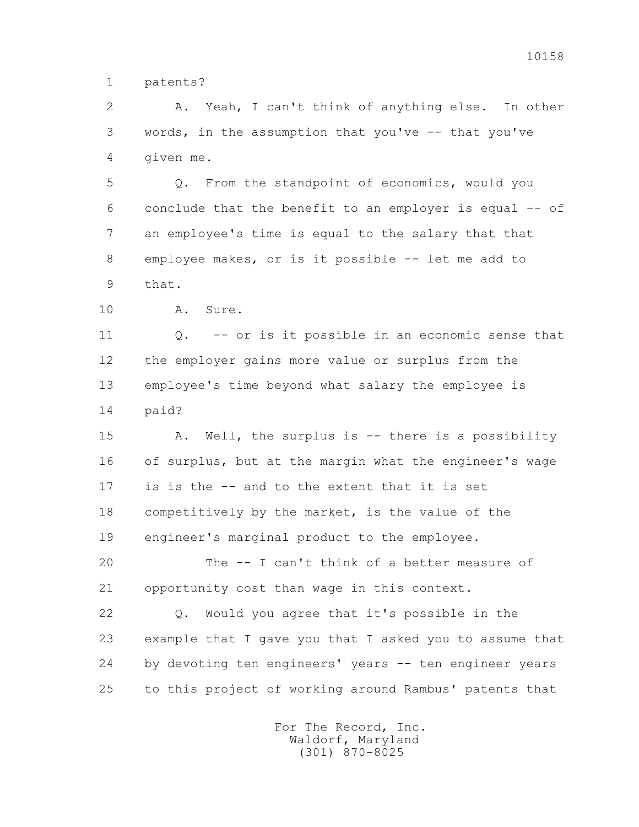1 patents?

 2 A. Yeah, I can't think of anything else. In other 3 words, in the assumption that you've -- that you've 4 given me.

 5 Q. From the standpoint of economics, would you 6 conclude that the benefit to an employer is equal -- of 7 an employee's time is equal to the salary that that 8 employee makes, or is it possible -- let me add to 9 that.

10 A. Sure.

 11 Q. -- or is it possible in an economic sense that 12 the employer gains more value or surplus from the 13 employee's time beyond what salary the employee is 14 paid?

 15 A. Well, the surplus is -- there is a possibility 16 of surplus, but at the margin what the engineer's wage 17 is is the -- and to the extent that it is set 18 competitively by the market, is the value of the 19 engineer's marginal product to the employee.

 20 The -- I can't think of a better measure of 21 opportunity cost than wage in this context.

 22 Q. Would you agree that it's possible in the 23 example that I gave you that I asked you to assume that 24 by devoting ten engineers' years -- ten engineer years 25 to this project of working around Rambus' patents that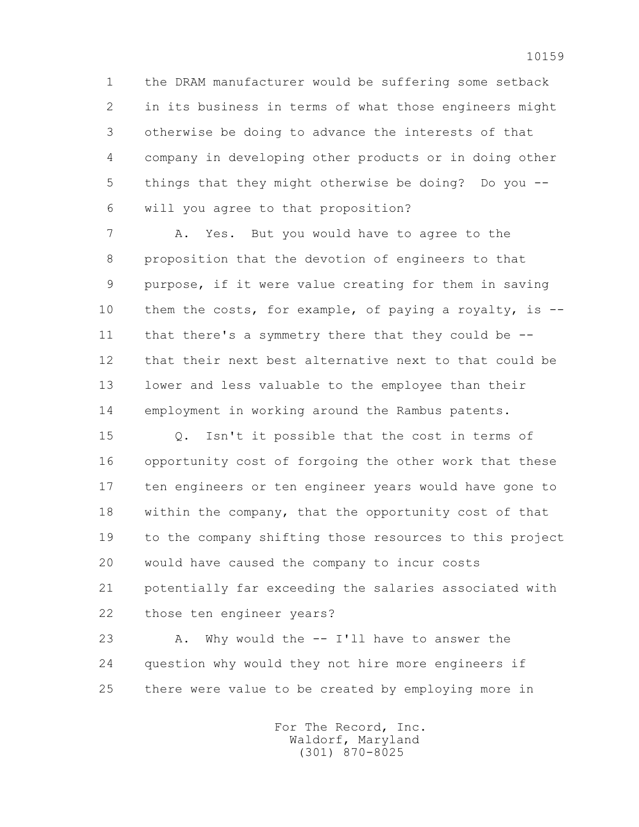1 the DRAM manufacturer would be suffering some setback 2 in its business in terms of what those engineers might 3 otherwise be doing to advance the interests of that 4 company in developing other products or in doing other 5 things that they might otherwise be doing? Do you -- 6 will you agree to that proposition?

 7 A. Yes. But you would have to agree to the 8 proposition that the devotion of engineers to that 9 purpose, if it were value creating for them in saving 10 them the costs, for example, of paying a royalty, is -- 11 that there's a symmetry there that they could be -- 12 that their next best alternative next to that could be 13 lower and less valuable to the employee than their 14 employment in working around the Rambus patents.

 15 Q. Isn't it possible that the cost in terms of 16 opportunity cost of forgoing the other work that these 17 ten engineers or ten engineer years would have gone to 18 within the company, that the opportunity cost of that 19 to the company shifting those resources to this project 20 would have caused the company to incur costs 21 potentially far exceeding the salaries associated with 22 those ten engineer years?

23 A. Why would the -- I'll have to answer the 24 question why would they not hire more engineers if 25 there were value to be created by employing more in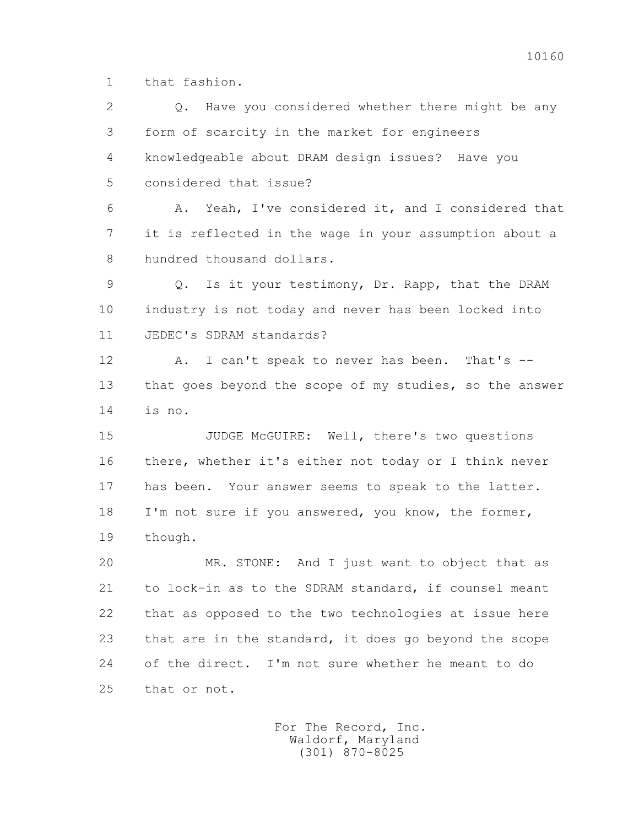1 that fashion.

 2 Q. Have you considered whether there might be any 3 form of scarcity in the market for engineers 4 knowledgeable about DRAM design issues? Have you 5 considered that issue? 6 A. Yeah, I've considered it, and I considered that 7 it is reflected in the wage in your assumption about a 8 hundred thousand dollars. 9 Q. Is it your testimony, Dr. Rapp, that the DRAM 10 industry is not today and never has been locked into 11 JEDEC's SDRAM standards? 12 A. I can't speak to never has been. That's -- 13 that goes beyond the scope of my studies, so the answer 14 is no. 15 JUDGE McGUIRE: Well, there's two questions 16 there, whether it's either not today or I think never 17 has been. Your answer seems to speak to the latter. 18 I'm not sure if you answered, you know, the former, 19 though. 20 MR. STONE: And I just want to object that as 21 to lock-in as to the SDRAM standard, if counsel meant 22 that as opposed to the two technologies at issue here 23 that are in the standard, it does go beyond the scope 24 of the direct. I'm not sure whether he meant to do 25 that or not.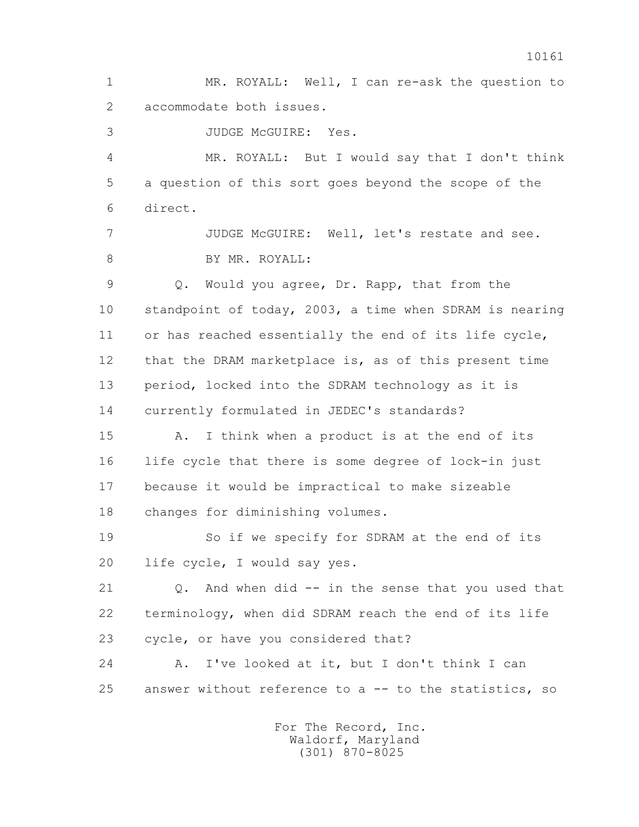1 MR. ROYALL: Well, I can re-ask the question to 2 accommodate both issues.

3 JUDGE McGUIRE: Yes.

 4 MR. ROYALL: But I would say that I don't think 5 a question of this sort goes beyond the scope of the 6 direct.

 7 JUDGE McGUIRE: Well, let's restate and see. 8 BY MR. ROYALL:

 9 Q. Would you agree, Dr. Rapp, that from the 10 standpoint of today, 2003, a time when SDRAM is nearing 11 or has reached essentially the end of its life cycle, 12 that the DRAM marketplace is, as of this present time 13 period, locked into the SDRAM technology as it is 14 currently formulated in JEDEC's standards?

 15 A. I think when a product is at the end of its 16 life cycle that there is some degree of lock-in just 17 because it would be impractical to make sizeable 18 changes for diminishing volumes.

 19 So if we specify for SDRAM at the end of its 20 life cycle, I would say yes.

 21 Q. And when did -- in the sense that you used that 22 terminology, when did SDRAM reach the end of its life 23 cycle, or have you considered that?

 24 A. I've looked at it, but I don't think I can 25 answer without reference to a -- to the statistics, so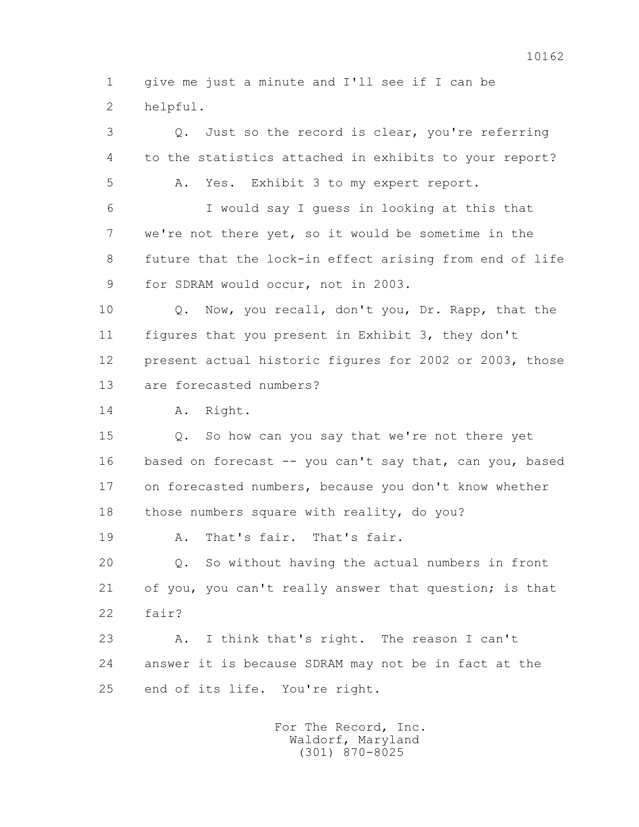1 give me just a minute and I'll see if I can be 2 helpful.

 3 Q. Just so the record is clear, you're referring 4 to the statistics attached in exhibits to your report? 5 A. Yes. Exhibit 3 to my expert report. 6 I would say I guess in looking at this that 7 we're not there yet, so it would be sometime in the 8 future that the lock-in effect arising from end of life 9 for SDRAM would occur, not in 2003. 10 Q. Now, you recall, don't you, Dr. Rapp, that the 11 figures that you present in Exhibit 3, they don't 12 present actual historic figures for 2002 or 2003, those 13 are forecasted numbers? 14 A. Right. 15 Q. So how can you say that we're not there yet 16 based on forecast -- you can't say that, can you, based 17 on forecasted numbers, because you don't know whether 18 those numbers square with reality, do you? 19 A. That's fair. That's fair. 20 Q. So without having the actual numbers in front 21 of you, you can't really answer that question; is that 22 fair? 23 A. I think that's right. The reason I can't 24 answer it is because SDRAM may not be in fact at the 25 end of its life. You're right.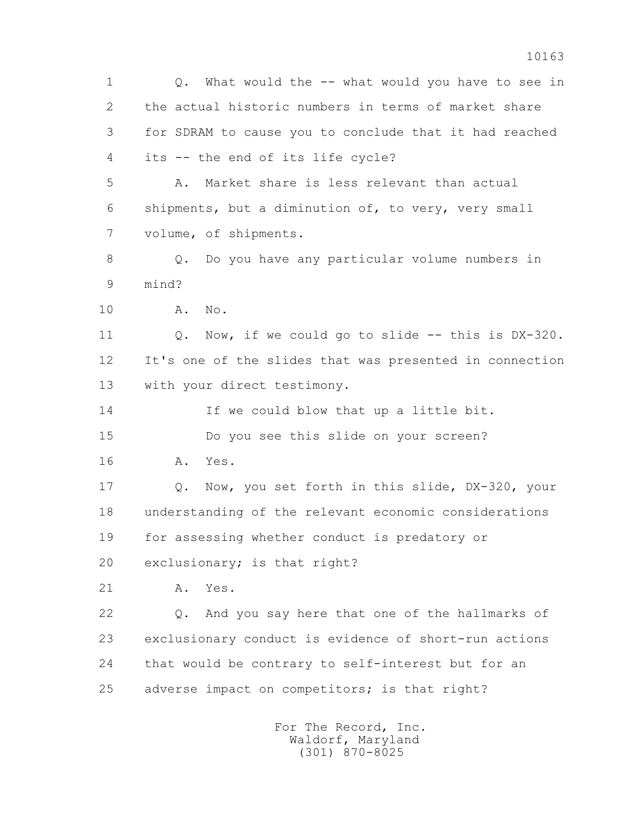1 Q. What would the -- what would you have to see in 2 the actual historic numbers in terms of market share 3 for SDRAM to cause you to conclude that it had reached 4 its -- the end of its life cycle? 5 A. Market share is less relevant than actual 6 shipments, but a diminution of, to very, very small 7 volume, of shipments. 8 Q. Do you have any particular volume numbers in 9 mind? 10 A. No. 11 Q. Now, if we could go to slide -- this is DX-320. 12 It's one of the slides that was presented in connection 13 with your direct testimony. 14 If we could blow that up a little bit. 15 Do you see this slide on your screen? 16 A. Yes. 17 Q. Now, you set forth in this slide, DX-320, your 18 understanding of the relevant economic considerations 19 for assessing whether conduct is predatory or 20 exclusionary; is that right? 21 A. Yes. 22 Q. And you say here that one of the hallmarks of 23 exclusionary conduct is evidence of short-run actions 24 that would be contrary to self-interest but for an 25 adverse impact on competitors; is that right?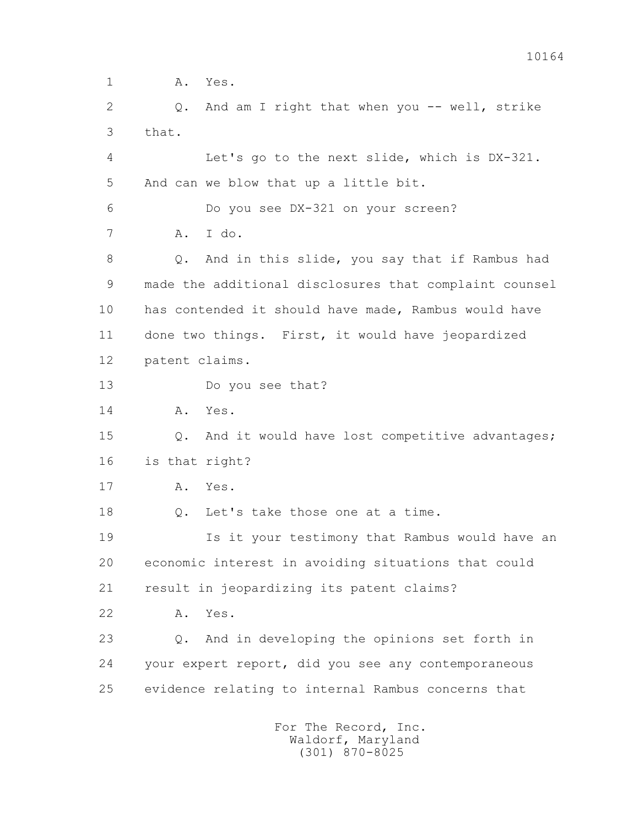1 **A.** Yes. 2 Q. And am I right that when you -- well, strike 3 that. 4 Let's go to the next slide, which is DX-321. 5 And can we blow that up a little bit. 6 Do you see DX-321 on your screen? 7 A. I do. 8 Q. And in this slide, you say that if Rambus had 9 made the additional disclosures that complaint counsel 10 has contended it should have made, Rambus would have 11 done two things. First, it would have jeopardized 12 patent claims. 13 Do you see that? 14 A. Yes. 15 Q. And it would have lost competitive advantages; 16 is that right? 17 A. Yes. 18 Q. Let's take those one at a time. 19 Is it your testimony that Rambus would have an 20 economic interest in avoiding situations that could 21 result in jeopardizing its patent claims? 22 A. Yes. 23 Q. And in developing the opinions set forth in 24 your expert report, did you see any contemporaneous 25 evidence relating to internal Rambus concerns that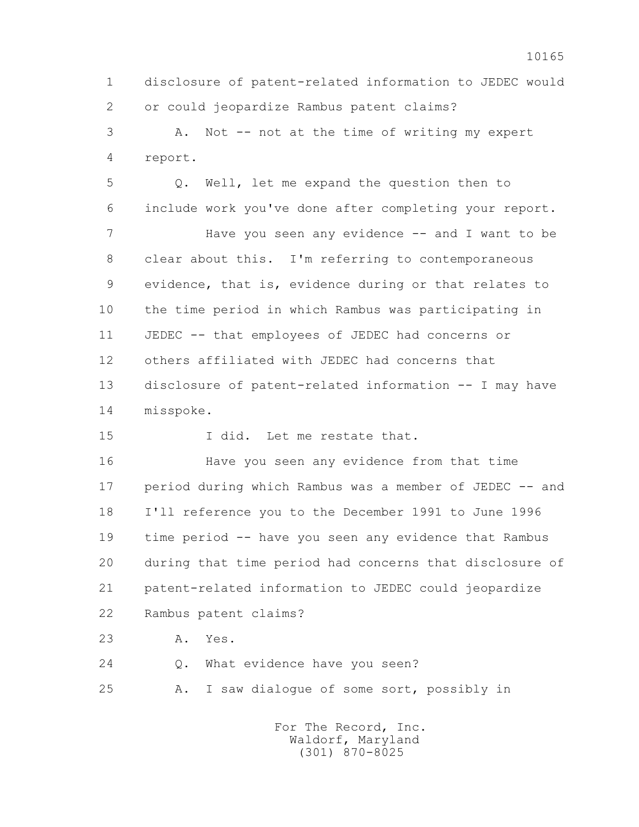1 disclosure of patent-related information to JEDEC would 2 or could jeopardize Rambus patent claims?

 3 A. Not -- not at the time of writing my expert 4 report.

 5 Q. Well, let me expand the question then to 6 include work you've done after completing your report. 7 Have you seen any evidence -- and I want to be 8 clear about this. I'm referring to contemporaneous 9 evidence, that is, evidence during or that relates to 10 the time period in which Rambus was participating in 11 JEDEC -- that employees of JEDEC had concerns or 12 others affiliated with JEDEC had concerns that 13 disclosure of patent-related information -- I may have

14 misspoke.

15 I did. Let me restate that.

 16 Have you seen any evidence from that time 17 period during which Rambus was a member of JEDEC -- and 18 I'll reference you to the December 1991 to June 1996 19 time period -- have you seen any evidence that Rambus 20 during that time period had concerns that disclosure of 21 patent-related information to JEDEC could jeopardize 22 Rambus patent claims?

23 A. Yes.

24 0. What evidence have you seen?

25 A. I saw dialogue of some sort, possibly in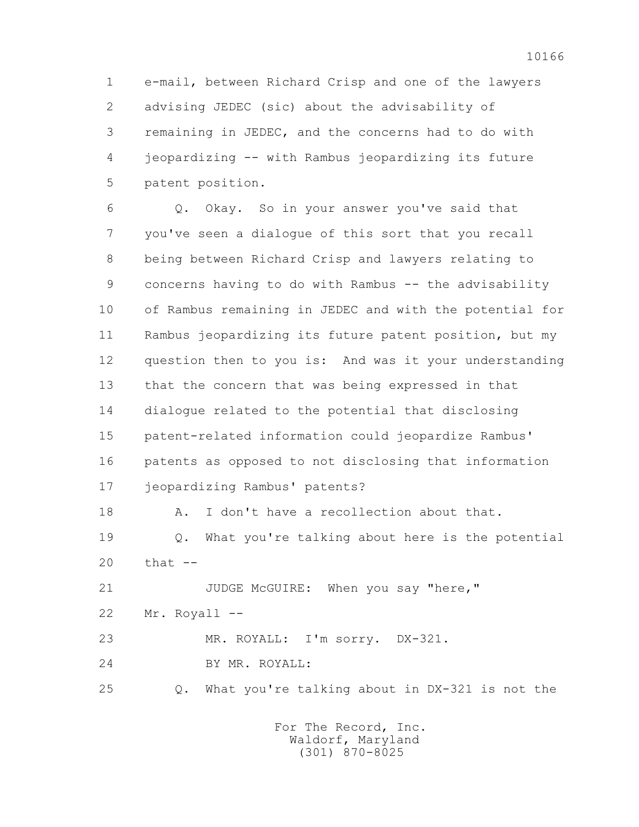1 e-mail, between Richard Crisp and one of the lawyers 2 advising JEDEC (sic) about the advisability of 3 remaining in JEDEC, and the concerns had to do with 4 jeopardizing -- with Rambus jeopardizing its future 5 patent position.

 6 Q. Okay. So in your answer you've said that 7 you've seen a dialogue of this sort that you recall 8 being between Richard Crisp and lawyers relating to 9 concerns having to do with Rambus -- the advisability 10 of Rambus remaining in JEDEC and with the potential for 11 Rambus jeopardizing its future patent position, but my 12 question then to you is: And was it your understanding 13 that the concern that was being expressed in that 14 dialogue related to the potential that disclosing 15 patent-related information could jeopardize Rambus' 16 patents as opposed to not disclosing that information 17 jeopardizing Rambus' patents?

18 A. I don't have a recollection about that.

 19 Q. What you're talking about here is the potential 20 that --

21 JUDGE McGUIRE: When you say "here," 22 Mr. Royall -- 23 MR. ROYALL: I'm sorry. DX-321.

24 BY MR. ROYALL:

25 Q. What you're talking about in DX-321 is not the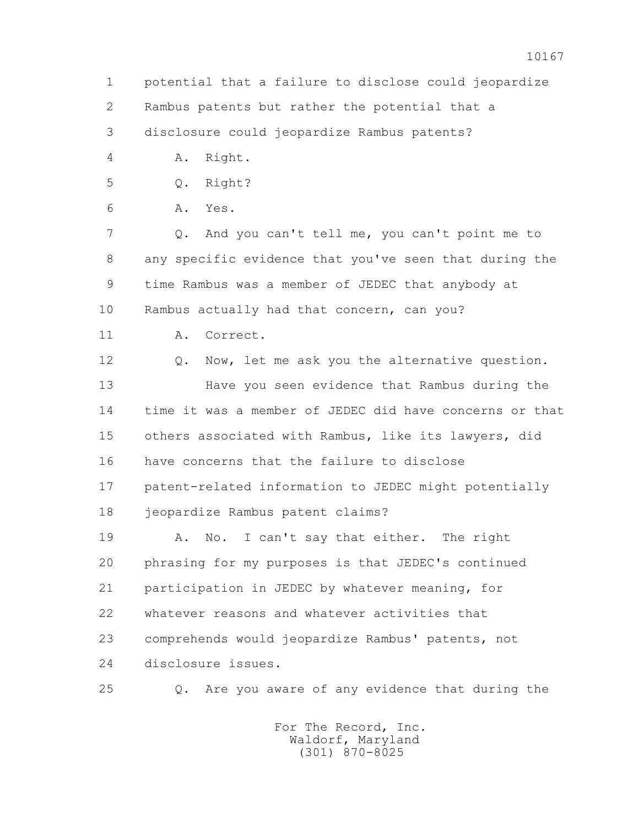3 disclosure could jeopardize Rambus patents?

4 A. Right.

5 Q. Right?

6 A. Yes.

 7 Q. And you can't tell me, you can't point me to 8 any specific evidence that you've seen that during the 9 time Rambus was a member of JEDEC that anybody at 10 Rambus actually had that concern, can you?

11 A. Correct.

12 Q. Now, let me ask you the alternative question. 13 Have you seen evidence that Rambus during the 14 time it was a member of JEDEC did have concerns or that 15 others associated with Rambus, like its lawyers, did 16 have concerns that the failure to disclose 17 patent-related information to JEDEC might potentially 18 jeopardize Rambus patent claims?

 19 A. No. I can't say that either. The right 20 phrasing for my purposes is that JEDEC's continued 21 participation in JEDEC by whatever meaning, for 22 whatever reasons and whatever activities that 23 comprehends would jeopardize Rambus' patents, not 24 disclosure issues.

25 Q. Are you aware of any evidence that during the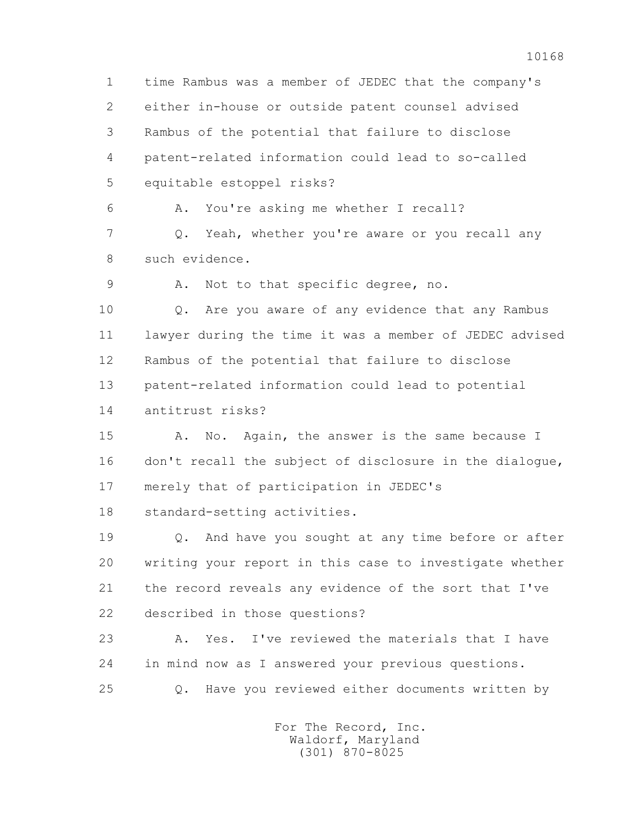1 time Rambus was a member of JEDEC that the company's 2 either in-house or outside patent counsel advised 3 Rambus of the potential that failure to disclose 4 patent-related information could lead to so-called 5 equitable estoppel risks? 6 A. You're asking me whether I recall? 7 Q. Yeah, whether you're aware or you recall any 8 such evidence. 9 A. Not to that specific degree, no. 10 Q. Are you aware of any evidence that any Rambus 11 lawyer during the time it was a member of JEDEC advised 12 Rambus of the potential that failure to disclose 13 patent-related information could lead to potential 14 antitrust risks? 15 A. No. Again, the answer is the same because I 16 don't recall the subject of disclosure in the dialogue, 17 merely that of participation in JEDEC's 18 standard-setting activities. 19 Q. And have you sought at any time before or after 20 writing your report in this case to investigate whether 21 the record reveals any evidence of the sort that I've 22 described in those questions? 23 A. Yes. I've reviewed the materials that I have 24 in mind now as I answered your previous questions. 25 Q. Have you reviewed either documents written by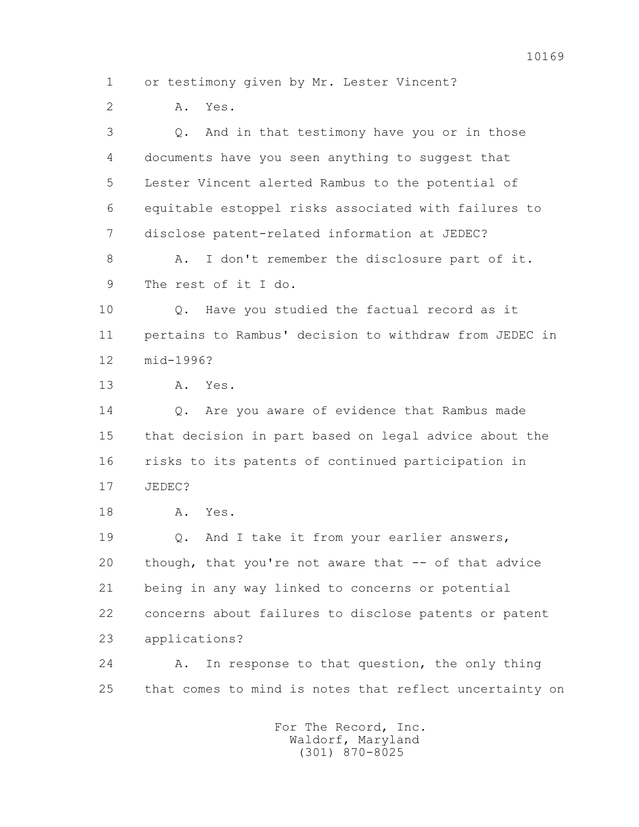1 or testimony given by Mr. Lester Vincent?

2 A. Yes.

 3 Q. And in that testimony have you or in those 4 documents have you seen anything to suggest that 5 Lester Vincent alerted Rambus to the potential of 6 equitable estoppel risks associated with failures to 7 disclose patent-related information at JEDEC?

8 A. I don't remember the disclosure part of it. 9 The rest of it I do.

 10 Q. Have you studied the factual record as it 11 pertains to Rambus' decision to withdraw from JEDEC in 12 mid-1996?

13 A. Yes.

14 0. Are you aware of evidence that Rambus made 15 that decision in part based on legal advice about the 16 risks to its patents of continued participation in 17 JEDEC?

18 A. Yes.

19 0. And I take it from your earlier answers, 20 though, that you're not aware that -- of that advice 21 being in any way linked to concerns or potential 22 concerns about failures to disclose patents or patent 23 applications?

 24 A. In response to that question, the only thing 25 that comes to mind is notes that reflect uncertainty on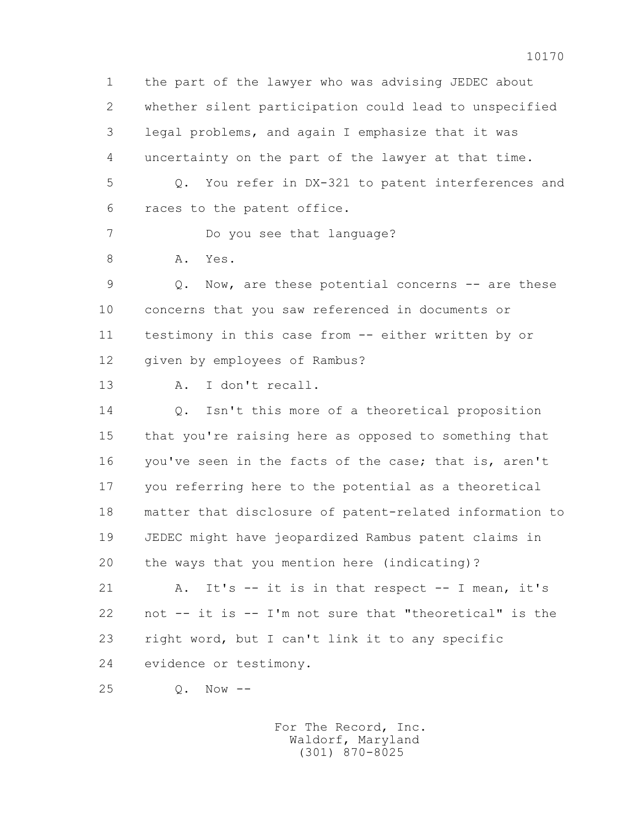1 the part of the lawyer who was advising JEDEC about 2 whether silent participation could lead to unspecified 3 legal problems, and again I emphasize that it was 4 uncertainty on the part of the lawyer at that time. 5 Q. You refer in DX-321 to patent interferences and 6 races to the patent office. 7 Do you see that language? 8 A. Yes. 9 Q. Now, are these potential concerns -- are these 10 concerns that you saw referenced in documents or 11 testimony in this case from -- either written by or 12 given by employees of Rambus? 13 A. I don't recall. 14 Q. Isn't this more of a theoretical proposition 15 that you're raising here as opposed to something that 16 you've seen in the facts of the case; that is, aren't 17 you referring here to the potential as a theoretical 18 matter that disclosure of patent-related information to 19 JEDEC might have jeopardized Rambus patent claims in 20 the ways that you mention here (indicating)? 21 A. It's -- it is in that respect -- I mean, it's 22 not -- it is -- I'm not sure that "theoretical" is the 23 right word, but I can't link it to any specific 24 evidence or testimony. 25 Q. Now --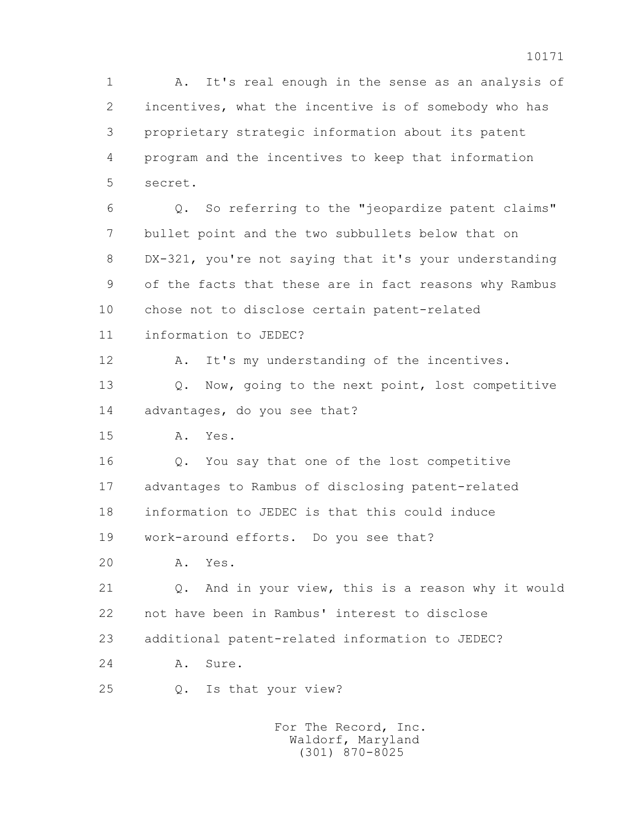1 A. It's real enough in the sense as an analysis of 2 incentives, what the incentive is of somebody who has 3 proprietary strategic information about its patent 4 program and the incentives to keep that information 5 secret.

 6 Q. So referring to the "jeopardize patent claims" 7 bullet point and the two subbullets below that on 8 DX-321, you're not saying that it's your understanding 9 of the facts that these are in fact reasons why Rambus 10 chose not to disclose certain patent-related

11 information to JEDEC?

12 A. It's my understanding of the incentives.

 13 Q. Now, going to the next point, lost competitive 14 advantages, do you see that?

15 A. Yes.

 16 Q. You say that one of the lost competitive 17 advantages to Rambus of disclosing patent-related 18 information to JEDEC is that this could induce 19 work-around efforts. Do you see that?

20 A. Yes.

 21 Q. And in your view, this is a reason why it would 22 not have been in Rambus' interest to disclose 23 additional patent-related information to JEDEC?

24 A. Sure.

25 Q. Is that your view?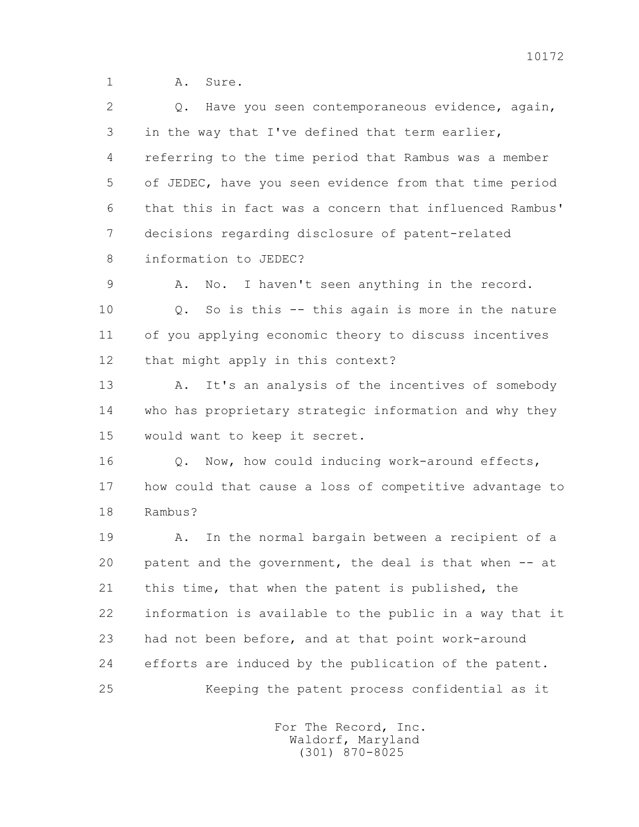1 A. Sure.

2 0. Have you seen contemporaneous evidence, again, 3 in the way that I've defined that term earlier, 4 referring to the time period that Rambus was a member 5 of JEDEC, have you seen evidence from that time period 6 that this in fact was a concern that influenced Rambus' 7 decisions regarding disclosure of patent-related 8 information to JEDEC? 9 A. No. I haven't seen anything in the record. 10 Q. So is this -- this again is more in the nature 11 of you applying economic theory to discuss incentives 12 that might apply in this context? 13 A. It's an analysis of the incentives of somebody 14 who has proprietary strategic information and why they 15 would want to keep it secret. 16 0. Now, how could inducing work-around effects, 17 how could that cause a loss of competitive advantage to 18 Rambus? 19 A. In the normal bargain between a recipient of a 20 patent and the government, the deal is that when -- at 21 this time, that when the patent is published, the 22 information is available to the public in a way that it 23 had not been before, and at that point work-around 24 efforts are induced by the publication of the patent. 25 Keeping the patent process confidential as it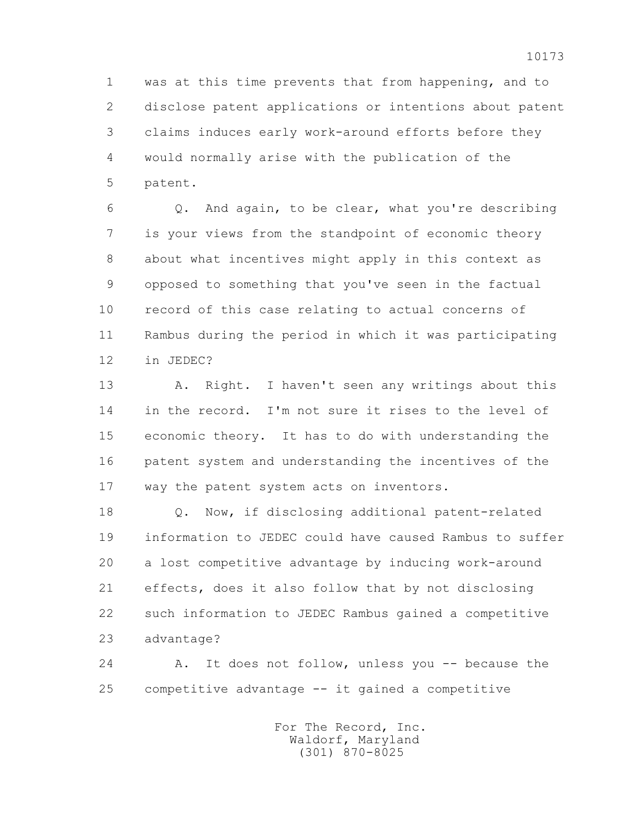1 was at this time prevents that from happening, and to 2 disclose patent applications or intentions about patent 3 claims induces early work-around efforts before they 4 would normally arise with the publication of the 5 patent.

 6 Q. And again, to be clear, what you're describing 7 is your views from the standpoint of economic theory 8 about what incentives might apply in this context as 9 opposed to something that you've seen in the factual 10 record of this case relating to actual concerns of 11 Rambus during the period in which it was participating 12 in JEDEC?

 13 A. Right. I haven't seen any writings about this 14 in the record. I'm not sure it rises to the level of 15 economic theory. It has to do with understanding the 16 patent system and understanding the incentives of the 17 way the patent system acts on inventors.

 18 Q. Now, if disclosing additional patent-related 19 information to JEDEC could have caused Rambus to suffer 20 a lost competitive advantage by inducing work-around 21 effects, does it also follow that by not disclosing 22 such information to JEDEC Rambus gained a competitive 23 advantage?

 24 A. It does not follow, unless you -- because the 25 competitive advantage -- it gained a competitive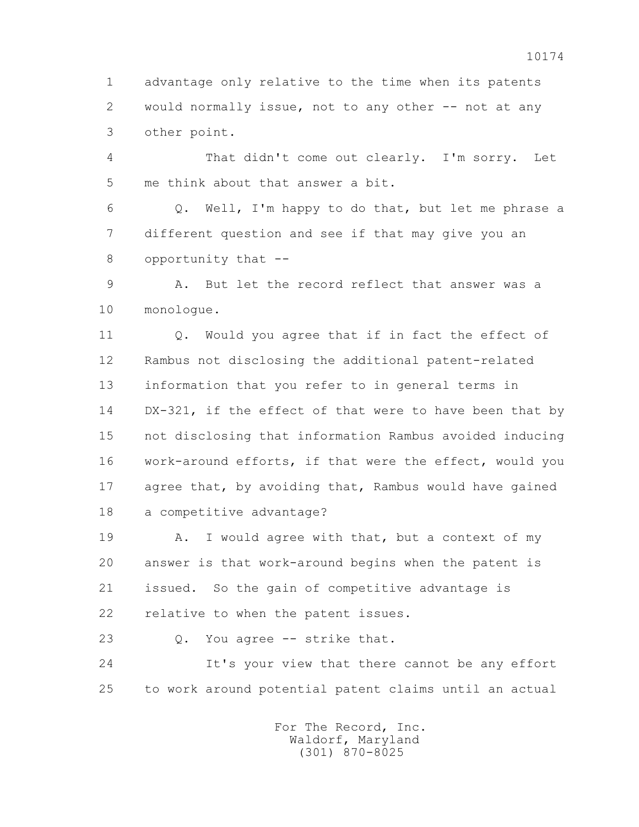1 advantage only relative to the time when its patents 2 would normally issue, not to any other -- not at any 3 other point.

 4 That didn't come out clearly. I'm sorry. Let 5 me think about that answer a bit.

 6 Q. Well, I'm happy to do that, but let me phrase a 7 different question and see if that may give you an 8 opportunity that --

 9 A. But let the record reflect that answer was a 10 monologue.

11 0. Would you agree that if in fact the effect of 12 Rambus not disclosing the additional patent-related 13 information that you refer to in general terms in 14 DX-321, if the effect of that were to have been that by 15 not disclosing that information Rambus avoided inducing 16 work-around efforts, if that were the effect, would you 17 agree that, by avoiding that, Rambus would have gained 18 a competitive advantage?

19 A. I would agree with that, but a context of my 20 answer is that work-around begins when the patent is 21 issued. So the gain of competitive advantage is 22 relative to when the patent issues.

23 Q. You agree -- strike that.

 24 It's your view that there cannot be any effort 25 to work around potential patent claims until an actual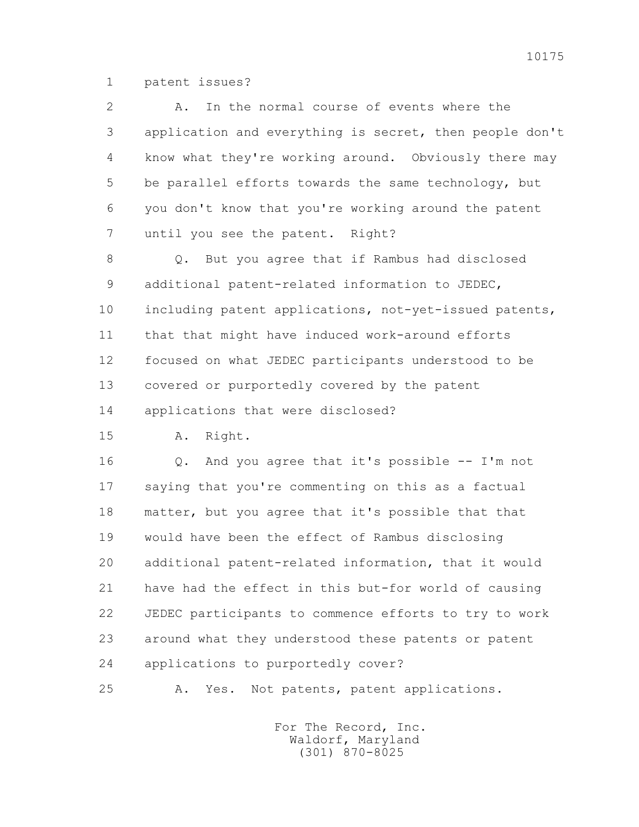1 patent issues?

 2 A. In the normal course of events where the 3 application and everything is secret, then people don't 4 know what they're working around. Obviously there may 5 be parallel efforts towards the same technology, but 6 you don't know that you're working around the patent 7 until you see the patent. Right? 8 Q. But you agree that if Rambus had disclosed 9 additional patent-related information to JEDEC, 10 including patent applications, not-yet-issued patents, 11 that that might have induced work-around efforts 12 focused on what JEDEC participants understood to be 13 covered or purportedly covered by the patent 14 applications that were disclosed? 15 A. Right. 16 Q. And you agree that it's possible -- I'm not 17 saying that you're commenting on this as a factual 18 matter, but you agree that it's possible that that 19 would have been the effect of Rambus disclosing 20 additional patent-related information, that it would 21 have had the effect in this but-for world of causing 22 JEDEC participants to commence efforts to try to work 23 around what they understood these patents or patent 24 applications to purportedly cover? 25 A. Yes. Not patents, patent applications.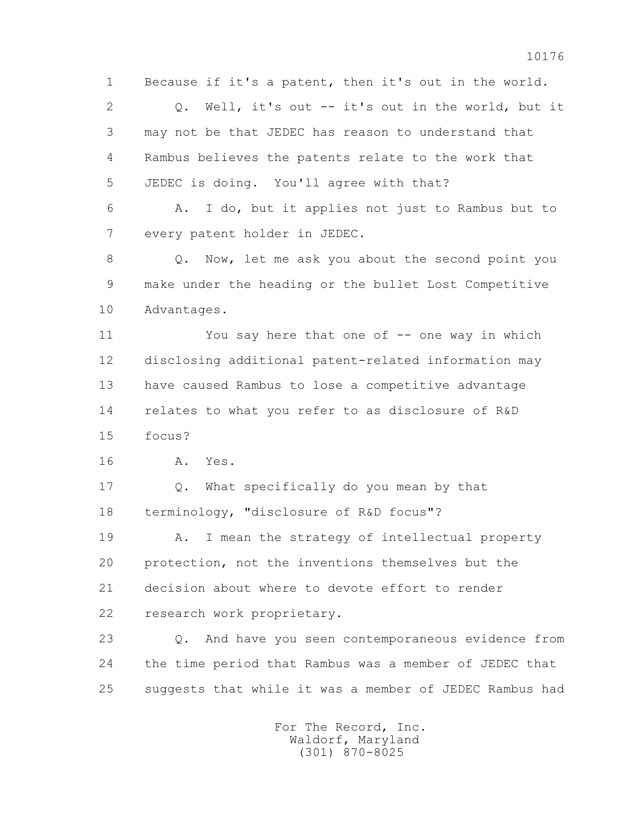1 Because if it's a patent, then it's out in the world.

 2 Q. Well, it's out -- it's out in the world, but it 3 may not be that JEDEC has reason to understand that 4 Rambus believes the patents relate to the work that 5 JEDEC is doing. You'll agree with that?

 6 A. I do, but it applies not just to Rambus but to 7 every patent holder in JEDEC.

 8 Q. Now, let me ask you about the second point you 9 make under the heading or the bullet Lost Competitive 10 Advantages.

 11 You say here that one of -- one way in which 12 disclosing additional patent-related information may 13 have caused Rambus to lose a competitive advantage 14 relates to what you refer to as disclosure of R&D 15 focus?

16 A. Yes.

 17 Q. What specifically do you mean by that 18 terminology, "disclosure of R&D focus"?

 19 A. I mean the strategy of intellectual property 20 protection, not the inventions themselves but the 21 decision about where to devote effort to render 22 research work proprietary.

 23 Q. And have you seen contemporaneous evidence from 24 the time period that Rambus was a member of JEDEC that 25 suggests that while it was a member of JEDEC Rambus had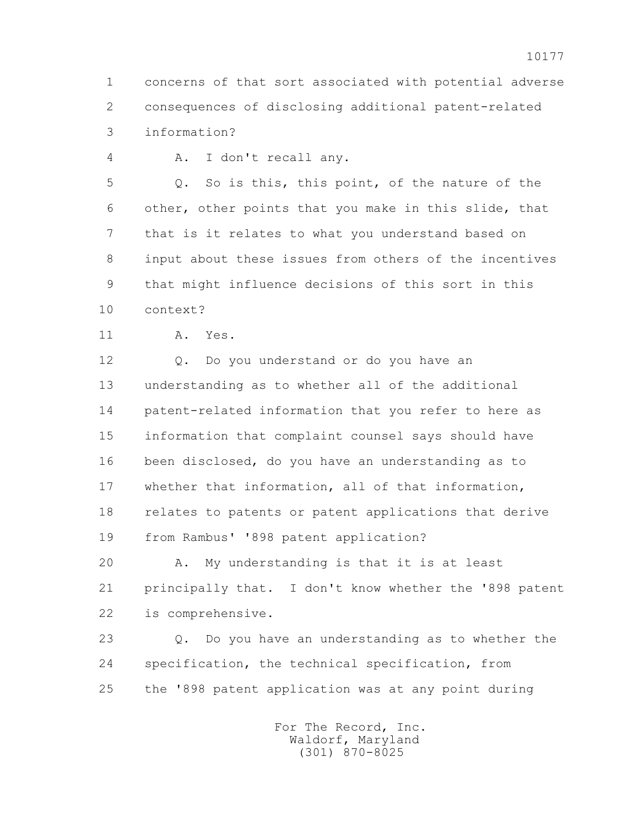1 concerns of that sort associated with potential adverse 2 consequences of disclosing additional patent-related 3 information?

4 A. I don't recall any.

 5 Q. So is this, this point, of the nature of the 6 other, other points that you make in this slide, that 7 that is it relates to what you understand based on 8 input about these issues from others of the incentives 9 that might influence decisions of this sort in this 10 context?

11 A. Yes.

 12 Q. Do you understand or do you have an 13 understanding as to whether all of the additional 14 patent-related information that you refer to here as 15 information that complaint counsel says should have 16 been disclosed, do you have an understanding as to 17 whether that information, all of that information, 18 relates to patents or patent applications that derive 19 from Rambus' '898 patent application?

 20 A. My understanding is that it is at least 21 principally that. I don't know whether the '898 patent 22 is comprehensive.

 23 Q. Do you have an understanding as to whether the 24 specification, the technical specification, from 25 the '898 patent application was at any point during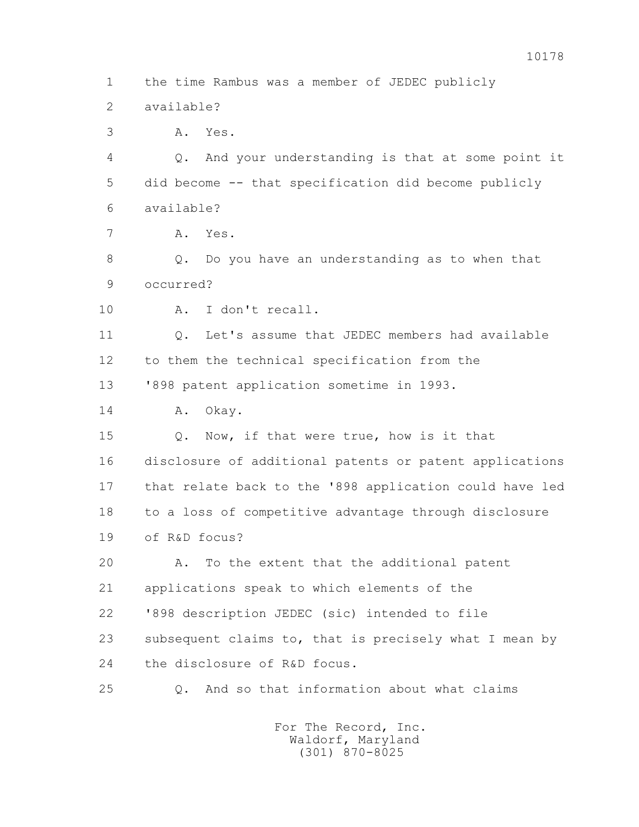1 the time Rambus was a member of JEDEC publicly

2 available?

3 A. Yes.

 4 Q. And your understanding is that at some point it 5 did become -- that specification did become publicly 6 available?

7 A. Yes.

 8 Q. Do you have an understanding as to when that 9 occurred?

10 A. I don't recall.

 11 Q. Let's assume that JEDEC members had available 12 to them the technical specification from the

13 '898 patent application sometime in 1993.

14 A. Okay.

 15 Q. Now, if that were true, how is it that 16 disclosure of additional patents or patent applications 17 that relate back to the '898 application could have led 18 to a loss of competitive advantage through disclosure 19 of R&D focus?

 20 A. To the extent that the additional patent 21 applications speak to which elements of the 22 '898 description JEDEC (sic) intended to file 23 subsequent claims to, that is precisely what I mean by 24 the disclosure of R&D focus.

25 Q. And so that information about what claims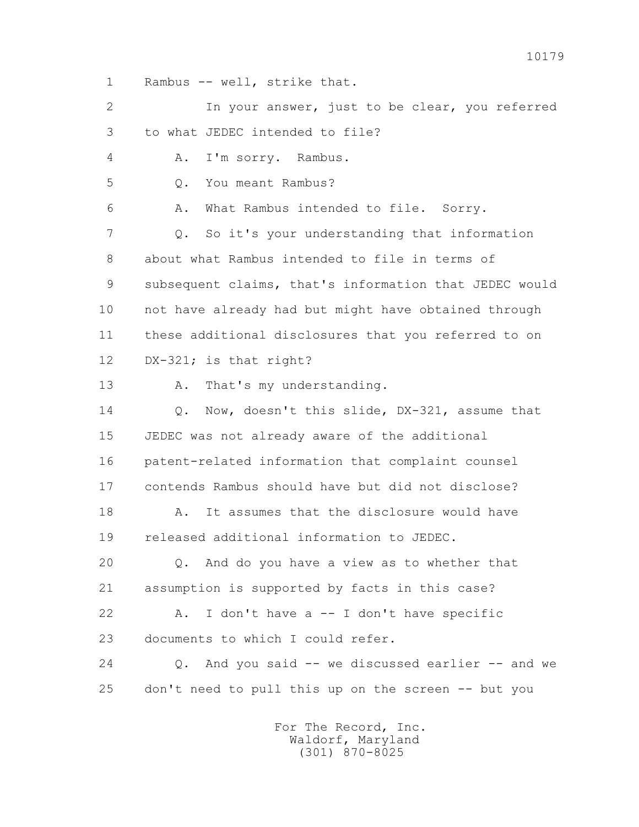1 Rambus -- well, strike that.

 2 In your answer, just to be clear, you referred 3 to what JEDEC intended to file? 4 A. I'm sorry. Rambus. 5 O. You meant Rambus? 6 A. What Rambus intended to file. Sorry. 7 Q. So it's your understanding that information 8 about what Rambus intended to file in terms of 9 subsequent claims, that's information that JEDEC would 10 not have already had but might have obtained through 11 these additional disclosures that you referred to on 12 DX-321; is that right? 13 A. That's my understanding. 14 0. Now, doesn't this slide, DX-321, assume that 15 JEDEC was not already aware of the additional 16 patent-related information that complaint counsel 17 contends Rambus should have but did not disclose? 18 A. It assumes that the disclosure would have 19 released additional information to JEDEC. 20 Q. And do you have a view as to whether that 21 assumption is supported by facts in this case? 22 A. I don't have a -- I don't have specific 23 documents to which I could refer. 24 Q. And you said -- we discussed earlier -- and we 25 don't need to pull this up on the screen -- but you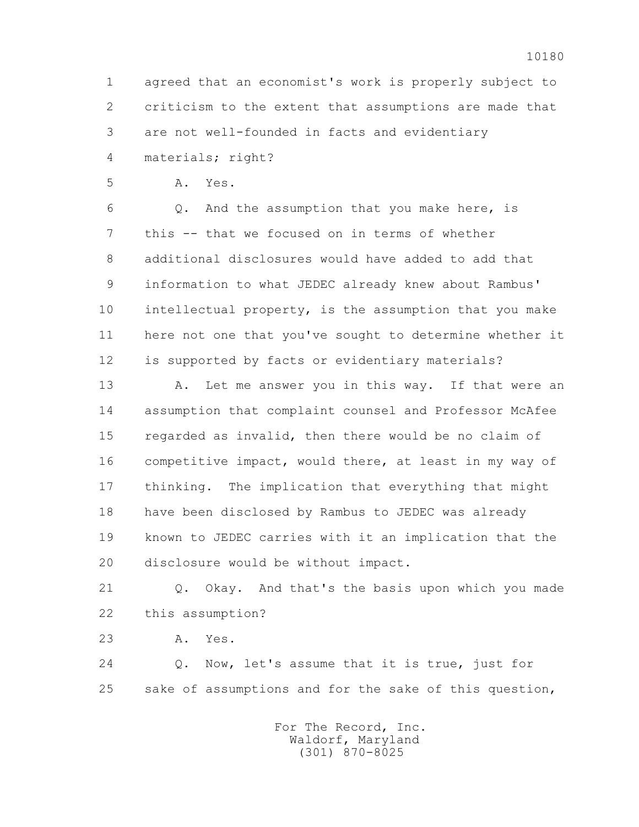1 agreed that an economist's work is properly subject to 2 criticism to the extent that assumptions are made that 3 are not well-founded in facts and evidentiary

4 materials; right?

5 A. Yes.

 6 Q. And the assumption that you make here, is 7 this -- that we focused on in terms of whether 8 additional disclosures would have added to add that 9 information to what JEDEC already knew about Rambus' 10 intellectual property, is the assumption that you make 11 here not one that you've sought to determine whether it 12 is supported by facts or evidentiary materials?

13 A. Let me answer you in this way. If that were an 14 assumption that complaint counsel and Professor McAfee 15 regarded as invalid, then there would be no claim of 16 competitive impact, would there, at least in my way of 17 thinking. The implication that everything that might 18 have been disclosed by Rambus to JEDEC was already 19 known to JEDEC carries with it an implication that the 20 disclosure would be without impact.

 21 Q. Okay. And that's the basis upon which you made 22 this assumption?

23 A. Yes.

 24 Q. Now, let's assume that it is true, just for 25 sake of assumptions and for the sake of this question,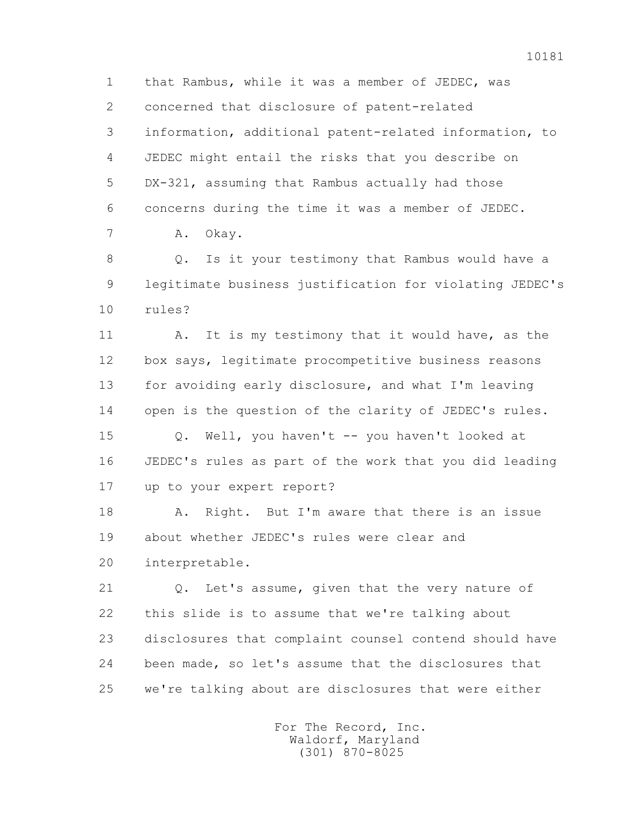1 that Rambus, while it was a member of JEDEC, was 2 concerned that disclosure of patent-related 3 information, additional patent-related information, to 4 JEDEC might entail the risks that you describe on 5 DX-321, assuming that Rambus actually had those 6 concerns during the time it was a member of JEDEC.

7 A. Okay.

 8 Q. Is it your testimony that Rambus would have a 9 legitimate business justification for violating JEDEC's 10 rules?

 11 A. It is my testimony that it would have, as the 12 box says, legitimate procompetitive business reasons 13 for avoiding early disclosure, and what I'm leaving 14 open is the question of the clarity of JEDEC's rules.

 15 Q. Well, you haven't -- you haven't looked at 16 JEDEC's rules as part of the work that you did leading 17 up to your expert report?

18 A. Right. But I'm aware that there is an issue 19 about whether JEDEC's rules were clear and 20 interpretable.

 21 Q. Let's assume, given that the very nature of 22 this slide is to assume that we're talking about 23 disclosures that complaint counsel contend should have 24 been made, so let's assume that the disclosures that 25 we're talking about are disclosures that were either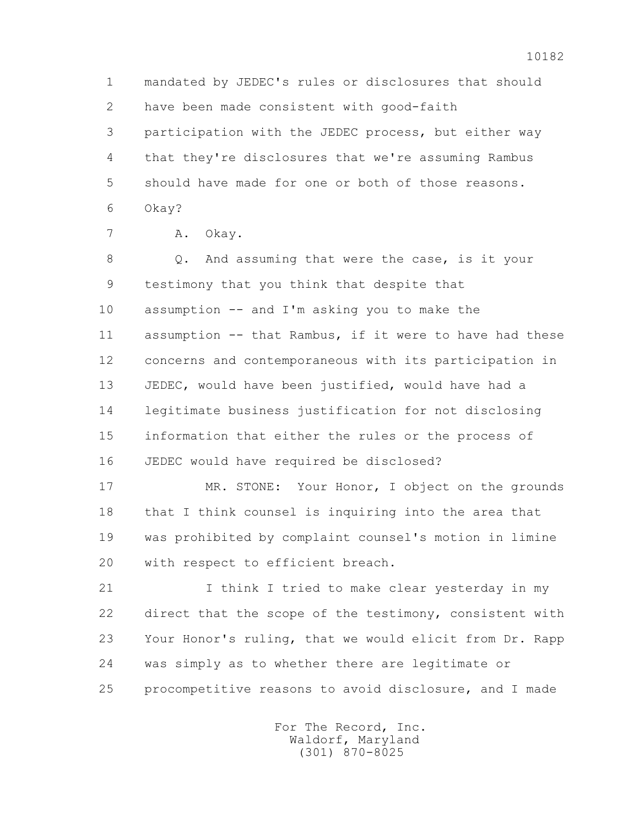1 mandated by JEDEC's rules or disclosures that should 2 have been made consistent with good-faith 3 participation with the JEDEC process, but either way 4 that they're disclosures that we're assuming Rambus 5 should have made for one or both of those reasons. 6 Okay?

7 A. Okay.

8 Q. And assuming that were the case, is it your 9 testimony that you think that despite that 10 assumption -- and I'm asking you to make the 11 assumption -- that Rambus, if it were to have had these 12 concerns and contemporaneous with its participation in 13 JEDEC, would have been justified, would have had a 14 legitimate business justification for not disclosing 15 information that either the rules or the process of 16 JEDEC would have required be disclosed?

 17 MR. STONE: Your Honor, I object on the grounds 18 that I think counsel is inquiring into the area that 19 was prohibited by complaint counsel's motion in limine 20 with respect to efficient breach.

 21 I think I tried to make clear yesterday in my 22 direct that the scope of the testimony, consistent with 23 Your Honor's ruling, that we would elicit from Dr. Rapp 24 was simply as to whether there are legitimate or 25 procompetitive reasons to avoid disclosure, and I made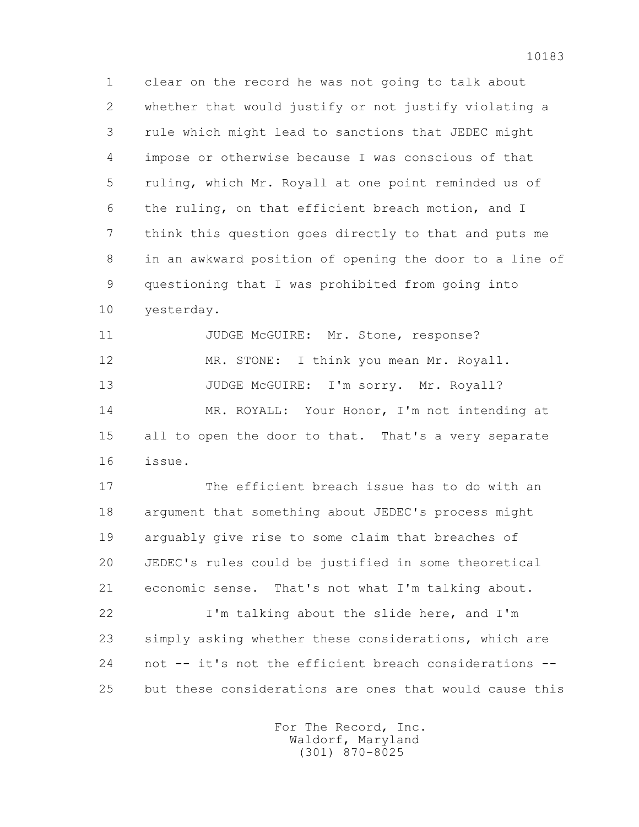1 clear on the record he was not going to talk about 2 whether that would justify or not justify violating a 3 rule which might lead to sanctions that JEDEC might 4 impose or otherwise because I was conscious of that 5 ruling, which Mr. Royall at one point reminded us of 6 the ruling, on that efficient breach motion, and I 7 think this question goes directly to that and puts me 8 in an awkward position of opening the door to a line of 9 questioning that I was prohibited from going into 10 yesterday.

11 JUDGE McGUIRE: Mr. Stone, response? 12 MR. STONE: I think you mean Mr. Royall. 13 JUDGE McGUIRE: I'm sorry. Mr. Royall? 14 MR. ROYALL: Your Honor, I'm not intending at 15 all to open the door to that. That's a very separate 16 issue.

 17 The efficient breach issue has to do with an 18 argument that something about JEDEC's process might 19 arguably give rise to some claim that breaches of 20 JEDEC's rules could be justified in some theoretical 21 economic sense. That's not what I'm talking about.

 22 I'm talking about the slide here, and I'm 23 simply asking whether these considerations, which are 24 not -- it's not the efficient breach considerations -- 25 but these considerations are ones that would cause this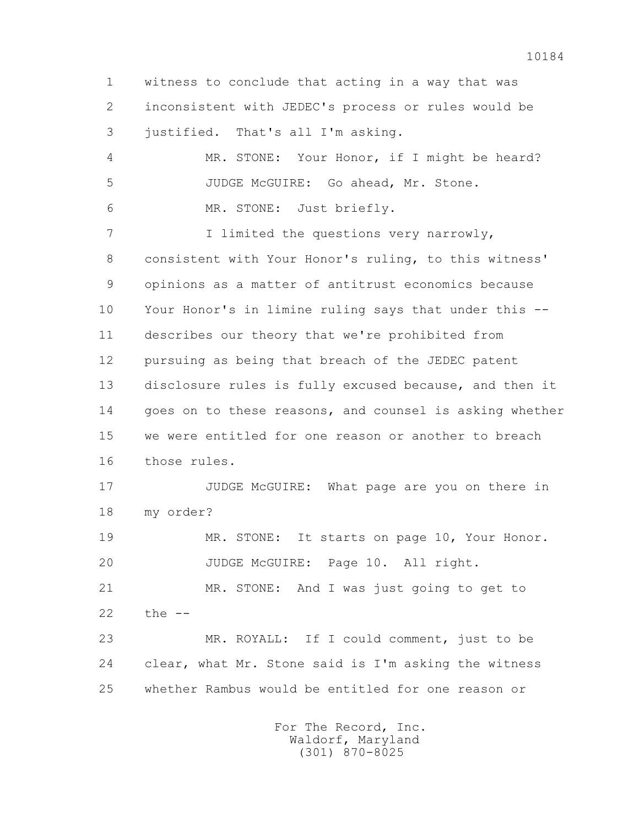1 witness to conclude that acting in a way that was 2 inconsistent with JEDEC's process or rules would be 3 justified. That's all I'm asking. 4 MR. STONE: Your Honor, if I might be heard? 5 JUDGE McGUIRE: Go ahead, Mr. Stone. 6 MR. STONE: Just briefly. 7 1 I limited the questions very narrowly, 8 consistent with Your Honor's ruling, to this witness' 9 opinions as a matter of antitrust economics because 10 Your Honor's in limine ruling says that under this -- 11 describes our theory that we're prohibited from 12 pursuing as being that breach of the JEDEC patent 13 disclosure rules is fully excused because, and then it 14 goes on to these reasons, and counsel is asking whether 15 we were entitled for one reason or another to breach 16 those rules. 17 JUDGE McGUIRE: What page are you on there in 18 my order? 19 MR. STONE: It starts on page 10, Your Honor. 20 JUDGE McGUIRE: Page 10. All right. 21 MR. STONE: And I was just going to get to  $22$  the  $-$  23 MR. ROYALL: If I could comment, just to be 24 clear, what Mr. Stone said is I'm asking the witness 25 whether Rambus would be entitled for one reason or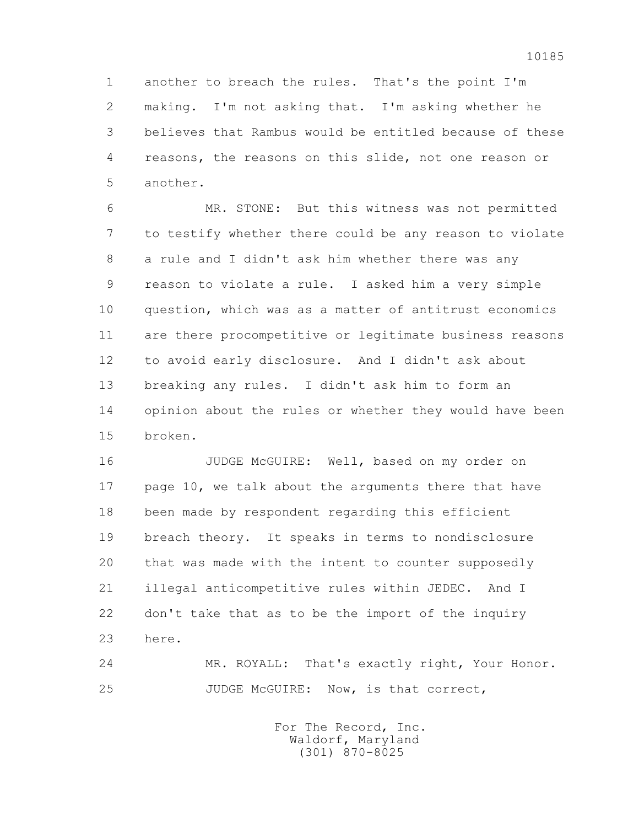1 another to breach the rules. That's the point I'm 2 making. I'm not asking that. I'm asking whether he 3 believes that Rambus would be entitled because of these 4 reasons, the reasons on this slide, not one reason or 5 another.

 6 MR. STONE: But this witness was not permitted 7 to testify whether there could be any reason to violate 8 a rule and I didn't ask him whether there was any 9 reason to violate a rule. I asked him a very simple 10 question, which was as a matter of antitrust economics 11 are there procompetitive or legitimate business reasons 12 to avoid early disclosure. And I didn't ask about 13 breaking any rules. I didn't ask him to form an 14 opinion about the rules or whether they would have been 15 broken.

 16 JUDGE McGUIRE: Well, based on my order on 17 page 10, we talk about the arguments there that have 18 been made by respondent regarding this efficient 19 breach theory. It speaks in terms to nondisclosure 20 that was made with the intent to counter supposedly 21 illegal anticompetitive rules within JEDEC. And I 22 don't take that as to be the import of the inquiry 23 here.

 24 MR. ROYALL: That's exactly right, Your Honor. 25 JUDGE McGUIRE: Now, is that correct,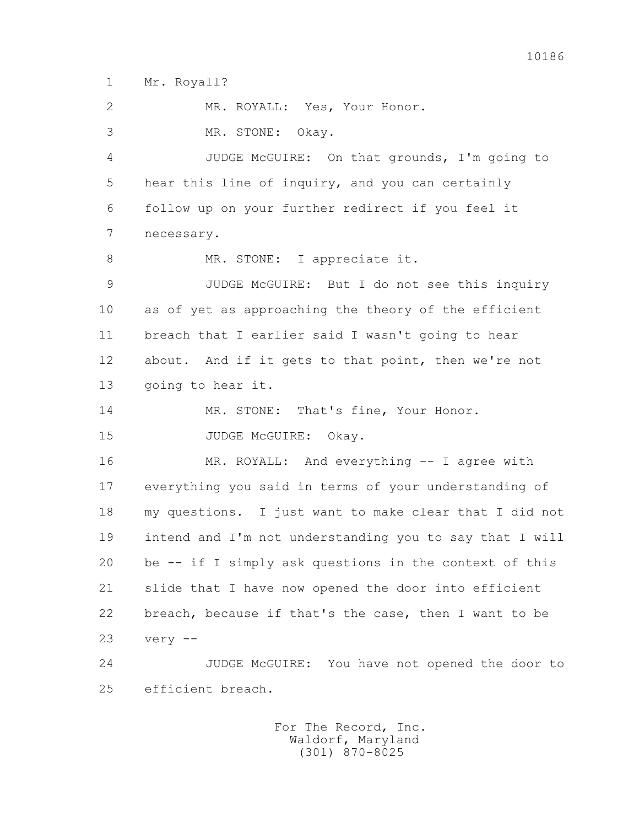1 Mr. Royall?

25 efficient breach.

 2 MR. ROYALL: Yes, Your Honor. 3 MR. STONE: Okay. 4 JUDGE McGUIRE: On that grounds, I'm going to 5 hear this line of inquiry, and you can certainly 6 follow up on your further redirect if you feel it 7 necessary. 8 MR. STONE: I appreciate it. 9 JUDGE McGUIRE: But I do not see this inquiry 10 as of yet as approaching the theory of the efficient 11 breach that I earlier said I wasn't going to hear 12 about. And if it gets to that point, then we're not 13 going to hear it. 14 MR. STONE: That's fine, Your Honor. 15 JUDGE McGUIRE: Okay. 16 MR. ROYALL: And everything -- I agree with 17 everything you said in terms of your understanding of 18 my questions. I just want to make clear that I did not 19 intend and I'm not understanding you to say that I will 20 be -- if I simply ask questions in the context of this 21 slide that I have now opened the door into efficient 22 breach, because if that's the case, then I want to be 23 very -- 24 JUDGE McGUIRE: You have not opened the door to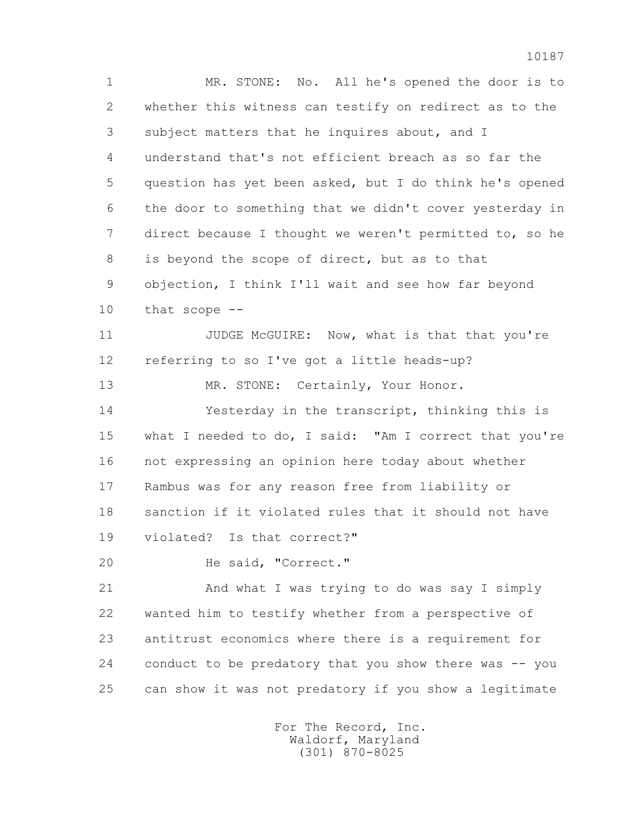1 MR. STONE: No. All he's opened the door is to 2 whether this witness can testify on redirect as to the 3 subject matters that he inquires about, and I 4 understand that's not efficient breach as so far the 5 question has yet been asked, but I do think he's opened 6 the door to something that we didn't cover yesterday in 7 direct because I thought we weren't permitted to, so he 8 is beyond the scope of direct, but as to that 9 objection, I think I'll wait and see how far beyond 10 that scope -- 11 JUDGE McGUIRE: Now, what is that that you're 12 referring to so I've got a little heads-up? 13 MR. STONE: Certainly, Your Honor. 14 Yesterday in the transcript, thinking this is 15 what I needed to do, I said: "Am I correct that you're 16 not expressing an opinion here today about whether 17 Rambus was for any reason free from liability or 18 sanction if it violated rules that it should not have 19 violated? Is that correct?" 20 He said, "Correct." 21 And what I was trying to do was say I simply

 22 wanted him to testify whether from a perspective of 23 antitrust economics where there is a requirement for 24 conduct to be predatory that you show there was -- you 25 can show it was not predatory if you show a legitimate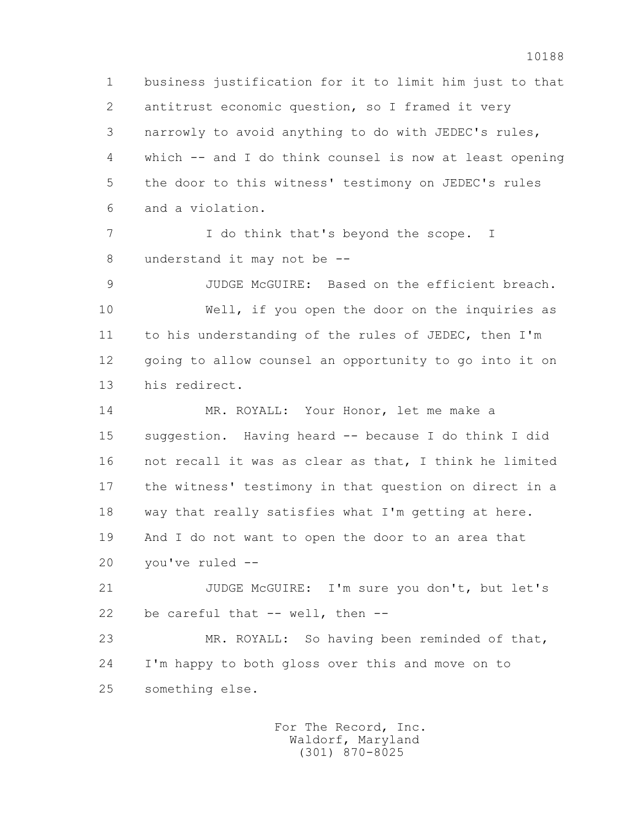1 business justification for it to limit him just to that 2 antitrust economic question, so I framed it very 3 narrowly to avoid anything to do with JEDEC's rules, 4 which -- and I do think counsel is now at least opening 5 the door to this witness' testimony on JEDEC's rules 6 and a violation.

7 T do think that's beyond the scope. I 8 understand it may not be --

 9 JUDGE McGUIRE: Based on the efficient breach. 10 Well, if you open the door on the inquiries as 11 to his understanding of the rules of JEDEC, then I'm 12 going to allow counsel an opportunity to go into it on 13 his redirect.

 14 MR. ROYALL: Your Honor, let me make a 15 suggestion. Having heard -- because I do think I did 16 not recall it was as clear as that, I think he limited 17 the witness' testimony in that question on direct in a 18 way that really satisfies what I'm getting at here. 19 And I do not want to open the door to an area that 20 you've ruled --

 21 JUDGE McGUIRE: I'm sure you don't, but let's 22 be careful that -- well, then --

 23 MR. ROYALL: So having been reminded of that, 24 I'm happy to both gloss over this and move on to 25 something else.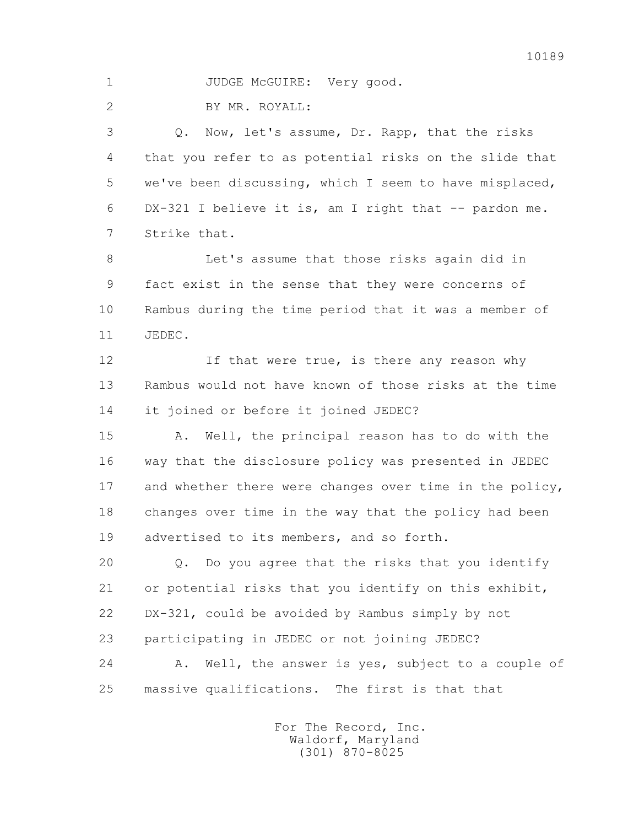1 JUDGE McGUIRE: Very good.

2 BY MR. ROYALL:

 3 Q. Now, let's assume, Dr. Rapp, that the risks 4 that you refer to as potential risks on the slide that 5 we've been discussing, which I seem to have misplaced, 6 DX-321 I believe it is, am I right that -- pardon me. 7 Strike that.

 8 Let's assume that those risks again did in 9 fact exist in the sense that they were concerns of 10 Rambus during the time period that it was a member of 11 JEDEC.

12 **If that were true, is there any reason why**  13 Rambus would not have known of those risks at the time 14 it joined or before it joined JEDEC?

 15 A. Well, the principal reason has to do with the 16 way that the disclosure policy was presented in JEDEC 17 and whether there were changes over time in the policy, 18 changes over time in the way that the policy had been 19 advertised to its members, and so forth.

 20 Q. Do you agree that the risks that you identify 21 or potential risks that you identify on this exhibit, 22 DX-321, could be avoided by Rambus simply by not 23 participating in JEDEC or not joining JEDEC?

 24 A. Well, the answer is yes, subject to a couple of 25 massive qualifications. The first is that that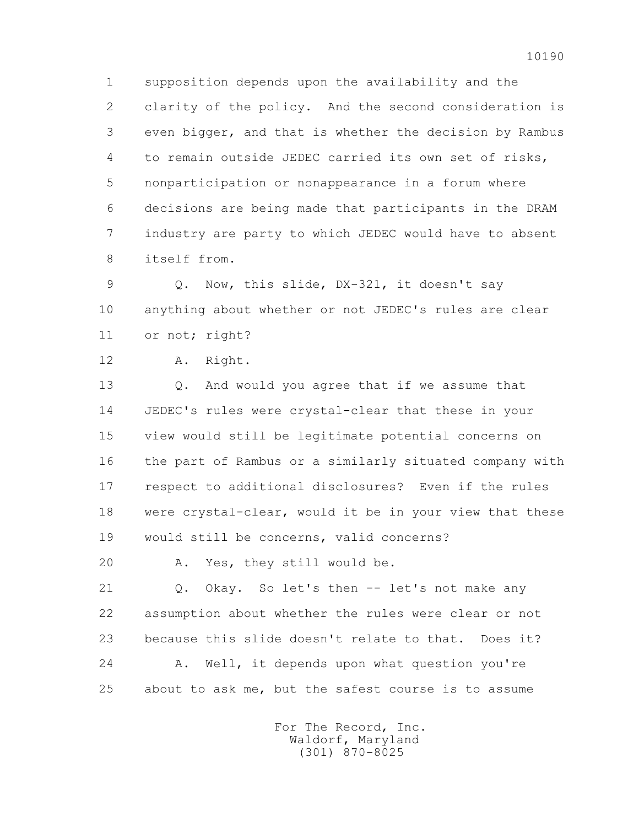1 supposition depends upon the availability and the 2 clarity of the policy. And the second consideration is 3 even bigger, and that is whether the decision by Rambus 4 to remain outside JEDEC carried its own set of risks, 5 nonparticipation or nonappearance in a forum where 6 decisions are being made that participants in the DRAM 7 industry are party to which JEDEC would have to absent 8 itself from.

 9 Q. Now, this slide, DX-321, it doesn't say 10 anything about whether or not JEDEC's rules are clear 11 or not; right?

12 A. Right.

 13 Q. And would you agree that if we assume that 14 JEDEC's rules were crystal-clear that these in your 15 view would still be legitimate potential concerns on 16 the part of Rambus or a similarly situated company with 17 respect to additional disclosures? Even if the rules 18 were crystal-clear, would it be in your view that these 19 would still be concerns, valid concerns?

20 A. Yes, they still would be.

 21 Q. Okay. So let's then -- let's not make any 22 assumption about whether the rules were clear or not 23 because this slide doesn't relate to that. Does it? 24 A. Well, it depends upon what question you're 25 about to ask me, but the safest course is to assume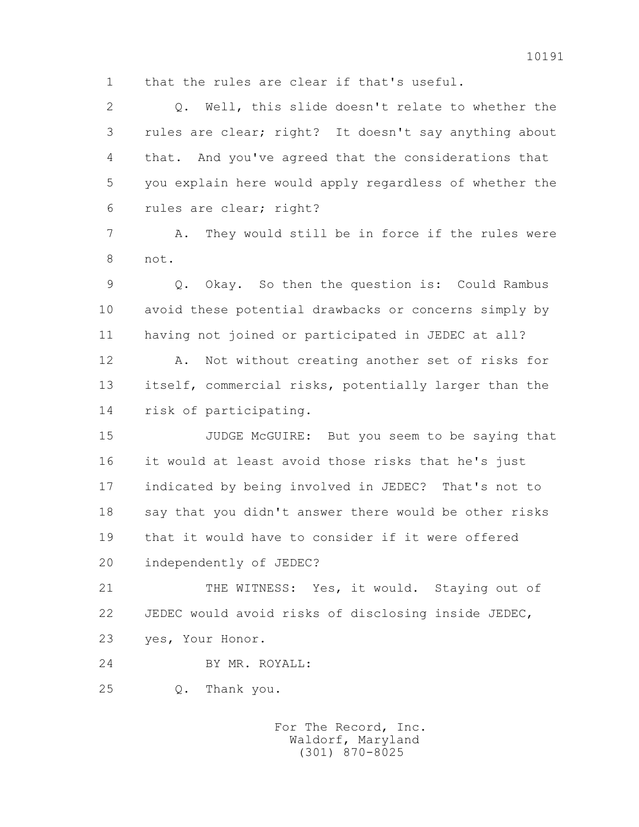1 that the rules are clear if that's useful.

 2 Q. Well, this slide doesn't relate to whether the 3 rules are clear; right? It doesn't say anything about 4 that. And you've agreed that the considerations that 5 you explain here would apply regardless of whether the 6 rules are clear; right? 7 A. They would still be in force if the rules were

8 not.

 9 Q. Okay. So then the question is: Could Rambus 10 avoid these potential drawbacks or concerns simply by 11 having not joined or participated in JEDEC at all?

 12 A. Not without creating another set of risks for 13 itself, commercial risks, potentially larger than the 14 risk of participating.

 15 JUDGE McGUIRE: But you seem to be saying that 16 it would at least avoid those risks that he's just 17 indicated by being involved in JEDEC? That's not to 18 say that you didn't answer there would be other risks 19 that it would have to consider if it were offered 20 independently of JEDEC?

 21 THE WITNESS: Yes, it would. Staying out of 22 JEDEC would avoid risks of disclosing inside JEDEC,

- 23 yes, Your Honor.
- 24 BY MR. ROYALL:
- 25 Q. Thank you.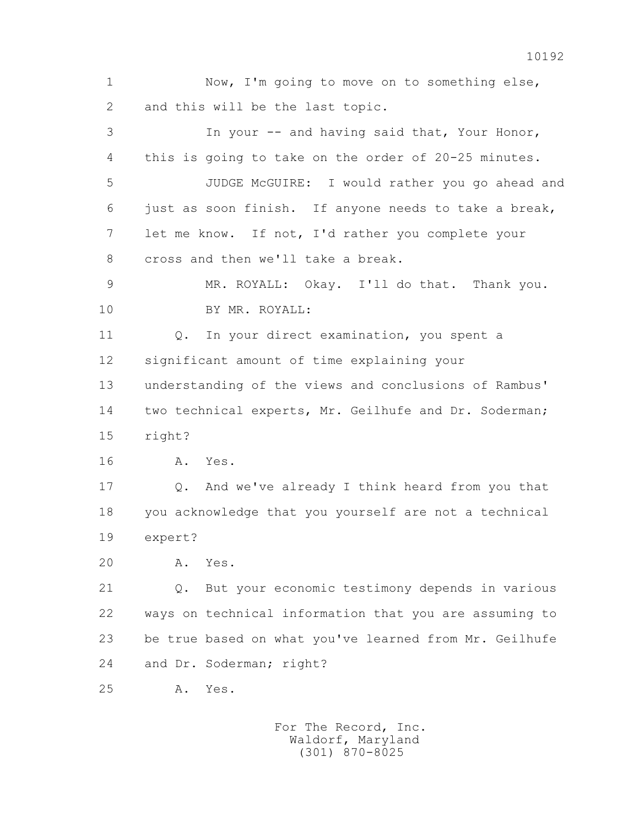1 Now, I'm going to move on to something else, 2 and this will be the last topic. 3 In your -- and having said that, Your Honor, 4 this is going to take on the order of 20-25 minutes. 5 JUDGE McGUIRE: I would rather you go ahead and 6 just as soon finish. If anyone needs to take a break, 7 let me know. If not, I'd rather you complete your 8 cross and then we'll take a break. 9 MR. ROYALL: Okay. I'll do that. Thank you. 10 BY MR. ROYALL: 11 0. In your direct examination, you spent a 12 significant amount of time explaining your 13 understanding of the views and conclusions of Rambus' 14 two technical experts, Mr. Geilhufe and Dr. Soderman; 15 right? 16 A. Yes. 17 Q. And we've already I think heard from you that 18 you acknowledge that you yourself are not a technical 19 expert? 20 A. Yes. 21 Q. But your economic testimony depends in various 22 ways on technical information that you are assuming to 23 be true based on what you've learned from Mr. Geilhufe 24 and Dr. Soderman; right? 25 A. Yes.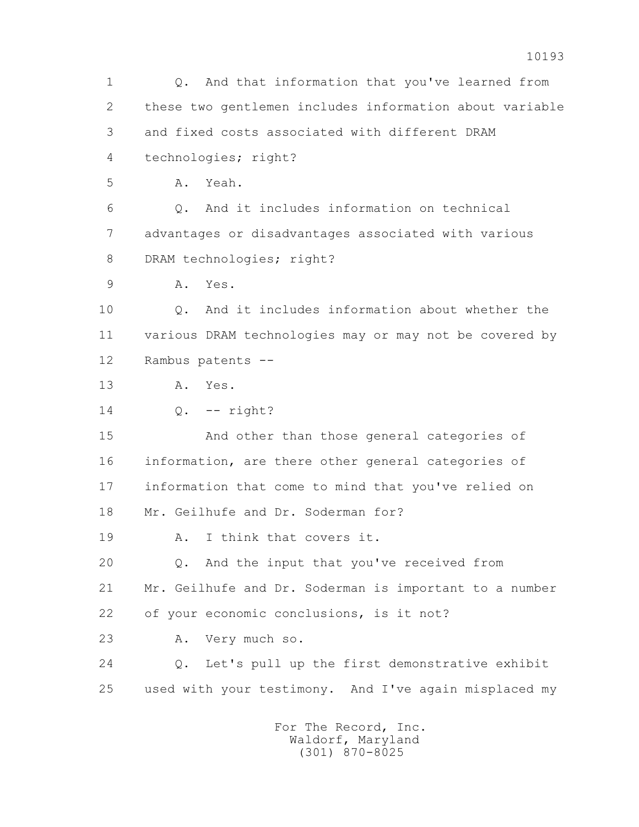1 Q. And that information that you've learned from 2 these two gentlemen includes information about variable 3 and fixed costs associated with different DRAM 4 technologies; right? 5 A. Yeah. 6 Q. And it includes information on technical 7 advantages or disadvantages associated with various 8 DRAM technologies; right? 9 A. Yes. 10 Q. And it includes information about whether the 11 various DRAM technologies may or may not be covered by 12 Rambus patents -- 13 A. Yes. 14 Q. -- right? 15 And other than those general categories of 16 information, are there other general categories of 17 information that come to mind that you've relied on 18 Mr. Geilhufe and Dr. Soderman for? 19 A. I think that covers it. 20 Q. And the input that you've received from 21 Mr. Geilhufe and Dr. Soderman is important to a number 22 of your economic conclusions, is it not? 23 A. Very much so. 24 Q. Let's pull up the first demonstrative exhibit 25 used with your testimony. And I've again misplaced my For The Record, Inc.

 Waldorf, Maryland (301) 870-8025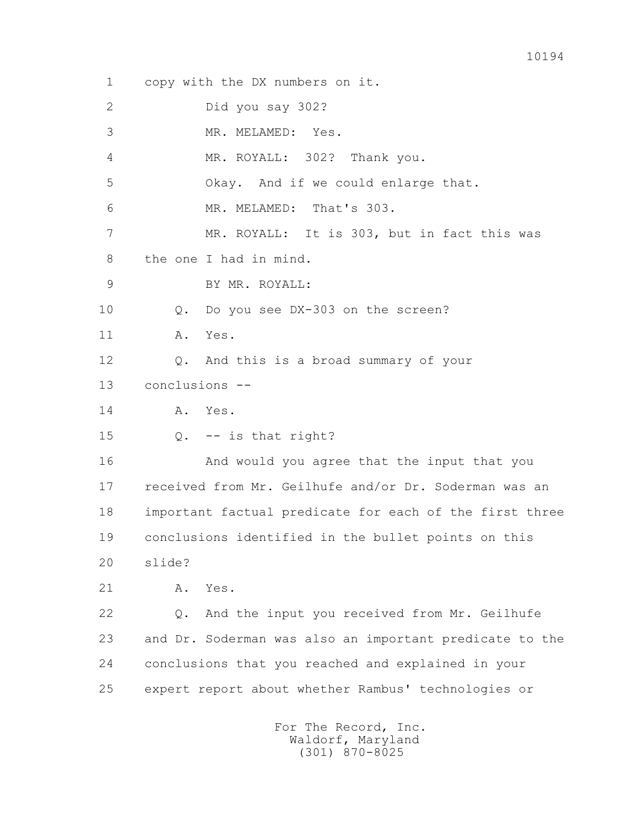1 copy with the DX numbers on it. 2 Did you say 302? 3 MR. MELAMED: Yes. 4 MR. ROYALL: 302? Thank you. 5 Okay. And if we could enlarge that. 6 MR. MELAMED: That's 303. 7 MR. ROYALL: It is 303, but in fact this was 8 the one I had in mind. 9 BY MR. ROYALL: 10 Q. Do you see DX-303 on the screen? 11 A. Yes. 12 Q. And this is a broad summary of your 13 conclusions -- 14 A. Yes. 15 Q. -- is that right? 16 And would you agree that the input that you 17 received from Mr. Geilhufe and/or Dr. Soderman was an 18 important factual predicate for each of the first three 19 conclusions identified in the bullet points on this 20 slide? 21 A. Yes. 22 Q. And the input you received from Mr. Geilhufe 23 and Dr. Soderman was also an important predicate to the 24 conclusions that you reached and explained in your 25 expert report about whether Rambus' technologies or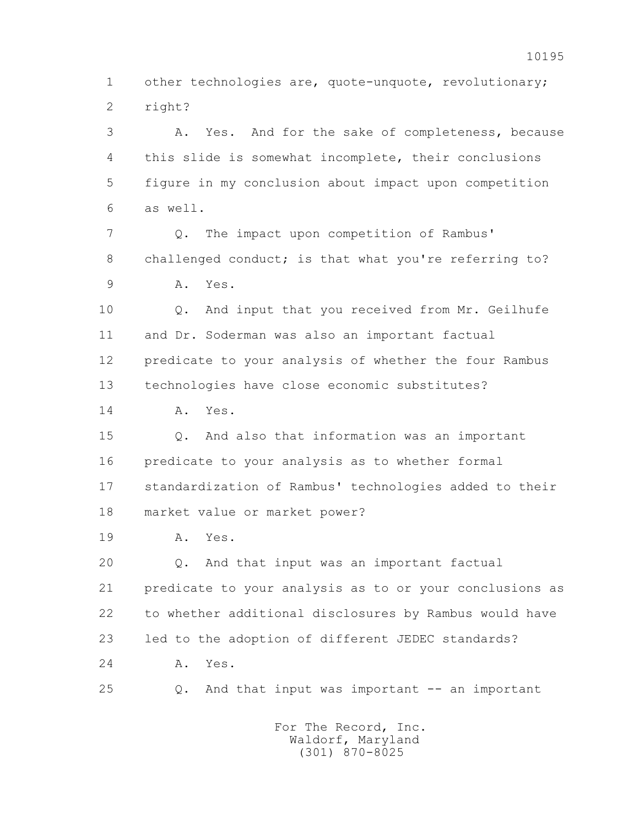1 other technologies are, quote-unquote, revolutionary; 2 right?

 3 A. Yes. And for the sake of completeness, because 4 this slide is somewhat incomplete, their conclusions 5 figure in my conclusion about impact upon competition 6 as well.

 7 Q. The impact upon competition of Rambus' 8 challenged conduct; is that what you're referring to? 9 A. Yes.

 10 Q. And input that you received from Mr. Geilhufe 11 and Dr. Soderman was also an important factual 12 predicate to your analysis of whether the four Rambus 13 technologies have close economic substitutes?

14 A. Yes.

 15 Q. And also that information was an important 16 predicate to your analysis as to whether formal 17 standardization of Rambus' technologies added to their 18 market value or market power?

19 A. Yes.

 20 Q. And that input was an important factual 21 predicate to your analysis as to or your conclusions as 22 to whether additional disclosures by Rambus would have 23 led to the adoption of different JEDEC standards? 24 A. Yes.

25 Q. And that input was important -- an important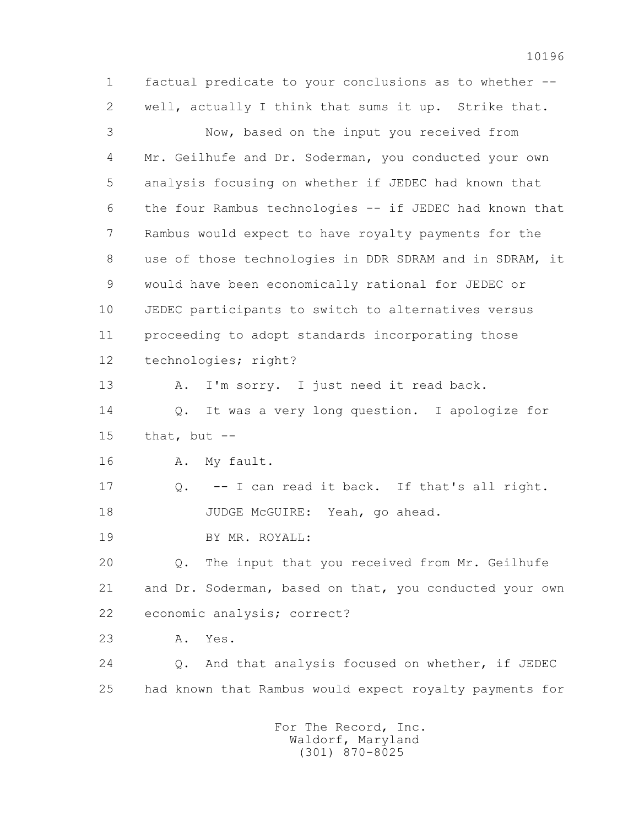1 factual predicate to your conclusions as to whether -- 2 well, actually I think that sums it up. Strike that. 3 Now, based on the input you received from 4 Mr. Geilhufe and Dr. Soderman, you conducted your own 5 analysis focusing on whether if JEDEC had known that 6 the four Rambus technologies -- if JEDEC had known that 7 Rambus would expect to have royalty payments for the 8 use of those technologies in DDR SDRAM and in SDRAM, it 9 would have been economically rational for JEDEC or 10 JEDEC participants to switch to alternatives versus 11 proceeding to adopt standards incorporating those 12 technologies; right? 13 A. I'm sorry. I just need it read back. 14 Q. It was a very long question. I apologize for  $15$  that, but  $-$  16 A. My fault. 17 Q. -- I can read it back. If that's all right. 18 JUDGE McGUIRE: Yeah, go ahead. 19 BY MR. ROYALL: 20 Q. The input that you received from Mr. Geilhufe 21 and Dr. Soderman, based on that, you conducted your own 22 economic analysis; correct? 23 A. Yes. 24 Q. And that analysis focused on whether, if JEDEC 25 had known that Rambus would expect royalty payments for For The Record, Inc.

 Waldorf, Maryland (301) 870-8025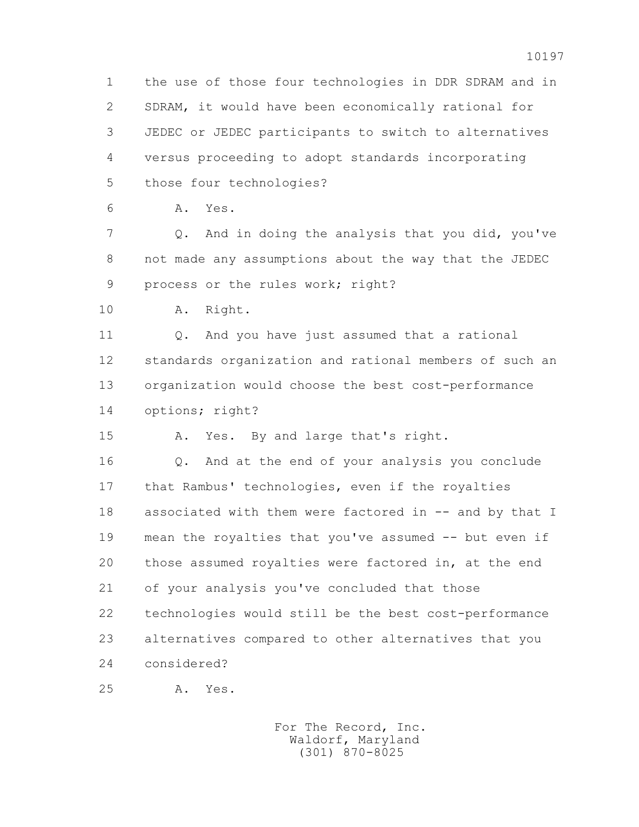1 the use of those four technologies in DDR SDRAM and in 2 SDRAM, it would have been economically rational for 3 JEDEC or JEDEC participants to switch to alternatives 4 versus proceeding to adopt standards incorporating 5 those four technologies?

6 A. Yes.

 7 Q. And in doing the analysis that you did, you've 8 not made any assumptions about the way that the JEDEC 9 process or the rules work; right?

10 A. Right.

11 0. And you have just assumed that a rational 12 standards organization and rational members of such an 13 organization would choose the best cost-performance 14 options; right?

15 A. Yes. By and large that's right.

 16 Q. And at the end of your analysis you conclude 17 that Rambus' technologies, even if the royalties 18 associated with them were factored in -- and by that I 19 mean the royalties that you've assumed -- but even if 20 those assumed royalties were factored in, at the end 21 of your analysis you've concluded that those 22 technologies would still be the best cost-performance 23 alternatives compared to other alternatives that you 24 considered?

25 A. Yes.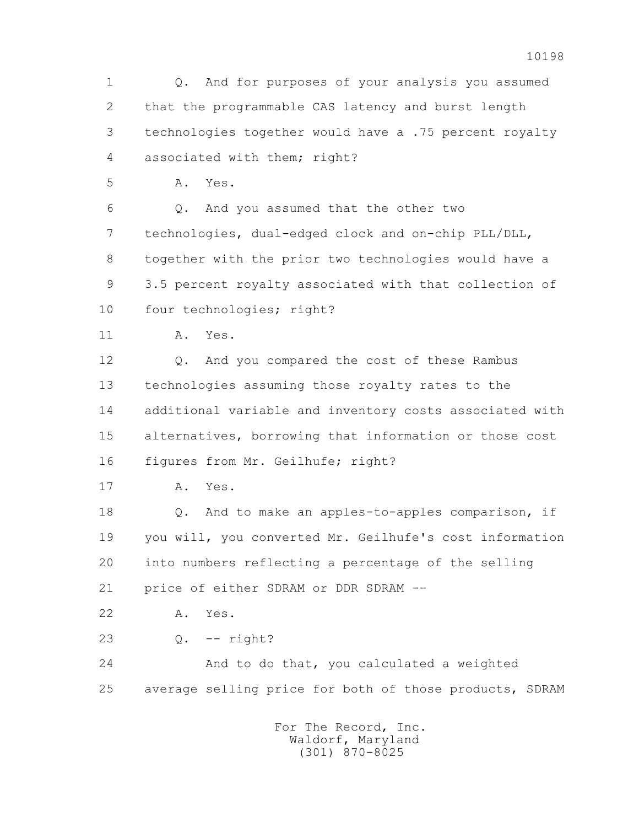1 Q. And for purposes of your analysis you assumed 2 that the programmable CAS latency and burst length 3 technologies together would have a .75 percent royalty 4 associated with them; right? 5 A. Yes. 6 Q. And you assumed that the other two 7 technologies, dual-edged clock and on-chip PLL/DLL, 8 together with the prior two technologies would have a 9 3.5 percent royalty associated with that collection of 10 four technologies; right? 11 A. Yes. 12 Q. And you compared the cost of these Rambus 13 technologies assuming those royalty rates to the 14 additional variable and inventory costs associated with 15 alternatives, borrowing that information or those cost 16 figures from Mr. Geilhufe; right? 17 A. Yes. 18 Q. And to make an apples-to-apples comparison, if 19 you will, you converted Mr. Geilhufe's cost information 20 into numbers reflecting a percentage of the selling 21 price of either SDRAM or DDR SDRAM -- 22 A. Yes. 23 Q. -- right? 24 And to do that, you calculated a weighted 25 average selling price for both of those products, SDRAM For The Record, Inc. Waldorf, Maryland (301) 870-8025

10198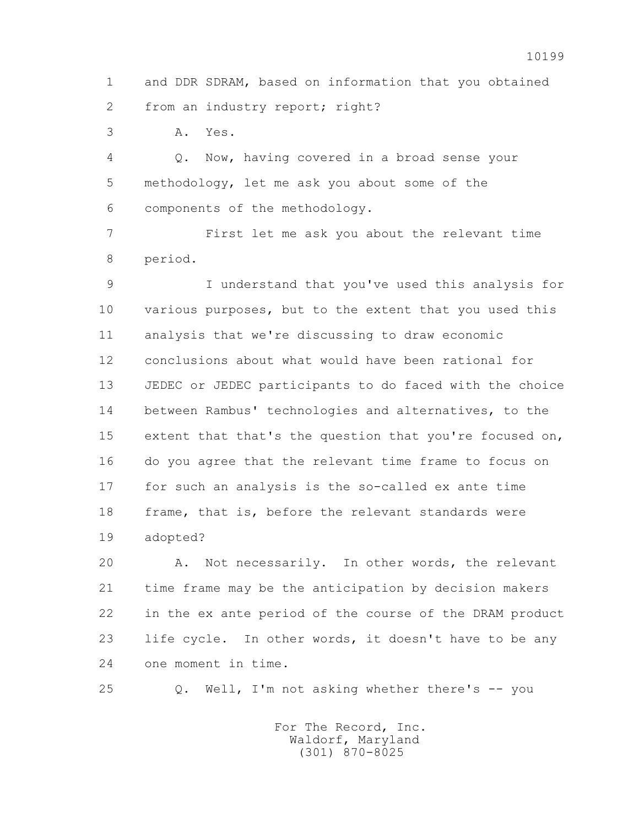1 and DDR SDRAM, based on information that you obtained 2 from an industry report; right?

3 A. Yes.

 4 Q. Now, having covered in a broad sense your 5 methodology, let me ask you about some of the 6 components of the methodology.

 7 First let me ask you about the relevant time 8 period.

 9 I understand that you've used this analysis for 10 various purposes, but to the extent that you used this 11 analysis that we're discussing to draw economic 12 conclusions about what would have been rational for 13 JEDEC or JEDEC participants to do faced with the choice 14 between Rambus' technologies and alternatives, to the 15 extent that that's the question that you're focused on, 16 do you agree that the relevant time frame to focus on 17 for such an analysis is the so-called ex ante time 18 frame, that is, before the relevant standards were 19 adopted?

 20 A. Not necessarily. In other words, the relevant 21 time frame may be the anticipation by decision makers 22 in the ex ante period of the course of the DRAM product 23 life cycle. In other words, it doesn't have to be any 24 one moment in time.

25 Q. Well, I'm not asking whether there's -- you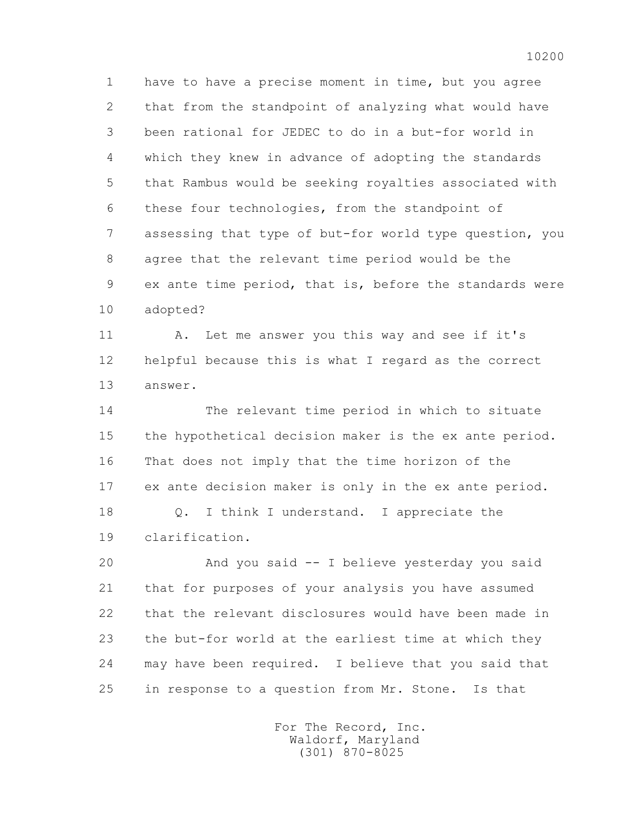1 have to have a precise moment in time, but you agree 2 that from the standpoint of analyzing what would have 3 been rational for JEDEC to do in a but-for world in 4 which they knew in advance of adopting the standards 5 that Rambus would be seeking royalties associated with 6 these four technologies, from the standpoint of 7 assessing that type of but-for world type question, you 8 agree that the relevant time period would be the 9 ex ante time period, that is, before the standards were 10 adopted?

 11 A. Let me answer you this way and see if it's 12 helpful because this is what I regard as the correct 13 answer.

 14 The relevant time period in which to situate 15 the hypothetical decision maker is the ex ante period. 16 That does not imply that the time horizon of the 17 ex ante decision maker is only in the ex ante period. 18 Q. I think I understand. I appreciate the 19 clarification.

 20 And you said -- I believe yesterday you said 21 that for purposes of your analysis you have assumed 22 that the relevant disclosures would have been made in 23 the but-for world at the earliest time at which they 24 may have been required. I believe that you said that 25 in response to a question from Mr. Stone. Is that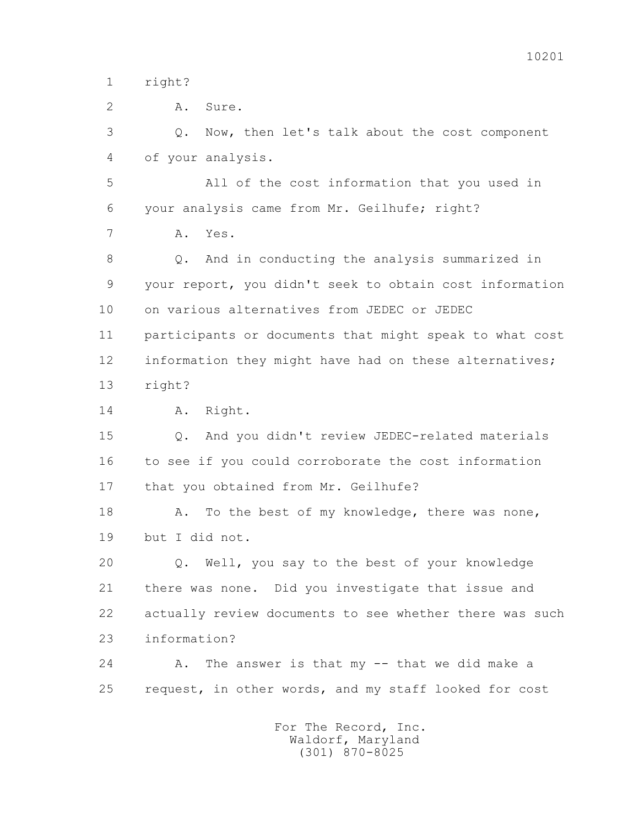1 right?

 2 A. Sure. 3 Q. Now, then let's talk about the cost component 4 of your analysis. 5 All of the cost information that you used in 6 your analysis came from Mr. Geilhufe; right? 7 A. Yes. 8 Q. And in conducting the analysis summarized in 9 your report, you didn't seek to obtain cost information 10 on various alternatives from JEDEC or JEDEC 11 participants or documents that might speak to what cost 12 information they might have had on these alternatives; 13 right? 14 A. Right. 15 Q. And you didn't review JEDEC-related materials 16 to see if you could corroborate the cost information 17 that you obtained from Mr. Geilhufe? 18 A. To the best of my knowledge, there was none, 19 but I did not. 20 Q. Well, you say to the best of your knowledge 21 there was none. Did you investigate that issue and 22 actually review documents to see whether there was such 23 information? 24 A. The answer is that my -- that we did make a 25 request, in other words, and my staff looked for cost For The Record, Inc.

 Waldorf, Maryland (301) 870-8025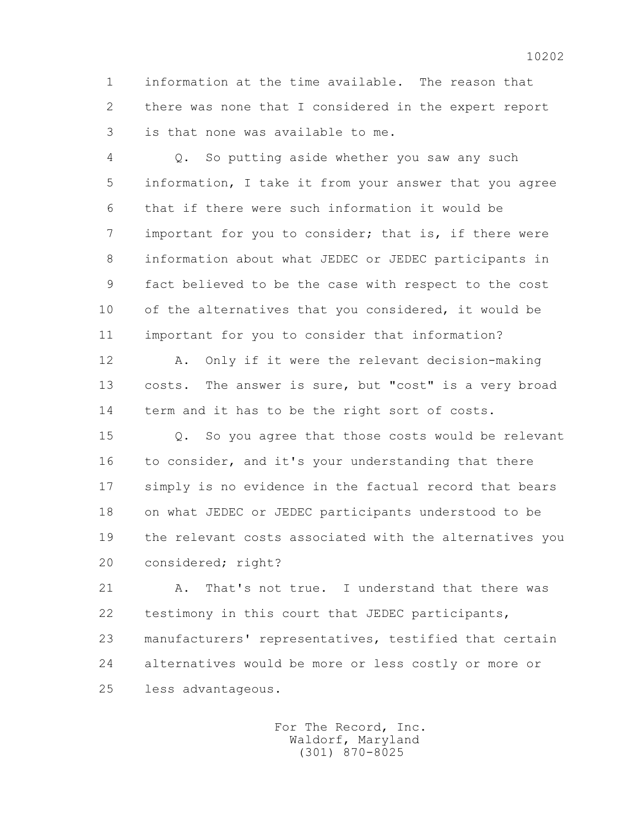1 information at the time available. The reason that 2 there was none that I considered in the expert report 3 is that none was available to me.

 4 Q. So putting aside whether you saw any such 5 information, I take it from your answer that you agree 6 that if there were such information it would be 7 important for you to consider; that is, if there were 8 information about what JEDEC or JEDEC participants in 9 fact believed to be the case with respect to the cost 10 of the alternatives that you considered, it would be 11 important for you to consider that information?

 12 A. Only if it were the relevant decision-making 13 costs. The answer is sure, but "cost" is a very broad 14 term and it has to be the right sort of costs.

 15 Q. So you agree that those costs would be relevant 16 to consider, and it's your understanding that there 17 simply is no evidence in the factual record that bears 18 on what JEDEC or JEDEC participants understood to be 19 the relevant costs associated with the alternatives you 20 considered; right?

 21 A. That's not true. I understand that there was 22 testimony in this court that JEDEC participants, 23 manufacturers' representatives, testified that certain 24 alternatives would be more or less costly or more or 25 less advantageous.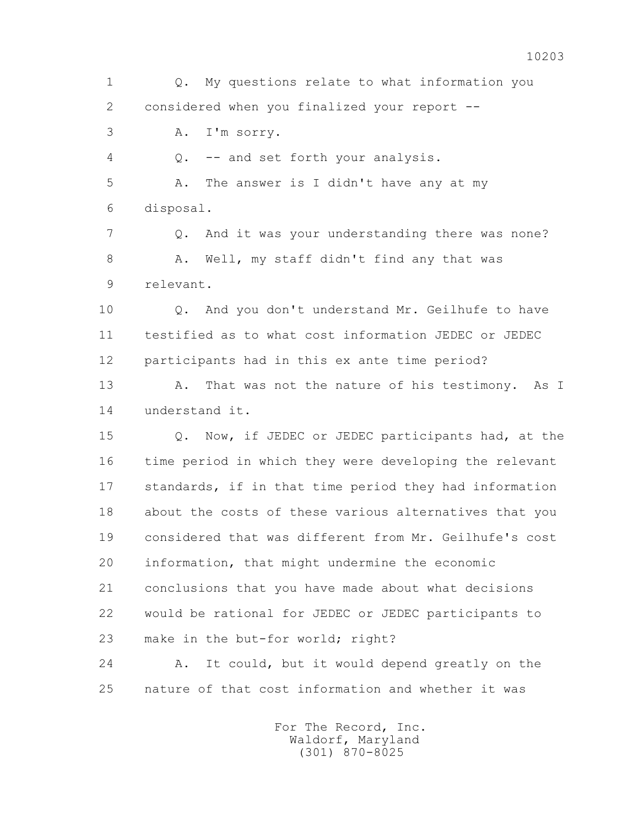1 Q. My questions relate to what information you 2 considered when you finalized your report -- 3 A. I'm sorry. 4 Q. -- and set forth your analysis. 5 A. The answer is I didn't have any at my 6 disposal. 7 Q. And it was your understanding there was none? 8 A. Well, my staff didn't find any that was 9 relevant. 10 0. And you don't understand Mr. Geilhufe to have 11 testified as to what cost information JEDEC or JEDEC 12 participants had in this ex ante time period? 13 A. That was not the nature of his testimony. As I 14 understand it. 15 Q. Now, if JEDEC or JEDEC participants had, at the 16 time period in which they were developing the relevant 17 standards, if in that time period they had information 18 about the costs of these various alternatives that you 19 considered that was different from Mr. Geilhufe's cost 20 information, that might undermine the economic 21 conclusions that you have made about what decisions 22 would be rational for JEDEC or JEDEC participants to 23 make in the but-for world; right? 24 A. It could, but it would depend greatly on the 25 nature of that cost information and whether it was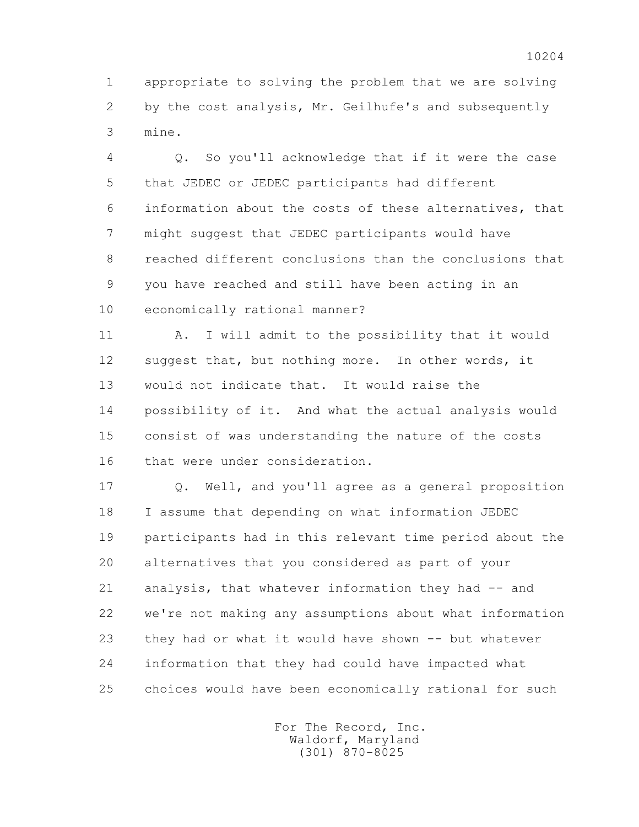1 appropriate to solving the problem that we are solving 2 by the cost analysis, Mr. Geilhufe's and subsequently 3 mine.

 4 Q. So you'll acknowledge that if it were the case 5 that JEDEC or JEDEC participants had different 6 information about the costs of these alternatives, that 7 might suggest that JEDEC participants would have 8 reached different conclusions than the conclusions that 9 you have reached and still have been acting in an 10 economically rational manner?

 11 A. I will admit to the possibility that it would 12 suggest that, but nothing more. In other words, it 13 would not indicate that. It would raise the 14 possibility of it. And what the actual analysis would 15 consist of was understanding the nature of the costs 16 that were under consideration.

 17 Q. Well, and you'll agree as a general proposition 18 I assume that depending on what information JEDEC 19 participants had in this relevant time period about the 20 alternatives that you considered as part of your 21 analysis, that whatever information they had -- and 22 we're not making any assumptions about what information 23 they had or what it would have shown -- but whatever 24 information that they had could have impacted what 25 choices would have been economically rational for such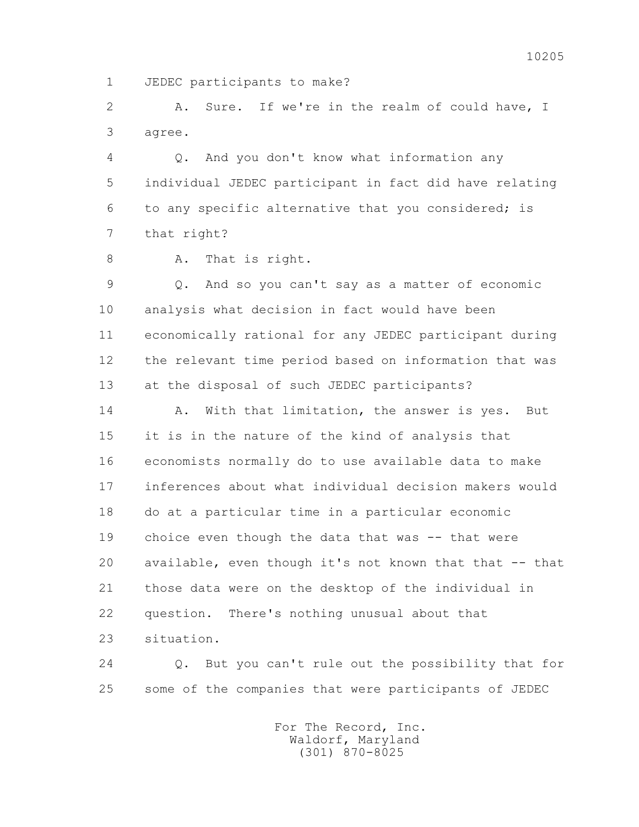1 JEDEC participants to make?

 2 A. Sure. If we're in the realm of could have, I 3 agree.

 4 Q. And you don't know what information any 5 individual JEDEC participant in fact did have relating 6 to any specific alternative that you considered; is 7 that right?

8 A. That is right.

 9 Q. And so you can't say as a matter of economic 10 analysis what decision in fact would have been 11 economically rational for any JEDEC participant during 12 the relevant time period based on information that was 13 at the disposal of such JEDEC participants?

14 A. With that limitation, the answer is yes. But 15 it is in the nature of the kind of analysis that 16 economists normally do to use available data to make 17 inferences about what individual decision makers would 18 do at a particular time in a particular economic 19 choice even though the data that was -- that were 20 available, even though it's not known that that -- that 21 those data were on the desktop of the individual in 22 question. There's nothing unusual about that 23 situation.

 24 Q. But you can't rule out the possibility that for 25 some of the companies that were participants of JEDEC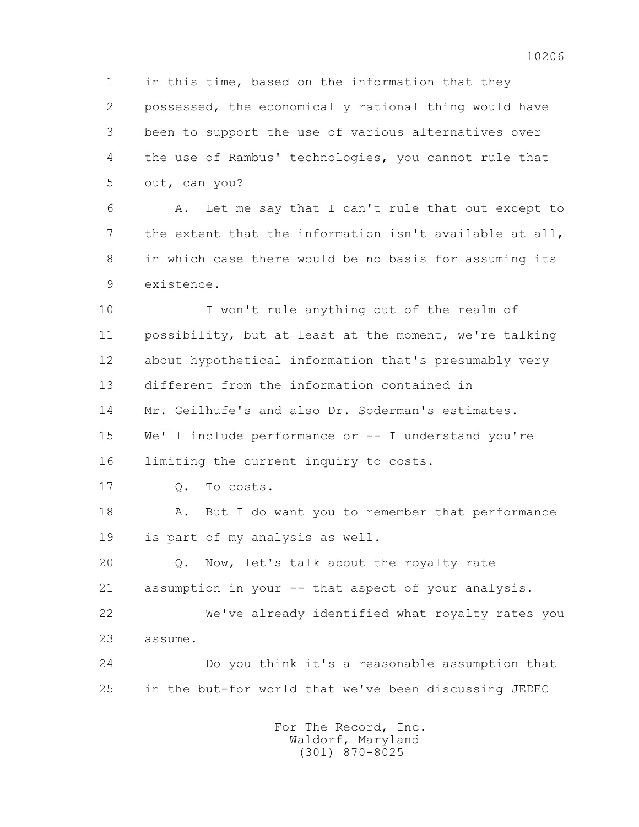1 in this time, based on the information that they 2 possessed, the economically rational thing would have 3 been to support the use of various alternatives over 4 the use of Rambus' technologies, you cannot rule that 5 out, can you?

 6 A. Let me say that I can't rule that out except to 7 the extent that the information isn't available at all, 8 in which case there would be no basis for assuming its 9 existence.

 10 I won't rule anything out of the realm of 11 possibility, but at least at the moment, we're talking 12 about hypothetical information that's presumably very 13 different from the information contained in 14 Mr. Geilhufe's and also Dr. Soderman's estimates. 15 We'll include performance or -- I understand you're 16 limiting the current inquiry to costs. 17 Q. To costs. 18 A. But I do want you to remember that performance 19 is part of my analysis as well. 20 Q. Now, let's talk about the royalty rate 21 assumption in your -- that aspect of your analysis. 22 We've already identified what royalty rates you 23 assume. 24 Do you think it's a reasonable assumption that 25 in the but-for world that we've been discussing JEDEC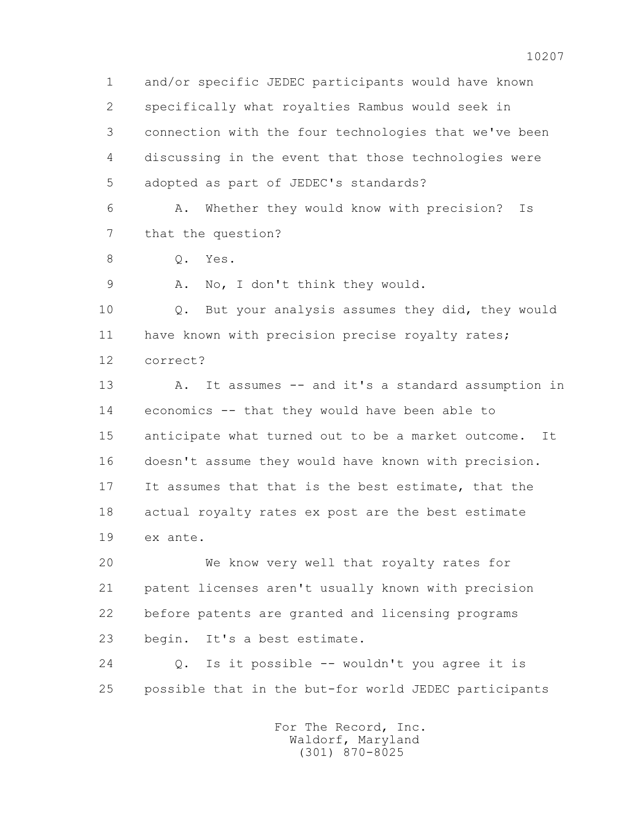1 and/or specific JEDEC participants would have known 2 specifically what royalties Rambus would seek in 3 connection with the four technologies that we've been 4 discussing in the event that those technologies were 5 adopted as part of JEDEC's standards? 6 A. Whether they would know with precision? Is 7 that the question? 8 0. Yes. 9 A. No, I don't think they would. 10 Q. But your analysis assumes they did, they would 11 have known with precision precise royalty rates; 12 correct? 13 A. It assumes -- and it's a standard assumption in 14 economics -- that they would have been able to 15 anticipate what turned out to be a market outcome. It 16 doesn't assume they would have known with precision. 17 It assumes that that is the best estimate, that the 18 actual royalty rates ex post are the best estimate 19 ex ante. 20 We know very well that royalty rates for 21 patent licenses aren't usually known with precision 22 before patents are granted and licensing programs

23 begin. It's a best estimate.

 24 Q. Is it possible -- wouldn't you agree it is 25 possible that in the but-for world JEDEC participants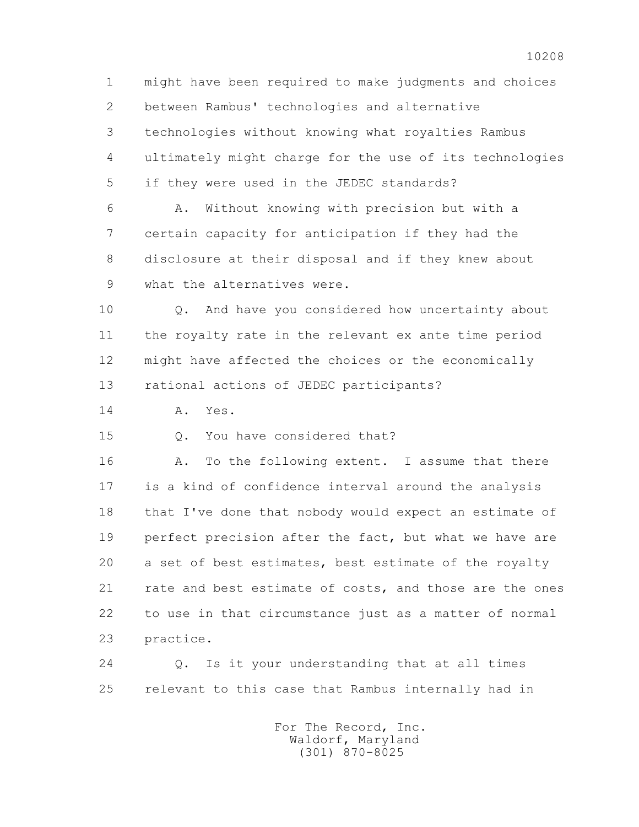1 might have been required to make judgments and choices 2 between Rambus' technologies and alternative 3 technologies without knowing what royalties Rambus 4 ultimately might charge for the use of its technologies 5 if they were used in the JEDEC standards?

 6 A. Without knowing with precision but with a 7 certain capacity for anticipation if they had the 8 disclosure at their disposal and if they knew about 9 what the alternatives were.

 10 Q. And have you considered how uncertainty about 11 the royalty rate in the relevant ex ante time period 12 might have affected the choices or the economically 13 rational actions of JEDEC participants?

14 A. Yes.

15 Q. You have considered that?

16 A. To the following extent. I assume that there 17 is a kind of confidence interval around the analysis 18 that I've done that nobody would expect an estimate of 19 perfect precision after the fact, but what we have are 20 a set of best estimates, best estimate of the royalty 21 rate and best estimate of costs, and those are the ones 22 to use in that circumstance just as a matter of normal 23 practice.

 24 Q. Is it your understanding that at all times 25 relevant to this case that Rambus internally had in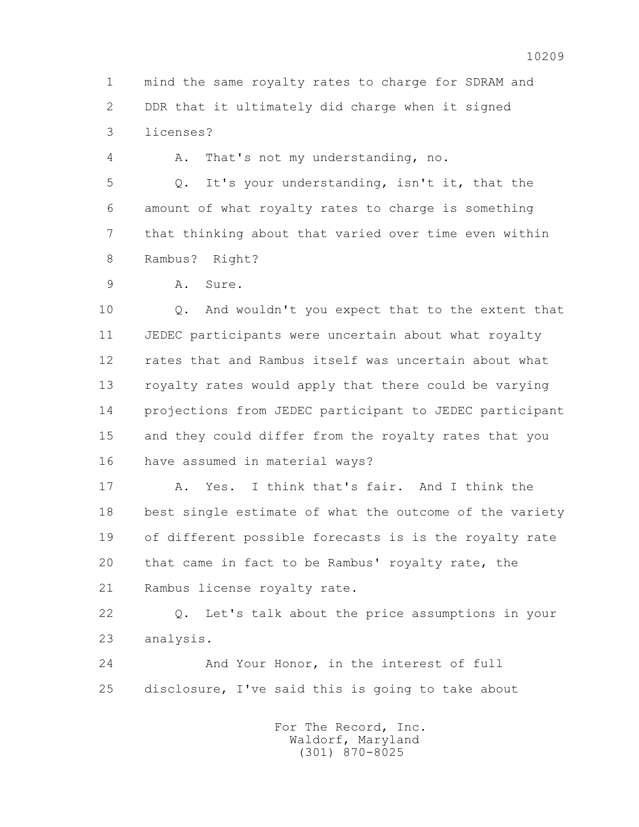1 mind the same royalty rates to charge for SDRAM and 2 DDR that it ultimately did charge when it signed 3 licenses?

4 A. That's not my understanding, no.

 5 Q. It's your understanding, isn't it, that the 6 amount of what royalty rates to charge is something 7 that thinking about that varied over time even within 8 Rambus? Right?

9 A. Sure.

 10 Q. And wouldn't you expect that to the extent that 11 JEDEC participants were uncertain about what royalty 12 rates that and Rambus itself was uncertain about what 13 royalty rates would apply that there could be varying 14 projections from JEDEC participant to JEDEC participant 15 and they could differ from the royalty rates that you 16 have assumed in material ways?

 17 A. Yes. I think that's fair. And I think the 18 best single estimate of what the outcome of the variety 19 of different possible forecasts is is the royalty rate 20 that came in fact to be Rambus' royalty rate, the 21 Rambus license royalty rate.

 22 Q. Let's talk about the price assumptions in your 23 analysis.

 24 And Your Honor, in the interest of full 25 disclosure, I've said this is going to take about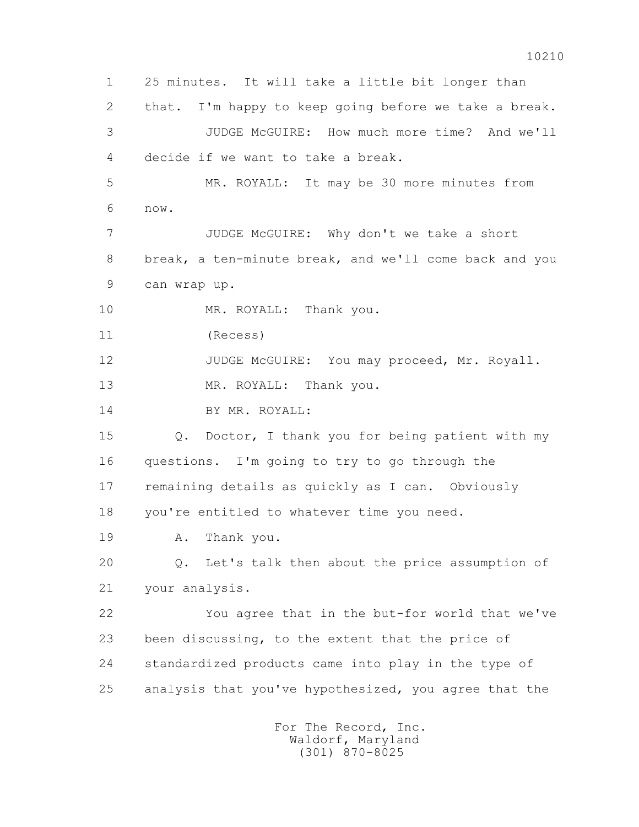1 25 minutes. It will take a little bit longer than 2 that. I'm happy to keep going before we take a break. 3 JUDGE McGUIRE: How much more time? And we'll 4 decide if we want to take a break. 5 MR. ROYALL: It may be 30 more minutes from 6 now. 7 JUDGE McGUIRE: Why don't we take a short 8 break, a ten-minute break, and we'll come back and you 9 can wrap up. 10 MR. ROYALL: Thank you. 11 (Recess) 12 JUDGE McGUIRE: You may proceed, Mr. Royall. 13 MR. ROYALL: Thank you. 14 BY MR. ROYALL: 15 Q. Doctor, I thank you for being patient with my 16 questions. I'm going to try to go through the 17 remaining details as quickly as I can. Obviously 18 you're entitled to whatever time you need. 19 A. Thank you. 20 Q. Let's talk then about the price assumption of 21 your analysis. 22 You agree that in the but-for world that we've 23 been discussing, to the extent that the price of 24 standardized products came into play in the type of 25 analysis that you've hypothesized, you agree that the For The Record, Inc.

 Waldorf, Maryland (301) 870-8025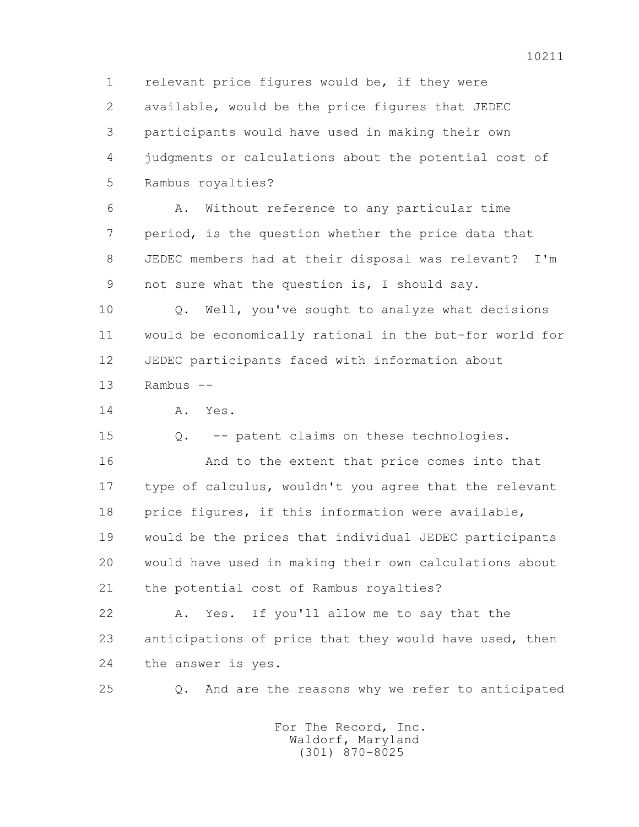1 relevant price figures would be, if they were 2 available, would be the price figures that JEDEC 3 participants would have used in making their own 4 judgments or calculations about the potential cost of 5 Rambus royalties?

 6 A. Without reference to any particular time 7 period, is the question whether the price data that 8 JEDEC members had at their disposal was relevant? I'm 9 not sure what the question is, I should say.

 10 Q. Well, you've sought to analyze what decisions 11 would be economically rational in the but-for world for 12 JEDEC participants faced with information about 13 Rambus --

14 A. Yes.

15 Q. -- patent claims on these technologies.

 16 And to the extent that price comes into that 17 type of calculus, wouldn't you agree that the relevant 18 price figures, if this information were available, 19 would be the prices that individual JEDEC participants 20 would have used in making their own calculations about 21 the potential cost of Rambus royalties?

 22 A. Yes. If you'll allow me to say that the 23 anticipations of price that they would have used, then 24 the answer is yes.

25 Q. And are the reasons why we refer to anticipated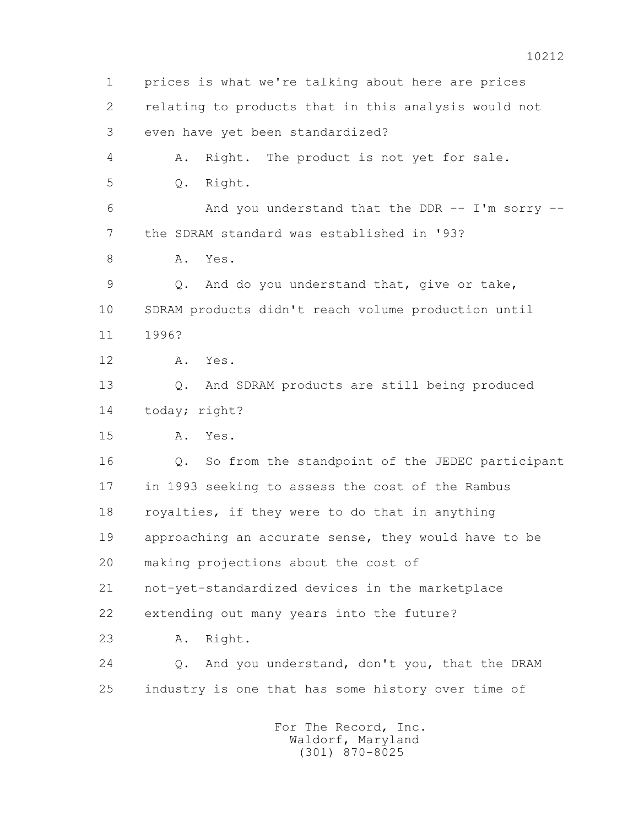1 prices is what we're talking about here are prices 2 relating to products that in this analysis would not 3 even have yet been standardized? 4 A. Right. The product is not yet for sale. 5 Q. Right. 6 And you understand that the DDR -- I'm sorry -- 7 the SDRAM standard was established in '93? 8 A. Yes. 9 Q. And do you understand that, give or take, 10 SDRAM products didn't reach volume production until 11 1996? 12 A. Yes. 13 Q. And SDRAM products are still being produced 14 today; right? 15 A. Yes. 16 Q. So from the standpoint of the JEDEC participant 17 in 1993 seeking to assess the cost of the Rambus 18 royalties, if they were to do that in anything 19 approaching an accurate sense, they would have to be 20 making projections about the cost of 21 not-yet-standardized devices in the marketplace 22 extending out many years into the future? 23 A. Right. 24 Q. And you understand, don't you, that the DRAM 25 industry is one that has some history over time of For The Record, Inc. Waldorf, Maryland

(301) 870-8025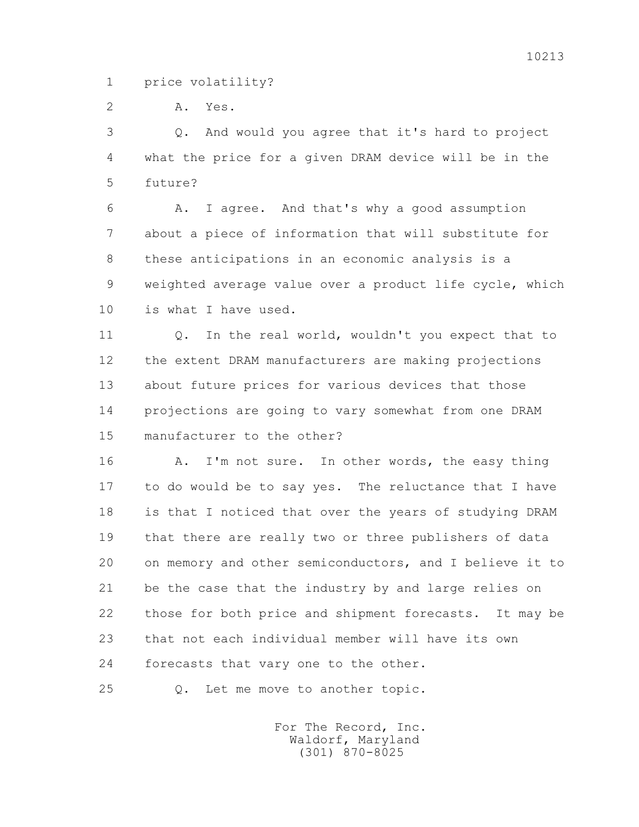1 price volatility?

2 A. Yes.

 3 Q. And would you agree that it's hard to project 4 what the price for a given DRAM device will be in the 5 future?

 6 A. I agree. And that's why a good assumption 7 about a piece of information that will substitute for 8 these anticipations in an economic analysis is a 9 weighted average value over a product life cycle, which 10 is what I have used.

11 0. In the real world, wouldn't you expect that to 12 the extent DRAM manufacturers are making projections 13 about future prices for various devices that those 14 projections are going to vary somewhat from one DRAM 15 manufacturer to the other?

16 A. I'm not sure. In other words, the easy thing 17 to do would be to say yes. The reluctance that I have 18 is that I noticed that over the years of studying DRAM 19 that there are really two or three publishers of data 20 on memory and other semiconductors, and I believe it to 21 be the case that the industry by and large relies on 22 those for both price and shipment forecasts. It may be 23 that not each individual member will have its own 24 forecasts that vary one to the other.

25 Q. Let me move to another topic.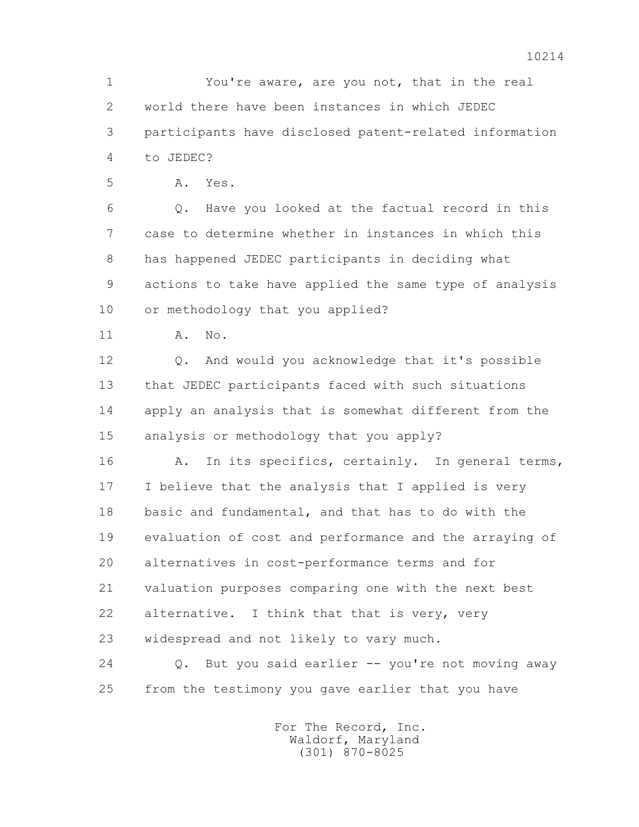1 You're aware, are you not, that in the real 2 world there have been instances in which JEDEC 3 participants have disclosed patent-related information 4 to JEDEC?

5 A. Yes.

 6 Q. Have you looked at the factual record in this 7 case to determine whether in instances in which this 8 has happened JEDEC participants in deciding what 9 actions to take have applied the same type of analysis 10 or methodology that you applied?

11 A. No.

 12 Q. And would you acknowledge that it's possible 13 that JEDEC participants faced with such situations 14 apply an analysis that is somewhat different from the 15 analysis or methodology that you apply?

16 A. In its specifics, certainly. In general terms, 17 I believe that the analysis that I applied is very 18 basic and fundamental, and that has to do with the 19 evaluation of cost and performance and the arraying of 20 alternatives in cost-performance terms and for 21 valuation purposes comparing one with the next best 22 alternative. I think that that is very, very 23 widespread and not likely to vary much.

 24 Q. But you said earlier -- you're not moving away 25 from the testimony you gave earlier that you have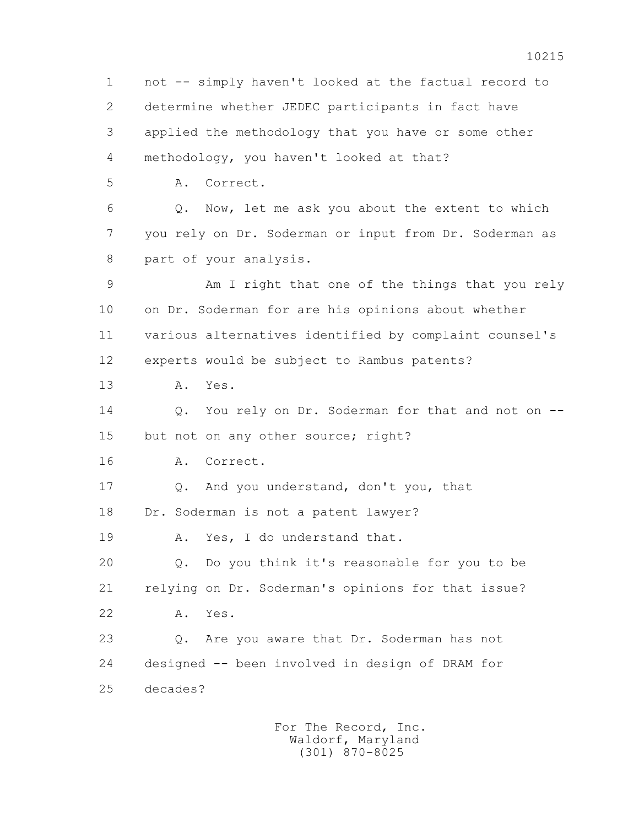1 not -- simply haven't looked at the factual record to 2 determine whether JEDEC participants in fact have 3 applied the methodology that you have or some other 4 methodology, you haven't looked at that? 5 A. Correct. 6 Q. Now, let me ask you about the extent to which 7 you rely on Dr. Soderman or input from Dr. Soderman as 8 part of your analysis. 9 Am I right that one of the things that you rely 10 on Dr. Soderman for are his opinions about whether 11 various alternatives identified by complaint counsel's 12 experts would be subject to Rambus patents? 13 A. Yes. 14 0. You rely on Dr. Soderman for that and not on --15 but not on any other source; right? 16 A. Correct. 17 Q. And you understand, don't you, that 18 Dr. Soderman is not a patent lawyer? 19 A. Yes, I do understand that. 20 Q. Do you think it's reasonable for you to be 21 relying on Dr. Soderman's opinions for that issue? 22 A. Yes. 23 Q. Are you aware that Dr. Soderman has not 24 designed -- been involved in design of DRAM for 25 decades?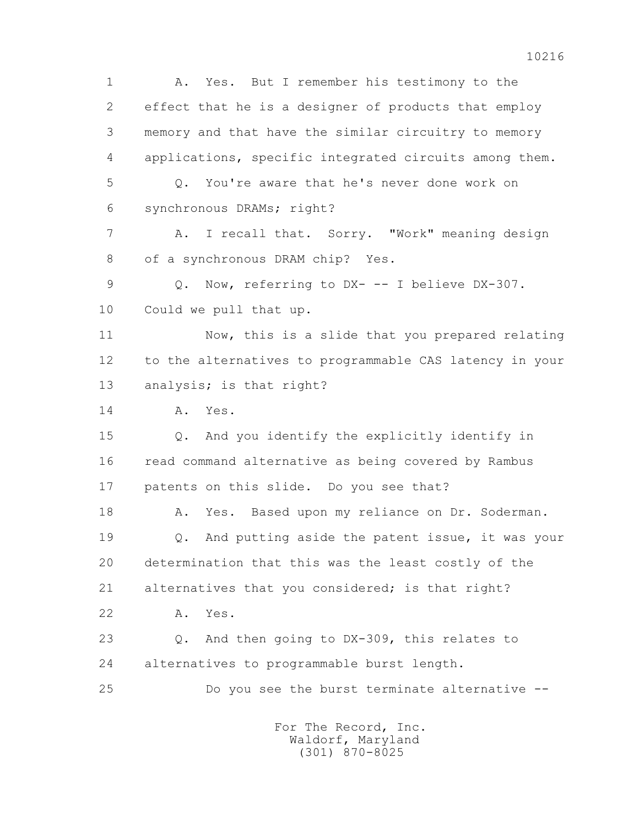1 A. Yes. But I remember his testimony to the 2 effect that he is a designer of products that employ 3 memory and that have the similar circuitry to memory 4 applications, specific integrated circuits among them. 5 Q. You're aware that he's never done work on 6 synchronous DRAMs; right? 7 A. I recall that. Sorry. "Work" meaning design 8 of a synchronous DRAM chip? Yes. 9 Q. Now, referring to DX- -- I believe DX-307. 10 Could we pull that up. 11 Now, this is a slide that you prepared relating 12 to the alternatives to programmable CAS latency in your 13 analysis; is that right? 14 A. Yes. 15 Q. And you identify the explicitly identify in 16 read command alternative as being covered by Rambus 17 patents on this slide. Do you see that? 18 A. Yes. Based upon my reliance on Dr. Soderman. 19 Q. And putting aside the patent issue, it was your 20 determination that this was the least costly of the 21 alternatives that you considered; is that right? 22 A. Yes. 23 Q. And then going to DX-309, this relates to 24 alternatives to programmable burst length. 25 Do you see the burst terminate alternative -- For The Record, Inc.

 Waldorf, Maryland (301) 870-8025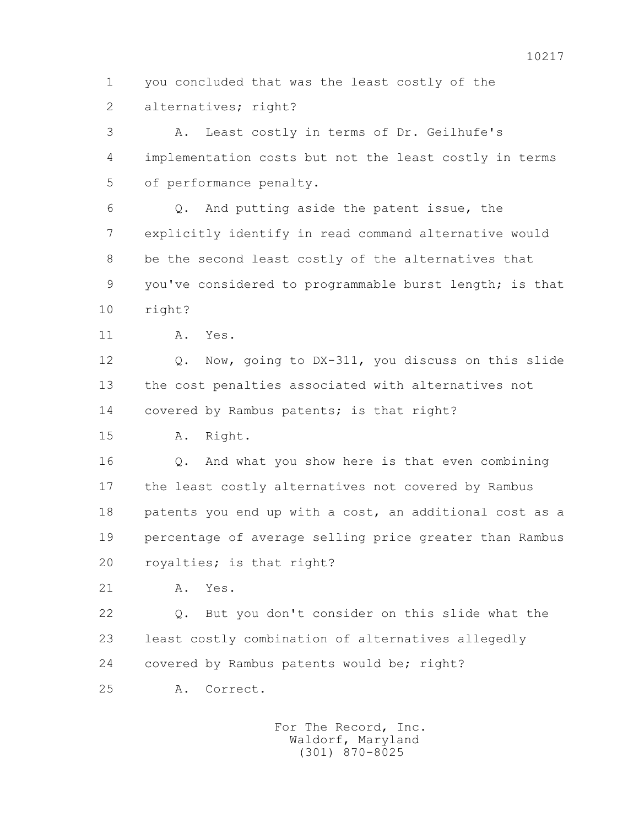1 you concluded that was the least costly of the 2 alternatives; right?

 3 A. Least costly in terms of Dr. Geilhufe's 4 implementation costs but not the least costly in terms 5 of performance penalty.

 6 Q. And putting aside the patent issue, the 7 explicitly identify in read command alternative would 8 be the second least costly of the alternatives that 9 you've considered to programmable burst length; is that 10 right?

11 A. Yes.

 12 Q. Now, going to DX-311, you discuss on this slide 13 the cost penalties associated with alternatives not 14 covered by Rambus patents; is that right?

15 A. Right.

 16 Q. And what you show here is that even combining 17 the least costly alternatives not covered by Rambus 18 patents you end up with a cost, an additional cost as a 19 percentage of average selling price greater than Rambus 20 royalties; is that right?

21 A. Yes.

 22 Q. But you don't consider on this slide what the 23 least costly combination of alternatives allegedly 24 covered by Rambus patents would be; right?

25 A. Correct.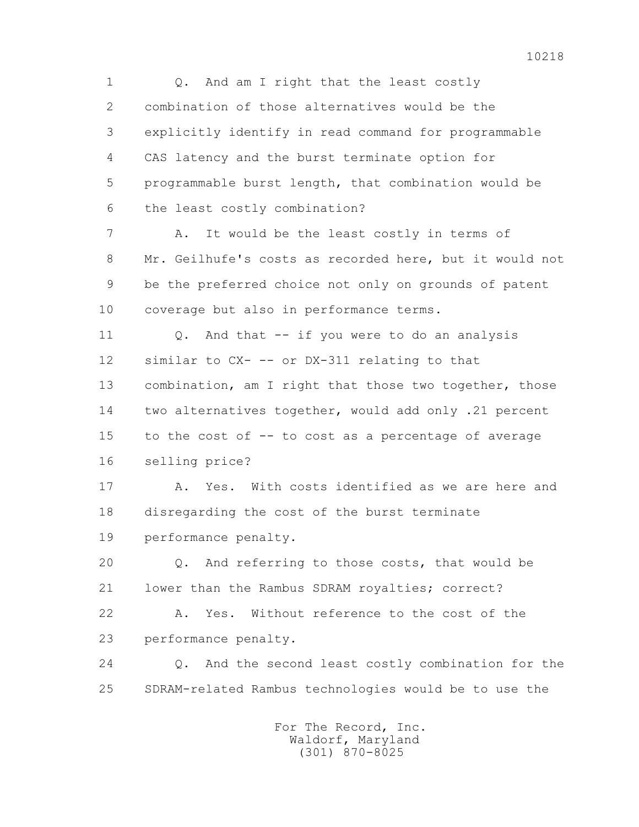1 Q. And am I right that the least costly 2 combination of those alternatives would be the 3 explicitly identify in read command for programmable 4 CAS latency and the burst terminate option for 5 programmable burst length, that combination would be 6 the least costly combination? 7 A. It would be the least costly in terms of 8 Mr. Geilhufe's costs as recorded here, but it would not 9 be the preferred choice not only on grounds of patent 10 coverage but also in performance terms. 11 0. And that -- if you were to do an analysis 12 similar to CX- -- or DX-311 relating to that 13 combination, am I right that those two together, those 14 two alternatives together, would add only .21 percent 15 to the cost of -- to cost as a percentage of average 16 selling price? 17 A. Yes. With costs identified as we are here and 18 disregarding the cost of the burst terminate 19 performance penalty. 20 Q. And referring to those costs, that would be 21 lower than the Rambus SDRAM royalties; correct? 22 A. Yes. Without reference to the cost of the 23 performance penalty. 24 Q. And the second least costly combination for the 25 SDRAM-related Rambus technologies would be to use the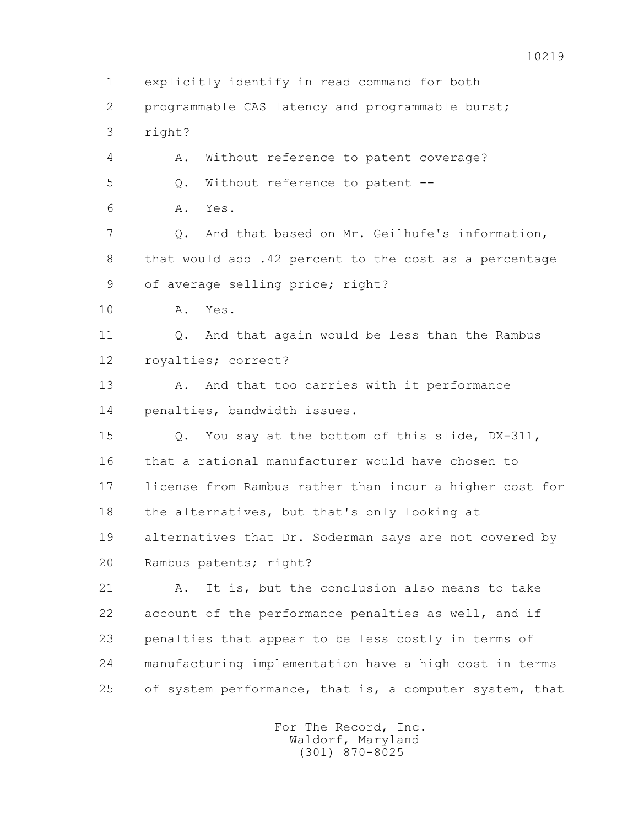1 explicitly identify in read command for both 2 programmable CAS latency and programmable burst; 3 right? 4 A. Without reference to patent coverage? 5 0. Without reference to patent -- 6 A. Yes. 7 Q. And that based on Mr. Geilhufe's information, 8 that would add .42 percent to the cost as a percentage 9 of average selling price; right? 10 A. Yes. 11 0. And that again would be less than the Rambus 12 royalties; correct? 13 A. And that too carries with it performance 14 penalties, bandwidth issues. 15 Q. You say at the bottom of this slide, DX-311, 16 that a rational manufacturer would have chosen to 17 license from Rambus rather than incur a higher cost for 18 the alternatives, but that's only looking at 19 alternatives that Dr. Soderman says are not covered by 20 Rambus patents; right? 21 A. It is, but the conclusion also means to take 22 account of the performance penalties as well, and if 23 penalties that appear to be less costly in terms of 24 manufacturing implementation have a high cost in terms 25 of system performance, that is, a computer system, that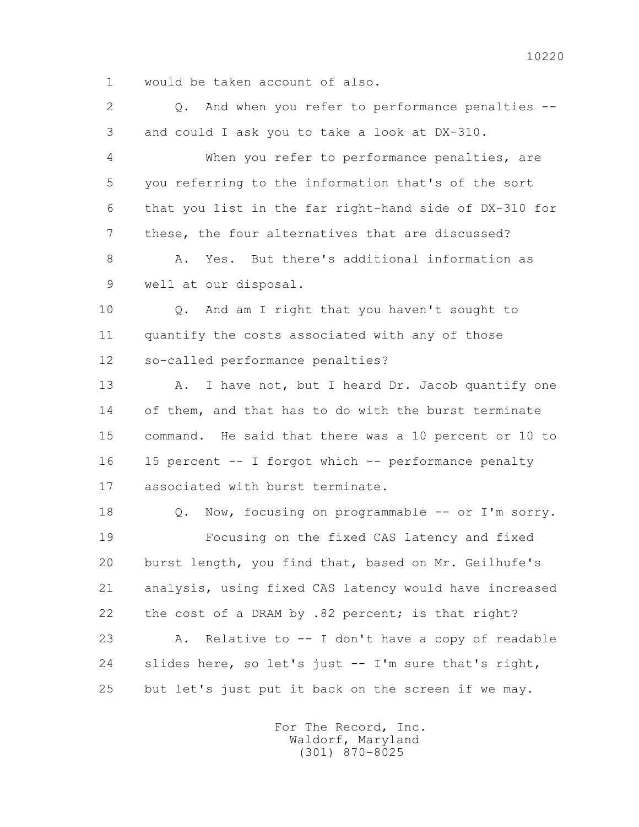1 would be taken account of also.

2 0. And when you refer to performance penalties --3 and could I ask you to take a look at DX-310.

 4 When you refer to performance penalties, are 5 you referring to the information that's of the sort 6 that you list in the far right-hand side of DX-310 for 7 these, the four alternatives that are discussed? 8 A. Yes. But there's additional information as

9 well at our disposal.

 10 Q. And am I right that you haven't sought to 11 quantify the costs associated with any of those 12 so-called performance penalties?

13 A. I have not, but I heard Dr. Jacob quantify one 14 of them, and that has to do with the burst terminate 15 command. He said that there was a 10 percent or 10 to 16 15 percent -- I forgot which -- performance penalty 17 associated with burst terminate.

18 Q. Now, focusing on programmable -- or I'm sorry. 19 Focusing on the fixed CAS latency and fixed 20 burst length, you find that, based on Mr. Geilhufe's 21 analysis, using fixed CAS latency would have increased 22 the cost of a DRAM by .82 percent; is that right? 23 A. Relative to -- I don't have a copy of readable 24 slides here, so let's just -- I'm sure that's right, 25 but let's just put it back on the screen if we may.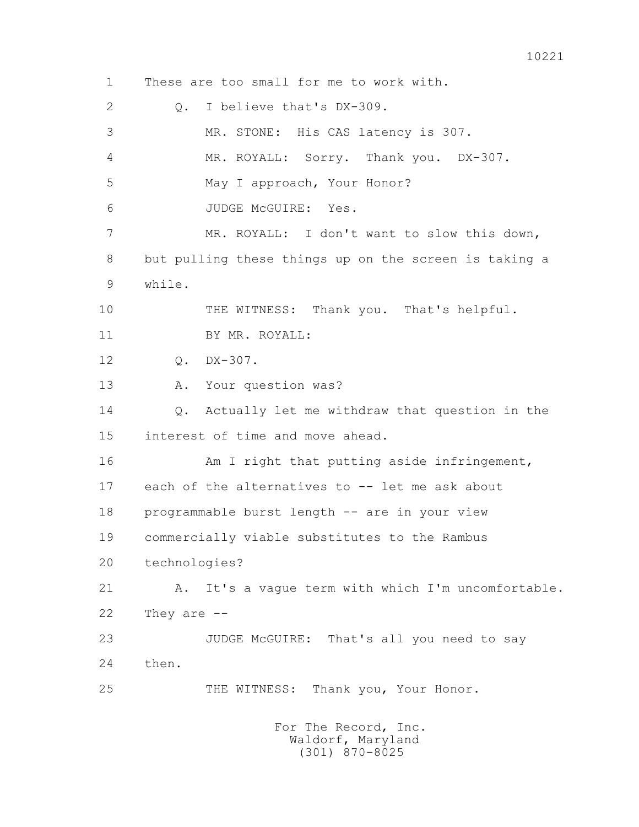1 These are too small for me to work with. 2 Q. I believe that's DX-309. 3 MR. STONE: His CAS latency is 307. 4 MR. ROYALL: Sorry. Thank you. DX-307. 5 May I approach, Your Honor? 6 JUDGE McGUIRE: Yes. 7 MR. ROYALL: I don't want to slow this down, 8 but pulling these things up on the screen is taking a 9 while. 10 THE WITNESS: Thank you. That's helpful. 11 BY MR. ROYALL: 12 Q. DX-307. 13 A. Your question was? 14 0. Actually let me withdraw that question in the 15 interest of time and move ahead. 16 Am I right that putting aside infringement, 17 each of the alternatives to -- let me ask about 18 programmable burst length -- are in your view 19 commercially viable substitutes to the Rambus 20 technologies? 21 A. It's a vague term with which I'm uncomfortable. 22 They are -- 23 JUDGE McGUIRE: That's all you need to say 24 then. 25 THE WITNESS: Thank you, Your Honor. For The Record, Inc. Waldorf, Maryland

(301) 870-8025

10221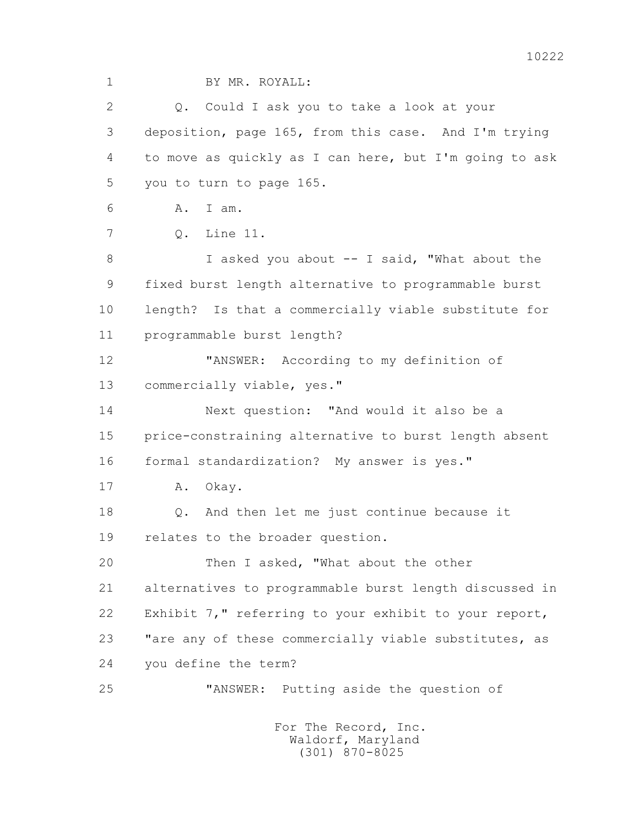1 BY MR. ROYALL: 2 Q. Could I ask you to take a look at your 3 deposition, page 165, from this case. And I'm trying 4 to move as quickly as I can here, but I'm going to ask 5 you to turn to page 165. 6 A. I am. 7 Q. Line 11. 8 I asked you about -- I said, "What about the 9 fixed burst length alternative to programmable burst 10 length? Is that a commercially viable substitute for 11 programmable burst length? 12 "ANSWER: According to my definition of 13 commercially viable, yes." 14 Next question: "And would it also be a 15 price-constraining alternative to burst length absent 16 formal standardization? My answer is yes." 17 A. Okay. 18 Q. And then let me just continue because it 19 relates to the broader question. 20 Then I asked, "What about the other 21 alternatives to programmable burst length discussed in 22 Exhibit 7," referring to your exhibit to your report, 23 "are any of these commercially viable substitutes, as 24 you define the term? 25 "ANSWER: Putting aside the question of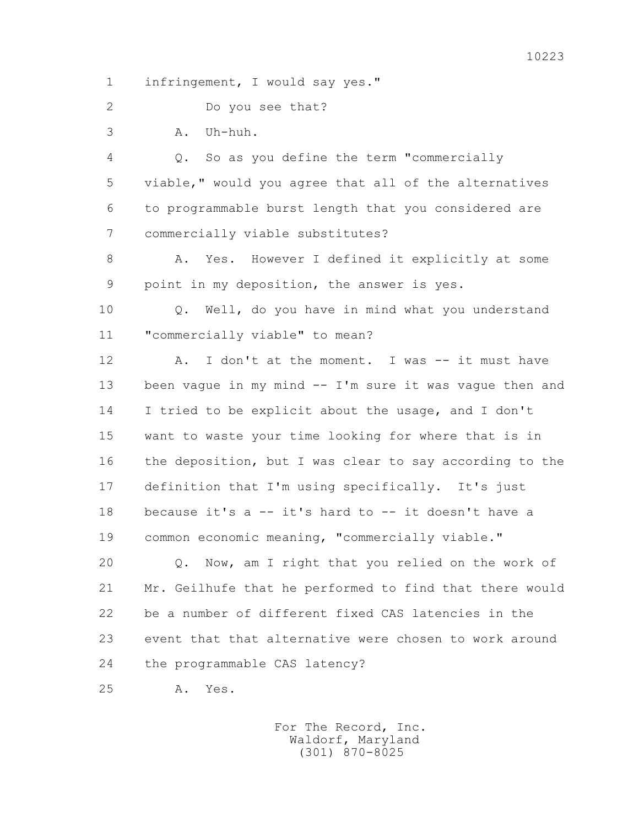1 infringement, I would say yes."

2 Do you see that?

3 A. Uh-huh.

 4 Q. So as you define the term "commercially 5 viable," would you agree that all of the alternatives 6 to programmable burst length that you considered are 7 commercially viable substitutes?

 8 A. Yes. However I defined it explicitly at some 9 point in my deposition, the answer is yes.

 10 Q. Well, do you have in mind what you understand 11 "commercially viable" to mean?

12 A. I don't at the moment. I was -- it must have 13 been vague in my mind -- I'm sure it was vague then and 14 I tried to be explicit about the usage, and I don't 15 want to waste your time looking for where that is in 16 the deposition, but I was clear to say according to the 17 definition that I'm using specifically. It's just 18 because it's a -- it's hard to -- it doesn't have a 19 common economic meaning, "commercially viable."

 20 Q. Now, am I right that you relied on the work of 21 Mr. Geilhufe that he performed to find that there would 22 be a number of different fixed CAS latencies in the 23 event that that alternative were chosen to work around 24 the programmable CAS latency?

25 A. Yes.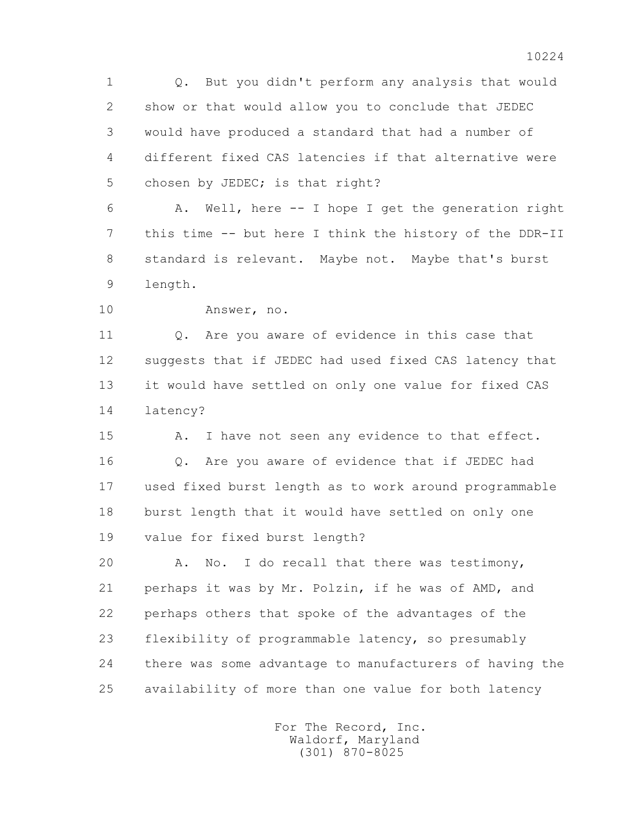1 Q. But you didn't perform any analysis that would 2 show or that would allow you to conclude that JEDEC 3 would have produced a standard that had a number of 4 different fixed CAS latencies if that alternative were 5 chosen by JEDEC; is that right?

 6 A. Well, here -- I hope I get the generation right 7 this time -- but here I think the history of the DDR-II 8 standard is relevant. Maybe not. Maybe that's burst 9 length.

10 Answer, no.

11 0. Are you aware of evidence in this case that 12 suggests that if JEDEC had used fixed CAS latency that 13 it would have settled on only one value for fixed CAS 14 latency?

15 A. I have not seen any evidence to that effect. 16 Q. Are you aware of evidence that if JEDEC had 17 used fixed burst length as to work around programmable 18 burst length that it would have settled on only one 19 value for fixed burst length?

 20 A. No. I do recall that there was testimony, 21 perhaps it was by Mr. Polzin, if he was of AMD, and 22 perhaps others that spoke of the advantages of the 23 flexibility of programmable latency, so presumably 24 there was some advantage to manufacturers of having the 25 availability of more than one value for both latency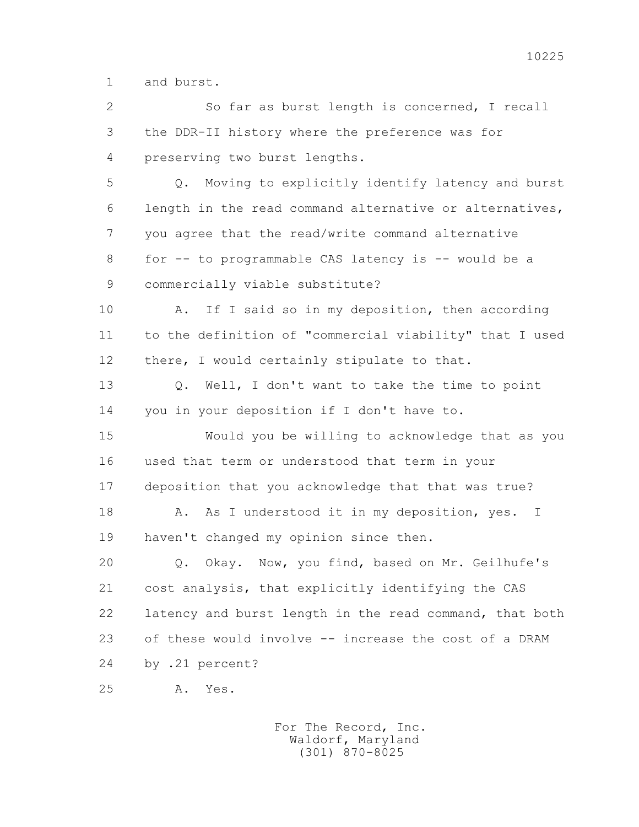1 and burst.

 2 So far as burst length is concerned, I recall 3 the DDR-II history where the preference was for 4 preserving two burst lengths. 5 Q. Moving to explicitly identify latency and burst 6 length in the read command alternative or alternatives, 7 you agree that the read/write command alternative 8 for -- to programmable CAS latency is -- would be a 9 commercially viable substitute? 10 A. If I said so in my deposition, then according 11 to the definition of "commercial viability" that I used 12 there, I would certainly stipulate to that. 13 Q. Well, I don't want to take the time to point 14 you in your deposition if I don't have to. 15 Would you be willing to acknowledge that as you 16 used that term or understood that term in your 17 deposition that you acknowledge that that was true? 18 A. As I understood it in my deposition, yes. I 19 haven't changed my opinion since then. 20 Q. Okay. Now, you find, based on Mr. Geilhufe's 21 cost analysis, that explicitly identifying the CAS 22 latency and burst length in the read command, that both 23 of these would involve -- increase the cost of a DRAM 24 by .21 percent? 25 A. Yes.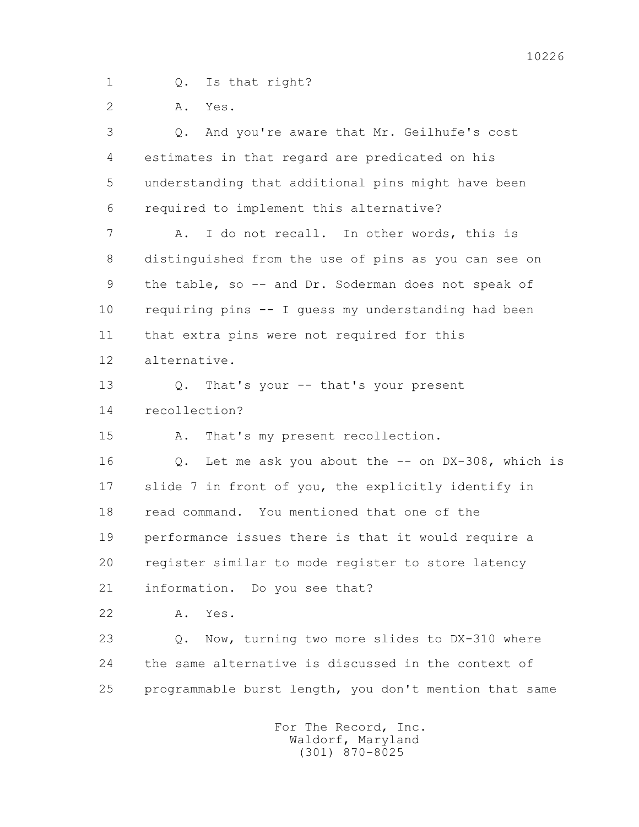1 Q. Is that right?

2 A. Yes.

 3 Q. And you're aware that Mr. Geilhufe's cost 4 estimates in that regard are predicated on his 5 understanding that additional pins might have been 6 required to implement this alternative? 7 A. I do not recall. In other words, this is 8 distinguished from the use of pins as you can see on 9 the table, so -- and Dr. Soderman does not speak of 10 requiring pins -- I guess my understanding had been 11 that extra pins were not required for this 12 alternative. 13 Q. That's your -- that's your present 14 recollection? 15 A. That's my present recollection. 16 0. Let me ask you about the -- on DX-308, which is 17 slide 7 in front of you, the explicitly identify in 18 read command. You mentioned that one of the 19 performance issues there is that it would require a 20 register similar to mode register to store latency 21 information. Do you see that? 22 A. Yes. 23 Q. Now, turning two more slides to DX-310 where 24 the same alternative is discussed in the context of 25 programmable burst length, you don't mention that same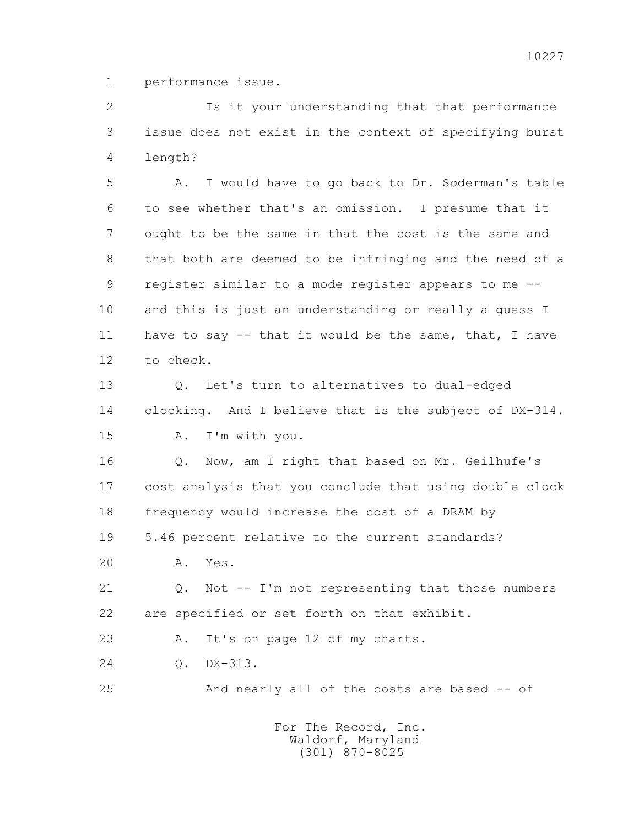1 performance issue.

 2 Is it your understanding that that performance 3 issue does not exist in the context of specifying burst 4 length?

 5 A. I would have to go back to Dr. Soderman's table 6 to see whether that's an omission. I presume that it 7 ought to be the same in that the cost is the same and 8 that both are deemed to be infringing and the need of a 9 register similar to a mode register appears to me -- 10 and this is just an understanding or really a guess I 11 have to say -- that it would be the same, that, I have 12 to check.

 13 Q. Let's turn to alternatives to dual-edged 14 clocking. And I believe that is the subject of DX-314. 15 A. I'm with you.

 16 Q. Now, am I right that based on Mr. Geilhufe's 17 cost analysis that you conclude that using double clock 18 frequency would increase the cost of a DRAM by 19 5.46 percent relative to the current standards?

20 A. Yes.

 21 Q. Not -- I'm not representing that those numbers 22 are specified or set forth on that exhibit.

23 A. It's on page 12 of my charts.

24 Q. DX-313.

25 And nearly all of the costs are based -- of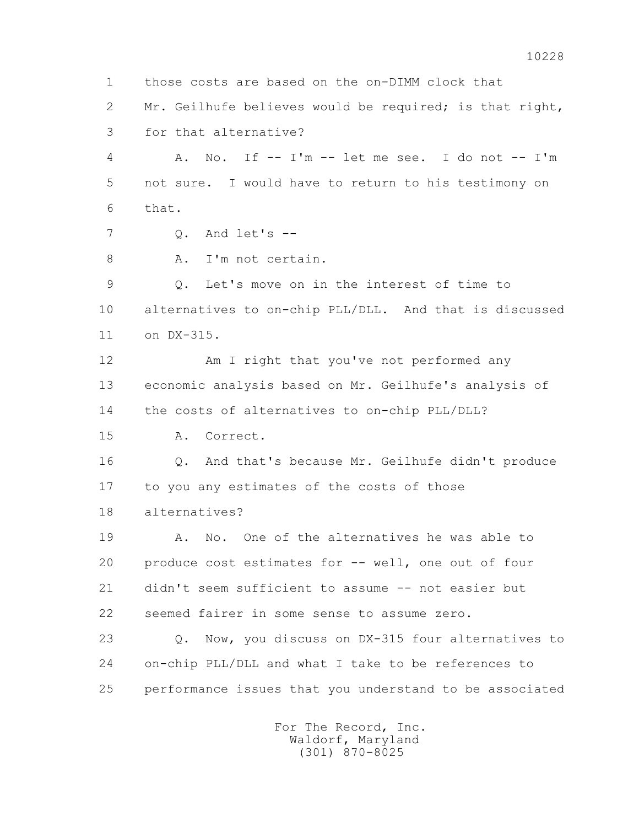1 those costs are based on the on-DIMM clock that 2 Mr. Geilhufe believes would be required; is that right, 3 for that alternative? 4 A. No. If -- I'm -- let me see. I do not -- I'm 5 not sure. I would have to return to his testimony on 6 that. 7 Q. And let's -- 8 A. I'm not certain. 9 Q. Let's move on in the interest of time to 10 alternatives to on-chip PLL/DLL. And that is discussed 11 on DX-315. 12 Am I right that you've not performed any 13 economic analysis based on Mr. Geilhufe's analysis of 14 the costs of alternatives to on-chip PLL/DLL? 15 A. Correct. 16 Q. And that's because Mr. Geilhufe didn't produce 17 to you any estimates of the costs of those 18 alternatives? 19 A. No. One of the alternatives he was able to 20 produce cost estimates for -- well, one out of four 21 didn't seem sufficient to assume -- not easier but 22 seemed fairer in some sense to assume zero. 23 Q. Now, you discuss on DX-315 four alternatives to 24 on-chip PLL/DLL and what I take to be references to 25 performance issues that you understand to be associated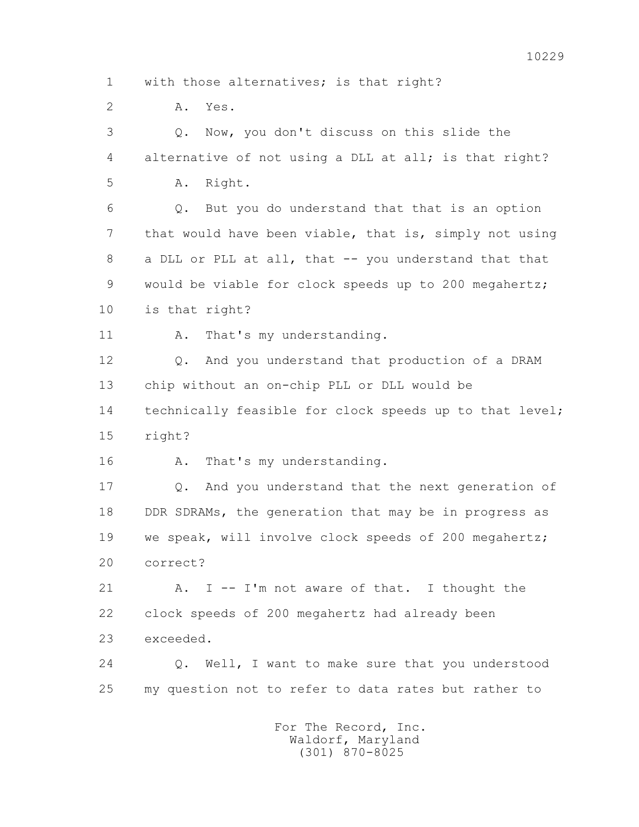2 A. Yes.

 3 Q. Now, you don't discuss on this slide the 4 alternative of not using a DLL at all; is that right? 5 A. Right.

 6 Q. But you do understand that that is an option 7 that would have been viable, that is, simply not using 8 a DLL or PLL at all, that -- you understand that that 9 would be viable for clock speeds up to 200 megahertz; 10 is that right?

11 A. That's my understanding.

 12 Q. And you understand that production of a DRAM 13 chip without an on-chip PLL or DLL would be 14 technically feasible for clock speeds up to that level;

15 right?

16 A. That's my understanding.

 17 Q. And you understand that the next generation of 18 DDR SDRAMs, the generation that may be in progress as 19 we speak, will involve clock speeds of 200 megahertz; 20 correct?

21 A. I -- I'm not aware of that. I thought the 22 clock speeds of 200 megahertz had already been 23 exceeded.

 24 Q. Well, I want to make sure that you understood 25 my question not to refer to data rates but rather to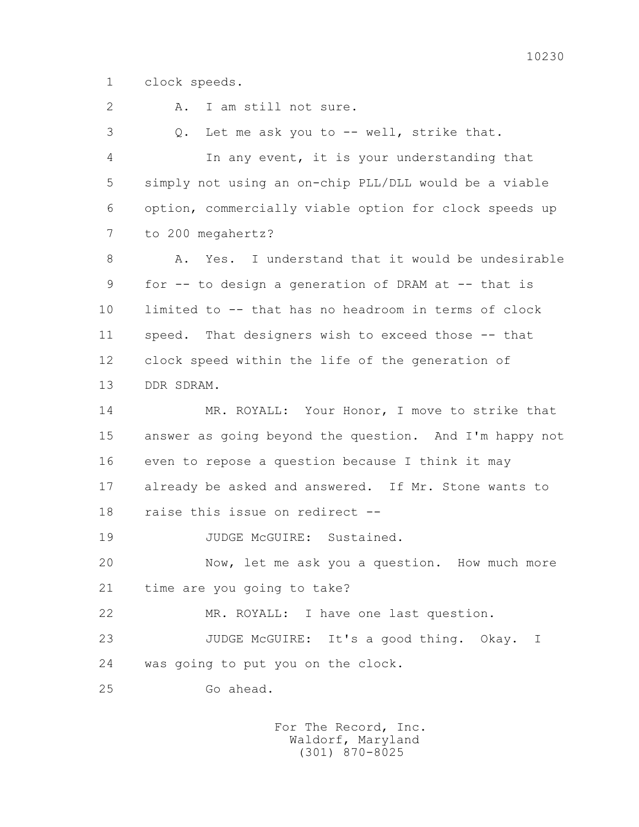1 clock speeds.

 2 A. I am still not sure. 3 Q. Let me ask you to -- well, strike that. 4 In any event, it is your understanding that 5 simply not using an on-chip PLL/DLL would be a viable 6 option, commercially viable option for clock speeds up 7 to 200 megahertz? 8 A. Yes. I understand that it would be undesirable 9 for -- to design a generation of DRAM at -- that is 10 limited to -- that has no headroom in terms of clock 11 speed. That designers wish to exceed those -- that 12 clock speed within the life of the generation of 13 DDR SDRAM. 14 MR. ROYALL: Your Honor, I move to strike that 15 answer as going beyond the question. And I'm happy not 16 even to repose a question because I think it may 17 already be asked and answered. If Mr. Stone wants to 18 raise this issue on redirect -- 19 JUDGE McGUIRE: Sustained. 20 Now, let me ask you a question. How much more 21 time are you going to take? 22 MR. ROYALL: I have one last question. 23 JUDGE McGUIRE: It's a good thing. Okay. I 24 was going to put you on the clock. 25 Go ahead.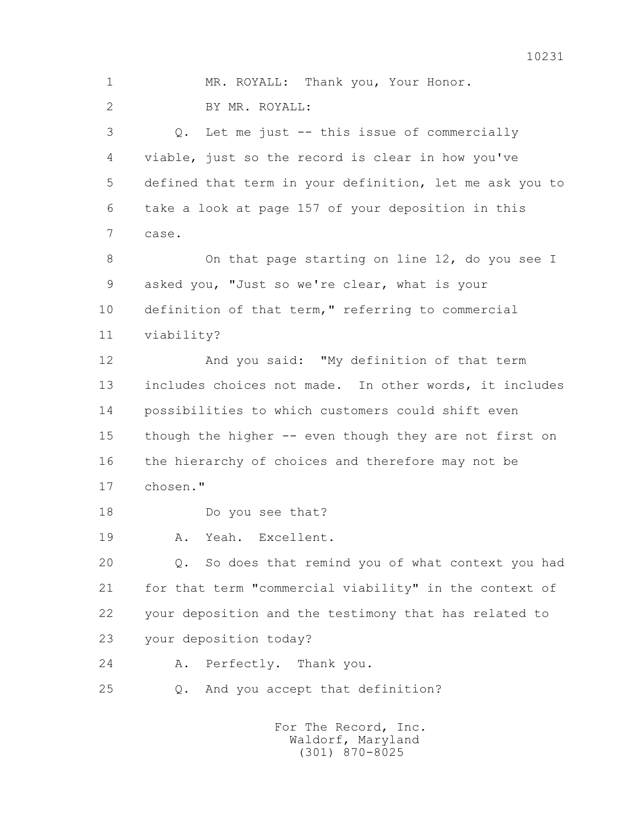1 MR. ROYALL: Thank you, Your Honor. 2 BY MR. ROYALL: 3 Q. Let me just -- this issue of commercially 4 viable, just so the record is clear in how you've 5 defined that term in your definition, let me ask you to 6 take a look at page 157 of your deposition in this 7 case. 8 On that page starting on line 12, do you see I 9 asked you, "Just so we're clear, what is your 10 definition of that term," referring to commercial 11 viability? 12 And you said: "My definition of that term 13 includes choices not made. In other words, it includes 14 possibilities to which customers could shift even 15 though the higher -- even though they are not first on 16 the hierarchy of choices and therefore may not be 17 chosen." 18 Do you see that? 19 A. Yeah. Excellent. 20 Q. So does that remind you of what context you had 21 for that term "commercial viability" in the context of 22 your deposition and the testimony that has related to 23 your deposition today? 24 A. Perfectly. Thank you. 25 Q. And you accept that definition? For The Record, Inc.

 Waldorf, Maryland (301) 870-8025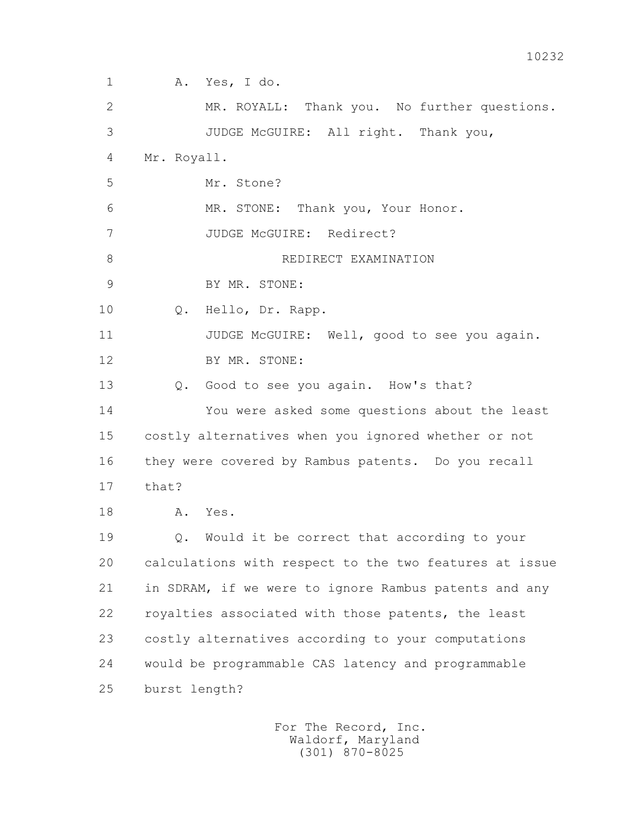1 A. Yes, I do. 2 MR. ROYALL: Thank you. No further questions. 3 JUDGE McGUIRE: All right. Thank you, 4 Mr. Royall. 5 Mr. Stone? 6 MR. STONE: Thank you, Your Honor. 7 JUDGE McGUIRE: Redirect? 8 REDIRECT EXAMINATION 9 BY MR. STONE: 10 Q. Hello, Dr. Rapp. 11 JUDGE McGUIRE: Well, good to see you again. 12 BY MR. STONE: 13 Q. Good to see you again. How's that? 14 You were asked some questions about the least 15 costly alternatives when you ignored whether or not 16 they were covered by Rambus patents. Do you recall 17 that? 18 A. Yes. 19 Q. Would it be correct that according to your 20 calculations with respect to the two features at issue 21 in SDRAM, if we were to ignore Rambus patents and any 22 royalties associated with those patents, the least 23 costly alternatives according to your computations 24 would be programmable CAS latency and programmable 25 burst length?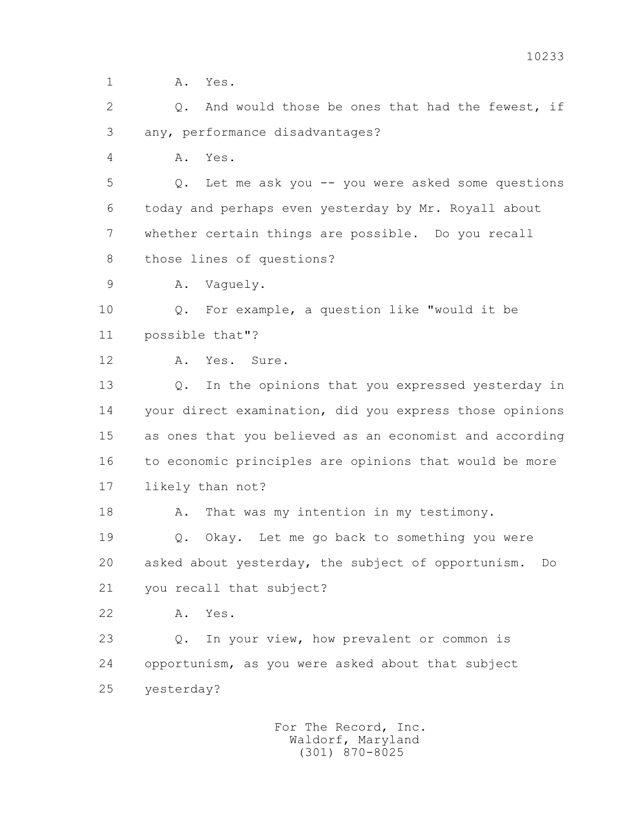1 **A.** Yes.

2 0. And would those be ones that had the fewest, if 3 any, performance disadvantages?

4 A. Yes.

 5 Q. Let me ask you -- you were asked some questions 6 today and perhaps even yesterday by Mr. Royall about 7 whether certain things are possible. Do you recall 8 those lines of questions?

9 A. Vaguely.

 10 Q. For example, a question like "would it be 11 possible that"?

12 A. Yes. Sure.

 13 Q. In the opinions that you expressed yesterday in 14 your direct examination, did you express those opinions 15 as ones that you believed as an economist and according 16 to economic principles are opinions that would be more 17 likely than not?

18 A. That was my intention in my testimony.

 19 Q. Okay. Let me go back to something you were 20 asked about yesterday, the subject of opportunism. Do 21 you recall that subject?

22 A. Yes.

 23 Q. In your view, how prevalent or common is 24 opportunism, as you were asked about that subject 25 yesterday?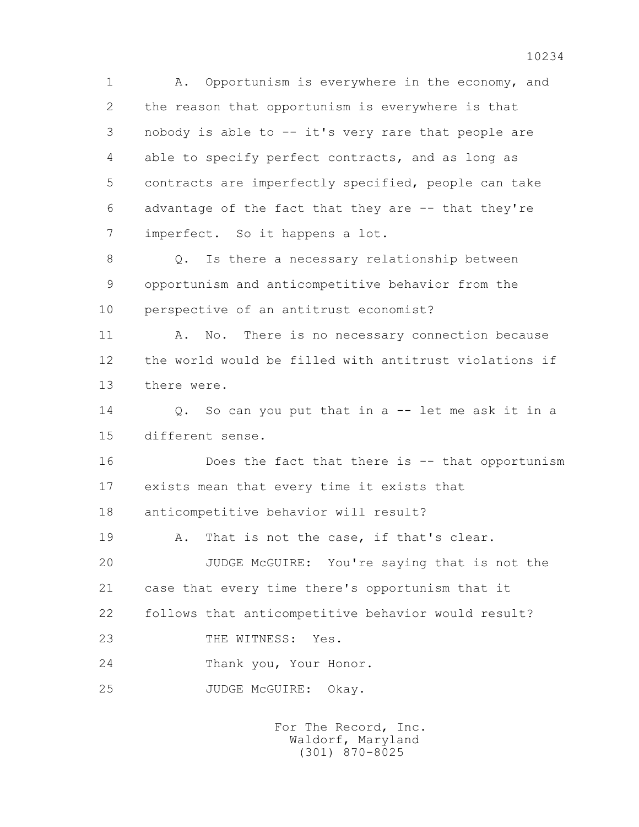1 A. Opportunism is everywhere in the economy, and 2 the reason that opportunism is everywhere is that 3 nobody is able to -- it's very rare that people are 4 able to specify perfect contracts, and as long as 5 contracts are imperfectly specified, people can take 6 advantage of the fact that they are -- that they're 7 imperfect. So it happens a lot.

 8 Q. Is there a necessary relationship between 9 opportunism and anticompetitive behavior from the 10 perspective of an antitrust economist?

 11 A. No. There is no necessary connection because 12 the world would be filled with antitrust violations if 13 there were.

 14 Q. So can you put that in a -- let me ask it in a 15 different sense.

 16 Does the fact that there is -- that opportunism 17 exists mean that every time it exists that 18 anticompetitive behavior will result?

19 A. That is not the case, if that's clear.

 20 JUDGE McGUIRE: You're saying that is not the 21 case that every time there's opportunism that it 22 follows that anticompetitive behavior would result?

23 THE WITNESS: Yes.

24 Thank you, Your Honor.

25 JUDGE McGUIRE: Okay.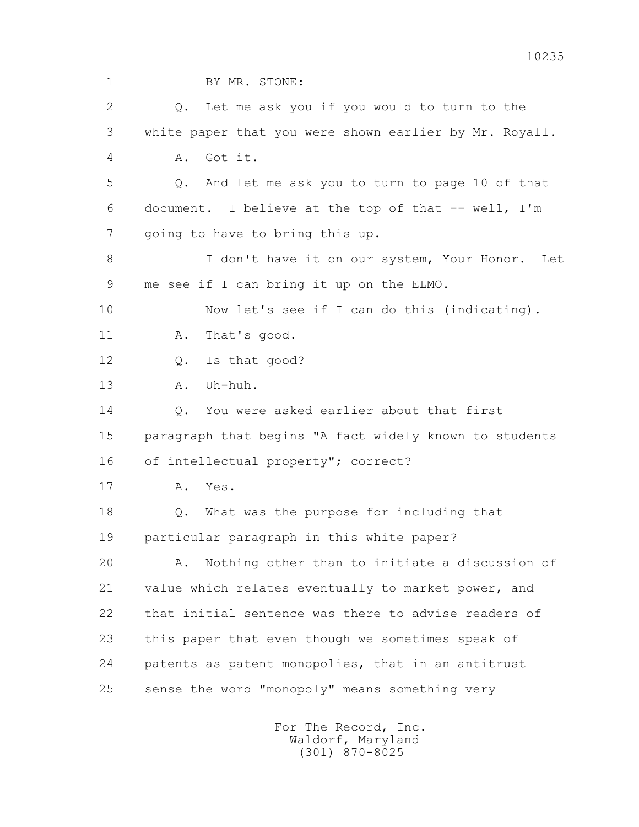| $\mathbf 1$    | BY MR. STONE:                                          |
|----------------|--------------------------------------------------------|
| $\overline{2}$ | Let me ask you if you would to turn to the<br>Q.       |
| 3              | white paper that you were shown earlier by Mr. Royall. |
| 4              | Got it.<br>Α.                                          |
| 5              | And let me ask you to turn to page 10 of that<br>Q.    |
| 6              | document. I believe at the top of that -- well, I'm    |
| 7              | going to have to bring this up.                        |
| 8              | I don't have it on our system, Your Honor.<br>Let      |
| 9              | me see if I can bring it up on the ELMO.               |
| 10             | Now let's see if I can do this (indicating).           |
| 11             | That's good.<br>Α.                                     |
| 12             | Is that good?<br>Q.                                    |
| 13             | Uh-huh.<br>Α.                                          |
| 14             | You were asked earlier about that first<br>$Q$ .       |
| 15             | paragraph that begins "A fact widely known to students |
| 16             | of intellectual property"; correct?                    |
| 17             | Α.<br>Yes.                                             |
| 18             | What was the purpose for including that<br>$Q$ .       |
| 19             | particular paragraph in this white paper?              |
| 20             | Nothing other than to initiate a discussion of<br>Α.   |
| 21             | value which relates eventually to market power, and    |
| 22             | that initial sentence was there to advise readers of   |
| 23             | this paper that even though we sometimes speak of      |
| 24             | patents as patent monopolies, that in an antitrust     |
| 25             | sense the word "monopoly" means something very         |
|                |                                                        |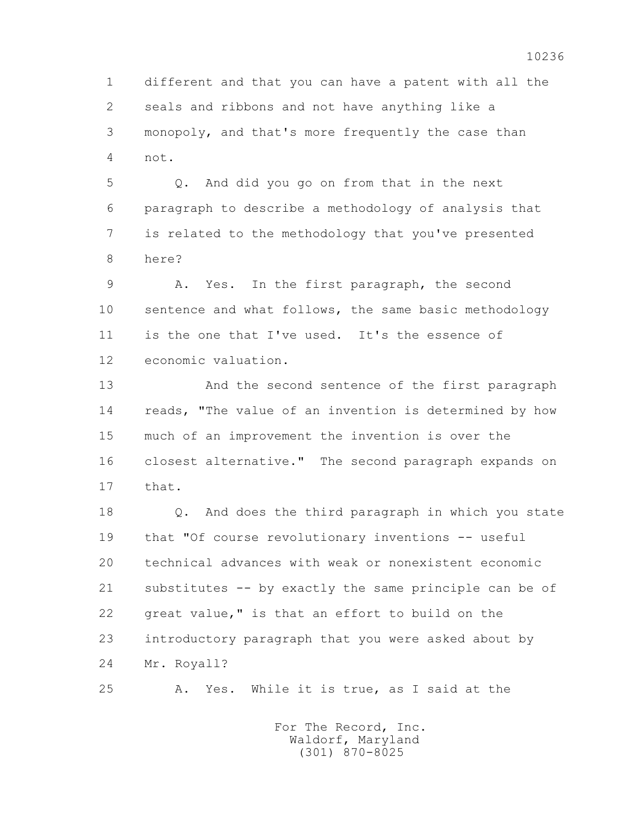1 different and that you can have a patent with all the 2 seals and ribbons and not have anything like a 3 monopoly, and that's more frequently the case than 4 not.

 5 Q. And did you go on from that in the next 6 paragraph to describe a methodology of analysis that 7 is related to the methodology that you've presented 8 here?

 9 A. Yes. In the first paragraph, the second 10 sentence and what follows, the same basic methodology 11 is the one that I've used. It's the essence of 12 economic valuation.

 13 And the second sentence of the first paragraph 14 reads, "The value of an invention is determined by how 15 much of an improvement the invention is over the 16 closest alternative." The second paragraph expands on 17 that.

 18 Q. And does the third paragraph in which you state 19 that "Of course revolutionary inventions -- useful 20 technical advances with weak or nonexistent economic 21 substitutes -- by exactly the same principle can be of 22 great value," is that an effort to build on the 23 introductory paragraph that you were asked about by 24 Mr. Royall?

25 A. Yes. While it is true, as I said at the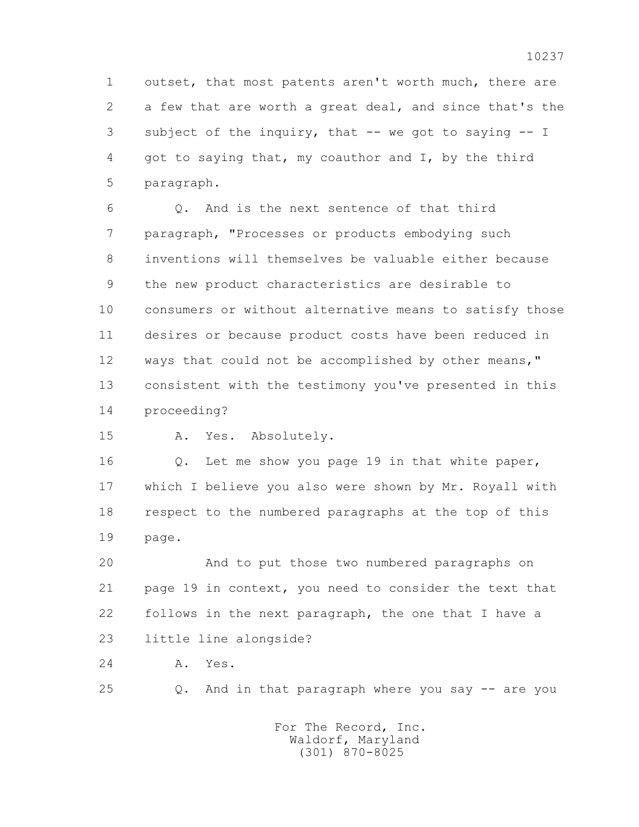1 outset, that most patents aren't worth much, there are 2 a few that are worth a great deal, and since that's the 3 subject of the inquiry, that -- we got to saying -- I 4 got to saying that, my coauthor and I, by the third 5 paragraph.

 6 Q. And is the next sentence of that third 7 paragraph, "Processes or products embodying such 8 inventions will themselves be valuable either because 9 the new product characteristics are desirable to 10 consumers or without alternative means to satisfy those 11 desires or because product costs have been reduced in 12 ways that could not be accomplished by other means," 13 consistent with the testimony you've presented in this 14 proceeding?

15 A. Yes. Absolutely.

16 0. Let me show you page 19 in that white paper, 17 which I believe you also were shown by Mr. Royall with 18 respect to the numbered paragraphs at the top of this 19 page.

 20 And to put those two numbered paragraphs on 21 page 19 in context, you need to consider the text that 22 follows in the next paragraph, the one that I have a 23 little line alongside?

24 A. Yes.

25 Q. And in that paragraph where you say -- are you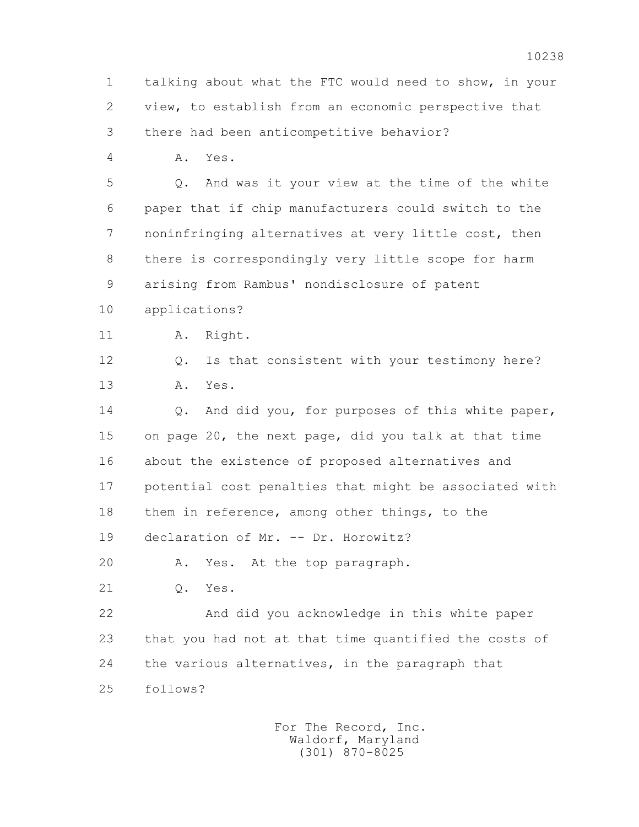1 talking about what the FTC would need to show, in your 2 view, to establish from an economic perspective that 3 there had been anticompetitive behavior? 4 A. Yes. 5 Q. And was it your view at the time of the white 6 paper that if chip manufacturers could switch to the 7 noninfringing alternatives at very little cost, then 8 there is correspondingly very little scope for harm 9 arising from Rambus' nondisclosure of patent 10 applications? 11 A. Right. 12 Q. Is that consistent with your testimony here? 13 A. Yes. 14 Q. And did you, for purposes of this white paper, 15 on page 20, the next page, did you talk at that time 16 about the existence of proposed alternatives and 17 potential cost penalties that might be associated with 18 them in reference, among other things, to the 19 declaration of Mr. -- Dr. Horowitz? 20 A. Yes. At the top paragraph. 21 Q. Yes. 22 And did you acknowledge in this white paper 23 that you had not at that time quantified the costs of 24 the various alternatives, in the paragraph that 25 follows?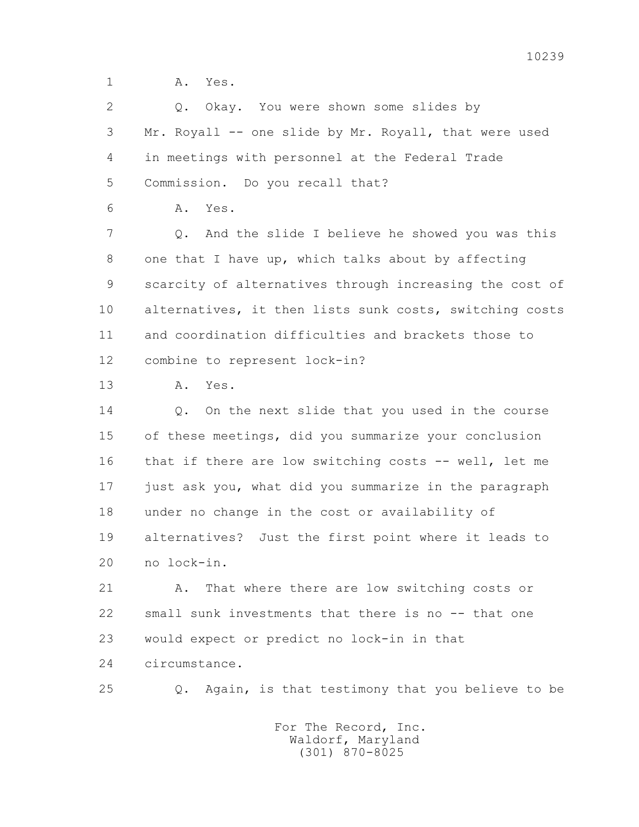1 **A.** Yes.

 2 Q. Okay. You were shown some slides by 3 Mr. Royall -- one slide by Mr. Royall, that were used 4 in meetings with personnel at the Federal Trade 5 Commission. Do you recall that? 6 A. Yes. 7 Q. And the slide I believe he showed you was this 8 one that I have up, which talks about by affecting 9 scarcity of alternatives through increasing the cost of 10 alternatives, it then lists sunk costs, switching costs 11 and coordination difficulties and brackets those to 12 combine to represent lock-in? 13 A. Yes. 14 0. On the next slide that you used in the course 15 of these meetings, did you summarize your conclusion 16 that if there are low switching costs -- well, let me 17 just ask you, what did you summarize in the paragraph 18 under no change in the cost or availability of 19 alternatives? Just the first point where it leads to 20 no lock-in. 21 A. That where there are low switching costs or 22 small sunk investments that there is no -- that one 23 would expect or predict no lock-in in that 24 circumstance. 25 Q. Again, is that testimony that you believe to be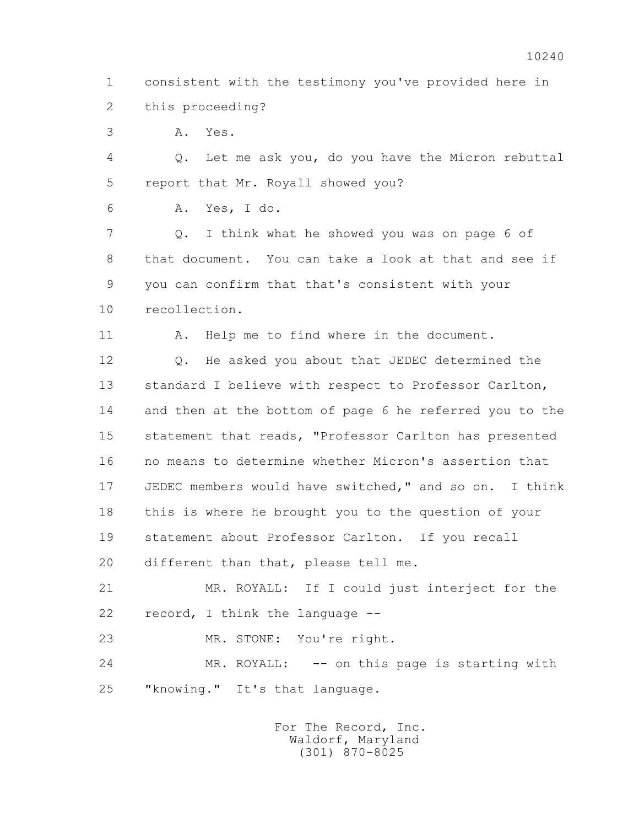1 consistent with the testimony you've provided here in 2 this proceeding?

3 A. Yes.

 4 Q. Let me ask you, do you have the Micron rebuttal 5 report that Mr. Royall showed you?

6 A. Yes, I do.

 7 Q. I think what he showed you was on page 6 of 8 that document. You can take a look at that and see if 9 you can confirm that that's consistent with your 10 recollection.

11 A. Help me to find where in the document.

 12 Q. He asked you about that JEDEC determined the 13 standard I believe with respect to Professor Carlton, 14 and then at the bottom of page 6 he referred you to the 15 statement that reads, "Professor Carlton has presented 16 no means to determine whether Micron's assertion that 17 JEDEC members would have switched," and so on. I think 18 this is where he brought you to the question of your 19 statement about Professor Carlton. If you recall 20 different than that, please tell me.

 21 MR. ROYALL: If I could just interject for the 22 record, I think the language --

23 MR. STONE: You're right.

 24 MR. ROYALL: -- on this page is starting with 25 "knowing." It's that language.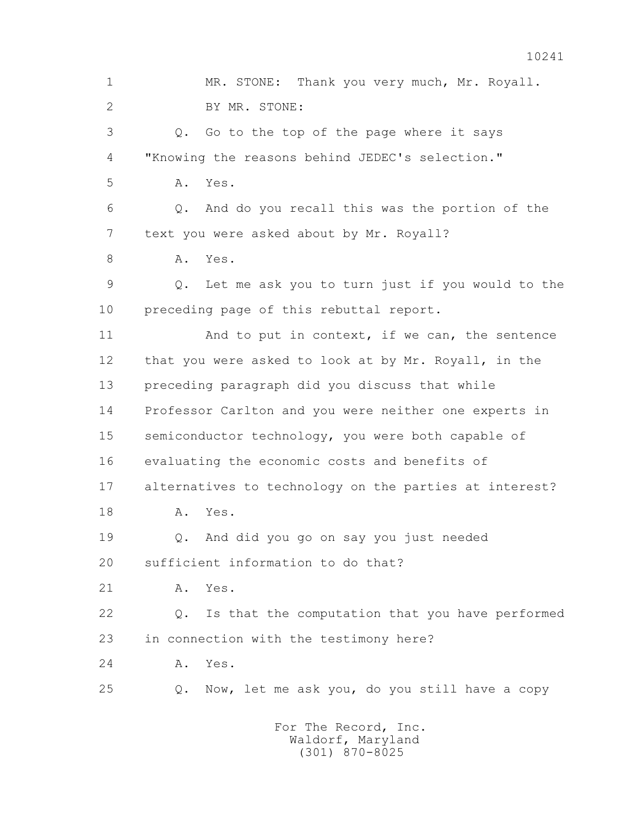1 MR. STONE: Thank you very much, Mr. Royall. 2 BY MR. STONE: 3 Q. Go to the top of the page where it says 4 "Knowing the reasons behind JEDEC's selection." 5 A. Yes. 6 Q. And do you recall this was the portion of the 7 text you were asked about by Mr. Royall? 8 A. Yes. 9 Q. Let me ask you to turn just if you would to the 10 preceding page of this rebuttal report. 11 And to put in context, if we can, the sentence 12 that you were asked to look at by Mr. Royall, in the 13 preceding paragraph did you discuss that while 14 Professor Carlton and you were neither one experts in 15 semiconductor technology, you were both capable of 16 evaluating the economic costs and benefits of 17 alternatives to technology on the parties at interest? 18 A. Yes. 19 Q. And did you go on say you just needed 20 sufficient information to do that? 21 A. Yes. 22 Q. Is that the computation that you have performed 23 in connection with the testimony here? 24 A. Yes. 25 Q. Now, let me ask you, do you still have a copy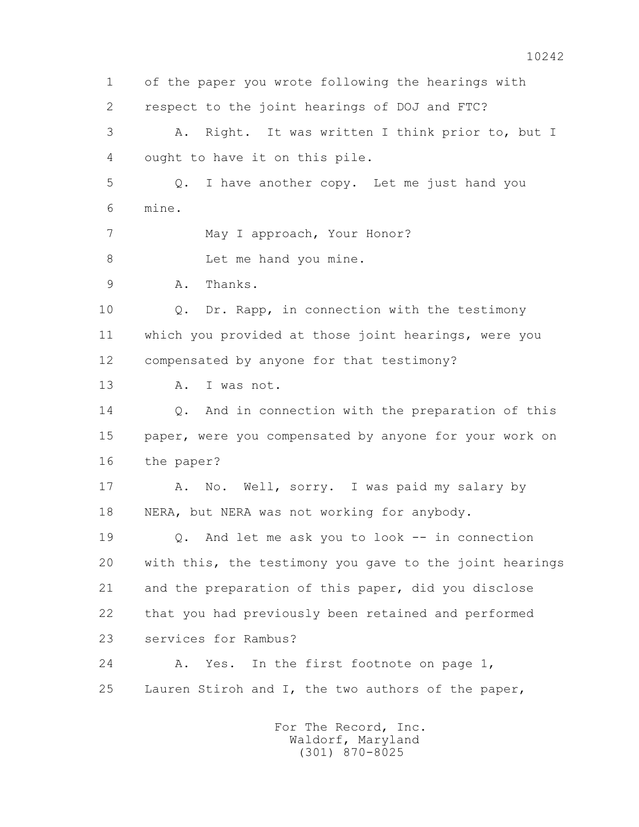1 of the paper you wrote following the hearings with 2 respect to the joint hearings of DOJ and FTC? 3 A. Right. It was written I think prior to, but I 4 ought to have it on this pile. 5 Q. I have another copy. Let me just hand you 6 mine. 7 May I approach, Your Honor? 8 Let me hand you mine. 9 A. Thanks. 10 Q. Dr. Rapp, in connection with the testimony 11 which you provided at those joint hearings, were you 12 compensated by anyone for that testimony? 13 A. I was not. 14 0. And in connection with the preparation of this 15 paper, were you compensated by anyone for your work on 16 the paper? 17 A. No. Well, sorry. I was paid my salary by 18 NERA, but NERA was not working for anybody. 19 Q. And let me ask you to look -- in connection 20 with this, the testimony you gave to the joint hearings 21 and the preparation of this paper, did you disclose 22 that you had previously been retained and performed 23 services for Rambus? 24 A. Yes. In the first footnote on page 1, 25 Lauren Stiroh and I, the two authors of the paper, For The Record, Inc. Waldorf, Maryland

(301) 870-8025

10242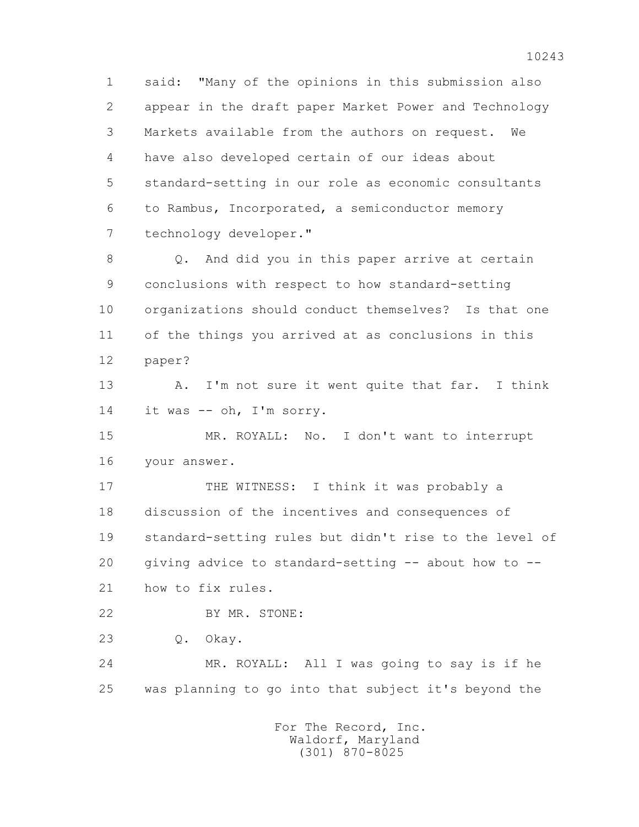1 said: "Many of the opinions in this submission also 2 appear in the draft paper Market Power and Technology 3 Markets available from the authors on request. We 4 have also developed certain of our ideas about 5 standard-setting in our role as economic consultants 6 to Rambus, Incorporated, a semiconductor memory 7 technology developer."

 8 Q. And did you in this paper arrive at certain 9 conclusions with respect to how standard-setting 10 organizations should conduct themselves? Is that one 11 of the things you arrived at as conclusions in this 12 paper?

13 A. I'm not sure it went quite that far. I think 14 it was -- oh, I'm sorry.

 15 MR. ROYALL: No. I don't want to interrupt 16 your answer.

17 THE WITNESS: I think it was probably a 18 discussion of the incentives and consequences of 19 standard-setting rules but didn't rise to the level of 20 giving advice to standard-setting -- about how to -- 21 how to fix rules.

22 BY MR. STONE:

23 Q. Okay.

 24 MR. ROYALL: All I was going to say is if he 25 was planning to go into that subject it's beyond the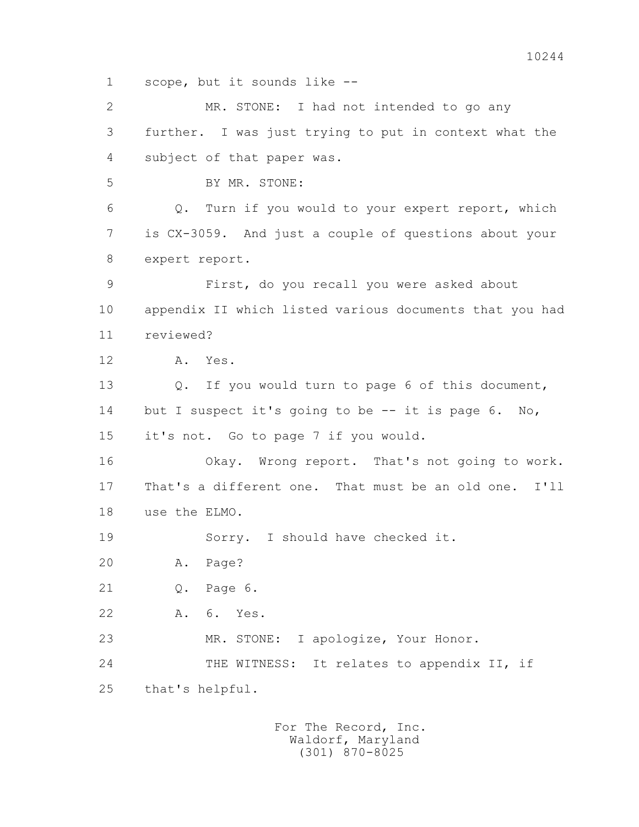1 scope, but it sounds like --

 2 MR. STONE: I had not intended to go any 3 further. I was just trying to put in context what the 4 subject of that paper was. 5 BY MR. STONE: 6 Q. Turn if you would to your expert report, which 7 is CX-3059. And just a couple of questions about your 8 expert report. 9 First, do you recall you were asked about 10 appendix II which listed various documents that you had 11 reviewed? 12 A. Yes. 13 Q. If you would turn to page 6 of this document, 14 but I suspect it's going to be -- it is page 6. No, 15 it's not. Go to page 7 if you would. 16 Okay. Wrong report. That's not going to work. 17 That's a different one. That must be an old one. I'll 18 use the ELMO. 19 Sorry. I should have checked it. 20 A. Page? 21 Q. Page 6. 22 A. 6. Yes. 23 MR. STONE: I apologize, Your Honor. 24 THE WITNESS: It relates to appendix II, if 25 that's helpful.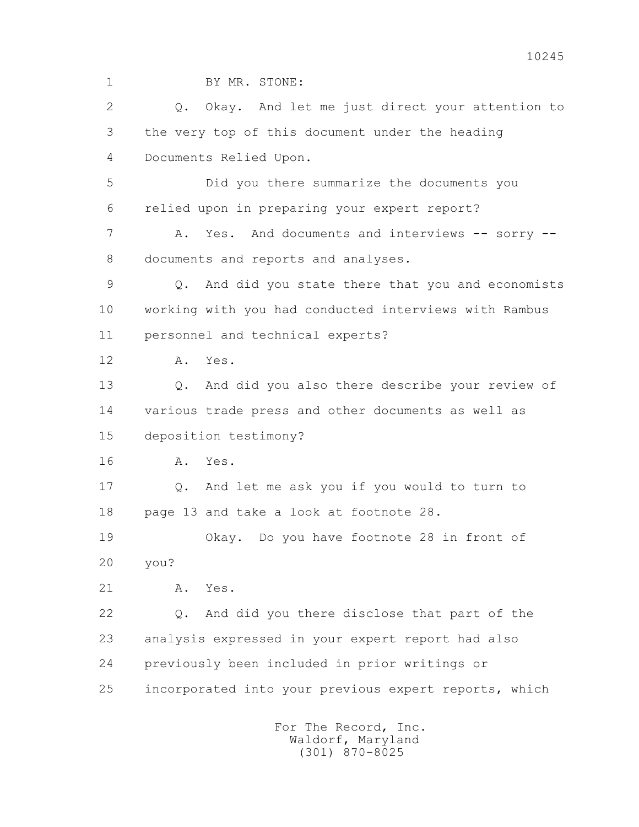1 BY MR. STONE: 2 Q. Okay. And let me just direct your attention to 3 the very top of this document under the heading 4 Documents Relied Upon. 5 Did you there summarize the documents you 6 relied upon in preparing your expert report? 7 A. Yes. And documents and interviews -- sorry -- 8 documents and reports and analyses. 9 Q. And did you state there that you and economists 10 working with you had conducted interviews with Rambus 11 personnel and technical experts? 12 A. Yes. 13 Q. And did you also there describe your review of 14 various trade press and other documents as well as 15 deposition testimony? 16 A. Yes. 17 Q. And let me ask you if you would to turn to 18 page 13 and take a look at footnote 28. 19 Okay. Do you have footnote 28 in front of 20 you? 21 A. Yes. 22 Q. And did you there disclose that part of the 23 analysis expressed in your expert report had also 24 previously been included in prior writings or 25 incorporated into your previous expert reports, which For The Record, Inc.

 Waldorf, Maryland (301) 870-8025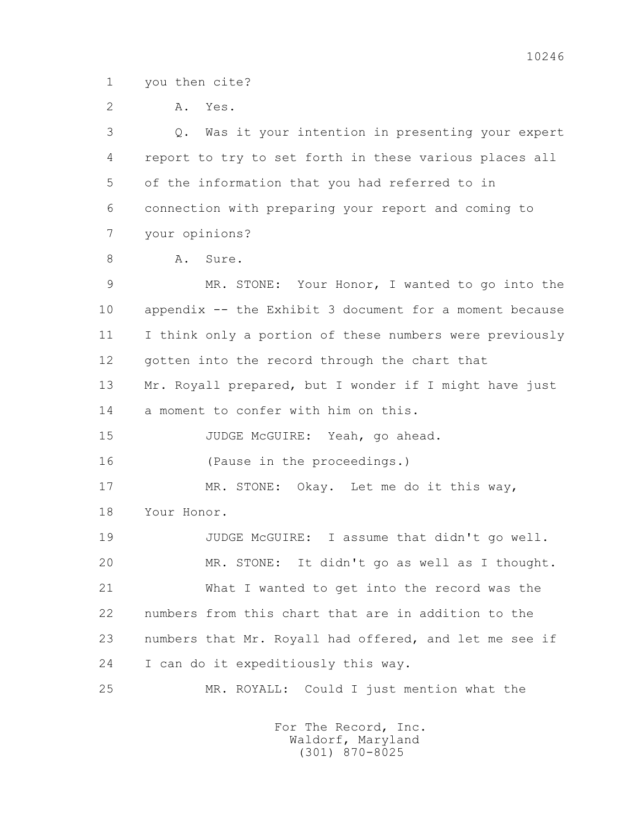1 you then cite?

2 A. Yes.

 3 Q. Was it your intention in presenting your expert 4 report to try to set forth in these various places all 5 of the information that you had referred to in 6 connection with preparing your report and coming to 7 your opinions?

8 A. Sure.

 9 MR. STONE: Your Honor, I wanted to go into the 10 appendix -- the Exhibit 3 document for a moment because 11 I think only a portion of these numbers were previously 12 gotten into the record through the chart that 13 Mr. Royall prepared, but I wonder if I might have just 14 a moment to confer with him on this. 15 JUDGE McGUIRE: Yeah, go ahead. 16 (Pause in the proceedings.) 17 MR. STONE: Okay. Let me do it this way, 18 Your Honor. 19 JUDGE McGUIRE: I assume that didn't go well. 20 MR. STONE: It didn't go as well as I thought. 21 What I wanted to get into the record was the 22 numbers from this chart that are in addition to the 23 numbers that Mr. Royall had offered, and let me see if 24 I can do it expeditiously this way. 25 MR. ROYALL: Could I just mention what the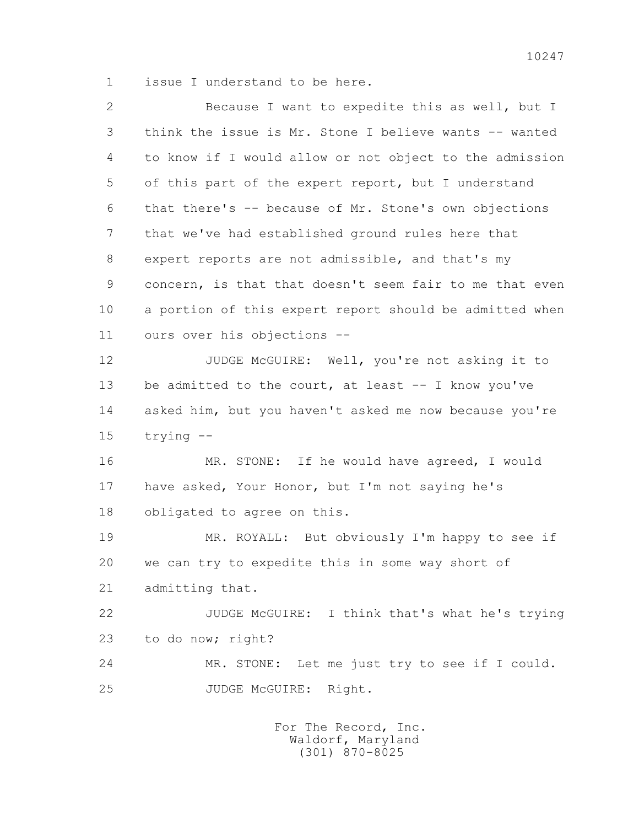1 issue I understand to be here.

| $\overline{2}$ | Because I want to expedite this as well, but I          |
|----------------|---------------------------------------------------------|
| 3              | think the issue is Mr. Stone I believe wants -- wanted  |
| 4              | to know if I would allow or not object to the admission |
| 5              | of this part of the expert report, but I understand     |
| 6              | that there's -- because of Mr. Stone's own objections   |
| 7              | that we've had established ground rules here that       |
| 8              | expert reports are not admissible, and that's my        |
| 9              | concern, is that that doesn't seem fair to me that even |
| 10             | a portion of this expert report should be admitted when |
| 11             | ours over his objections --                             |
| 12             | JUDGE McGUIRE: Well, you're not asking it to            |
| 13             | be admitted to the court, at least -- I know you've     |
| 14             | asked him, but you haven't asked me now because you're  |
| 15             | $trying -$                                              |
| 16             | MR. STONE: If he would have agreed, I would             |
| 17             | have asked, Your Honor, but I'm not saying he's         |
| 18             | obligated to agree on this.                             |
| 19             | MR. ROYALL: But obviously I'm happy to see if           |
| 20             | we can try to expedite this in some way short of        |
| 21             | admitting that.                                         |
| 22             | JUDGE McGUIRE: I think that's what he's trying          |
| 23             | to do now; right?                                       |
| 24             | MR. STONE: Let me just try to see if I could.           |
| 25             | JUDGE MCGUIRE:<br>Right.                                |
|                |                                                         |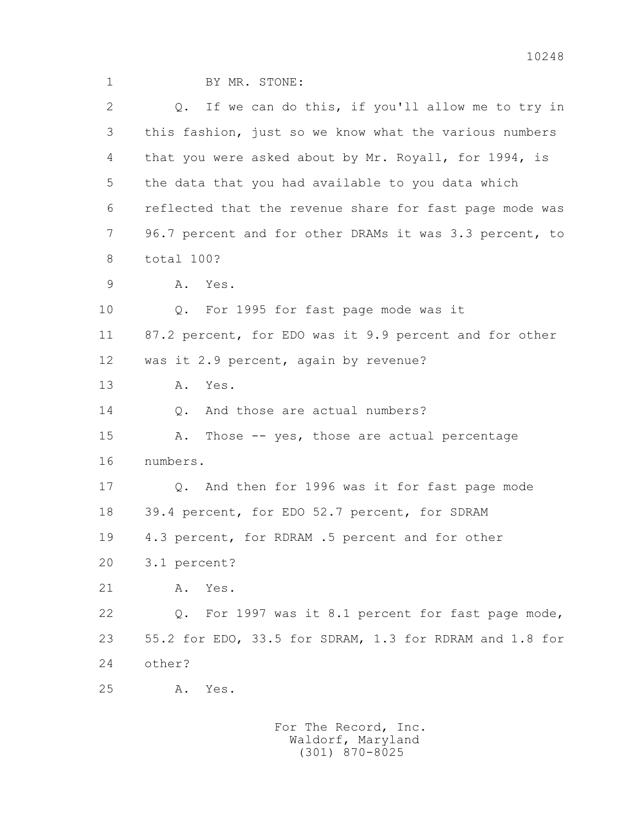| $\mathbf 1$    | BY MR. STONE:                                            |
|----------------|----------------------------------------------------------|
| $\overline{2}$ | If we can do this, if you'll allow me to try in<br>Q.    |
| 3              | this fashion, just so we know what the various numbers   |
| 4              | that you were asked about by Mr. Royall, for 1994, is    |
| 5              | the data that you had available to you data which        |
| 6              | reflected that the revenue share for fast page mode was  |
| $\overline{7}$ | 96.7 percent and for other DRAMs it was 3.3 percent, to  |
| 8              | total 100?                                               |
| 9              | Yes.<br>Α.                                               |
| 10             | For 1995 for fast page mode was it<br>Q.                 |
| 11             | 87.2 percent, for EDO was it 9.9 percent and for other   |
| 12             | was it 2.9 percent, again by revenue?                    |
| 13             | Yes.<br>Α.                                               |
| 14             | And those are actual numbers?<br>$\mathbb Q$ .           |
| 15             | Those -- yes, those are actual percentage<br>Α.          |
| 16             | numbers.                                                 |
| 17             | And then for 1996 was it for fast page mode<br>Q.        |
| 18             | 39.4 percent, for EDO 52.7 percent, for SDRAM            |
| 19             | 4.3 percent, for RDRAM .5 percent and for other          |
| 20             | 3.1 percent?                                             |
| 21             | Yes.<br>Α.                                               |
| 22             | For 1997 was it 8.1 percent for fast page mode,<br>$Q$ . |
| 23             | 55.2 for EDO, 33.5 for SDRAM, 1.3 for RDRAM and 1.8 for  |
| 24             | other?                                                   |
| 25             | Yes.<br>Α.                                               |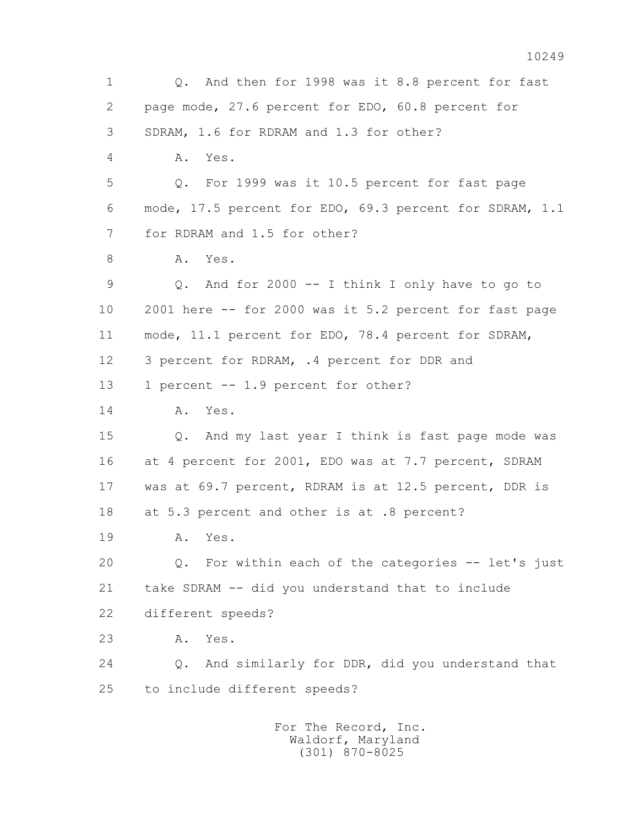1 Q. And then for 1998 was it 8.8 percent for fast 2 page mode, 27.6 percent for EDO, 60.8 percent for 3 SDRAM, 1.6 for RDRAM and 1.3 for other? 4 A. Yes. 5 Q. For 1999 was it 10.5 percent for fast page 6 mode, 17.5 percent for EDO, 69.3 percent for SDRAM, 1.1 7 for RDRAM and 1.5 for other? 8 A. Yes. 9 Q. And for 2000 -- I think I only have to go to 10 2001 here -- for 2000 was it 5.2 percent for fast page 11 mode, 11.1 percent for EDO, 78.4 percent for SDRAM, 12 3 percent for RDRAM, .4 percent for DDR and 13 1 percent -- 1.9 percent for other? 14 A. Yes. 15 Q. And my last year I think is fast page mode was 16 at 4 percent for 2001, EDO was at 7.7 percent, SDRAM 17 was at 69.7 percent, RDRAM is at 12.5 percent, DDR is 18 at 5.3 percent and other is at .8 percent? 19 A. Yes. 20 Q. For within each of the categories -- let's just 21 take SDRAM -- did you understand that to include 22 different speeds? 23 A. Yes. 24 Q. And similarly for DDR, did you understand that 25 to include different speeds? For The Record, Inc.

 Waldorf, Maryland (301) 870-8025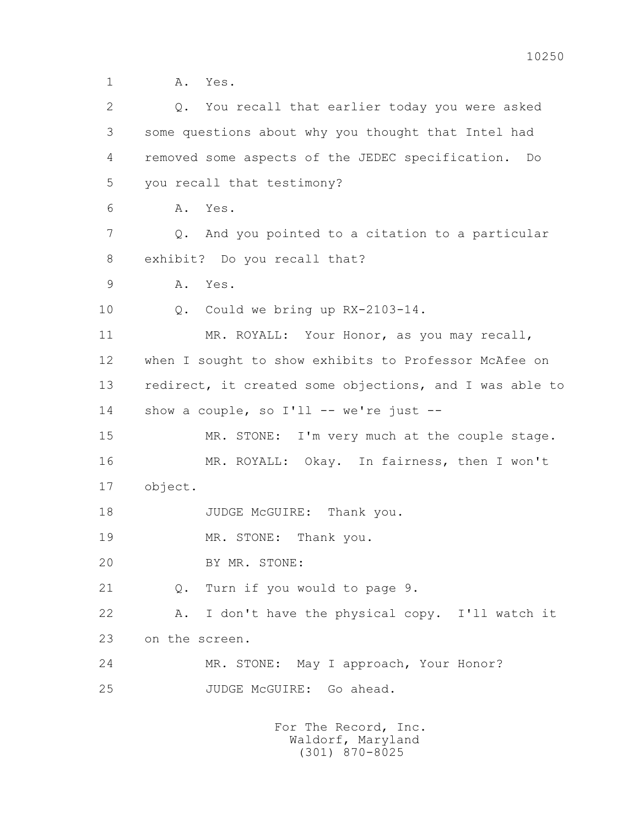1 A. Yes.

| $\overline{2}$ | You recall that earlier today you were asked<br>Q.      |
|----------------|---------------------------------------------------------|
| 3              | some questions about why you thought that Intel had     |
| 4              | removed some aspects of the JEDEC specification.<br>Do  |
| 5              | you recall that testimony?                              |
| 6              | Yes.<br>Α.                                              |
| 7              | And you pointed to a citation to a particular<br>$Q$ .  |
| 8              | exhibit? Do you recall that?                            |
| 9              | Α.<br>Yes.                                              |
| 10             | Could we bring up RX-2103-14.<br>$Q$ .                  |
| 11             | MR. ROYALL: Your Honor, as you may recall,              |
| 12             | when I sought to show exhibits to Professor McAfee on   |
| 13             | redirect, it created some objections, and I was able to |
| 14             | show a couple, so I'll -- we're just --                 |
| 15             | MR. STONE: I'm very much at the couple stage.           |
| 16             | MR. ROYALL: Okay. In fairness, then I won't             |
| 17             | object.                                                 |
| 18             | JUDGE McGUIRE: Thank you.                               |
| 19             | MR. STONE:<br>Thank you.                                |
| 20             | BY MR. STONE:                                           |
| 21             | Turn if you would to page 9.<br>Q.                      |
| 22             | I don't have the physical copy. I'll watch it<br>Α.     |
| 23             | on the screen.                                          |
| 24             | MR. STONE: May I approach, Your Honor?                  |
| 25             | JUDGE MCGUIRE:<br>Go ahead.                             |
|                |                                                         |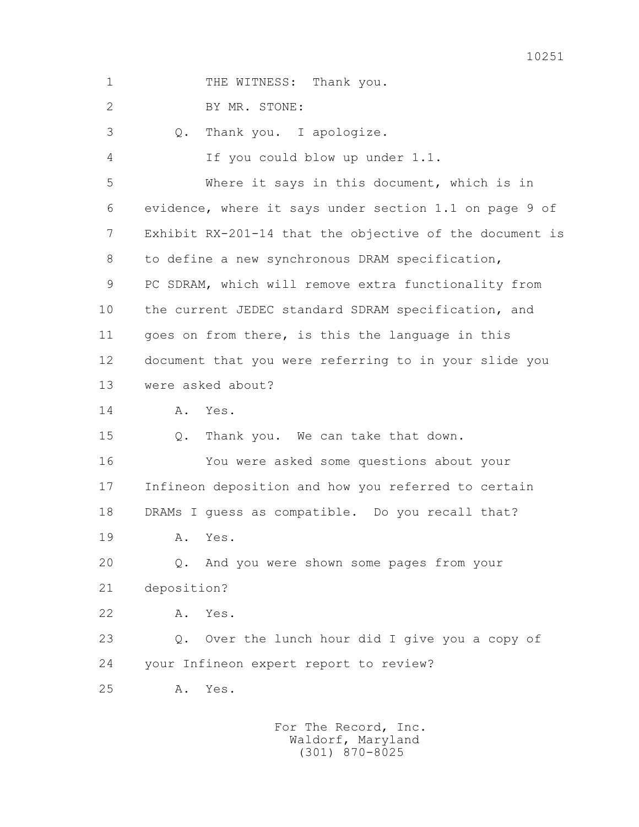| $\mathbf 1$    | THE WITNESS: Thank you.                                 |
|----------------|---------------------------------------------------------|
| $\overline{2}$ | BY MR. STONE:                                           |
| 3              | Thank you. I apologize.<br>Q.                           |
| 4              | If you could blow up under 1.1.                         |
| 5              | Where it says in this document, which is in             |
| 6              | evidence, where it says under section 1.1 on page 9 of  |
| 7              | Exhibit RX-201-14 that the objective of the document is |
| 8              | to define a new synchronous DRAM specification,         |
| 9              | PC SDRAM, which will remove extra functionality from    |
| 10             | the current JEDEC standard SDRAM specification, and     |
| 11             | goes on from there, is this the language in this        |
| 12             | document that you were referring to in your slide you   |
| 13             | were asked about?                                       |
| 14             | Α.<br>Yes.                                              |
| 15             | Thank you. We can take that down.<br>Q.                 |
| 16             | You were asked some questions about your                |
| 17             | Infineon deposition and how you referred to certain     |
| 18             | DRAMs I guess as compatible. Do you recall that?        |
| 19             | Α.<br>Yes.                                              |
| 20             | And you were shown some pages from your<br>$Q$ .        |
| 21             | deposition?                                             |
| 22             | Yes.<br>Α.                                              |
| 23             | Over the lunch hour did I give you a copy of<br>$Q$ .   |
| 24             | your Infineon expert report to review?                  |
| 25             | Α.<br>Yes.                                              |
|                |                                                         |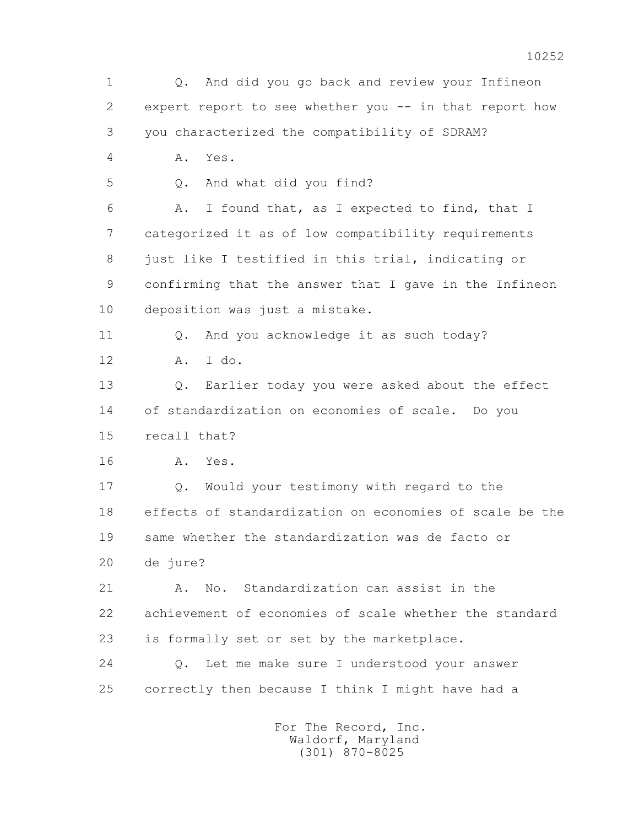1 Q. And did you go back and review your Infineon 2 expert report to see whether you -- in that report how 3 you characterized the compatibility of SDRAM? 4 A. Yes. 5 0. And what did you find? 6 A. I found that, as I expected to find, that I 7 categorized it as of low compatibility requirements 8 just like I testified in this trial, indicating or 9 confirming that the answer that I gave in the Infineon 10 deposition was just a mistake. 11 0. And you acknowledge it as such today? 12 A. I do. 13 Q. Earlier today you were asked about the effect 14 of standardization on economies of scale. Do you 15 recall that? 16 A. Yes. 17 Q. Would your testimony with regard to the 18 effects of standardization on economies of scale be the 19 same whether the standardization was de facto or 20 de jure? 21 A. No. Standardization can assist in the 22 achievement of economies of scale whether the standard 23 is formally set or set by the marketplace. 24 Q. Let me make sure I understood your answer 25 correctly then because I think I might have had a For The Record, Inc. Waldorf, Maryland

(301) 870-8025

10252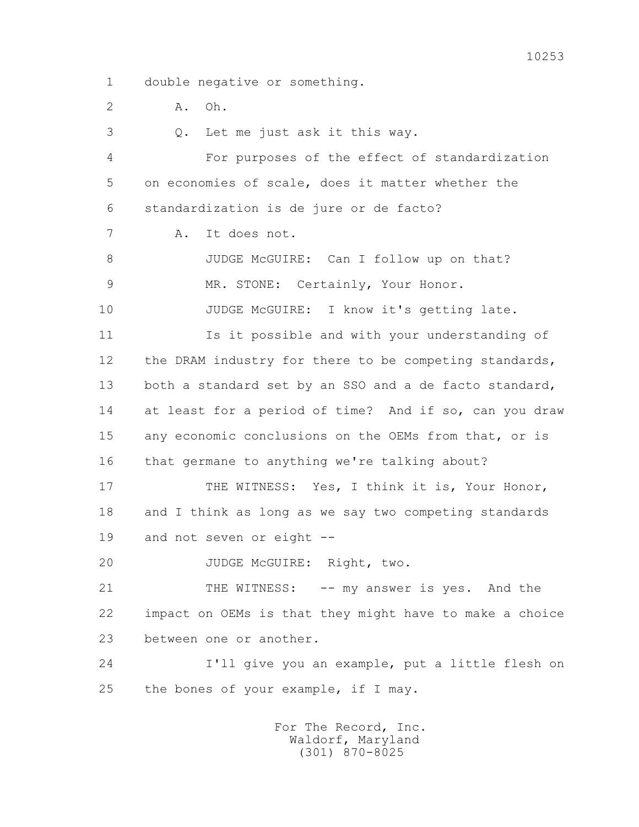2 A. Oh.

 3 Q. Let me just ask it this way. 4 For purposes of the effect of standardization 5 on economies of scale, does it matter whether the 6 standardization is de jure or de facto? 7 A. It does not. 8 JUDGE McGUIRE: Can I follow up on that? 9 MR. STONE: Certainly, Your Honor. 10 JUDGE McGUIRE: I know it's getting late. 11 Is it possible and with your understanding of 12 the DRAM industry for there to be competing standards, 13 both a standard set by an SSO and a de facto standard, 14 at least for a period of time? And if so, can you draw 15 any economic conclusions on the OEMs from that, or is 16 that germane to anything we're talking about? 17 THE WITNESS: Yes, I think it is, Your Honor, 18 and I think as long as we say two competing standards 19 and not seven or eight -- 20 JUDGE McGUIRE: Right, two. 21 THE WITNESS: -- my answer is yes. And the 22 impact on OEMs is that they might have to make a choice 23 between one or another. 24 I'll give you an example, put a little flesh on 25 the bones of your example, if I may.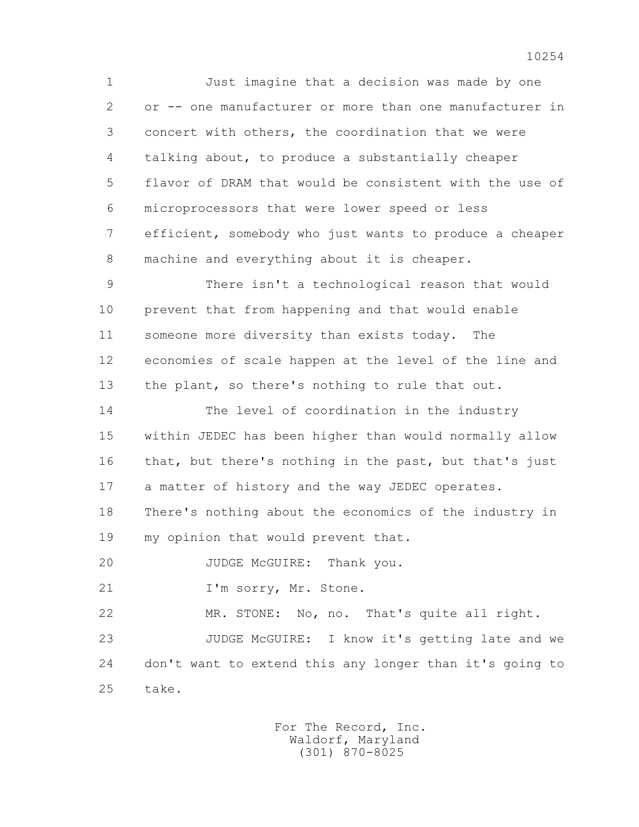1 Just imagine that a decision was made by one 2 or -- one manufacturer or more than one manufacturer in 3 concert with others, the coordination that we were 4 talking about, to produce a substantially cheaper 5 flavor of DRAM that would be consistent with the use of 6 microprocessors that were lower speed or less 7 efficient, somebody who just wants to produce a cheaper 8 machine and everything about it is cheaper.

 9 There isn't a technological reason that would 10 prevent that from happening and that would enable 11 someone more diversity than exists today. The 12 economies of scale happen at the level of the line and 13 the plant, so there's nothing to rule that out.

 14 The level of coordination in the industry 15 within JEDEC has been higher than would normally allow 16 that, but there's nothing in the past, but that's just 17 a matter of history and the way JEDEC operates.

 18 There's nothing about the economics of the industry in 19 my opinion that would prevent that.

20 JUDGE McGUIRE: Thank you.

21 I'm sorry, Mr. Stone.

22 MR. STONE: No, no. That's quite all right.

 23 JUDGE McGUIRE: I know it's getting late and we 24 don't want to extend this any longer than it's going to 25 take.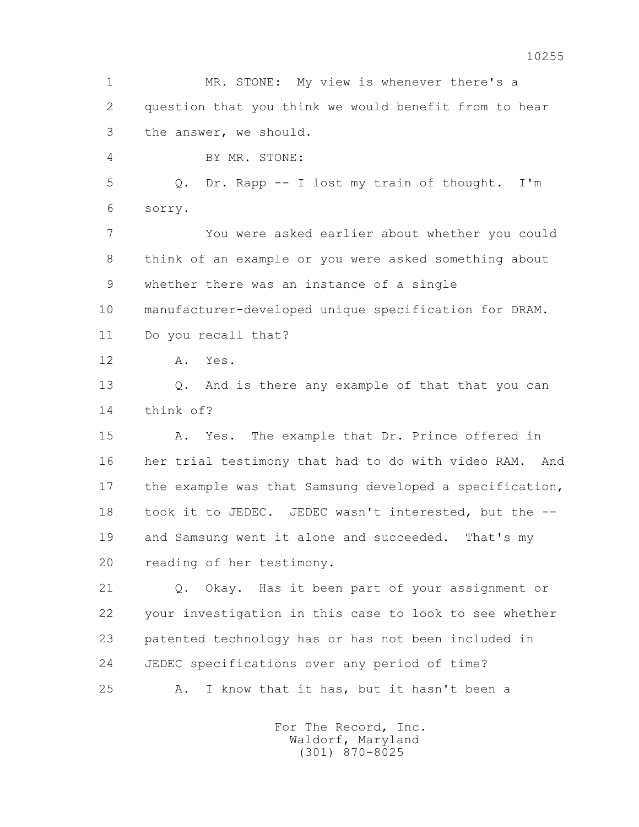1 MR. STONE: My view is whenever there's a 2 question that you think we would benefit from to hear 3 the answer, we should. 4 BY MR. STONE: 5 Q. Dr. Rapp -- I lost my train of thought. I'm 6 sorry. 7 You were asked earlier about whether you could 8 think of an example or you were asked something about 9 whether there was an instance of a single 10 manufacturer-developed unique specification for DRAM. 11 Do you recall that? 12 A. Yes. 13 Q. And is there any example of that that you can 14 think of? 15 A. Yes. The example that Dr. Prince offered in 16 her trial testimony that had to do with video RAM. And 17 the example was that Samsung developed a specification, 18 took it to JEDEC. JEDEC wasn't interested, but the -- 19 and Samsung went it alone and succeeded. That's my 20 reading of her testimony. 21 Q. Okay. Has it been part of your assignment or 22 your investigation in this case to look to see whether 23 patented technology has or has not been included in 24 JEDEC specifications over any period of time? 25 A. I know that it has, but it hasn't been a For The Record, Inc.

 Waldorf, Maryland (301) 870-8025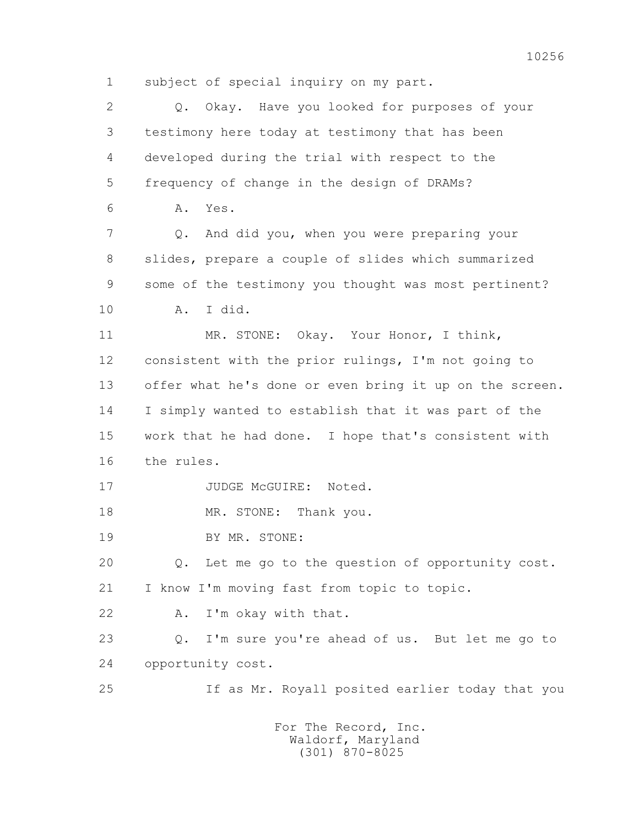1 subject of special inquiry on my part.

 2 Q. Okay. Have you looked for purposes of your 3 testimony here today at testimony that has been 4 developed during the trial with respect to the 5 frequency of change in the design of DRAMs? 6 A. Yes. 7 Q. And did you, when you were preparing your 8 slides, prepare a couple of slides which summarized 9 some of the testimony you thought was most pertinent? 10 A. I did. 11 MR. STONE: Okay. Your Honor, I think, 12 consistent with the prior rulings, I'm not going to 13 offer what he's done or even bring it up on the screen. 14 I simply wanted to establish that it was part of the 15 work that he had done. I hope that's consistent with 16 the rules. 17 JUDGE McGUIRE: Noted. 18 MR. STONE: Thank you. 19 BY MR. STONE: 20 Q. Let me go to the question of opportunity cost. 21 I know I'm moving fast from topic to topic. 22 A. I'm okay with that. 23 Q. I'm sure you're ahead of us. But let me go to 24 opportunity cost. 25 If as Mr. Royall posited earlier today that you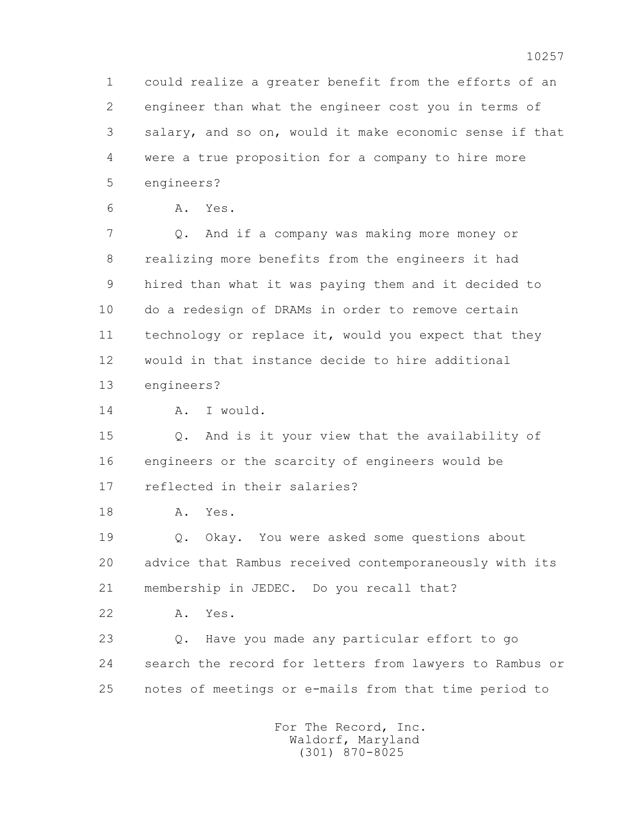1 could realize a greater benefit from the efforts of an 2 engineer than what the engineer cost you in terms of 3 salary, and so on, would it make economic sense if that 4 were a true proposition for a company to hire more 5 engineers?

6 A. Yes.

 7 Q. And if a company was making more money or 8 realizing more benefits from the engineers it had 9 hired than what it was paying them and it decided to 10 do a redesign of DRAMs in order to remove certain 11 technology or replace it, would you expect that they 12 would in that instance decide to hire additional 13 engineers?

14 A. I would.

 15 Q. And is it your view that the availability of 16 engineers or the scarcity of engineers would be 17 reflected in their salaries?

18 A. Yes.

 19 Q. Okay. You were asked some questions about 20 advice that Rambus received contemporaneously with its 21 membership in JEDEC. Do you recall that?

22 A. Yes.

 23 Q. Have you made any particular effort to go 24 search the record for letters from lawyers to Rambus or 25 notes of meetings or e-mails from that time period to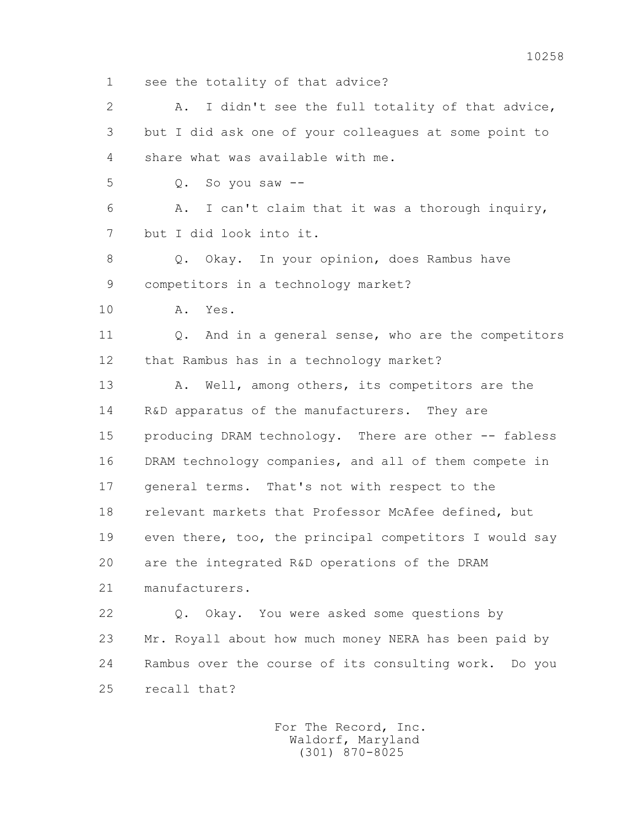1 see the totality of that advice? 2 A. I didn't see the full totality of that advice, 3 but I did ask one of your colleagues at some point to 4 share what was available with me. 5 Q. So you saw -- 6 A. I can't claim that it was a thorough inquiry, 7 but I did look into it. 8 0. Okay. In your opinion, does Rambus have 9 competitors in a technology market? 10 A. Yes. 11 0. And in a general sense, who are the competitors 12 that Rambus has in a technology market? 13 A. Well, among others, its competitors are the 14 R&D apparatus of the manufacturers. They are 15 producing DRAM technology. There are other -- fabless 16 DRAM technology companies, and all of them compete in 17 general terms. That's not with respect to the 18 relevant markets that Professor McAfee defined, but 19 even there, too, the principal competitors I would say 20 are the integrated R&D operations of the DRAM 21 manufacturers. 22 Q. Okay. You were asked some questions by 23 Mr. Royall about how much money NERA has been paid by 24 Rambus over the course of its consulting work. Do you 25 recall that?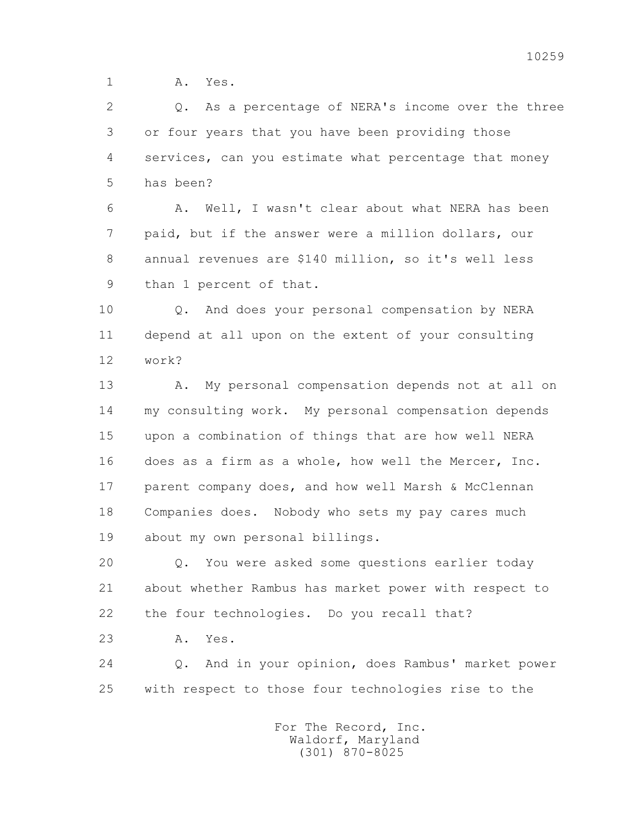1 **A.** Yes.

 2 Q. As a percentage of NERA's income over the three 3 or four years that you have been providing those 4 services, can you estimate what percentage that money 5 has been?

 6 A. Well, I wasn't clear about what NERA has been 7 paid, but if the answer were a million dollars, our 8 annual revenues are \$140 million, so it's well less 9 than 1 percent of that.

 10 Q. And does your personal compensation by NERA 11 depend at all upon on the extent of your consulting 12 work?

 13 A. My personal compensation depends not at all on 14 my consulting work. My personal compensation depends 15 upon a combination of things that are how well NERA 16 does as a firm as a whole, how well the Mercer, Inc. 17 parent company does, and how well Marsh & McClennan 18 Companies does. Nobody who sets my pay cares much 19 about my own personal billings.

 20 Q. You were asked some questions earlier today 21 about whether Rambus has market power with respect to 22 the four technologies. Do you recall that?

23 A. Yes.

 24 Q. And in your opinion, does Rambus' market power 25 with respect to those four technologies rise to the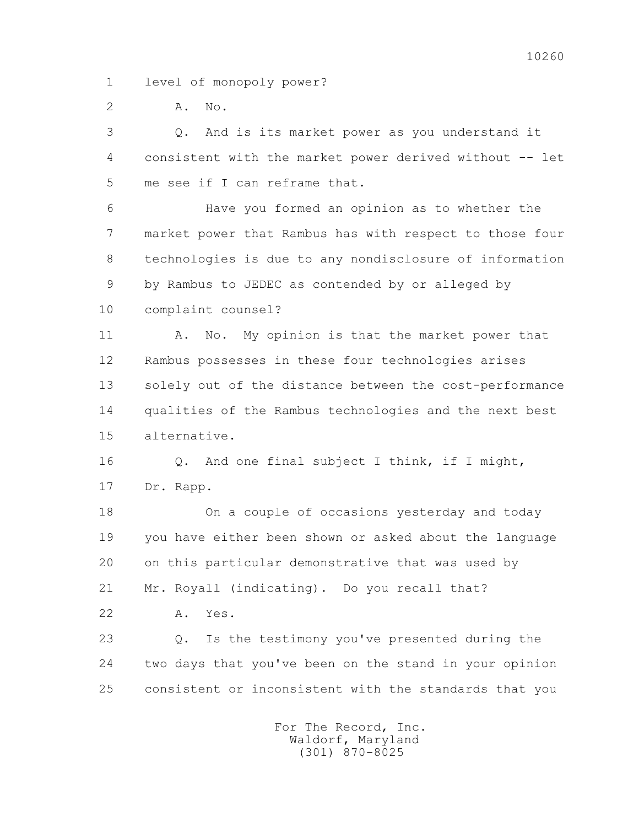1 level of monopoly power?

2 A. No.

 3 Q. And is its market power as you understand it 4 consistent with the market power derived without -- let 5 me see if I can reframe that.

 6 Have you formed an opinion as to whether the 7 market power that Rambus has with respect to those four 8 technologies is due to any nondisclosure of information 9 by Rambus to JEDEC as contended by or alleged by 10 complaint counsel?

11 A. No. My opinion is that the market power that 12 Rambus possesses in these four technologies arises 13 solely out of the distance between the cost-performance 14 qualities of the Rambus technologies and the next best 15 alternative.

16 0. And one final subject I think, if I might, 17 Dr. Rapp.

 18 On a couple of occasions yesterday and today 19 you have either been shown or asked about the language 20 on this particular demonstrative that was used by 21 Mr. Royall (indicating). Do you recall that? 22 A. Yes.

 23 Q. Is the testimony you've presented during the 24 two days that you've been on the stand in your opinion 25 consistent or inconsistent with the standards that you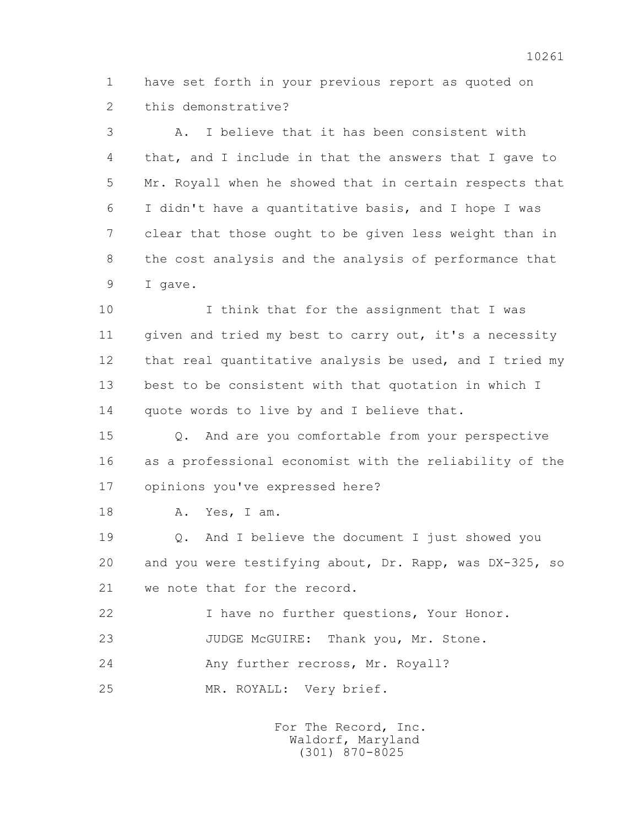1 have set forth in your previous report as quoted on 2 this demonstrative?

 3 A. I believe that it has been consistent with 4 that, and I include in that the answers that I gave to 5 Mr. Royall when he showed that in certain respects that 6 I didn't have a quantitative basis, and I hope I was 7 clear that those ought to be given less weight than in 8 the cost analysis and the analysis of performance that 9 I gave.

 10 I think that for the assignment that I was 11 given and tried my best to carry out, it's a necessity 12 that real quantitative analysis be used, and I tried my 13 best to be consistent with that quotation in which I 14 quote words to live by and I believe that.

 15 Q. And are you comfortable from your perspective 16 as a professional economist with the reliability of the 17 opinions you've expressed here?

18 A. Yes, I am.

 19 Q. And I believe the document I just showed you 20 and you were testifying about, Dr. Rapp, was DX-325, so 21 we note that for the record.

 22 I have no further questions, Your Honor. 23 JUDGE McGUIRE: Thank you, Mr. Stone. 24 Any further recross, Mr. Royall?

25 MR. ROYALL: Very brief.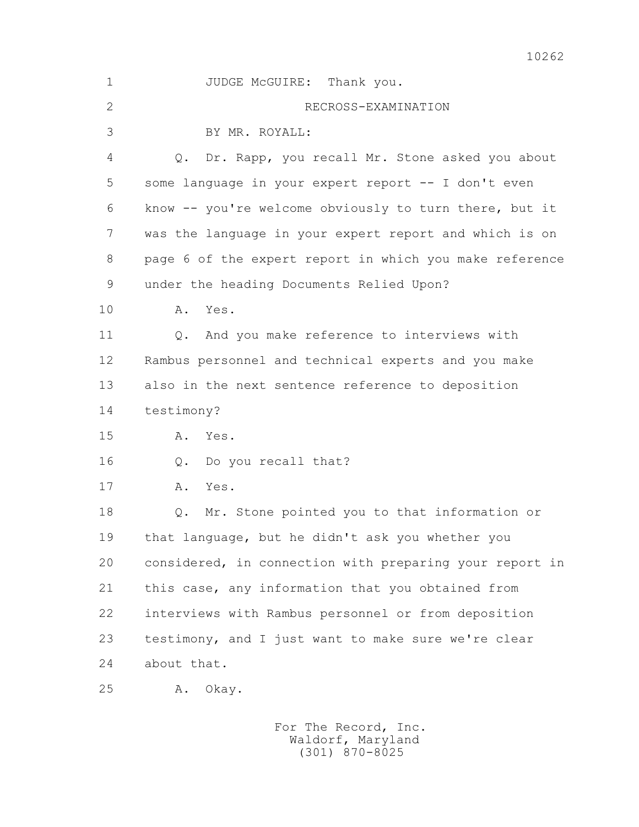| $\mathbf 1$    | JUDGE McGUIRE: Thank you.                               |
|----------------|---------------------------------------------------------|
| $\overline{2}$ | RECROSS-EXAMINATION                                     |
| 3              | BY MR. ROYALL:                                          |
| 4              | Dr. Rapp, you recall Mr. Stone asked you about<br>$Q$ . |
| 5              | some language in your expert report -- I don't even     |
| 6              | know -- you're welcome obviously to turn there, but it  |
| 7              | was the language in your expert report and which is on  |
| 8              | page 6 of the expert report in which you make reference |
| 9              | under the heading Documents Relied Upon?                |
| 10             | Yes.<br>Α.                                              |
| 11             | And you make reference to interviews with<br>$Q$ .      |
| 12             | Rambus personnel and technical experts and you make     |
| 13             | also in the next sentence reference to deposition       |
| 14             | testimony?                                              |
| 15             | Α.<br>Yes.                                              |
| 16             | Do you recall that?<br>$Q$ .                            |
| 17             | Yes.<br>Α.                                              |
| 18             | Mr. Stone pointed you to that information or<br>$Q$ .   |
| 19             | that language, but he didn't ask you whether you        |
| 20             | considered, in connection with preparing your report in |
| 21             | this case, any information that you obtained from       |
| 22             | interviews with Rambus personnel or from deposition     |
| 23             | testimony, and I just want to make sure we're clear     |
| 24             | about that.                                             |
| 25             | Α.<br>Okay.                                             |
|                | For The Record, Inc.                                    |

Waldorf, Maryland (301) 870-8025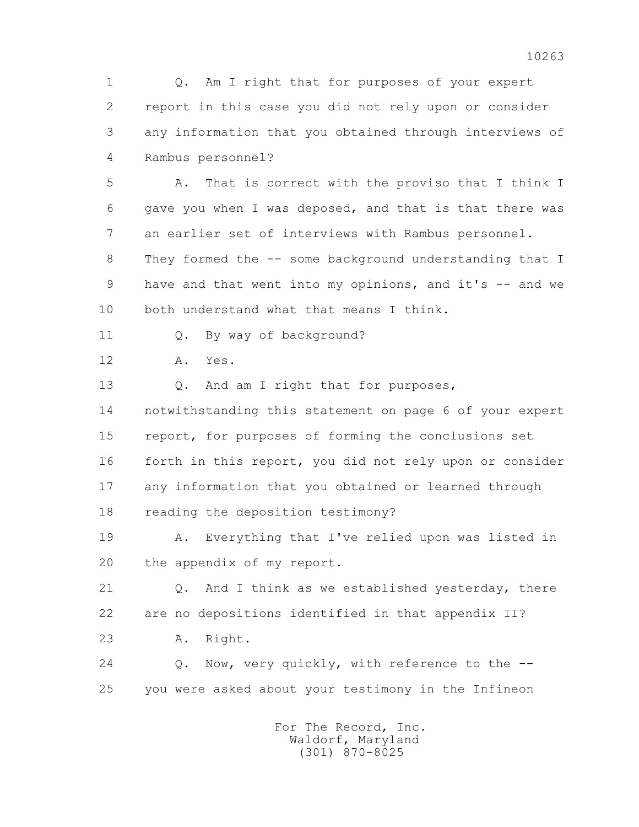1 Q. Am I right that for purposes of your expert 2 report in this case you did not rely upon or consider 3 any information that you obtained through interviews of 4 Rambus personnel?

 5 A. That is correct with the proviso that I think I 6 gave you when I was deposed, and that is that there was 7 an earlier set of interviews with Rambus personnel.

 8 They formed the -- some background understanding that I 9 have and that went into my opinions, and it's -- and we 10 both understand what that means I think.

11 Q. By way of background?

12 A. Yes.

13 Q. And am I right that for purposes, 14 notwithstanding this statement on page 6 of your expert 15 report, for purposes of forming the conclusions set 16 forth in this report, you did not rely upon or consider 17 any information that you obtained or learned through 18 reading the deposition testimony?

 19 A. Everything that I've relied upon was listed in 20 the appendix of my report.

 21 Q. And I think as we established yesterday, there 22 are no depositions identified in that appendix II? 23 A. Right.

24 O. Now, very quickly, with reference to the --25 you were asked about your testimony in the Infineon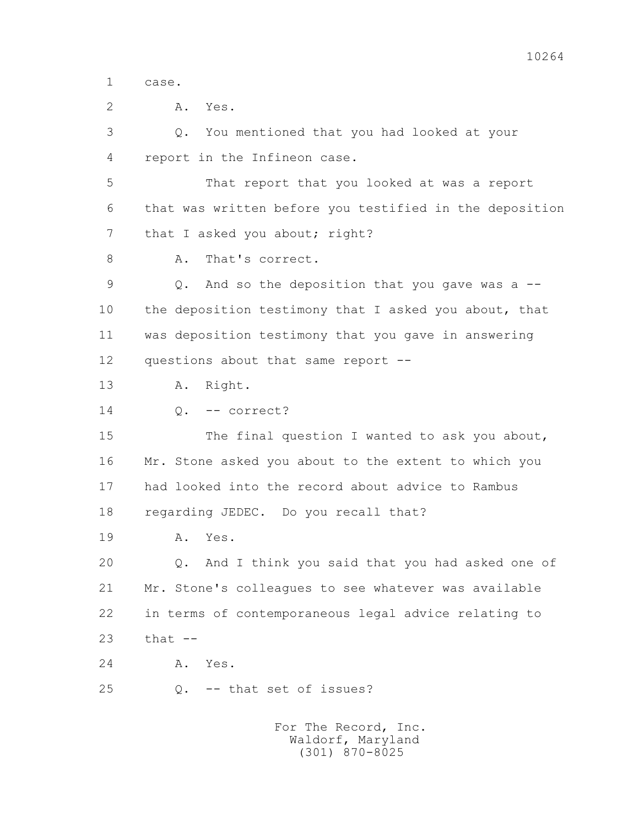1 case.

 2 A. Yes. 3 Q. You mentioned that you had looked at your 4 report in the Infineon case. 5 That report that you looked at was a report 6 that was written before you testified in the deposition 7 that I asked you about; right? 8 A. That's correct. 9 Q. And so the deposition that you gave was a -- 10 the deposition testimony that I asked you about, that 11 was deposition testimony that you gave in answering 12 questions about that same report -- 13 A. Right. 14 Q. -- correct? 15 The final question I wanted to ask you about,

 16 Mr. Stone asked you about to the extent to which you 17 had looked into the record about advice to Rambus 18 regarding JEDEC. Do you recall that?

19 A. Yes.

 20 Q. And I think you said that you had asked one of 21 Mr. Stone's colleagues to see whatever was available 22 in terms of contemporaneous legal advice relating to  $23$  that  $-$ 

24 A. Yes.

25 Q. -- that set of issues?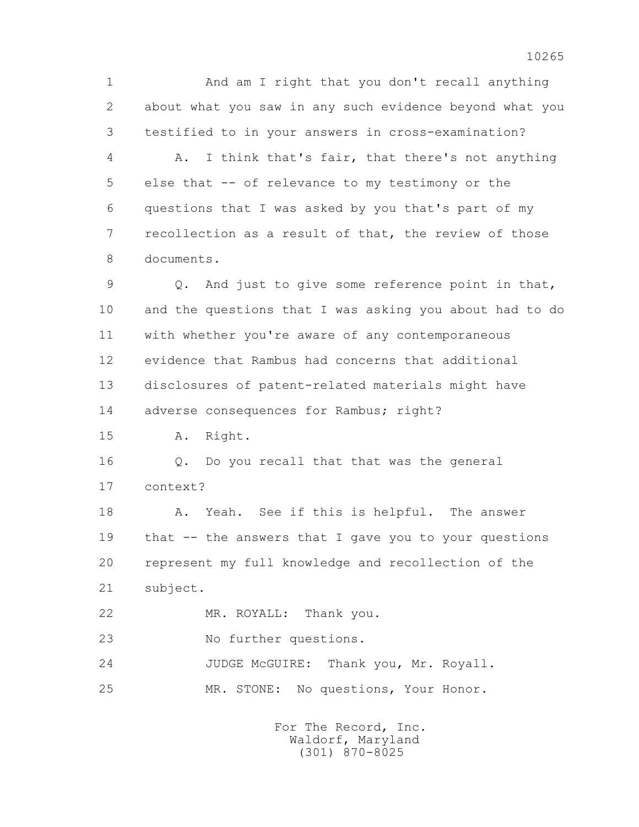1 And am I right that you don't recall anything 2 about what you saw in any such evidence beyond what you 3 testified to in your answers in cross-examination? 4 A. I think that's fair, that there's not anything

 5 else that -- of relevance to my testimony or the 6 questions that I was asked by you that's part of my 7 recollection as a result of that, the review of those 8 documents.

 9 Q. And just to give some reference point in that, 10 and the questions that I was asking you about had to do 11 with whether you're aware of any contemporaneous 12 evidence that Rambus had concerns that additional 13 disclosures of patent-related materials might have 14 adverse consequences for Rambus; right?

15 A. Right.

 16 Q. Do you recall that that was the general 17 context?

18 A. Yeah. See if this is helpful. The answer 19 that -- the answers that I gave you to your questions 20 represent my full knowledge and recollection of the 21 subject.

22 MR. ROYALL: Thank you.

23 No further questions.

 24 JUDGE McGUIRE: Thank you, Mr. Royall. 25 MR. STONE: No questions, Your Honor.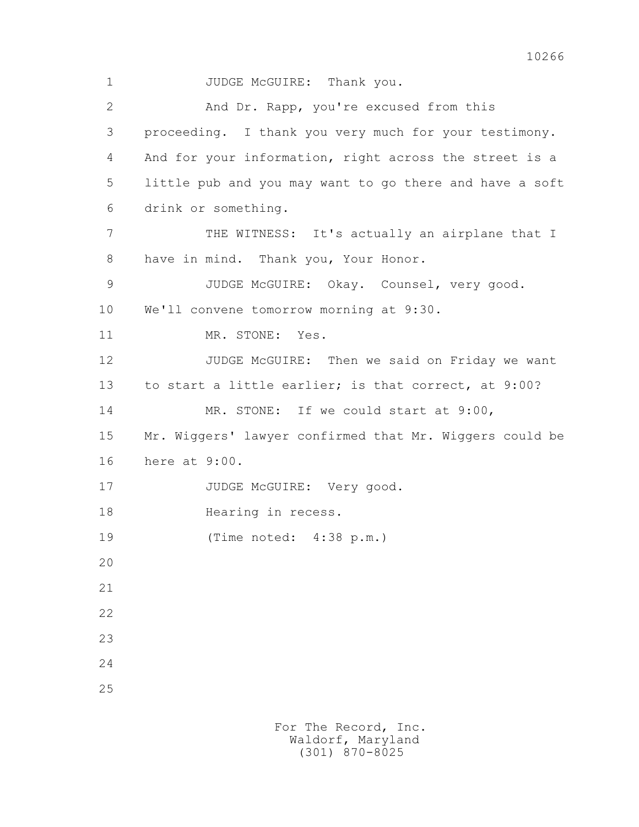1 JUDGE McGUIRE: Thank you. 2 And Dr. Rapp, you're excused from this 3 proceeding. I thank you very much for your testimony. 4 And for your information, right across the street is a 5 little pub and you may want to go there and have a soft 6 drink or something. 7 THE WITNESS: It's actually an airplane that I 8 have in mind. Thank you, Your Honor. 9 JUDGE McGUIRE: Okay. Counsel, very good. 10 We'll convene tomorrow morning at 9:30. 11 MR. STONE: Yes. 12 JUDGE McGUIRE: Then we said on Friday we want 13 to start a little earlier; is that correct, at 9:00? 14 MR. STONE: If we could start at 9:00, 15 Mr. Wiggers' lawyer confirmed that Mr. Wiggers could be 16 here at 9:00. 17 JUDGE McGUIRE: Very good. 18 Hearing in recess. 19 (Time noted: 4:38 p.m.) 20 21 22 23 24 25